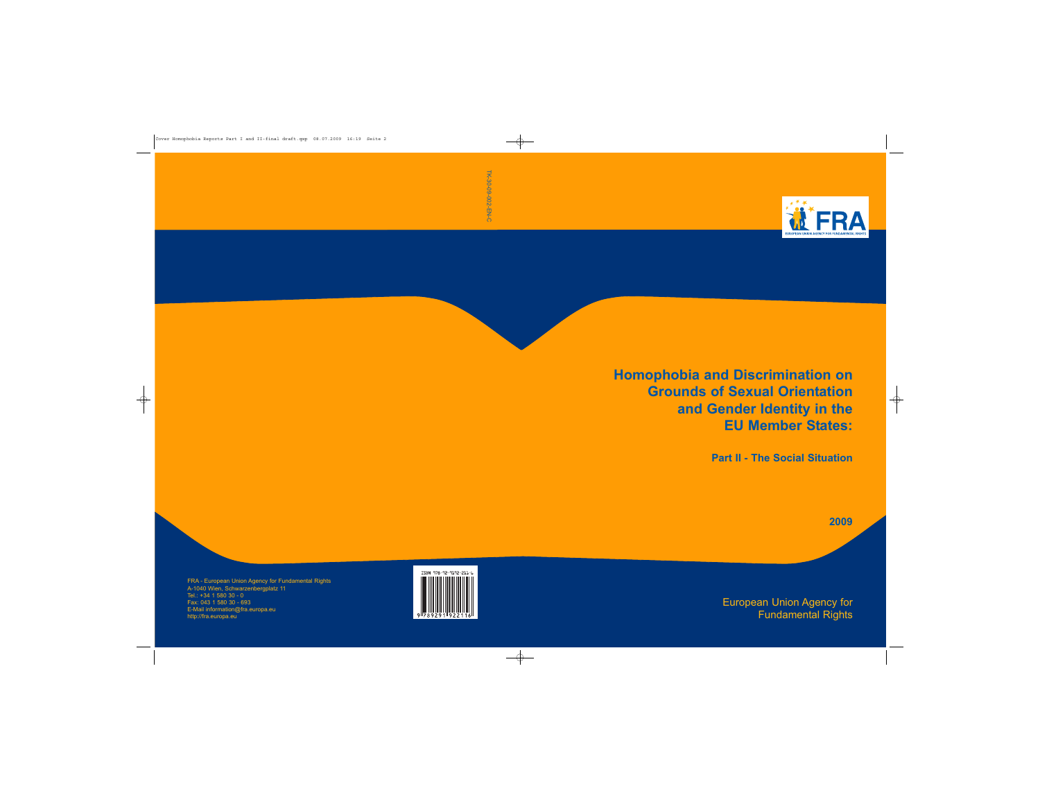

# **Homophobia and Discrimination on Grounds of Sexual Orientation and Gender Identity in the EU Member States:**

**Part II - The Social Situation**

**2009**

European Union Agency for Fundamental Rights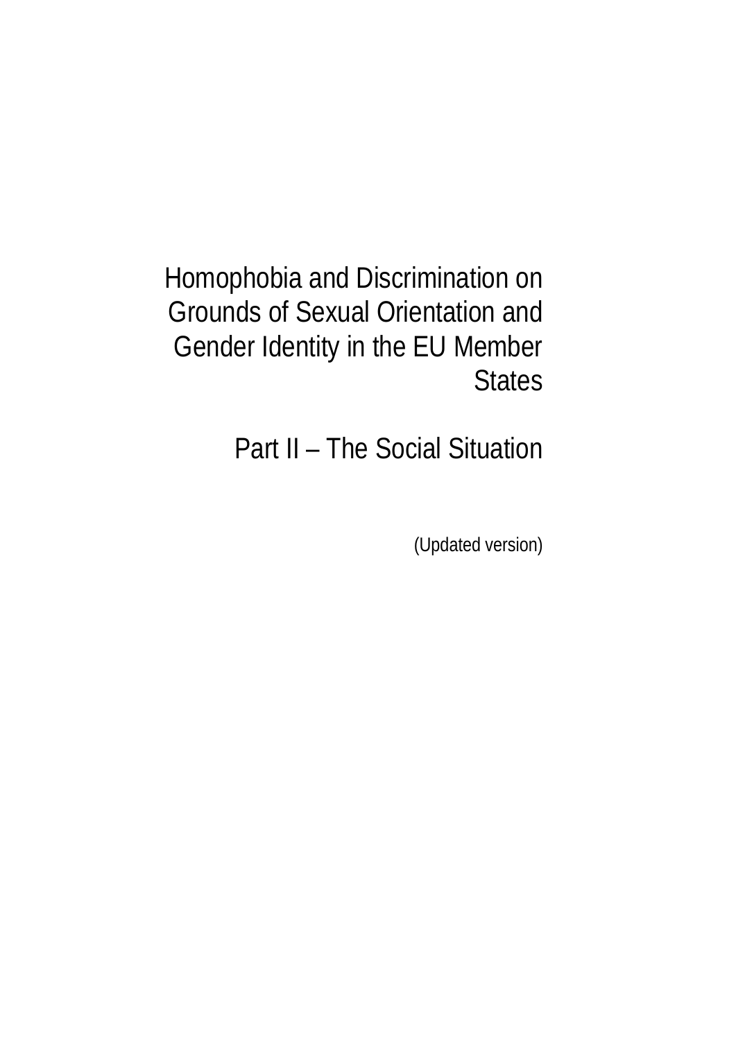# Homophobia and Discrimination on Grounds of Sexual Orientation and Gender Identity in the EU Member **States**

Part II – The Social Situation

(Updated version)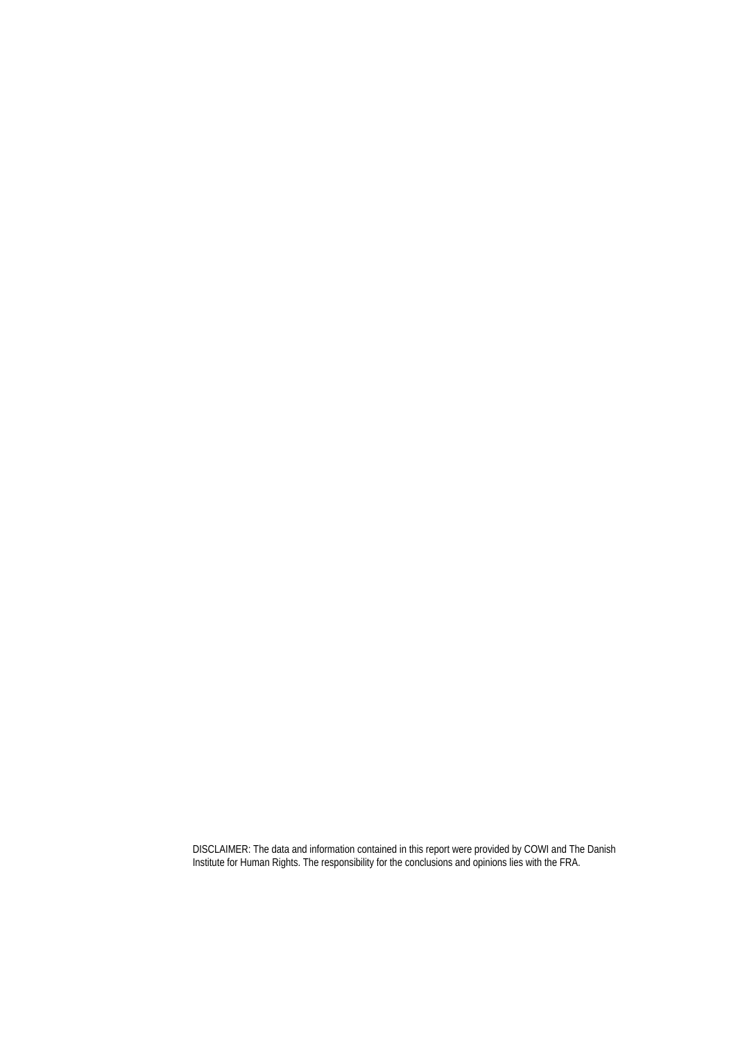DISCLAIMER: The data and information contained in this report were provided by COWI and The Danish Institute for Human Rights. The responsibility for the conclusions and opinions lies with the FRA.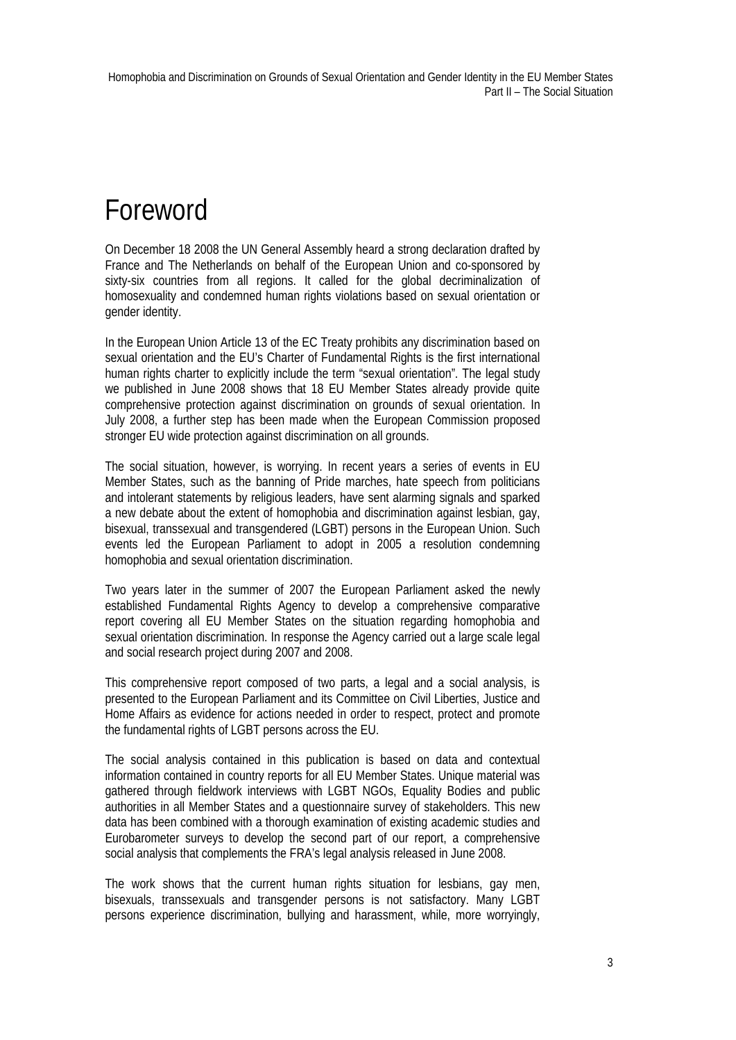# Foreword

On December 18 2008 the UN General Assembly heard a strong declaration drafted by France and The Netherlands on behalf of the European Union and co-sponsored by sixty-six countries from all regions. It called for the global decriminalization of homosexuality and condemned human rights violations based on sexual orientation or gender identity.

In the European Union Article 13 of the EC Treaty prohibits any discrimination based on sexual orientation and the EU's Charter of Fundamental Rights is the first international human rights charter to explicitly include the term "sexual orientation". The legal study we published in June 2008 shows that 18 EU Member States already provide quite comprehensive protection against discrimination on grounds of sexual orientation. In July 2008, a further step has been made when the European Commission proposed stronger EU wide protection against discrimination on all grounds.

The social situation, however, is worrying. In recent years a series of events in EU Member States, such as the banning of Pride marches, hate speech from politicians and intolerant statements by religious leaders, have sent alarming signals and sparked a new debate about the extent of homophobia and discrimination against lesbian, gay, bisexual, transsexual and transgendered (LGBT) persons in the European Union. Such events led the European Parliament to adopt in 2005 a resolution condemning homophobia and sexual orientation discrimination.

Two years later in the summer of 2007 the European Parliament asked the newly established Fundamental Rights Agency to develop a comprehensive comparative report covering all EU Member States on the situation regarding homophobia and sexual orientation discrimination. In response the Agency carried out a large scale legal and social research project during 2007 and 2008.

This comprehensive report composed of two parts, a legal and a social analysis, is presented to the European Parliament and its Committee on Civil Liberties, Justice and Home Affairs as evidence for actions needed in order to respect, protect and promote the fundamental rights of LGBT persons across the EU.

The social analysis contained in this publication is based on data and contextual information contained in country reports for all EU Member States. Unique material was gathered through fieldwork interviews with LGBT NGOs, Equality Bodies and public authorities in all Member States and a questionnaire survey of stakeholders. This new data has been combined with a thorough examination of existing academic studies and Eurobarometer surveys to develop the second part of our report, a comprehensive social analysis that complements the FRA's legal analysis released in June 2008.

The work shows that the current human rights situation for lesbians, gay men, bisexuals, transsexuals and transgender persons is not satisfactory. Many LGBT persons experience discrimination, bullying and harassment, while, more worryingly,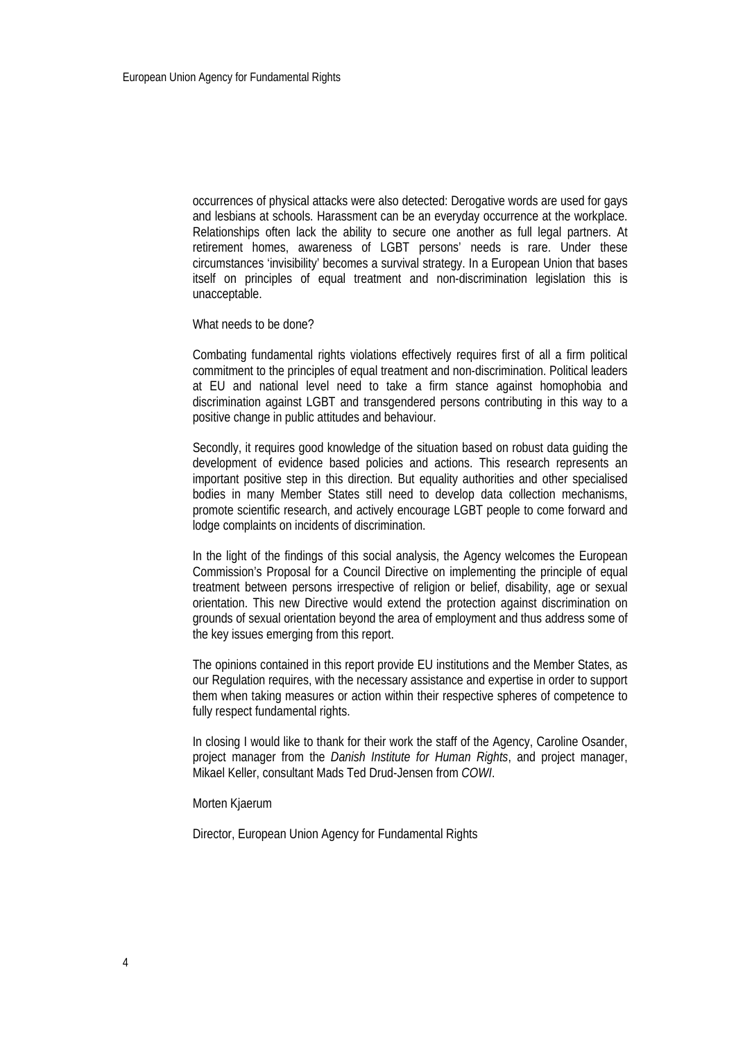occurrences of physical attacks were also detected: Derogative words are used for gays and lesbians at schools. Harassment can be an everyday occurrence at the workplace. Relationships often lack the ability to secure one another as full legal partners. At retirement homes, awareness of LGBT persons' needs is rare. Under these circumstances 'invisibility' becomes a survival strategy. In a European Union that bases itself on principles of equal treatment and non-discrimination legislation this is unacceptable.

What needs to be done?

Combating fundamental rights violations effectively requires first of all a firm political commitment to the principles of equal treatment and non-discrimination. Political leaders at EU and national level need to take a firm stance against homophobia and discrimination against LGBT and transgendered persons contributing in this way to a positive change in public attitudes and behaviour.

Secondly, it requires good knowledge of the situation based on robust data guiding the development of evidence based policies and actions. This research represents an important positive step in this direction. But equality authorities and other specialised bodies in many Member States still need to develop data collection mechanisms, promote scientific research, and actively encourage LGBT people to come forward and lodge complaints on incidents of discrimination.

In the light of the findings of this social analysis, the Agency welcomes the European Commission's Proposal for a Council Directive on implementing the principle of equal treatment between persons irrespective of religion or belief, disability, age or sexual orientation. This new Directive would extend the protection against discrimination on grounds of sexual orientation beyond the area of employment and thus address some of the key issues emerging from this report.

The opinions contained in this report provide EU institutions and the Member States, as our Regulation requires, with the necessary assistance and expertise in order to support them when taking measures or action within their respective spheres of competence to fully respect fundamental rights.

In closing I would like to thank for their work the staff of the Agency, Caroline Osander, project manager from the *Danish Institute for Human Rights*, and project manager, Mikael Keller, consultant Mads Ted Drud-Jensen from *COWI*.

Morten Kjaerum

Director, European Union Agency for Fundamental Rights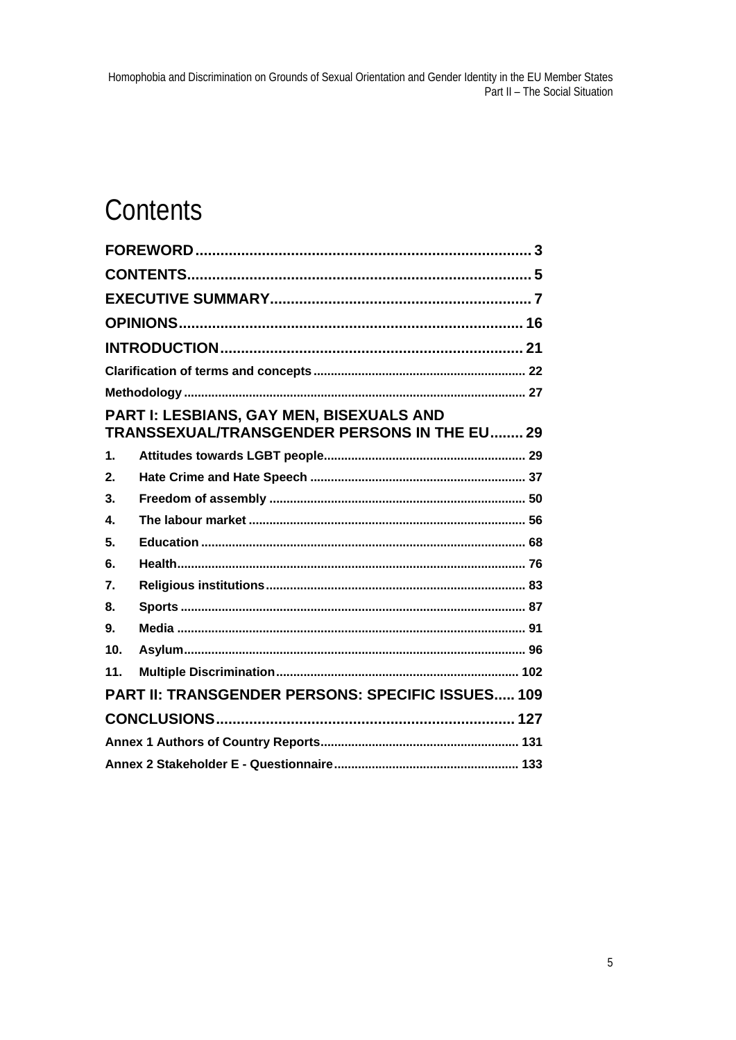Homophobia and Discrimination on Grounds of Sexual Orientation and Gender Identity in the EU Member States<br>Part II – The Social Situation

# Contents

| PART I: LESBIANS, GAY MEN, BISEXUALS AND<br><b>TRANSSEXUAL/TRANSGENDER PERSONS IN THE EU 29</b> |  |  |
|-------------------------------------------------------------------------------------------------|--|--|
| $\mathbf 1$ .                                                                                   |  |  |
| 2.                                                                                              |  |  |
| 3.                                                                                              |  |  |
| 4.                                                                                              |  |  |
| 5.                                                                                              |  |  |
| 6.                                                                                              |  |  |
| 7.                                                                                              |  |  |
| 8.                                                                                              |  |  |
| 9 <sub>1</sub>                                                                                  |  |  |
| 10 <sub>1</sub>                                                                                 |  |  |
| 11.                                                                                             |  |  |
| <b>PART II: TRANSGENDER PERSONS: SPECIFIC ISSUES 109</b>                                        |  |  |
|                                                                                                 |  |  |
|                                                                                                 |  |  |
|                                                                                                 |  |  |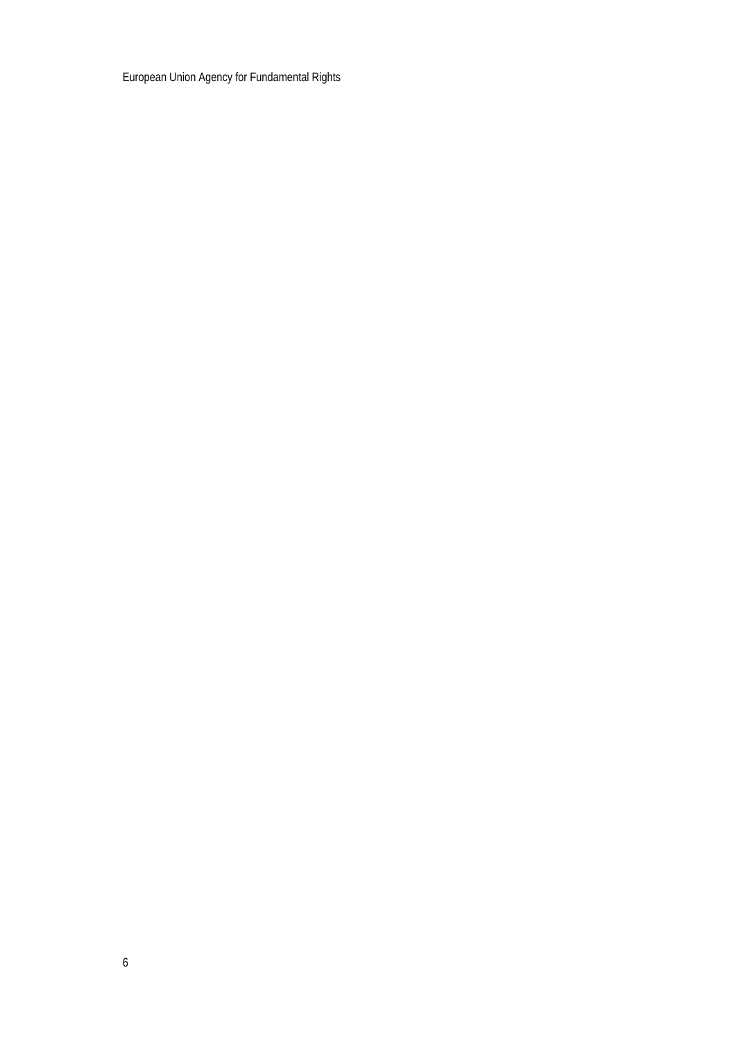European Union Agency for Fundamental Rights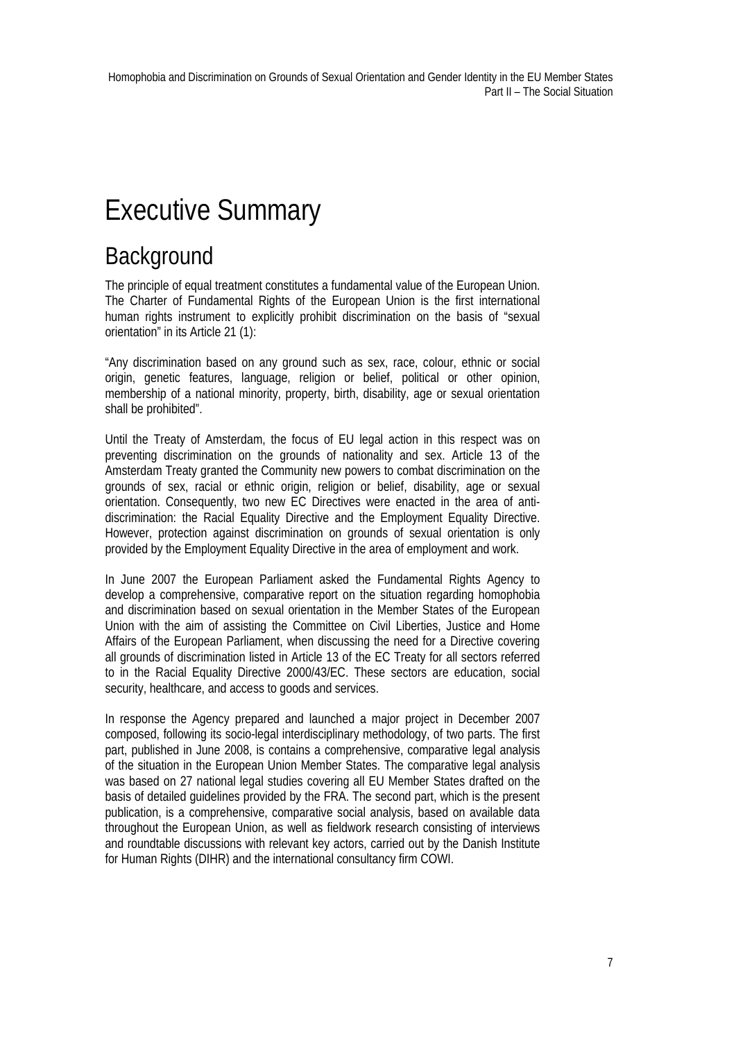# Executive Summary

# **Background**

The principle of equal treatment constitutes a fundamental value of the European Union. The Charter of Fundamental Rights of the European Union is the first international human rights instrument to explicitly prohibit discrimination on the basis of "sexual orientation" in its Article 21 (1):

"Any discrimination based on any ground such as sex, race, colour, ethnic or social origin, genetic features, language, religion or belief, political or other opinion, membership of a national minority, property, birth, disability, age or sexual orientation shall be prohibited".

Until the Treaty of Amsterdam, the focus of EU legal action in this respect was on preventing discrimination on the grounds of nationality and sex. Article 13 of the Amsterdam Treaty granted the Community new powers to combat discrimination on the grounds of sex, racial or ethnic origin, religion or belief, disability, age or sexual orientation. Consequently, two new EC Directives were enacted in the area of antidiscrimination: the Racial Equality Directive and the Employment Equality Directive. However, protection against discrimination on grounds of sexual orientation is only provided by the Employment Equality Directive in the area of employment and work.

In June 2007 the European Parliament asked the Fundamental Rights Agency to develop a comprehensive, comparative report on the situation regarding homophobia and discrimination based on sexual orientation in the Member States of the European Union with the aim of assisting the Committee on Civil Liberties, Justice and Home Affairs of the European Parliament, when discussing the need for a Directive covering all grounds of discrimination listed in Article 13 of the EC Treaty for all sectors referred to in the Racial Equality Directive 2000/43/EC. These sectors are education, social security, healthcare, and access to goods and services.

In response the Agency prepared and launched a major project in December 2007 composed, following its socio-legal interdisciplinary methodology, of two parts. The first part, published in June 2008, is contains a comprehensive, comparative legal analysis of the situation in the European Union Member States. The comparative legal analysis was based on 27 national legal studies covering all EU Member States drafted on the basis of detailed guidelines provided by the FRA. The second part, which is the present publication, is a comprehensive, comparative social analysis, based on available data throughout the European Union, as well as fieldwork research consisting of interviews and roundtable discussions with relevant key actors, carried out by the Danish Institute for Human Rights (DIHR) and the international consultancy firm COWI.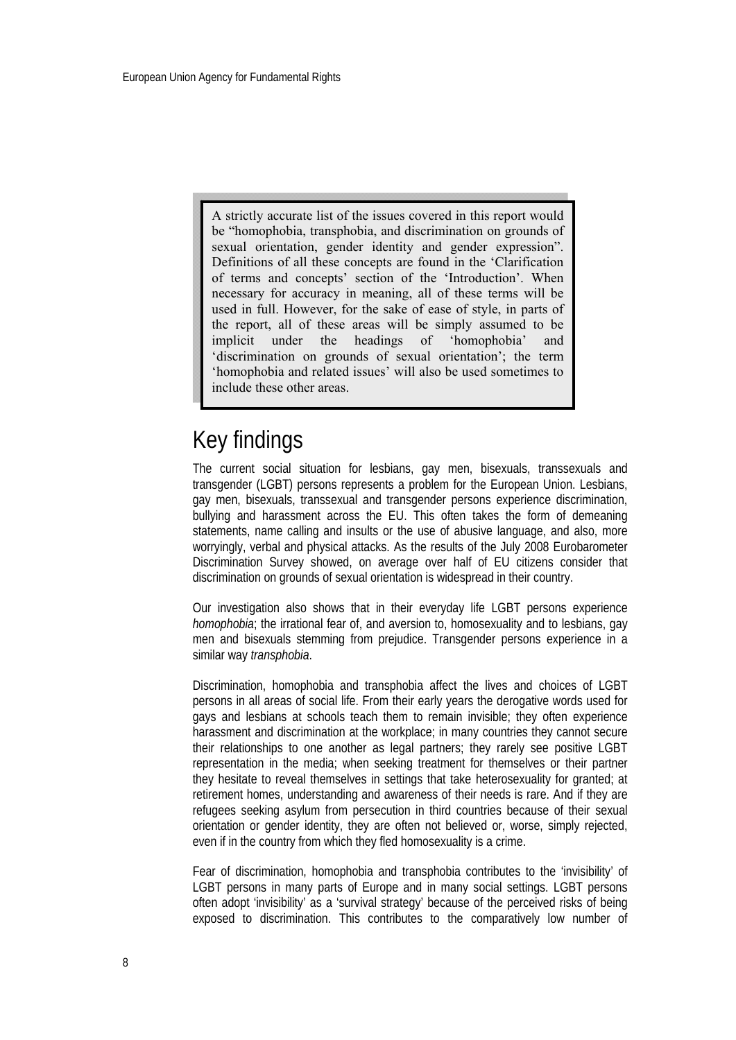A strictly accurate list of the issues covered in this report would be "homophobia, transphobia, and discrimination on grounds of sexual orientation, gender identity and gender expression". Definitions of all these concepts are found in the 'Clarification of terms and concepts' section of the 'Introduction'. When necessary for accuracy in meaning, all of these terms will be used in full. However, for the sake of ease of style, in parts of the report, all of these areas will be simply assumed to be implicit under the headings of 'homophobia' and 'discrimination on grounds of sexual orientation'; the term 'homophobia and related issues' will also be used sometimes to include these other areas.

# Key findings

The current social situation for lesbians, gay men, bisexuals, transsexuals and transgender (LGBT) persons represents a problem for the European Union. Lesbians, gay men, bisexuals, transsexual and transgender persons experience discrimination, bullying and harassment across the EU. This often takes the form of demeaning statements, name calling and insults or the use of abusive language, and also, more worryingly, verbal and physical attacks. As the results of the July 2008 Eurobarometer Discrimination Survey showed, on average over half of EU citizens consider that discrimination on grounds of sexual orientation is widespread in their country.

Our investigation also shows that in their everyday life LGBT persons experience *homophobia*; the irrational fear of, and aversion to, homosexuality and to lesbians, gay men and bisexuals stemming from prejudice. Transgender persons experience in a similar way *transphobia*.

Discrimination, homophobia and transphobia affect the lives and choices of LGBT persons in all areas of social life. From their early years the derogative words used for gays and lesbians at schools teach them to remain invisible; they often experience harassment and discrimination at the workplace; in many countries they cannot secure their relationships to one another as legal partners; they rarely see positive LGBT representation in the media; when seeking treatment for themselves or their partner they hesitate to reveal themselves in settings that take heterosexuality for granted; at retirement homes, understanding and awareness of their needs is rare. And if they are refugees seeking asylum from persecution in third countries because of their sexual orientation or gender identity, they are often not believed or, worse, simply rejected, even if in the country from which they fled homosexuality is a crime.

Fear of discrimination, homophobia and transphobia contributes to the 'invisibility' of LGBT persons in many parts of Europe and in many social settings. LGBT persons often adopt 'invisibility' as a 'survival strategy' because of the perceived risks of being exposed to discrimination. This contributes to the comparatively low number of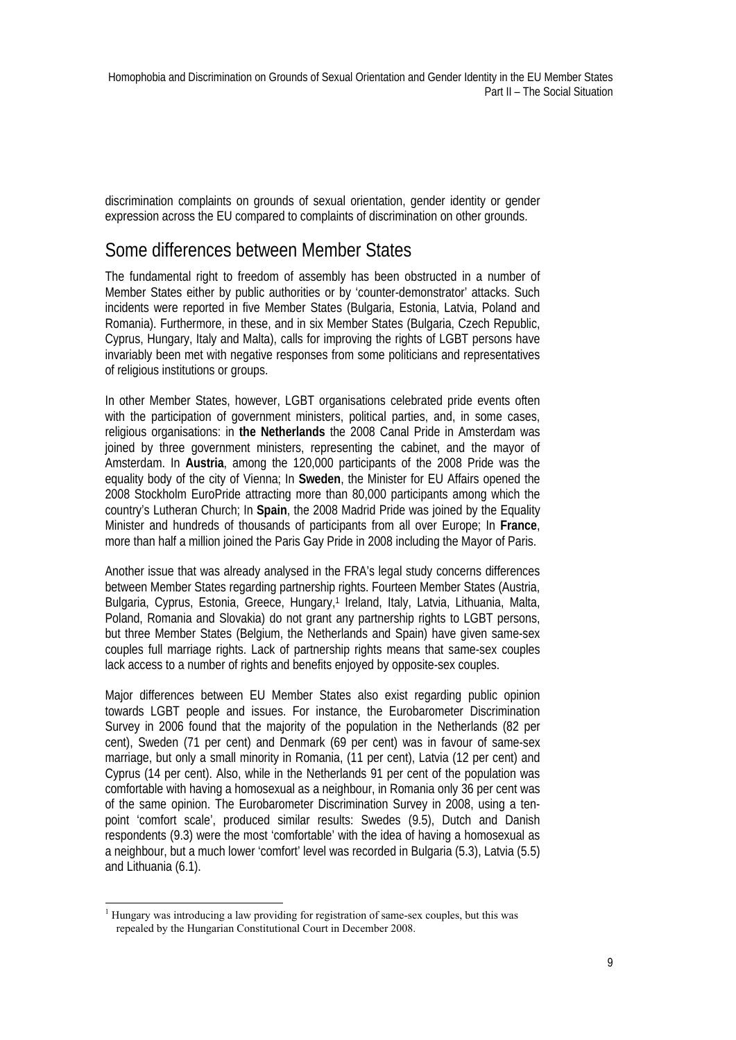discrimination complaints on grounds of sexual orientation, gender identity or gender expression across the EU compared to complaints of discrimination on other grounds.

#### Some differences between Member States

The fundamental right to freedom of assembly has been obstructed in a number of Member States either by public authorities or by 'counter-demonstrator' attacks. Such incidents were reported in five Member States (Bulgaria, Estonia, Latvia, Poland and Romania). Furthermore, in these, and in six Member States (Bulgaria, Czech Republic, Cyprus, Hungary, Italy and Malta), calls for improving the rights of LGBT persons have invariably been met with negative responses from some politicians and representatives of religious institutions or groups.

In other Member States, however, LGBT organisations celebrated pride events often with the participation of government ministers, political parties, and, in some cases, religious organisations: in **the Netherlands** the 2008 Canal Pride in Amsterdam was joined by three government ministers, representing the cabinet, and the mayor of Amsterdam. In **Austria**, among the 120,000 participants of the 2008 Pride was the equality body of the city of Vienna; In **Sweden**, the Minister for EU Affairs opened the 2008 Stockholm EuroPride attracting more than 80,000 participants among which the country's Lutheran Church; In **Spain**, the 2008 Madrid Pride was joined by the Equality Minister and hundreds of thousands of participants from all over Europe; In **France**, more than half a million joined the Paris Gay Pride in 2008 including the Mayor of Paris.

Another issue that was already analysed in the FRA's legal study concerns differences between Member States regarding partnership rights. Fourteen Member States (Austria, Bulgaria, Cyprus, Estonia, Greece, Hungary,<sup>1</sup> Ireland, Italy, Latvia, Lithuania, Malta, Poland, Romania and Slovakia) do not grant any partnership rights to LGBT persons, but three Member States (Belgium, the Netherlands and Spain) have given same-sex couples full marriage rights. Lack of partnership rights means that same-sex couples lack access to a number of rights and benefits enjoyed by opposite-sex couples.

Major differences between EU Member States also exist regarding public opinion towards LGBT people and issues. For instance, the Eurobarometer Discrimination Survey in 2006 found that the majority of the population in the Netherlands (82 per cent), Sweden (71 per cent) and Denmark (69 per cent) was in favour of same-sex marriage, but only a small minority in Romania, (11 per cent), Latvia (12 per cent) and Cyprus (14 per cent). Also, while in the Netherlands 91 per cent of the population was comfortable with having a homosexual as a neighbour, in Romania only 36 per cent was of the same opinion. The Eurobarometer Discrimination Survey in 2008, using a tenpoint 'comfort scale', produced similar results: Swedes (9.5), Dutch and Danish respondents (9.3) were the most 'comfortable' with the idea of having a homosexual as a neighbour, but a much lower 'comfort' level was recorded in Bulgaria (5.3), Latvia (5.5) and Lithuania (6.1).

1

<sup>1</sup> Hungary was introducing a law providing for registration of same-sex couples, but this was repealed by the Hungarian Constitutional Court in December 2008.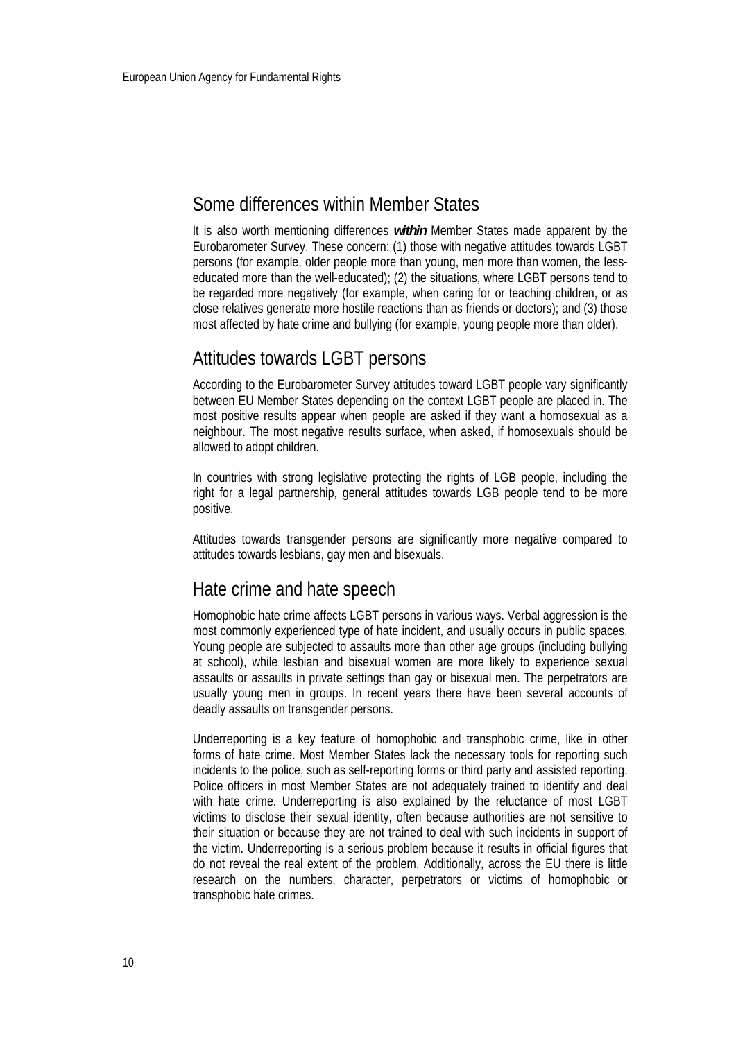#### Some differences within Member States

It is also worth mentioning differences *within* Member States made apparent by the Eurobarometer Survey. These concern: (1) those with negative attitudes towards LGBT persons (for example, older people more than young, men more than women, the lesseducated more than the well-educated); (2) the situations, where LGBT persons tend to be regarded more negatively (for example, when caring for or teaching children, or as close relatives generate more hostile reactions than as friends or doctors); and (3) those most affected by hate crime and bullying (for example, young people more than older).

#### Attitudes towards LGBT persons

According to the Eurobarometer Survey attitudes toward LGBT people vary significantly between EU Member States depending on the context LGBT people are placed in. The most positive results appear when people are asked if they want a homosexual as a neighbour. The most negative results surface, when asked, if homosexuals should be allowed to adopt children.

In countries with strong legislative protecting the rights of LGB people, including the right for a legal partnership, general attitudes towards LGB people tend to be more positive.

Attitudes towards transgender persons are significantly more negative compared to attitudes towards lesbians, gay men and bisexuals.

#### Hate crime and hate speech

Homophobic hate crime affects LGBT persons in various ways. Verbal aggression is the most commonly experienced type of hate incident, and usually occurs in public spaces. Young people are subjected to assaults more than other age groups (including bullying at school), while lesbian and bisexual women are more likely to experience sexual assaults or assaults in private settings than gay or bisexual men. The perpetrators are usually young men in groups. In recent years there have been several accounts of deadly assaults on transgender persons.

Underreporting is a key feature of homophobic and transphobic crime, like in other forms of hate crime. Most Member States lack the necessary tools for reporting such incidents to the police, such as self-reporting forms or third party and assisted reporting. Police officers in most Member States are not adequately trained to identify and deal with hate crime. Underreporting is also explained by the reluctance of most LGBT victims to disclose their sexual identity, often because authorities are not sensitive to their situation or because they are not trained to deal with such incidents in support of the victim. Underreporting is a serious problem because it results in official figures that do not reveal the real extent of the problem. Additionally, across the EU there is little research on the numbers, character, perpetrators or victims of homophobic or transphobic hate crimes.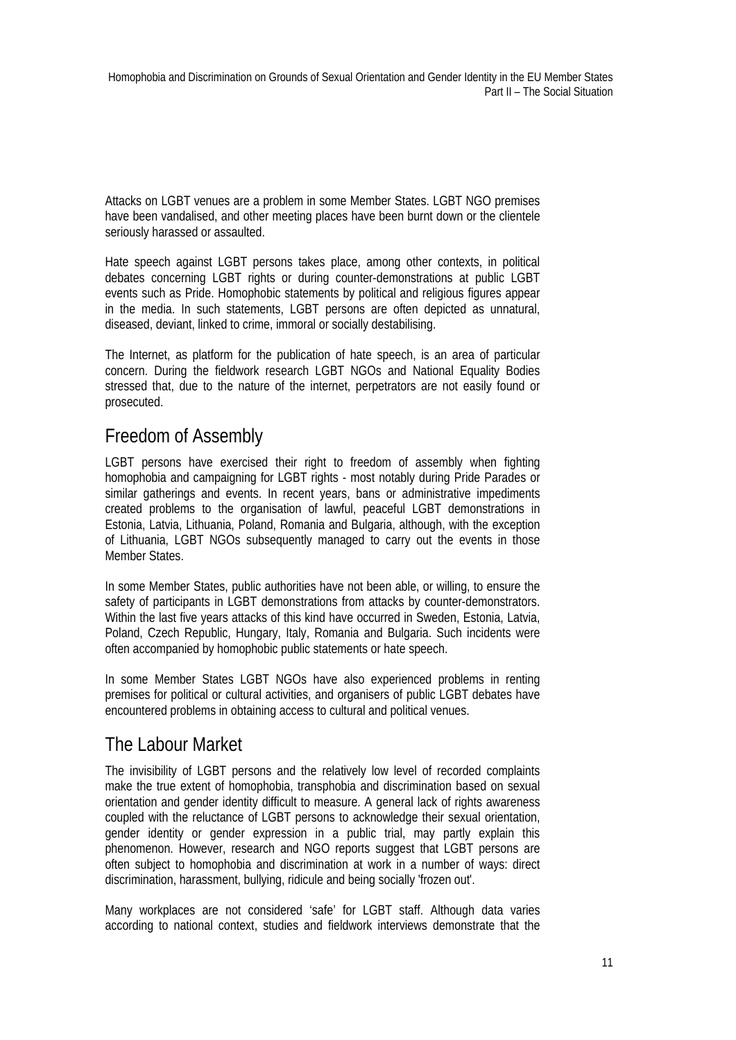Attacks on LGBT venues are a problem in some Member States. LGBT NGO premises have been vandalised, and other meeting places have been burnt down or the clientele seriously harassed or assaulted.

Hate speech against LGBT persons takes place, among other contexts, in political debates concerning LGBT rights or during counter-demonstrations at public LGBT events such as Pride. Homophobic statements by political and religious figures appear in the media. In such statements, LGBT persons are often depicted as unnatural, diseased, deviant, linked to crime, immoral or socially destabilising.

The Internet, as platform for the publication of hate speech, is an area of particular concern. During the fieldwork research LGBT NGOs and National Equality Bodies stressed that, due to the nature of the internet, perpetrators are not easily found or prosecuted.

#### Freedom of Assembly

LGBT persons have exercised their right to freedom of assembly when fighting homophobia and campaigning for LGBT rights - most notably during Pride Parades or similar gatherings and events. In recent years, bans or administrative impediments created problems to the organisation of lawful, peaceful LGBT demonstrations in Estonia, Latvia, Lithuania, Poland, Romania and Bulgaria, although, with the exception of Lithuania, LGBT NGOs subsequently managed to carry out the events in those Member States.

In some Member States, public authorities have not been able, or willing, to ensure the safety of participants in LGBT demonstrations from attacks by counter-demonstrators. Within the last five years attacks of this kind have occurred in Sweden, Estonia, Latvia, Poland, Czech Republic, Hungary, Italy, Romania and Bulgaria. Such incidents were often accompanied by homophobic public statements or hate speech.

In some Member States LGBT NGOs have also experienced problems in renting premises for political or cultural activities, and organisers of public LGBT debates have encountered problems in obtaining access to cultural and political venues.

## The Labour Market

The invisibility of LGBT persons and the relatively low level of recorded complaints make the true extent of homophobia, transphobia and discrimination based on sexual orientation and gender identity difficult to measure. A general lack of rights awareness coupled with the reluctance of LGBT persons to acknowledge their sexual orientation, gender identity or gender expression in a public trial, may partly explain this phenomenon. However, research and NGO reports suggest that LGBT persons are often subject to homophobia and discrimination at work in a number of ways: direct discrimination, harassment, bullying, ridicule and being socially 'frozen out'.

Many workplaces are not considered 'safe' for LGBT staff. Although data varies according to national context, studies and fieldwork interviews demonstrate that the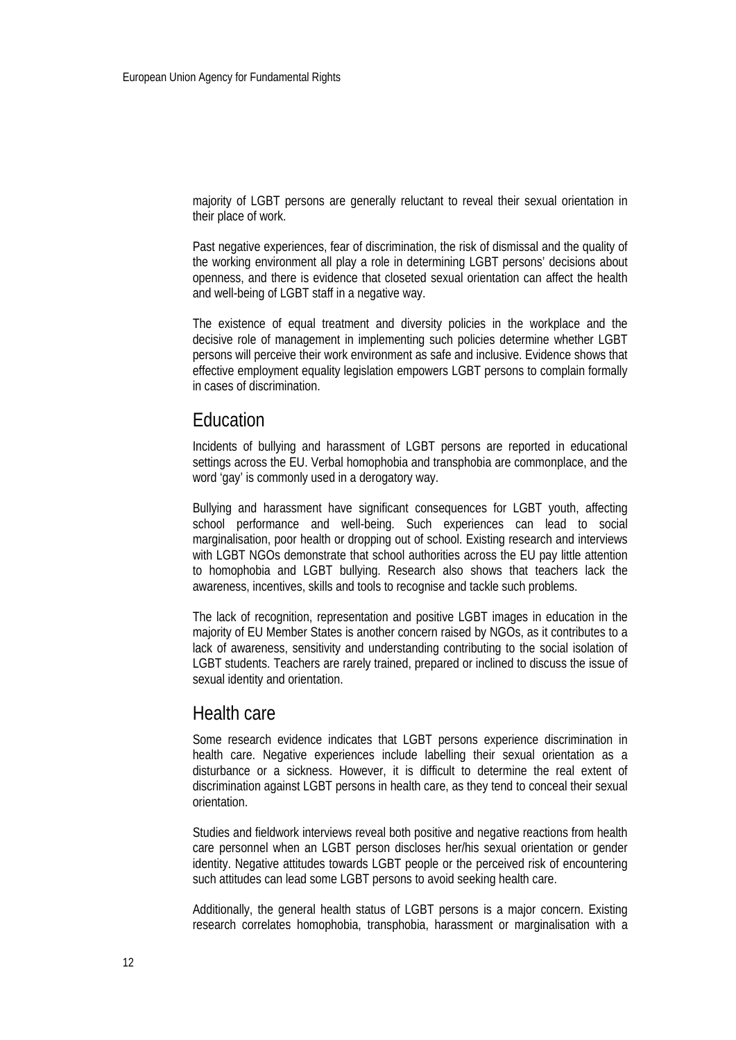majority of LGBT persons are generally reluctant to reveal their sexual orientation in their place of work.

Past negative experiences, fear of discrimination, the risk of dismissal and the quality of the working environment all play a role in determining LGBT persons' decisions about openness, and there is evidence that closeted sexual orientation can affect the health and well-being of LGBT staff in a negative way.

The existence of equal treatment and diversity policies in the workplace and the decisive role of management in implementing such policies determine whether LGBT persons will perceive their work environment as safe and inclusive. Evidence shows that effective employment equality legislation empowers LGBT persons to complain formally in cases of discrimination.

#### Education

Incidents of bullying and harassment of LGBT persons are reported in educational settings across the EU. Verbal homophobia and transphobia are commonplace, and the word 'gay' is commonly used in a derogatory way.

Bullying and harassment have significant consequences for LGBT youth, affecting school performance and well-being. Such experiences can lead to social marginalisation, poor health or dropping out of school. Existing research and interviews with LGBT NGOs demonstrate that school authorities across the EU pay little attention to homophobia and LGBT bullying. Research also shows that teachers lack the awareness, incentives, skills and tools to recognise and tackle such problems.

The lack of recognition, representation and positive LGBT images in education in the majority of EU Member States is another concern raised by NGOs, as it contributes to a lack of awareness, sensitivity and understanding contributing to the social isolation of LGBT students. Teachers are rarely trained, prepared or inclined to discuss the issue of sexual identity and orientation.

#### Health care

Some research evidence indicates that LGBT persons experience discrimination in health care. Negative experiences include labelling their sexual orientation as a disturbance or a sickness. However, it is difficult to determine the real extent of discrimination against LGBT persons in health care, as they tend to conceal their sexual orientation.

Studies and fieldwork interviews reveal both positive and negative reactions from health care personnel when an LGBT person discloses her/his sexual orientation or gender identity. Negative attitudes towards LGBT people or the perceived risk of encountering such attitudes can lead some LGBT persons to avoid seeking health care.

Additionally, the general health status of LGBT persons is a major concern. Existing research correlates homophobia, transphobia, harassment or marginalisation with a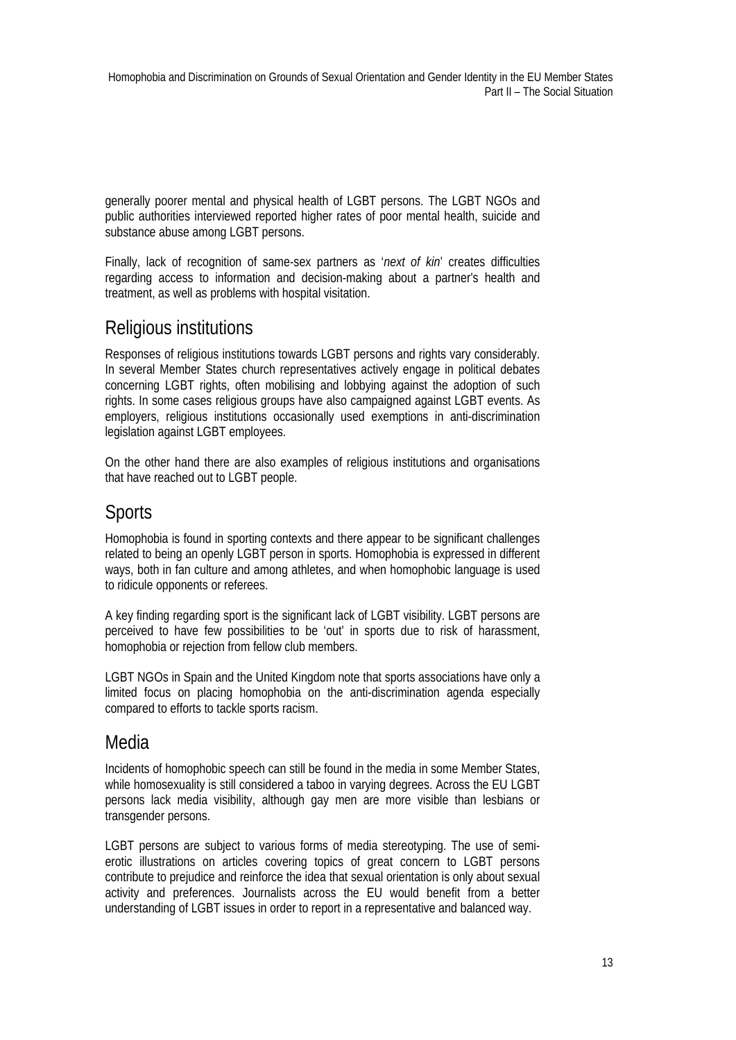generally poorer mental and physical health of LGBT persons. The LGBT NGOs and public authorities interviewed reported higher rates of poor mental health, suicide and substance abuse among LGBT persons.

Finally, lack of recognition of same-sex partners as '*next of kin*' creates difficulties regarding access to information and decision-making about a partner's health and treatment, as well as problems with hospital visitation.

### Religious institutions

Responses of religious institutions towards LGBT persons and rights vary considerably. In several Member States church representatives actively engage in political debates concerning LGBT rights, often mobilising and lobbying against the adoption of such rights. In some cases religious groups have also campaigned against LGBT events. As employers, religious institutions occasionally used exemptions in anti-discrimination legislation against LGBT employees.

On the other hand there are also examples of religious institutions and organisations that have reached out to LGBT people.

#### **Sports**

Homophobia is found in sporting contexts and there appear to be significant challenges related to being an openly LGBT person in sports. Homophobia is expressed in different ways, both in fan culture and among athletes, and when homophobic language is used to ridicule opponents or referees.

A key finding regarding sport is the significant lack of LGBT visibility. LGBT persons are perceived to have few possibilities to be 'out' in sports due to risk of harassment, homophobia or rejection from fellow club members.

LGBT NGOs in Spain and the United Kingdom note that sports associations have only a limited focus on placing homophobia on the anti-discrimination agenda especially compared to efforts to tackle sports racism.

#### Media

Incidents of homophobic speech can still be found in the media in some Member States, while homosexuality is still considered a taboo in varying degrees. Across the EU LGBT persons lack media visibility, although gay men are more visible than lesbians or transgender persons.

LGBT persons are subject to various forms of media stereotyping. The use of semierotic illustrations on articles covering topics of great concern to LGBT persons contribute to prejudice and reinforce the idea that sexual orientation is only about sexual activity and preferences. Journalists across the EU would benefit from a better understanding of LGBT issues in order to report in a representative and balanced way.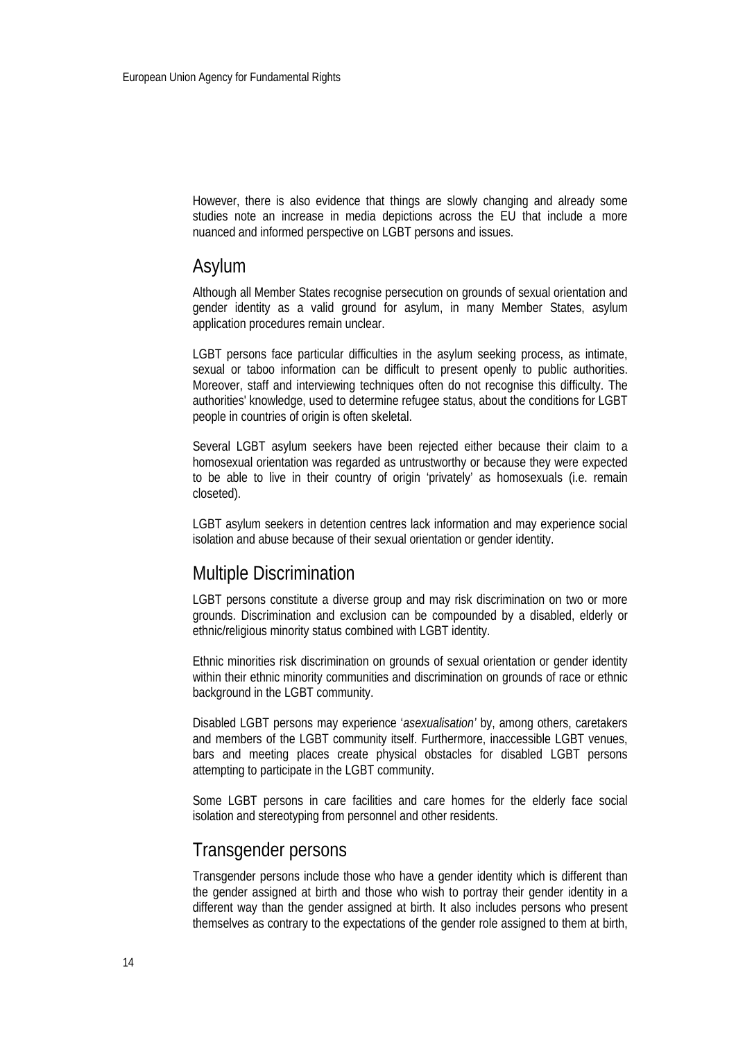However, there is also evidence that things are slowly changing and already some studies note an increase in media depictions across the EU that include a more nuanced and informed perspective on LGBT persons and issues.

#### Asylum

Although all Member States recognise persecution on grounds of sexual orientation and gender identity as a valid ground for asylum, in many Member States, asylum application procedures remain unclear.

LGBT persons face particular difficulties in the asylum seeking process, as intimate, sexual or taboo information can be difficult to present openly to public authorities. Moreover, staff and interviewing techniques often do not recognise this difficulty. The authorities' knowledge, used to determine refugee status, about the conditions for LGBT people in countries of origin is often skeletal.

Several LGBT asylum seekers have been rejected either because their claim to a homosexual orientation was regarded as untrustworthy or because they were expected to be able to live in their country of origin 'privately' as homosexuals (i.e. remain closeted).

LGBT asylum seekers in detention centres lack information and may experience social isolation and abuse because of their sexual orientation or gender identity.

#### Multiple Discrimination

LGBT persons constitute a diverse group and may risk discrimination on two or more grounds. Discrimination and exclusion can be compounded by a disabled, elderly or ethnic/religious minority status combined with LGBT identity.

Ethnic minorities risk discrimination on grounds of sexual orientation or gender identity within their ethnic minority communities and discrimination on grounds of race or ethnic background in the LGBT community.

Disabled LGBT persons may experience '*asexualisation'* by, among others, caretakers and members of the LGBT community itself. Furthermore, inaccessible LGBT venues, bars and meeting places create physical obstacles for disabled LGBT persons attempting to participate in the LGBT community.

Some LGBT persons in care facilities and care homes for the elderly face social isolation and stereotyping from personnel and other residents.

#### Transgender persons

Transgender persons include those who have a gender identity which is different than the gender assigned at birth and those who wish to portray their gender identity in a different way than the gender assigned at birth. It also includes persons who present themselves as contrary to the expectations of the gender role assigned to them at birth,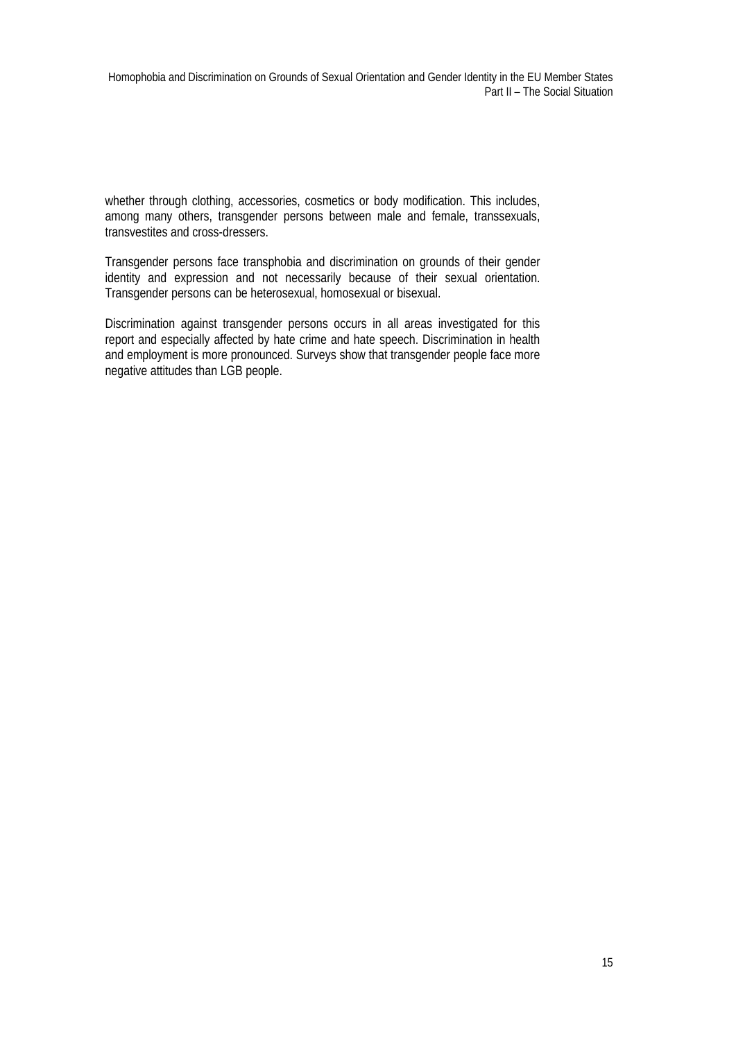whether through clothing, accessories, cosmetics or body modification. This includes, among many others, transgender persons between male and female, transsexuals, transvestites and cross-dressers.

Transgender persons face transphobia and discrimination on grounds of their gender identity and expression and not necessarily because of their sexual orientation. Transgender persons can be heterosexual, homosexual or bisexual.

Discrimination against transgender persons occurs in all areas investigated for this report and especially affected by hate crime and hate speech. Discrimination in health and employment is more pronounced. Surveys show that transgender people face more negative attitudes than LGB people.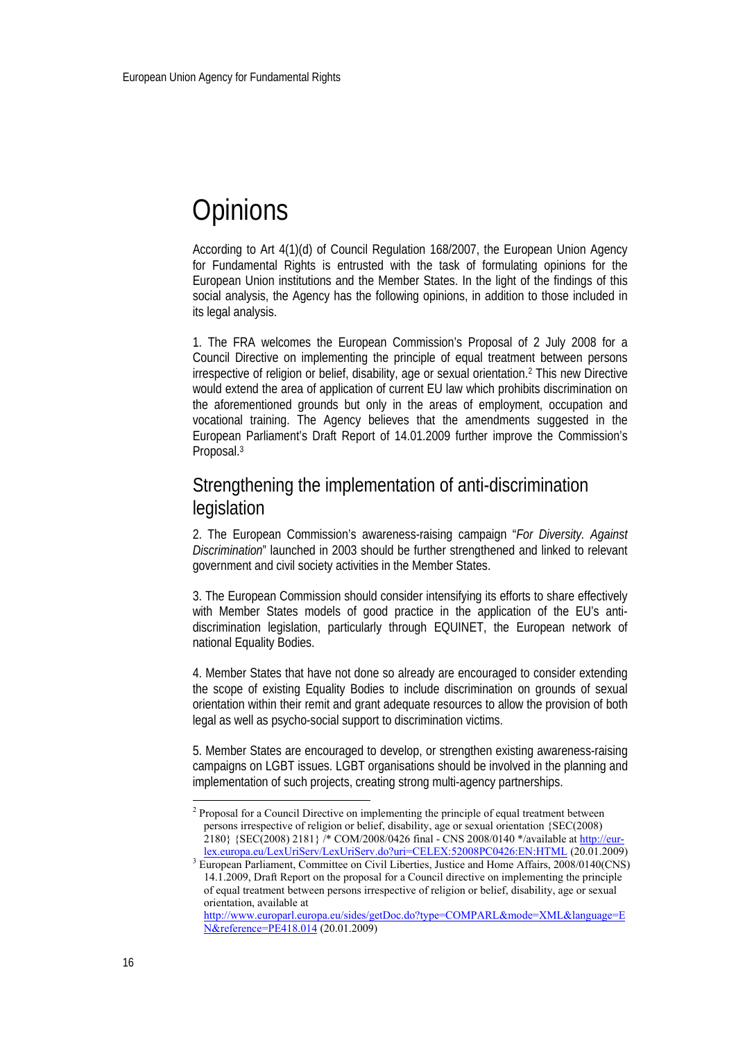# **Opinions**

According to Art 4(1)(d) of Council Regulation 168/2007, the European Union Agency for Fundamental Rights is entrusted with the task of formulating opinions for the European Union institutions and the Member States. In the light of the findings of this social analysis, the Agency has the following opinions, in addition to those included in its legal analysis.

1. The FRA welcomes the European Commission's Proposal of 2 July 2008 for a Council Directive on implementing the principle of equal treatment between persons irrespective of religion or belief, disability, age or sexual orientation.2 This new Directive would extend the area of application of current EU law which prohibits discrimination on the aforementioned grounds but only in the areas of employment, occupation and vocational training. The Agency believes that the amendments suggested in the European Parliament's Draft Report of 14.01.2009 further improve the Commission's Proposal.3

#### Strengthening the implementation of anti-discrimination legislation

2. The European Commission's awareness-raising campaign "*For Diversity. Against Discrimination*" launched in 2003 should be further strengthened and linked to relevant government and civil society activities in the Member States.

3. The European Commission should consider intensifying its efforts to share effectively with Member States models of good practice in the application of the EU's antidiscrimination legislation, particularly through EQUINET, the European network of national Equality Bodies.

4. Member States that have not done so already are encouraged to consider extending the scope of existing Equality Bodies to include discrimination on grounds of sexual orientation within their remit and grant adequate resources to allow the provision of both legal as well as psycho-social support to discrimination victims.

5. Member States are encouraged to develop, or strengthen existing awareness-raising campaigns on LGBT issues. LGBT organisations should be involved in the planning and implementation of such projects, creating strong multi-agency partnerships.

<u>.</u>

 $2$  Proposal for a Council Directive on implementing the principle of equal treatment between persons irrespective of religion or belief, disability, age or sexual orientation {SEC(2008) 2180} {SEC(2008) 2181} /\* COM/2008/0426 final - CNS 2008/0140 \*/available at http://eurlex.europa.eu/LexUriServ/LexUriServ.do?uri=CELEX:52008PC0426:EN:HTML (20.01.2009) 3

European Parliament, Committee on Civil Liberties, Justice and Home Affairs, 2008/0140(CNS) 14.1.2009, Draft Report on the proposal for a Council directive on implementing the principle of equal treatment between persons irrespective of religion or belief, disability, age or sexual orientation, available at

http://www.europarl.europa.eu/sides/getDoc.do?type=COMPARL&mode=XML&language=E N&reference=PE418.014 (20.01.2009)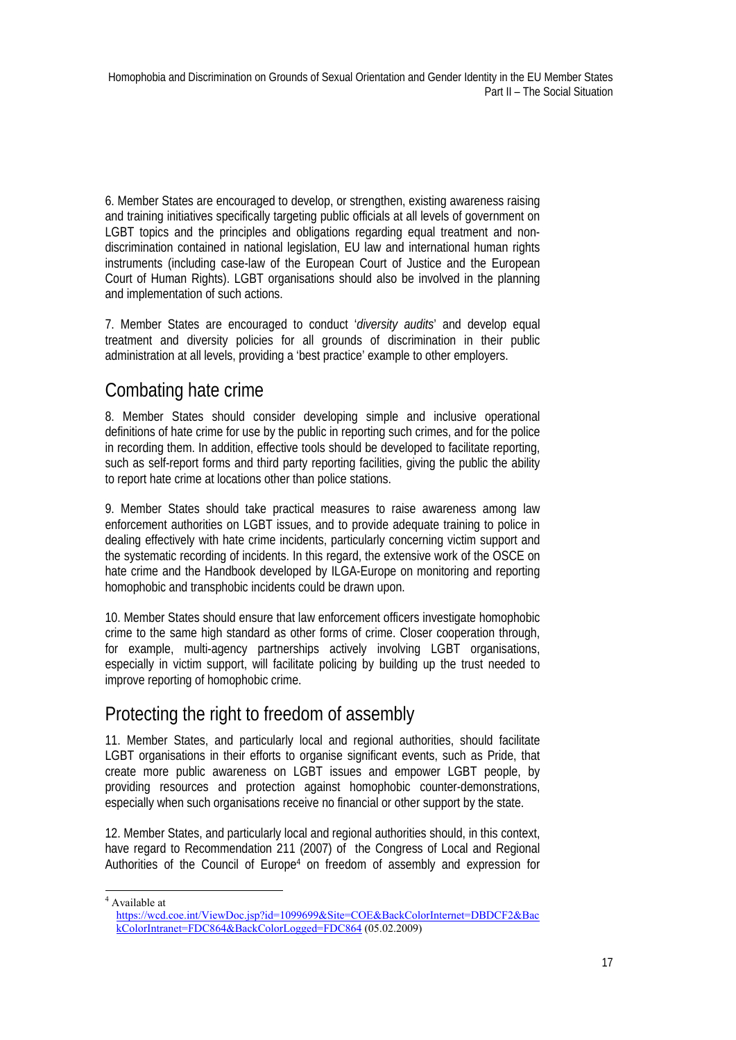Homophobia and Discrimination on Grounds of Sexual Orientation and Gender Identity in the EU Member States Part II – The Social Situation

6. Member States are encouraged to develop, or strengthen, existing awareness raising and training initiatives specifically targeting public officials at all levels of government on LGBT topics and the principles and obligations regarding equal treatment and nondiscrimination contained in national legislation, EU law and international human rights instruments (including case-law of the European Court of Justice and the European Court of Human Rights). LGBT organisations should also be involved in the planning and implementation of such actions.

7. Member States are encouraged to conduct '*diversity audits*' and develop equal treatment and diversity policies for all grounds of discrimination in their public administration at all levels, providing a 'best practice' example to other employers.

### Combating hate crime

8. Member States should consider developing simple and inclusive operational definitions of hate crime for use by the public in reporting such crimes, and for the police in recording them. In addition, effective tools should be developed to facilitate reporting, such as self-report forms and third party reporting facilities, giving the public the ability to report hate crime at locations other than police stations.

9. Member States should take practical measures to raise awareness among law enforcement authorities on LGBT issues, and to provide adequate training to police in dealing effectively with hate crime incidents, particularly concerning victim support and the systematic recording of incidents. In this regard, the extensive work of the OSCE on hate crime and the Handbook developed by ILGA-Europe on monitoring and reporting homophobic and transphobic incidents could be drawn upon.

10. Member States should ensure that law enforcement officers investigate homophobic crime to the same high standard as other forms of crime. Closer cooperation through, for example, multi-agency partnerships actively involving LGBT organisations, especially in victim support, will facilitate policing by building up the trust needed to improve reporting of homophobic crime.

### Protecting the right to freedom of assembly

11. Member States, and particularly local and regional authorities, should facilitate LGBT organisations in their efforts to organise significant events, such as Pride, that create more public awareness on LGBT issues and empower LGBT people, by providing resources and protection against homophobic counter-demonstrations, especially when such organisations receive no financial or other support by the state.

12. Member States, and particularly local and regional authorities should, in this context, have regard to Recommendation 211 (2007) of the Congress of Local and Regional Authorities of the Council of Europe<sup>4</sup> on freedom of assembly and expression for

<sup>-</sup>4 Available at

https://wcd.coe.int/ViewDoc.jsp?id=1099699&Site=COE&BackColorInternet=DBDCF2&Bac kColorIntranet=FDC864&BackColorLogged=FDC864 (05.02.2009)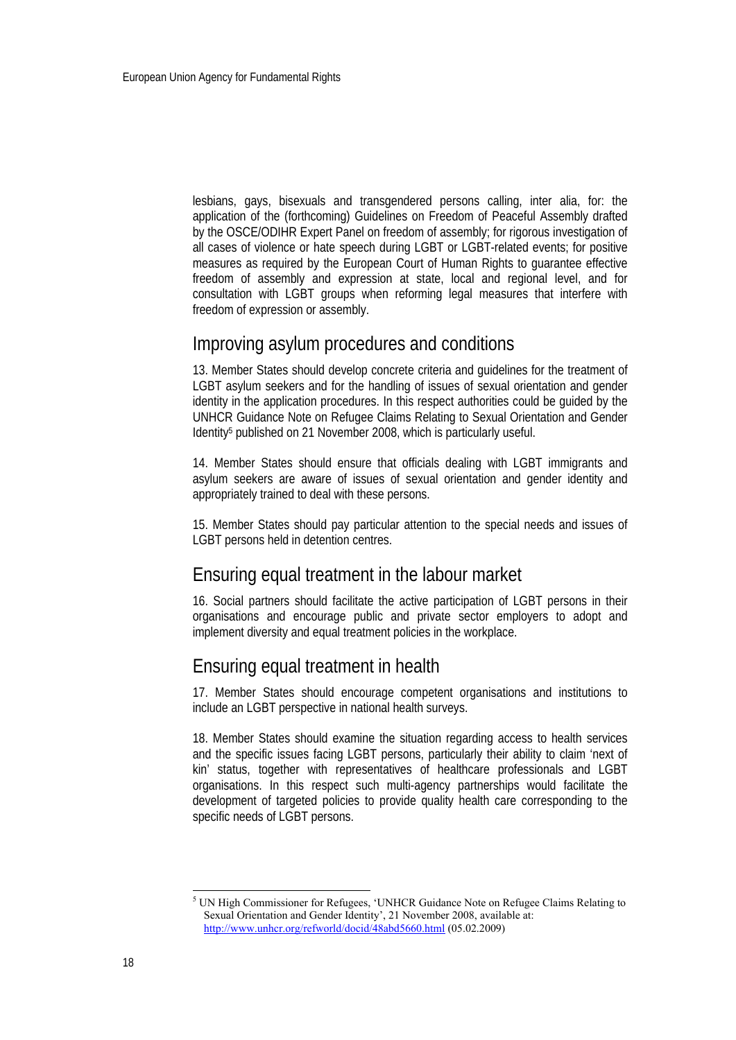lesbians, gays, bisexuals and transgendered persons calling, inter alia, for: the application of the (forthcoming) Guidelines on Freedom of Peaceful Assembly drafted by the OSCE/ODIHR Expert Panel on freedom of assembly; for rigorous investigation of all cases of violence or hate speech during LGBT or LGBT-related events; for positive measures as required by the European Court of Human Rights to guarantee effective freedom of assembly and expression at state, local and regional level, and for consultation with LGBT groups when reforming legal measures that interfere with freedom of expression or assembly.

#### Improving asylum procedures and conditions

13. Member States should develop concrete criteria and guidelines for the treatment of LGBT asylum seekers and for the handling of issues of sexual orientation and gender identity in the application procedures. In this respect authorities could be guided by the UNHCR Guidance Note on Refugee Claims Relating to Sexual Orientation and Gender Identity5 published on 21 November 2008, which is particularly useful.

14. Member States should ensure that officials dealing with LGBT immigrants and asylum seekers are aware of issues of sexual orientation and gender identity and appropriately trained to deal with these persons.

15. Member States should pay particular attention to the special needs and issues of LGBT persons held in detention centres.

#### Ensuring equal treatment in the labour market

16. Social partners should facilitate the active participation of LGBT persons in their organisations and encourage public and private sector employers to adopt and implement diversity and equal treatment policies in the workplace.

#### Ensuring equal treatment in health

17. Member States should encourage competent organisations and institutions to include an LGBT perspective in national health surveys.

18. Member States should examine the situation regarding access to health services and the specific issues facing LGBT persons, particularly their ability to claim 'next of kin' status, together with representatives of healthcare professionals and LGBT organisations. In this respect such multi-agency partnerships would facilitate the development of targeted policies to provide quality health care corresponding to the specific needs of LGBT persons.

-

<sup>&</sup>lt;sup>5</sup> UN High Commissioner for Refugees, 'UNHCR Guidance Note on Refugee Claims Relating to Sexual Orientation and Gender Identity', 21 November 2008, available at: http://www.unhcr.org/refworld/docid/48abd5660.html (05.02.2009)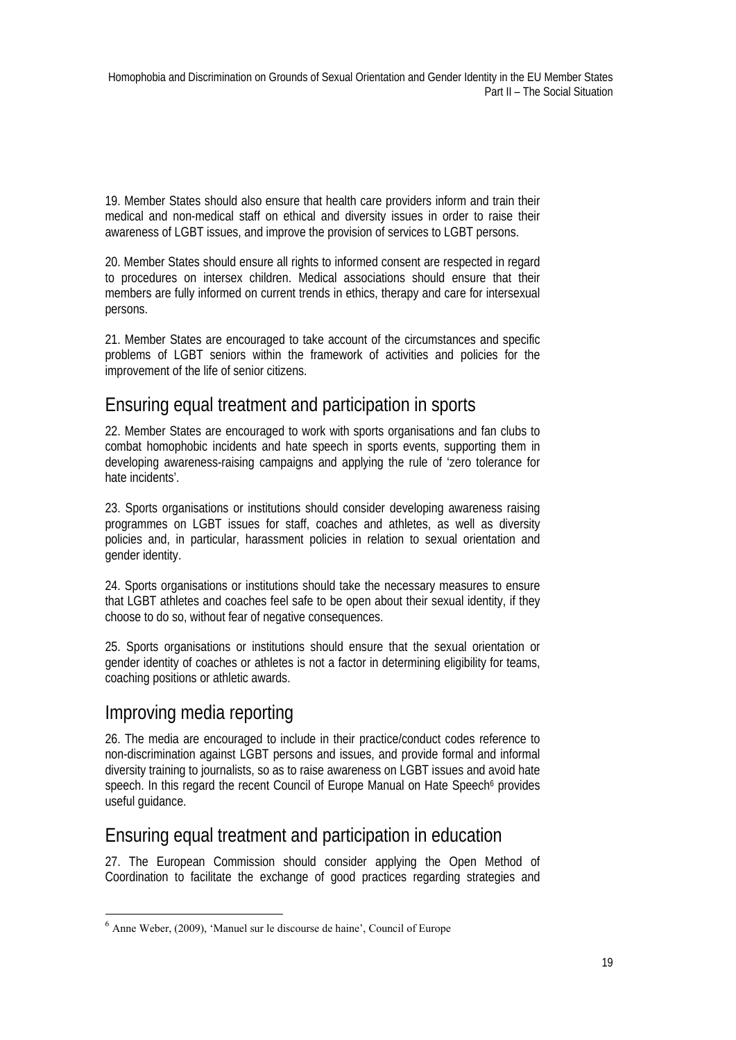19. Member States should also ensure that health care providers inform and train their medical and non-medical staff on ethical and diversity issues in order to raise their awareness of LGBT issues, and improve the provision of services to LGBT persons.

20. Member States should ensure all rights to informed consent are respected in regard to procedures on intersex children. Medical associations should ensure that their members are fully informed on current trends in ethics, therapy and care for intersexual persons.

21. Member States are encouraged to take account of the circumstances and specific problems of LGBT seniors within the framework of activities and policies for the improvement of the life of senior citizens.

### Ensuring equal treatment and participation in sports

22. Member States are encouraged to work with sports organisations and fan clubs to combat homophobic incidents and hate speech in sports events, supporting them in developing awareness-raising campaigns and applying the rule of 'zero tolerance for hate incidents'.

23. Sports organisations or institutions should consider developing awareness raising programmes on LGBT issues for staff, coaches and athletes, as well as diversity policies and, in particular, harassment policies in relation to sexual orientation and gender identity.

24. Sports organisations or institutions should take the necessary measures to ensure that LGBT athletes and coaches feel safe to be open about their sexual identity, if they choose to do so, without fear of negative consequences.

25. Sports organisations or institutions should ensure that the sexual orientation or gender identity of coaches or athletes is not a factor in determining eligibility for teams, coaching positions or athletic awards.

### Improving media reporting

26. The media are encouraged to include in their practice/conduct codes reference to non-discrimination against LGBT persons and issues, and provide formal and informal diversity training to journalists, so as to raise awareness on LGBT issues and avoid hate speech. In this regard the recent Council of Europe Manual on Hate Speech<sup>6</sup> provides useful guidance.

### Ensuring equal treatment and participation in education

27. The European Commission should consider applying the Open Method of Coordination to facilitate the exchange of good practices regarding strategies and

<sup>-</sup><sup>6</sup> Anne Weber, (2009), 'Manuel sur le discourse de haine', Council of Europe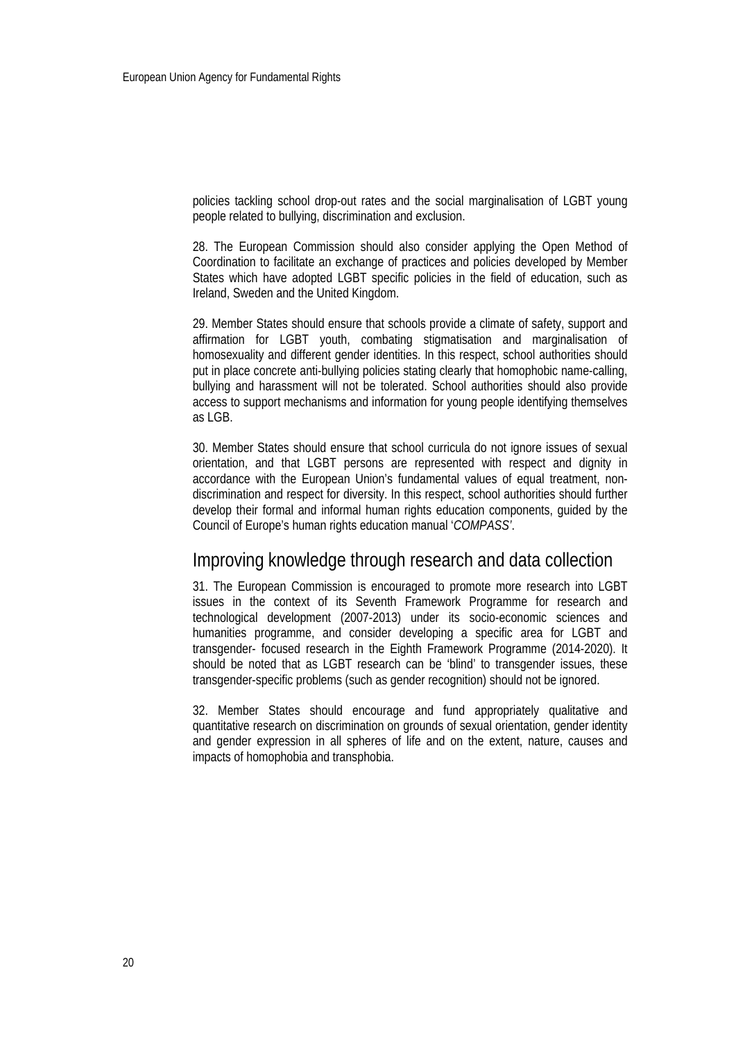policies tackling school drop-out rates and the social marginalisation of LGBT young people related to bullying, discrimination and exclusion.

28. The European Commission should also consider applying the Open Method of Coordination to facilitate an exchange of practices and policies developed by Member States which have adopted LGBT specific policies in the field of education, such as Ireland, Sweden and the United Kingdom.

29. Member States should ensure that schools provide a climate of safety, support and affirmation for LGBT youth, combating stigmatisation and marginalisation of homosexuality and different gender identities. In this respect, school authorities should put in place concrete anti-bullying policies stating clearly that homophobic name-calling, bullying and harassment will not be tolerated. School authorities should also provide access to support mechanisms and information for young people identifying themselves as LGB.

30. Member States should ensure that school curricula do not ignore issues of sexual orientation, and that LGBT persons are represented with respect and dignity in accordance with the European Union's fundamental values of equal treatment, nondiscrimination and respect for diversity. In this respect, school authorities should further develop their formal and informal human rights education components, guided by the Council of Europe's human rights education manual '*COMPASS'*.

#### Improving knowledge through research and data collection

31. The European Commission is encouraged to promote more research into LGBT issues in the context of its Seventh Framework Programme for research and technological development (2007-2013) under its socio-economic sciences and humanities programme, and consider developing a specific area for LGBT and transgender- focused research in the Eighth Framework Programme (2014-2020). It should be noted that as LGBT research can be 'blind' to transgender issues, these transgender-specific problems (such as gender recognition) should not be ignored.

32. Member States should encourage and fund appropriately qualitative and quantitative research on discrimination on grounds of sexual orientation, gender identity and gender expression in all spheres of life and on the extent, nature, causes and impacts of homophobia and transphobia.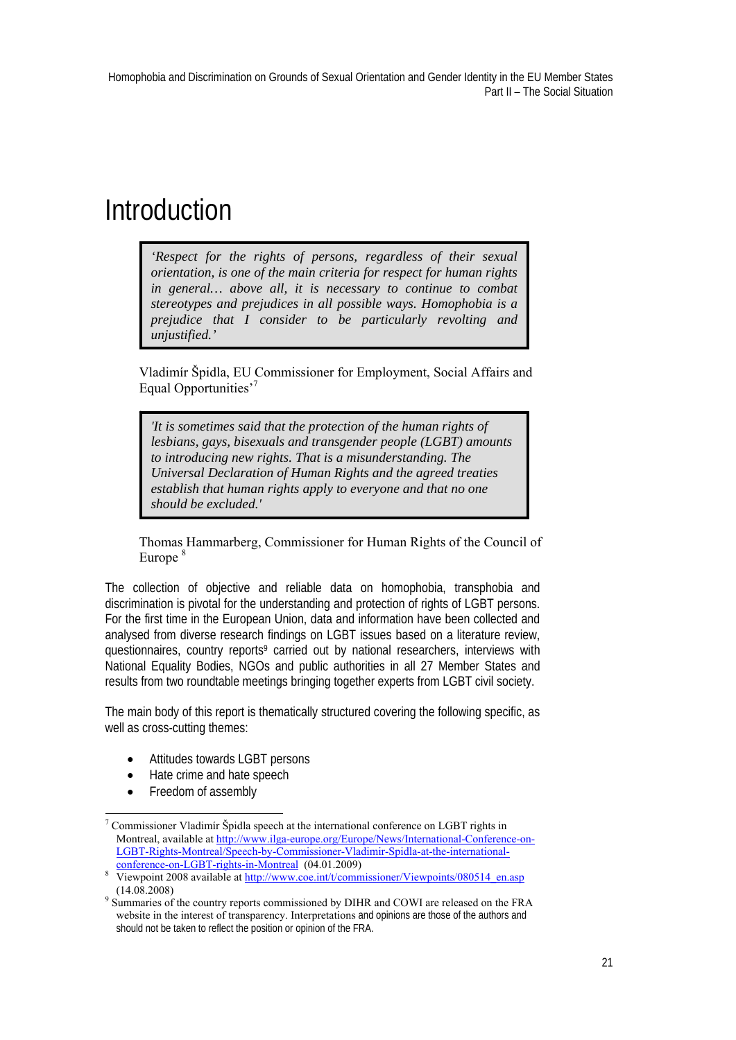# **Introduction**

*'Respect for the rights of persons, regardless of their sexual orientation, is one of the main criteria for respect for human rights in general… above all, it is necessary to continue to combat stereotypes and prejudices in all possible ways. Homophobia is a prejudice that I consider to be particularly revolting and unjustified.'* 

Vladimír Špidla, EU Commissioner for Employment, Social Affairs and Equal Opportunities'<sup>7</sup>

*'It is sometimes said that the protection of the human rights of lesbians, gays, bisexuals and transgender people (LGBT) amounts to introducing new rights. That is a misunderstanding. The Universal Declaration of Human Rights and the agreed treaties establish that human rights apply to everyone and that no one should be excluded.'* 

Thomas Hammarberg, Commissioner for Human Rights of the Council of Europe<sup>8</sup>

The collection of objective and reliable data on homophobia, transphobia and discrimination is pivotal for the understanding and protection of rights of LGBT persons. For the first time in the European Union, data and information have been collected and analysed from diverse research findings on LGBT issues based on a literature review, questionnaires, country reports<sup>9</sup> carried out by national researchers, interviews with National Equality Bodies, NGOs and public authorities in all 27 Member States and results from two roundtable meetings bringing together experts from LGBT civil society.

The main body of this report is thematically structured covering the following specific, as well as cross-cutting themes:

- Attitudes towards LGBT persons
- Hate crime and hate speech
- Freedom of assembly

<sup>1</sup>  $7$  Commissioner Vladimír Špidla speech at the international conference on LGBT rights in Montreal, available at http://www.ilga-europe.org/Europe/News/International-Conference-on-LGBT-Rights-Montreal/Speech-by-Commissioner-Vladimir-Spidla-at-the-international- $conference-on-LGBT-rights-in-Montreal (04.01.2009)  
% Visumoint 2008 available at <a href="http://www.008.int/lorumu.008.int/lorumu.008.int/lorumu.008.int/lorumu.008.int/lorumu.008.int/lorumu.008.int/lorumu.008.int/lorumu.008.int/lorumu.008.int/lorumu.008.int/lorumu.008.int/lorumu.008.int/lorumu.008.int/lorumu.008.int/lorumu.008.int/lorumu</math></u>$ 

Viewpoint 2008 available at http://www.coe.int/t/commissioner/Viewpoints/080514\_en.asp

 $^{9}$  Summaries of the country reports commissioned by DIHR and COWI are released on the FRA website in the interest of transparency. Interpretations and opinions are those of the authors and should not be taken to reflect the position or opinion of the FRA.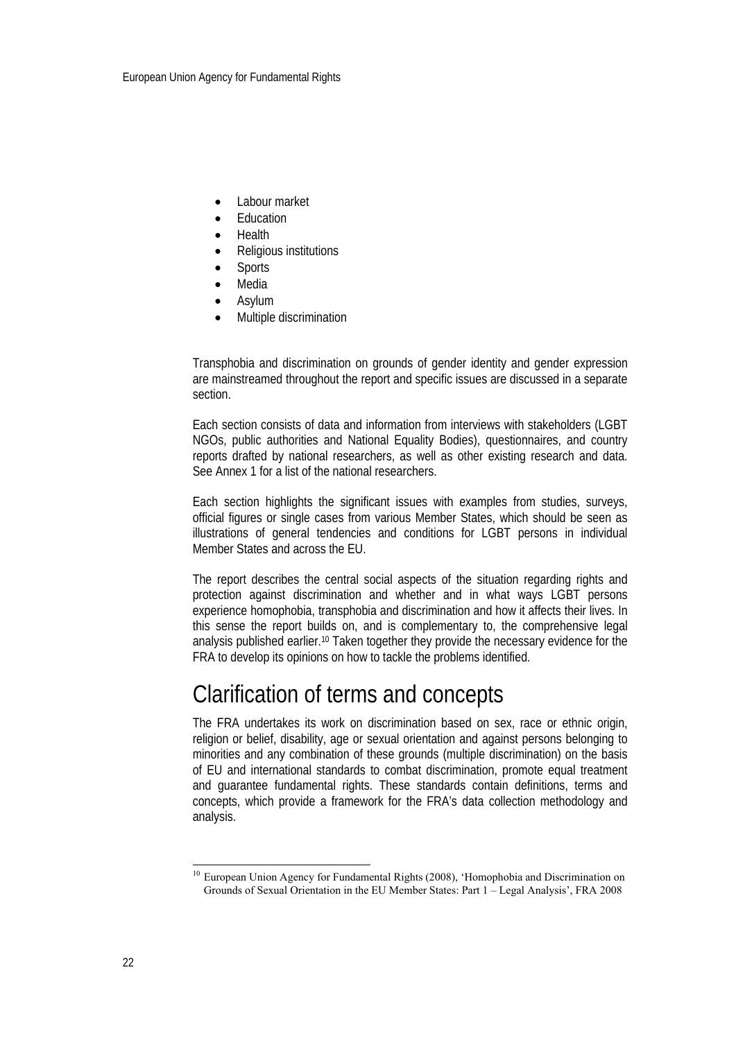- Labour market
- **F**ducation
- Health
- Religious institutions
- Sports
- **Media**
- Asylum
- Multiple discrimination

Transphobia and discrimination on grounds of gender identity and gender expression are mainstreamed throughout the report and specific issues are discussed in a separate section.

Each section consists of data and information from interviews with stakeholders (LGBT NGOs, public authorities and National Equality Bodies), questionnaires, and country reports drafted by national researchers, as well as other existing research and data. See Annex 1 for a list of the national researchers.

Each section highlights the significant issues with examples from studies, surveys, official figures or single cases from various Member States, which should be seen as illustrations of general tendencies and conditions for LGBT persons in individual Member States and across the EU.

The report describes the central social aspects of the situation regarding rights and protection against discrimination and whether and in what ways LGBT persons experience homophobia, transphobia and discrimination and how it affects their lives. In this sense the report builds on, and is complementary to, the comprehensive legal analysis published earlier.<sup>10</sup> Taken together they provide the necessary evidence for the FRA to develop its opinions on how to tackle the problems identified.

## Clarification of terms and concepts

The FRA undertakes its work on discrimination based on sex, race or ethnic origin, religion or belief, disability, age or sexual orientation and against persons belonging to minorities and any combination of these grounds (multiple discrimination) on the basis of EU and international standards to combat discrimination, promote equal treatment and guarantee fundamental rights. These standards contain definitions, terms and concepts, which provide a framework for the FRA's data collection methodology and analysis.

<sup>&</sup>lt;u>.</u> <sup>10</sup> European Union Agency for Fundamental Rights (2008), 'Homophobia and Discrimination on Grounds of Sexual Orientation in the EU Member States: Part 1 – Legal Analysis', FRA 2008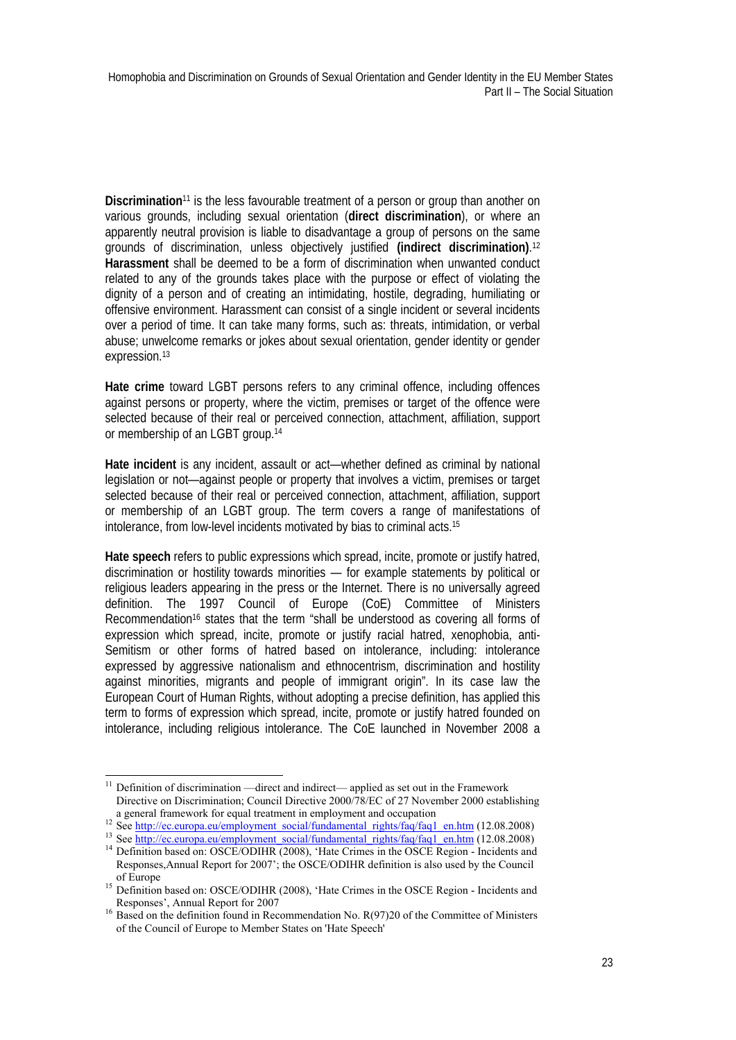**Discrimination**11 is the less favourable treatment of a person or group than another on various grounds, including sexual orientation (**direct discrimination**), or where an apparently neutral provision is liable to disadvantage a group of persons on the same grounds of discrimination, unless objectively justified **(indirect discrimination)**. 12 **Harassment** shall be deemed to be a form of discrimination when unwanted conduct related to any of the grounds takes place with the purpose or effect of violating the dignity of a person and of creating an intimidating, hostile, degrading, humiliating or offensive environment. Harassment can consist of a single incident or several incidents over a period of time. It can take many forms, such as: threats, intimidation, or verbal abuse; unwelcome remarks or jokes about sexual orientation, gender identity or gender expression.13

**Hate crime** toward LGBT persons refers to any criminal offence, including offences against persons or property, where the victim, premises or target of the offence were selected because of their real or perceived connection, attachment, affiliation, support or membership of an LGBT group.14

**Hate incident** is any incident, assault or act—whether defined as criminal by national legislation or not—against people or property that involves a victim, premises or target selected because of their real or perceived connection, attachment, affiliation, support or membership of an LGBT group. The term covers a range of manifestations of intolerance, from low-level incidents motivated by bias to criminal acts.15

**Hate speech** refers to public expressions which spread, incite, promote or justify hatred, discrimination or hostility towards minorities — for example statements by political or religious leaders appearing in the press or the Internet. There is no universally agreed definition. The 1997 Council of Europe (CoE) Committee of Ministers Recommendation<sup>16</sup> states that the term "shall be understood as covering all forms of expression which spread, incite, promote or justify racial hatred, xenophobia, anti-Semitism or other forms of hatred based on intolerance, including: intolerance expressed by aggressive nationalism and ethnocentrism, discrimination and hostility against minorities, migrants and people of immigrant origin". In its case law the European Court of Human Rights, without adopting a precise definition, has applied this term to forms of expression which spread, incite, promote or justify hatred founded on intolerance, including religious intolerance. The CoE launched in November 2008 a

 $\overline{11}$ 11 Definition of discrimination —direct and indirect— applied as set out in the Framework Directive on Discrimination; Council Directive 2000/78/EC of 27 November 2000 establishing

a general framework for equal treatment in employment and occupation<br>
<sup>12</sup> See http://ec.europa.eu/employment\_social/fundamental\_rights/faq/faq1\_en.htm (12.08.2008)<br>
<sup>13</sup> See http://ec.europa.eu/employment\_social/fundament

Responses,Annual Report for 2007'; the OSCE/ODIHR definition is also used by the Council

<sup>&</sup>lt;sup>15</sup> Definition based on: OSCE/ODIHR (2008), 'Hate Crimes in the OSCE Region - Incidents and

Responses', Annual Report for 2007<br><sup>16</sup> Based on the definition found in Recommendation No. R(97)20 of the Committee of Ministers of the Council of Europe to Member States on 'Hate Speech'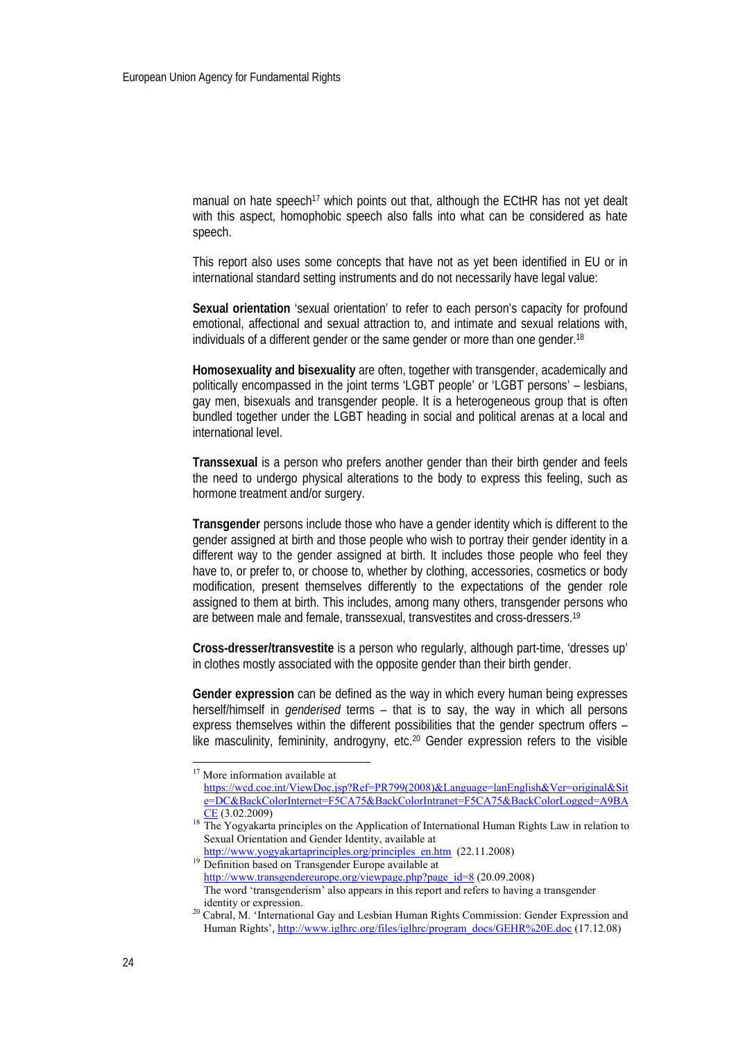manual on hate speech<sup>17</sup> which points out that, although the ECtHR has not yet dealt with this aspect, homophobic speech also falls into what can be considered as hate speech.

This report also uses some concepts that have not as yet been identified in EU or in international standard setting instruments and do not necessarily have legal value:

**Sexual orientation** 'sexual orientation' to refer to each person's capacity for profound emotional, affectional and sexual attraction to, and intimate and sexual relations with, individuals of a different gender or the same gender or more than one gender.<sup>18</sup>

**Homosexuality and bisexuality** are often, together with transgender, academically and politically encompassed in the joint terms 'LGBT people' or 'LGBT persons' – lesbians, gay men, bisexuals and transgender people. It is a heterogeneous group that is often bundled together under the LGBT heading in social and political arenas at a local and international level.

**Transsexual** is a person who prefers another gender than their birth gender and feels the need to undergo physical alterations to the body to express this feeling, such as hormone treatment and/or surgery.

**Transgender** persons include those who have a gender identity which is different to the gender assigned at birth and those people who wish to portray their gender identity in a different way to the gender assigned at birth. It includes those people who feel they have to, or prefer to, or choose to, whether by clothing, accessories, cosmetics or body modification, present themselves differently to the expectations of the gender role assigned to them at birth. This includes, among many others, transgender persons who are between male and female, transsexual, transvestites and cross-dressers.19

**Cross-dresser/transvestite** is a person who regularly, although part-time, 'dresses up' in clothes mostly associated with the opposite gender than their birth gender.

**Gender expression** can be defined as the way in which every human being expresses herself/himself in *genderised* terms – that is to say, the way in which all persons express themselves within the different possibilities that the gender spectrum offers – like masculinity, femininity, androgyny, etc.20 Gender expression refers to the visible

 $\overline{a}$ 

The word 'transgenderism' also appears in this report and refers to having a transgender

<sup>&</sup>lt;sup>17</sup> More information available at

https://wcd.coe.int/ViewDoc.jsp?Ref=PR799(2008)&Language=lanEnglish&Ver=original&Sit e=DC&BackColorInternet=F5CA75&BackColorIntranet=F5CA75&BackColorLogged=A9BA

<sup>&</sup>lt;sup>18</sup> The Yogyakarta principles on the Application of International Human Rights Law in relation to Sexual Orientation and Gender Identity, available at

<sup>&</sup>lt;sup>19</sup> http://www.yogyakartaprinciples.org/principles\_en.htm (22.11.2008) 19 Definition based on Transgender Europe available at http://www.transgendereurope.org/viewpage.php?page\_id=8 (20.09.2008)

identity or expression.<br><sup>20</sup> Cabral, M. 'International Gay and Lesbian Human Rights Commission: Gender Expression and Human Rights'*,* http://www.iglhrc.org/files/iglhrc/program\_docs/GEHR%20E.doc (17.12.08)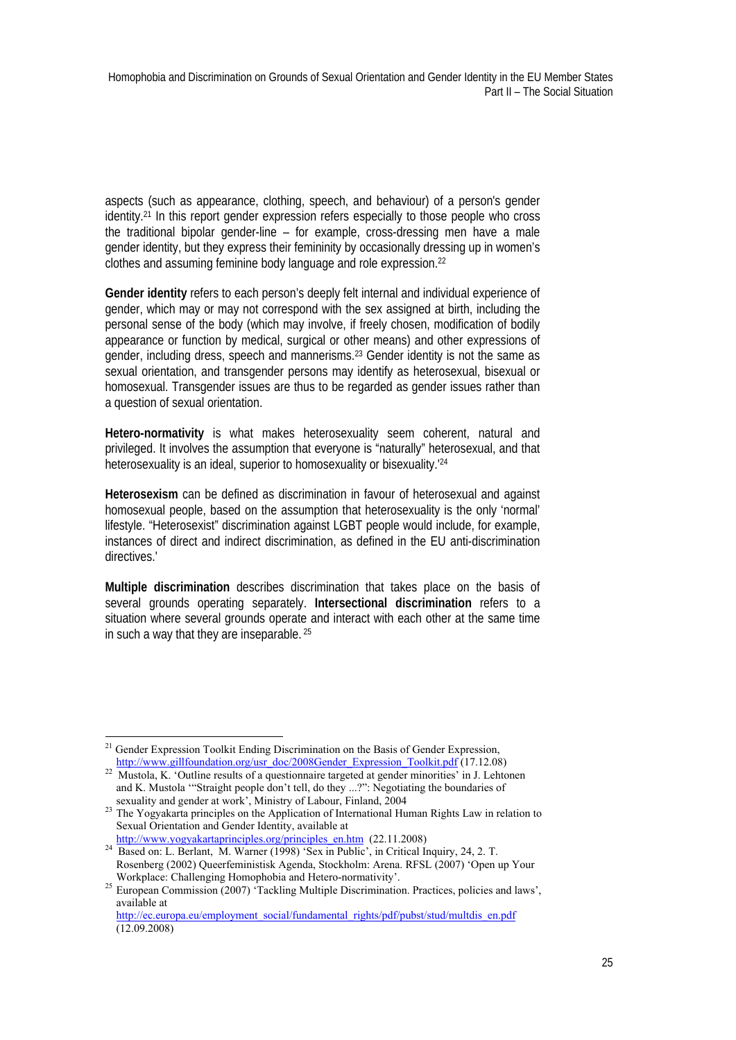Homophobia and Discrimination on Grounds of Sexual Orientation and Gender Identity in the EU Member States Part II – The Social Situation

aspects (such as appearance, clothing, speech, and behaviour) of a person's gender identity.<sup>21</sup> In this report gender expression refers especially to those people who cross the traditional bipolar gender-line – for example, cross-dressing men have a male gender identity, but they express their femininity by occasionally dressing up in women's clothes and assuming feminine body language and role expression.22

**Gender identity** refers to each person's deeply felt internal and individual experience of gender, which may or may not correspond with the sex assigned at birth, including the personal sense of the body (which may involve, if freely chosen, modification of bodily appearance or function by medical, surgical or other means) and other expressions of gender, including dress, speech and mannerisms.23 Gender identity is not the same as sexual orientation, and transgender persons may identify as heterosexual, bisexual or homosexual. Transgender issues are thus to be regarded as gender issues rather than a question of sexual orientation.

**Hetero-normativity** is what makes heterosexuality seem coherent, natural and privileged. It involves the assumption that everyone is "naturally" heterosexual, and that heterosexuality is an ideal, superior to homosexuality or bisexuality.<sup>'24</sup>

**Heterosexism** can be defined as discrimination in favour of heterosexual and against homosexual people, based on the assumption that heterosexuality is the only 'normal' lifestyle. "Heterosexist" discrimination against LGBT people would include, for example, instances of direct and indirect discrimination, as defined in the EU anti-discrimination directives.'

**Multiple discrimination** describes discrimination that takes place on the basis of several grounds operating separately. **Intersectional discrimination** refers to a situation where several grounds operate and interact with each other at the same time in such a way that they are inseparable. 25

<sup>1</sup> <sup>21</sup> Gender Expression Toolkit Ending Discrimination on the Basis of Gender Expression,

http://www.gillfoundation.org/usr\_doc/2008Gender\_Expression\_Toolkit.pdf (17.12.08)<br><sup>22</sup> Mustola, K. 'Outline results of a questionnaire targeted at gender minorities' in J. Lehtonen and K. Mustola '"Straight people don't tell, do they ...?": Negotiating the boundaries of

sexuality and gender at work', Ministry of Labour, Finland, 2004 23 The Yogyakarta principles on the Application of International Human Rights Law in relation to Sexual Orientation and Gender Identity, available at

http://www.yogyakartaprinciples.org/principles\_en.htm (22.11.2008)<br>
<sup>24</sup> Based on: L. Berlant, M. Warner (1998) 'Sex in Public', in Critical Inquiry, 24, 2. T. Rosenberg (2002) Queerfeministisk Agenda, Stockholm: Arena. RFSL (2007) 'Open up Your

Workplace: Challenging Homophobia and Hetero-normativity'. 25 European Commission (2007) 'Tackling Multiple Discrimination. Practices, policies and laws', available at

http://ec.europa.eu/employment\_social/fundamental\_rights/pdf/pubst/stud/multdis\_en.pdf (12.09.2008)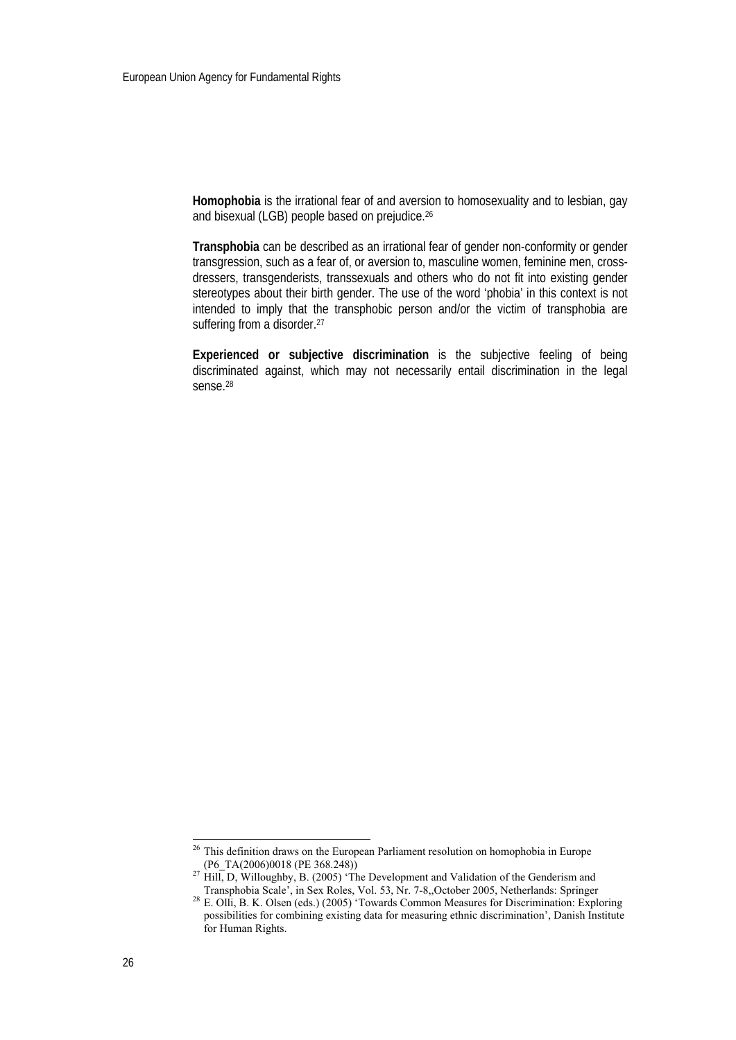**Homophobia** is the irrational fear of and aversion to homosexuality and to lesbian, gay and bisexual (LGB) people based on prejudice.26

**Transphobia** can be described as an irrational fear of gender non-conformity or gender transgression, such as a fear of, or aversion to, masculine women, feminine men, crossdressers, transgenderists, transsexuals and others who do not fit into existing gender stereotypes about their birth gender. The use of the word 'phobia' in this context is not intended to imply that the transphobic person and/or the victim of transphobia are suffering from a disorder.<sup>27</sup>

**Experienced or subjective discrimination** is the subjective feeling of being discriminated against, which may not necessarily entail discrimination in the legal sense.28

 $26\phantom{.}$ This definition draws on the European Parliament resolution on homophobia in Europe (P6 TA(2006)0018 (PE 368.248))

<sup>&</sup>lt;sup>27</sup> Hill, D, Willoughby, B. (2005) 'The Development and Validation of the Genderism and

Transphobia Scale', in Sex Roles, Vol. 53, Nr. 7-8,,October 2005, Netherlands: Springer 28 E. Olli, B. K. Olsen (eds.) (2005) 'Towards Common Measures for Discrimination: Exploring possibilities for combining existing data for measuring ethnic discrimination', Danish Institute for Human Rights.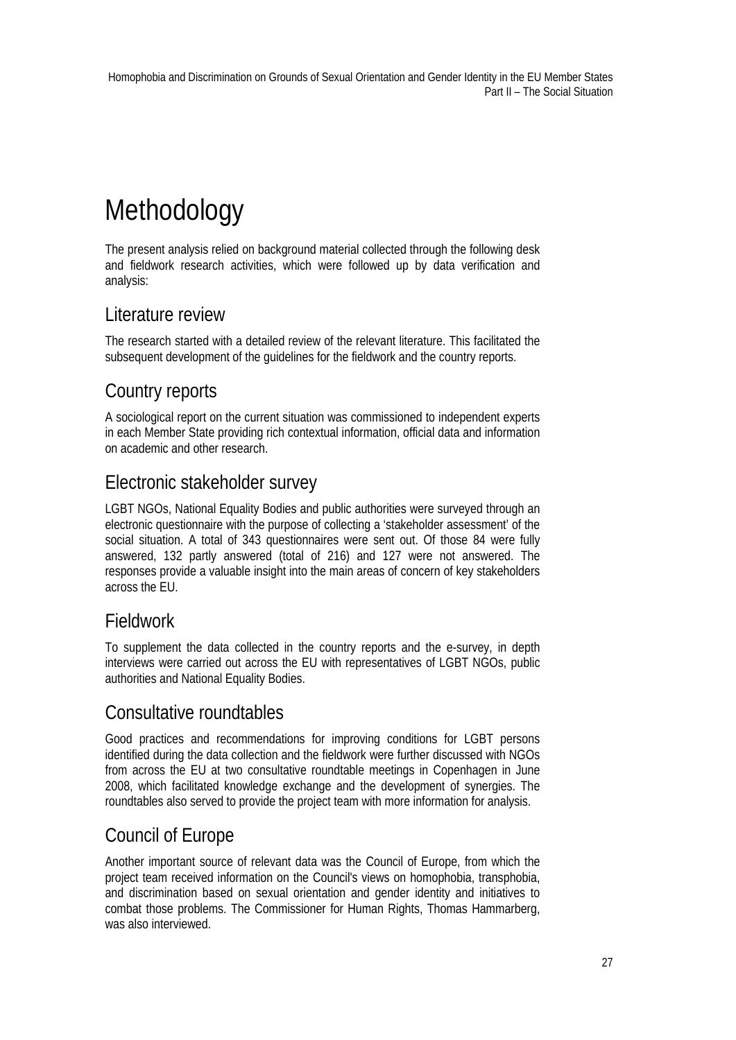# Methodology

The present analysis relied on background material collected through the following desk and fieldwork research activities, which were followed up by data verification and analysis:

### Literature review

The research started with a detailed review of the relevant literature. This facilitated the subsequent development of the quidelines for the fieldwork and the country reports.

### Country reports

A sociological report on the current situation was commissioned to independent experts in each Member State providing rich contextual information, official data and information on academic and other research.

### Electronic stakeholder survey

LGBT NGOs, National Equality Bodies and public authorities were surveyed through an electronic questionnaire with the purpose of collecting a 'stakeholder assessment' of the social situation. A total of 343 questionnaires were sent out. Of those 84 were fully answered, 132 partly answered (total of 216) and 127 were not answered. The responses provide a valuable insight into the main areas of concern of key stakeholders across the EU.

### Fieldwork

To supplement the data collected in the country reports and the e-survey, in depth interviews were carried out across the EU with representatives of LGBT NGOs, public authorities and National Equality Bodies.

### Consultative roundtables

Good practices and recommendations for improving conditions for LGBT persons identified during the data collection and the fieldwork were further discussed with NGOs from across the EU at two consultative roundtable meetings in Copenhagen in June 2008, which facilitated knowledge exchange and the development of synergies. The roundtables also served to provide the project team with more information for analysis.

## Council of Europe

Another important source of relevant data was the Council of Europe, from which the project team received information on the Council's views on homophobia, transphobia, and discrimination based on sexual orientation and gender identity and initiatives to combat those problems. The Commissioner for Human Rights, Thomas Hammarberg, was also interviewed.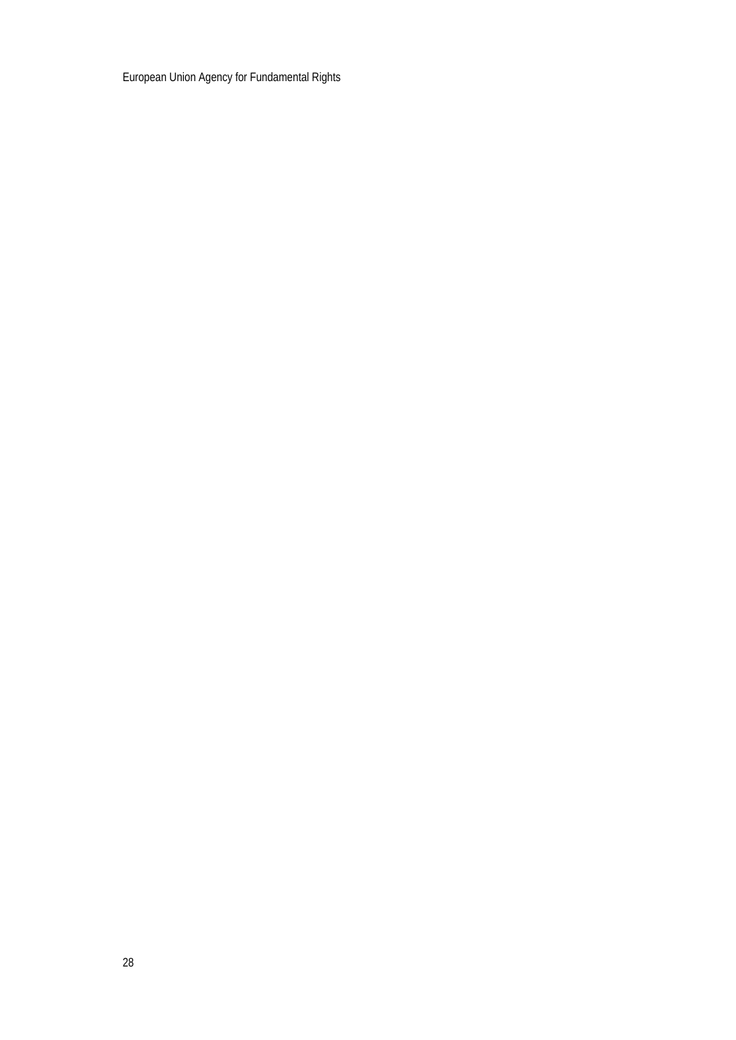European Union Agency for Fundamental Rights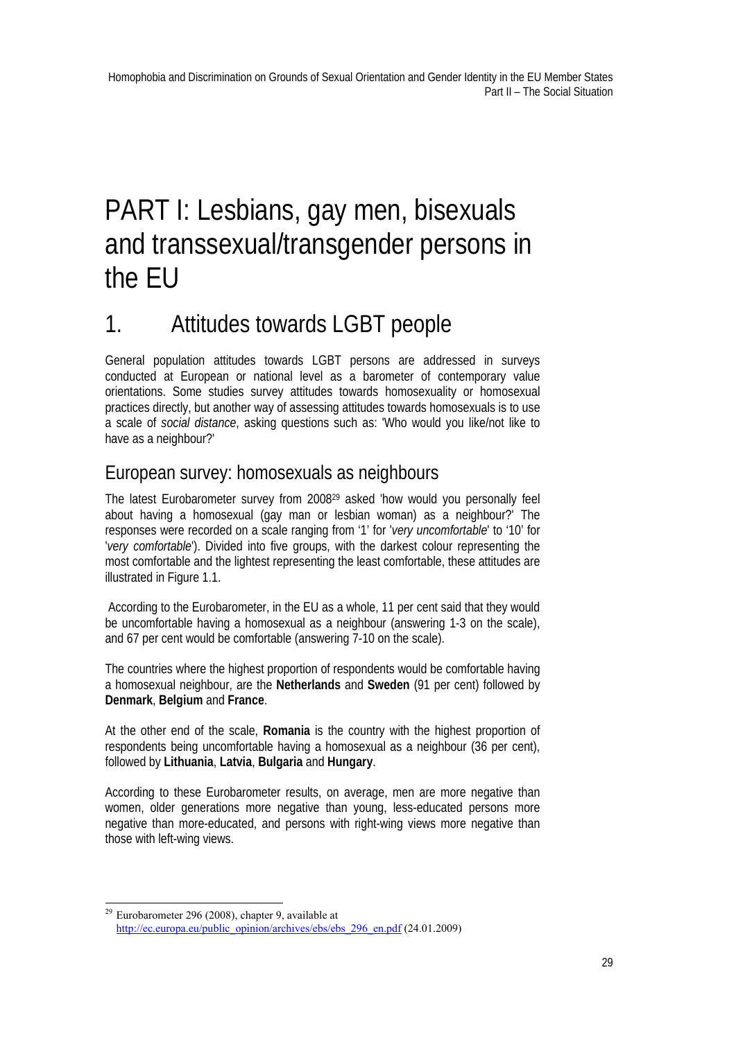# PART I: Lesbians, gay men, bisexuals and transsexual/transgender persons in the EU

# 1. Attitudes towards LGBT people

General population attitudes towards LGBT persons are addressed in surveys conducted at European or national level as a barometer of contemporary value orientations. Some studies survey attitudes towards homosexuality or homosexual practices directly, but another way of assessing attitudes towards homosexuals is to use a scale of *social distance*, asking questions such as: 'Who would you like/not like to have as a neighbour?'

#### European survey: homosexuals as neighbours

The latest Eurobarometer survey from 2008<sup>29</sup> asked 'how would you personally feel about having a homosexual (gay man or lesbian woman) as a neighbour?' The responses were recorded on a scale ranging from '1' for '*very uncomfortable*' to '10' for '*very comfortable*'). Divided into five groups, with the darkest colour representing the most comfortable and the lightest representing the least comfortable, these attitudes are illustrated in Figure 1.1.

 According to the Eurobarometer, in the EU as a whole, 11 per cent said that they would be uncomfortable having a homosexual as a neighbour (answering 1-3 on the scale), and 67 per cent would be comfortable (answering 7-10 on the scale).

The countries where the highest proportion of respondents would be comfortable having a homosexual neighbour, are the **Netherlands** and **Sweden** (91 per cent) followed by **Denmark**, **Belgium** and **France**.

At the other end of the scale, **Romania** is the country with the highest proportion of respondents being uncomfortable having a homosexual as a neighbour (36 per cent), followed by **Lithuania**, **Latvia**, **Bulgaria** and **Hungary**.

According to these Eurobarometer results, on average, men are more negative than women, older generations more negative than young, less-educated persons more negative than more-educated, and persons with right-wing views more negative than those with left-wing views.

<sup>&</sup>lt;u>.</u> 29 Eurobarometer 296 (2008), chapter 9, available at http://ec.europa.eu/public\_opinion/archives/ebs/ebs\_296\_en.pdf (24.01.2009)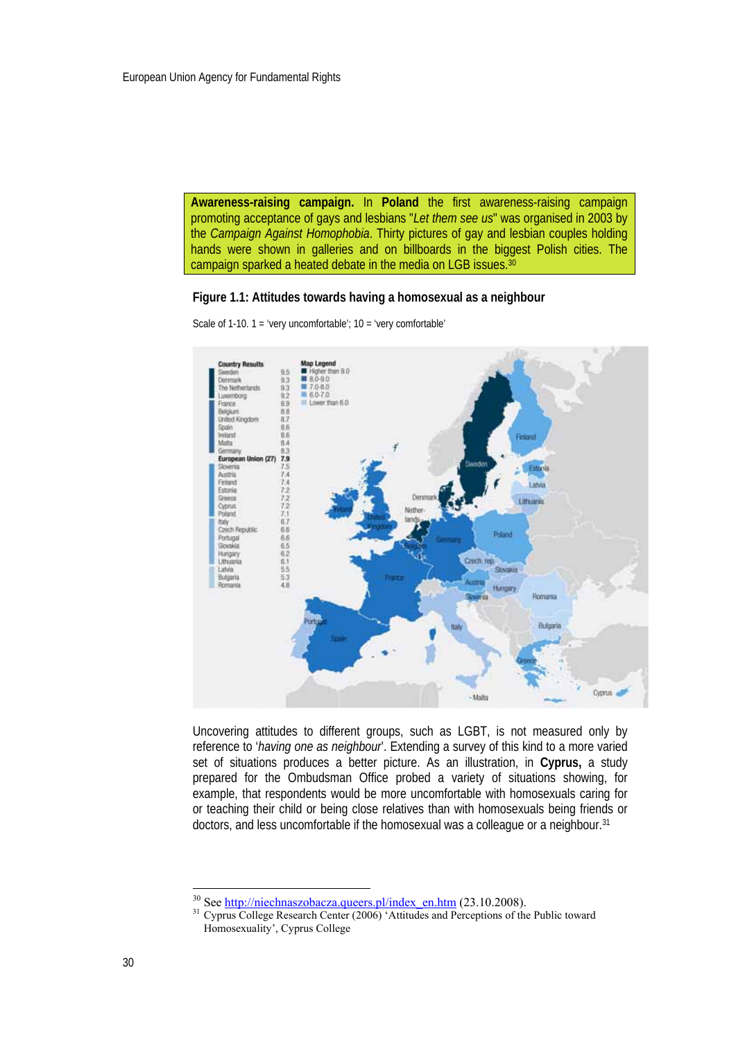**Awareness-raising campaign.** In **Poland** the first awareness-raising campaign promoting acceptance of gays and lesbians "*Let them see us*" was organised in 2003 by the *Campaign Against Homophobia*. Thirty pictures of gay and lesbian couples holding hands were shown in galleries and on billboards in the biggest Polish cities. The campaign sparked a heated debate in the media on LGB issues.<sup>30</sup>

#### **Figure 1.1: Attitudes towards having a homosexual as a neighbour**



Scale of 1-10. 1 = 'very uncomfortable'; 10 = 'very comfortable'

Uncovering attitudes to different groups, such as LGBT, is not measured only by reference to '*having one as neighbour*'. Extending a survey of this kind to a more varied set of situations produces a better picture. As an illustration, in **Cyprus,** a study prepared for the Ombudsman Office probed a variety of situations showing, for example, that respondents would be more uncomfortable with homosexuals caring for or teaching their child or being close relatives than with homosexuals being friends or doctors, and less uncomfortable if the homosexual was a colleague or a neighbour.31

 $30$ 

<sup>&</sup>lt;sup>30</sup> See http://niechnaszobacza.queers.pl/index\_en.htm (23.10.2008). <sup>31</sup> Cyprus College Research Center (2006) 'Attitudes and Perceptions of the Public toward Homosexuality', Cyprus College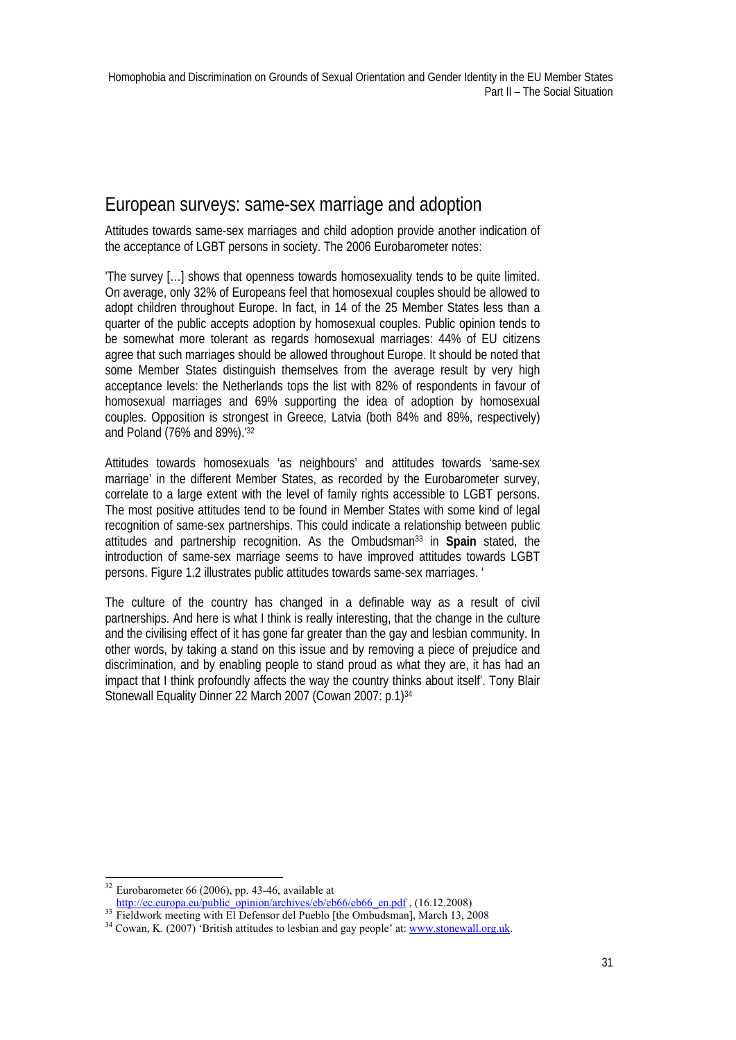#### European surveys: same-sex marriage and adoption

Attitudes towards same-sex marriages and child adoption provide another indication of the acceptance of LGBT persons in society. The 2006 Eurobarometer notes:

'The survey […] shows that openness towards homosexuality tends to be quite limited. On average, only 32% of Europeans feel that homosexual couples should be allowed to adopt children throughout Europe. In fact, in 14 of the 25 Member States less than a quarter of the public accepts adoption by homosexual couples. Public opinion tends to be somewhat more tolerant as regards homosexual marriages: 44% of EU citizens agree that such marriages should be allowed throughout Europe. It should be noted that some Member States distinguish themselves from the average result by very high acceptance levels: the Netherlands tops the list with 82% of respondents in favour of homosexual marriages and 69% supporting the idea of adoption by homosexual couples. Opposition is strongest in Greece, Latvia (both 84% and 89%, respectively) and Poland (76% and 89%).'32

Attitudes towards homosexuals 'as neighbours' and attitudes towards 'same-sex marriage' in the different Member States, as recorded by the Eurobarometer survey, correlate to a large extent with the level of family rights accessible to LGBT persons. The most positive attitudes tend to be found in Member States with some kind of legal recognition of same-sex partnerships. This could indicate a relationship between public attitudes and partnership recognition. As the Ombudsman33 in **Spain** stated, the introduction of same-sex marriage seems to have improved attitudes towards LGBT persons. Figure 1.2 illustrates public attitudes towards same-sex marriages. '

The culture of the country has changed in a definable way as a result of civil partnerships. And here is what I think is really interesting, that the change in the culture and the civilising effect of it has gone far greater than the gay and lesbian community. In other words, by taking a stand on this issue and by removing a piece of prejudice and discrimination, and by enabling people to stand proud as what they are, it has had an impact that I think profoundly affects the way the country thinks about itself'. Tony Blair Stonewall Equality Dinner 22 March 2007 (Cowan 2007: p.1)34

<sup>1</sup> 

<sup>&</sup>lt;sup>32</sup> Eurobarometer 66 (2006), pp. 43-46, available at<br>  $\frac{\text{http://ec.europa.eu/public\_opinion/archives/eb/eb66/eb66 en.pdf}{\text{http://ec.europa.eu/public\_opinion/archives/eb/eb66/eb66 en.pdf}}$ , (16.12.2008)

<sup>&</sup>lt;sup>33</sup> Fieldwork meeting with El Defensor del Pueblo [the Ombudsman], March 13, 2008<br><sup>34</sup> Cowan, K. (2007) 'British attitudes to lesbian and gay people' at: www.stonewall.org.uk.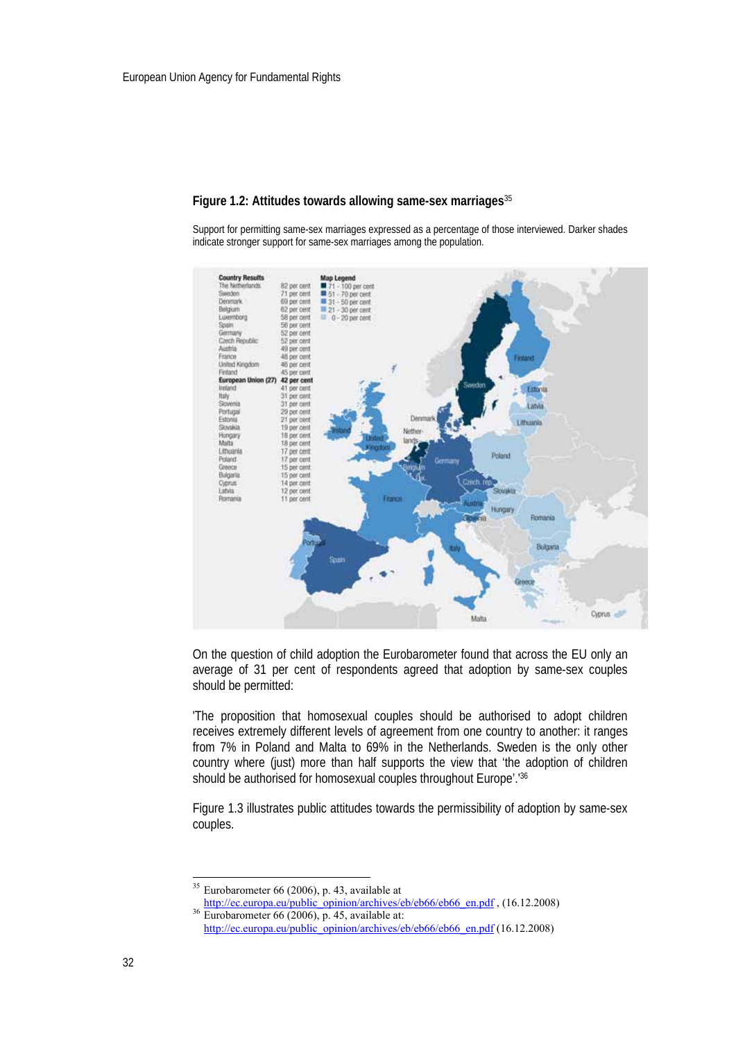

#### **Figure 1.2: Attitudes towards allowing same-sex marriages**<sup>35</sup>

Support for permitting same-sex marriages expressed as a percentage of those interviewed. Darker shades indicate stronger support for same-sex marriages among the population.

On the question of child adoption the Eurobarometer found that across the EU only an average of 31 per cent of respondents agreed that adoption by same-sex couples should be permitted:

'The proposition that homosexual couples should be authorised to adopt children receives extremely different levels of agreement from one country to another: it ranges from 7% in Poland and Malta to 69% in the Netherlands. Sweden is the only other country where (just) more than half supports the view that 'the adoption of children should be authorised for homosexual couples throughout Europe'.'36

Figure 1.3 illustrates public attitudes towards the permissibility of adoption by same-sex couples.

<sup>35</sup> Eurobarometer 66 (2006), p. 43, available at

http://ec.europa.eu/public\_opinion/archives/eb/eb66/eb66\_en.pdf , (16.12.2008) 36 Eurobarometer 66 (2006), p. 45, available at:

http://ec.europa.eu/public\_opinion/archives/eb/eb66/eb66\_en.pdf (16.12.2008)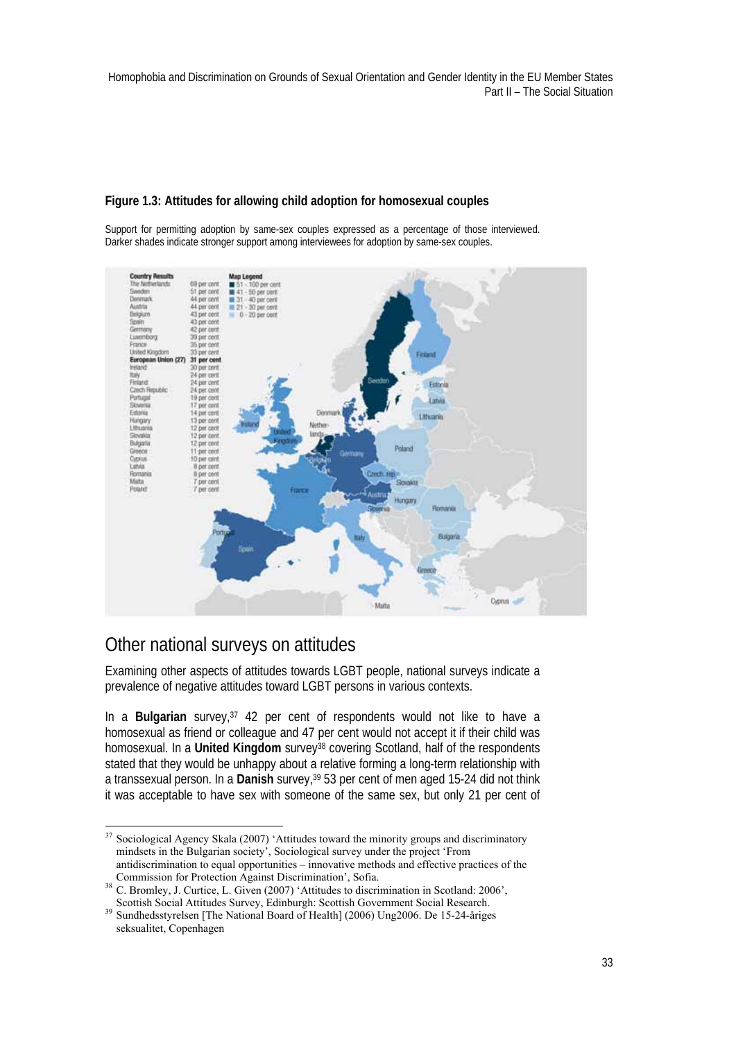#### **Figure 1.3: Attitudes for allowing child adoption for homosexual couples**

Support for permitting adoption by same-sex couples expressed as a percentage of those interviewed. Darker shades indicate stronger support among interviewees for adoption by same-sex couples.



## Other national surveys on attitudes

Examining other aspects of attitudes towards LGBT people, national surveys indicate a prevalence of negative attitudes toward LGBT persons in various contexts.

In a **Bulgarian** survey,<sup>37</sup> 42 per cent of respondents would not like to have a homosexual as friend or colleague and 47 per cent would not accept it if their child was homosexual. In a **United Kingdom** survey38 covering Scotland, half of the respondents stated that they would be unhappy about a relative forming a long-term relationship with a transsexual person. In a **Danish** survey,39 53 per cent of men aged 15-24 did not think it was acceptable to have sex with someone of the same sex, but only 21 per cent of

<sup>1</sup>  $37$  Sociological Agency Skala (2007) 'Attitudes toward the minority groups and discriminatory mindsets in the Bulgarian society', Sociological survey under the project 'From antidiscrimination to equal opportunities – innovative methods and effective practices of the

Commission for Protection Against Discrimination', Sofia.<br>
<sup>38</sup> C. Bromley, J. Curtice, L. Given (2007) 'Attitudes to discrimination in Scotland: 2006',<br>
Scottish Social Attitudes Survey, Edinburgh: Scottish Government Soc

Scottish Social Attitudes Survey, Edinburgh: Scottish Government Social Research. 39 Sundhedsstyrelsen [The National Board of Health] (2006) Ung2006. De 15-24-åriges seksualitet, Copenhagen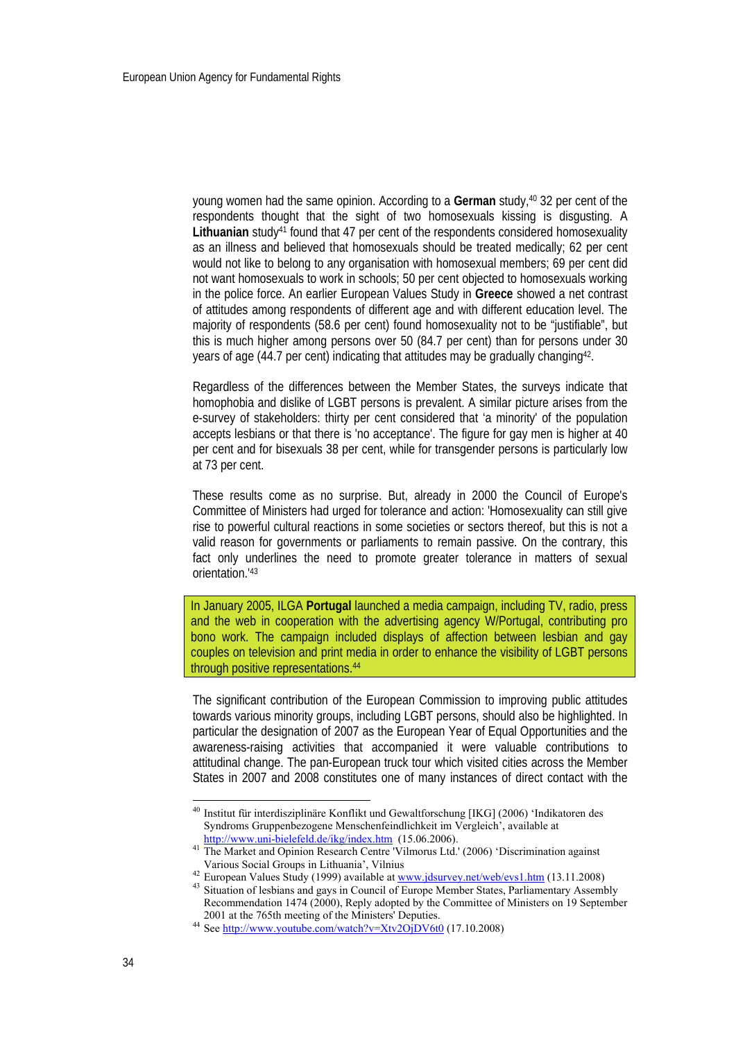young women had the same opinion. According to a **German** study,40 32 per cent of the respondents thought that the sight of two homosexuals kissing is disgusting. A **Lithuanian** study41 found that 47 per cent of the respondents considered homosexuality as an illness and believed that homosexuals should be treated medically; 62 per cent would not like to belong to any organisation with homosexual members; 69 per cent did not want homosexuals to work in schools; 50 per cent objected to homosexuals working in the police force. An earlier European Values Study in **Greece** showed a net contrast of attitudes among respondents of different age and with different education level. The majority of respondents (58.6 per cent) found homosexuality not to be "justifiable", but this is much higher among persons over 50 (84.7 per cent) than for persons under 30 years of age (44.7 per cent) indicating that attitudes may be gradually changing42.

Regardless of the differences between the Member States, the surveys indicate that homophobia and dislike of LGBT persons is prevalent. A similar picture arises from the e-survey of stakeholders: thirty per cent considered that 'a minority' of the population accepts lesbians or that there is 'no acceptance'. The figure for gay men is higher at 40 per cent and for bisexuals 38 per cent, while for transgender persons is particularly low at 73 per cent.

These results come as no surprise. But, already in 2000 the Council of Europe's Committee of Ministers had urged for tolerance and action: 'Homosexuality can still give rise to powerful cultural reactions in some societies or sectors thereof, but this is not a valid reason for governments or parliaments to remain passive. On the contrary, this fact only underlines the need to promote greater tolerance in matters of sexual orientation.'43

In January 2005, ILGA **Portugal** launched a media campaign, including TV, radio, press and the web in cooperation with the advertising agency W/Portugal, contributing pro bono work. The campaign included displays of affection between lesbian and gay couples on television and print media in order to enhance the visibility of LGBT persons through positive representations.44

The significant contribution of the European Commission to improving public attitudes towards various minority groups, including LGBT persons, should also be highlighted. In particular the designation of 2007 as the European Year of Equal Opportunities and the awareness-raising activities that accompanied it were valuable contributions to attitudinal change. The pan-European truck tour which visited cities across the Member States in 2007 and 2008 constitutes one of many instances of direct contact with the

<u>.</u>

<sup>&</sup>lt;sup>40</sup> Institut für interdisziplinäre Konflikt und Gewaltforschung [IKG] (2006) 'Indikatoren des Syndroms Gruppenbezogene Menschenfeindlichkeit im Vergleich', available at

http://www.uni-bielefeld.de/ikg/index.htm (15.06.2006).<br>
<sup>41</sup> The Market and Opinion Research Centre 'Vilmorus Ltd.' (2006) 'Discrimination against<br>
Various Social Groups in Lithuania'. Vilnius

<sup>&</sup>lt;sup>42</sup> European Values Study (1999) available at <u>www.jdsurvey.net/web/evs1.htm</u> (13.11.2008)<br><sup>43</sup> Situation of lesbians and gays in Council of Europe Member States, Parliamentary Assembly Recommendation 1474 (2000), Reply adopted by the Committee of Ministers on 19 September 2001 at the 765th meeting of the Ministers' Deputies.<br><sup>44</sup> See http://www.youtube.com/watch?v=Xtv2OjDV6t0 (17.10.2008)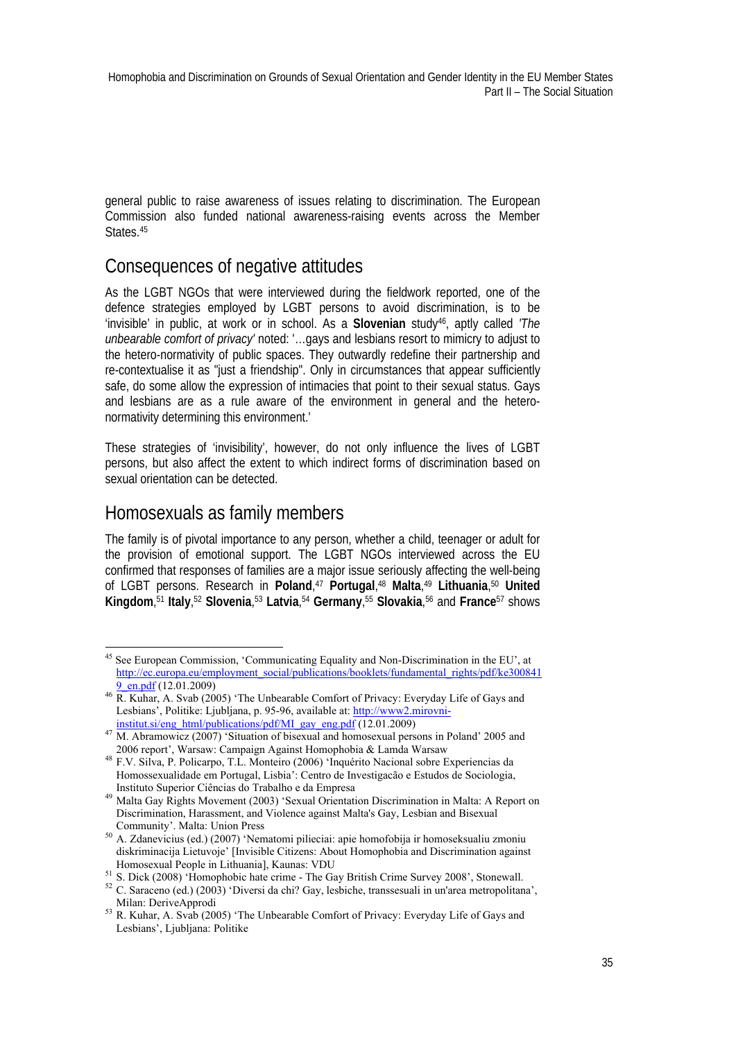general public to raise awareness of issues relating to discrimination. The European Commission also funded national awareness-raising events across the Member States.<sup>45</sup>

## Consequences of negative attitudes

As the LGBT NGOs that were interviewed during the fieldwork reported, one of the defence strategies employed by LGBT persons to avoid discrimination, is to be 'invisible' in public, at work or in school. As a **Slovenian** study46, aptly called *'The unbearable comfort of privacy'* noted: '…gays and lesbians resort to mimicry to adjust to the hetero-normativity of public spaces. They outwardly redefine their partnership and re-contextualise it as "just a friendship". Only in circumstances that appear sufficiently safe, do some allow the expression of intimacies that point to their sexual status. Gays and lesbians are as a rule aware of the environment in general and the heteronormativity determining this environment.'

These strategies of 'invisibility', however, do not only influence the lives of LGBT persons, but also affect the extent to which indirect forms of discrimination based on sexual orientation can be detected.

## Homosexuals as family members

The family is of pivotal importance to any person, whether a child, teenager or adult for the provision of emotional support. The LGBT NGOs interviewed across the EU confirmed that responses of families are a major issue seriously affecting the well-being of LGBT persons. Research in **Poland**, <sup>47</sup> **Portugal**, <sup>48</sup> **Malta**, <sup>49</sup> **Lithuania**, <sup>50</sup> **United Kingdom**, <sup>51</sup> **Italy**, <sup>52</sup> **Slovenia**, <sup>53</sup> **Latvia**, <sup>54</sup> **Germany**, <sup>55</sup> **Slovakia**, 56 and **France**<sup>57</sup> shows

<sup>1</sup> <sup>45</sup> See European Commission, 'Communicating Equality and Non-Discrimination in the EU', at http://ec.europa.eu/employment\_social/publications/booklets/fundamental\_rights/pdf/ke300841

<sup>&</sup>lt;sup>9</sup>en.pdf (12.01.2009) <sup>46</sup> R. Kuhar, A. Svab (2005) 'The Unbearable Comfort of Privacy: Everyday Life of Gays and Lesbians', Politike: Ljubljana, p. 95-96, available at: http://www2.mirovni-

institut.si/eng\_html/publications/pdf/MI\_gay\_eng.pdf (12.01.2009) 47 M. Abramowicz (2007) 'Situation of bisexual and homosexual persons in Poland' 2005 and

<sup>2006</sup> report', Warsaw: Campaign Against Homophobia & Lamda Warsaw 48 F.V. Silva, P. Policarpo, T.L. Monteiro (2006) 'Inquérito Nacional sobre Experiencias da Homossexualidade em Portugal, Lisbia': Centro de Investigacão e Estudos de Sociologia,

<sup>&</sup>lt;sup>49</sup> Malta Gay Rights Movement (2003) 'Sexual Orientation Discrimination in Malta: A Report on Discrimination, Harassment, and Violence against Malta's Gay, Lesbian and Bisexual

Community'. Malta: Union Press 50 A. Zdanevicius (ed.) (2007) 'Nematomi pilieciai: apie homofobija ir homoseksualiu zmoniu diskriminacija Lietuvoje' [Invisible Citizens: About Homophobia and Discrimination against

<sup>&</sup>lt;sup>51</sup> S. Dick (2008) 'Homophobic hate crime - The Gay British Crime Survey 2008', Stonewall.

<sup>52</sup> C. Saraceno (ed.) (2003) 'Diversi da chi? Gay, lesbiche, transsesuali in un'area metropolitana',

Milan: DeriveApprodi 53 R. Kuhar, A. Svab (2005) 'The Unbearable Comfort of Privacy: Everyday Life of Gays and Lesbians', Ljubljana: Politike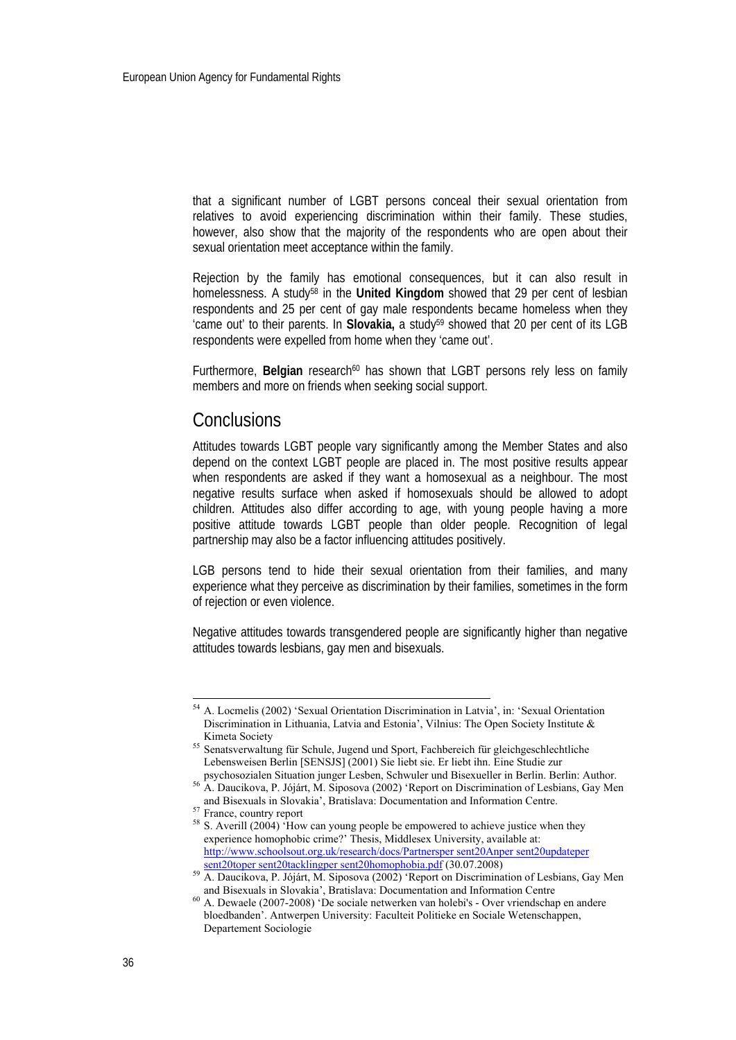that a significant number of LGBT persons conceal their sexual orientation from relatives to avoid experiencing discrimination within their family. These studies, however, also show that the majority of the respondents who are open about their sexual orientation meet acceptance within the family.

Rejection by the family has emotional consequences, but it can also result in homelessness. A study58 in the **United Kingdom** showed that 29 per cent of lesbian respondents and 25 per cent of gay male respondents became homeless when they 'came out' to their parents. In **Slovakia**, a study<sup>59</sup> showed that 20 per cent of its LGB respondents were expelled from home when they 'came out'.

Furthermore, **Belgian** research<sup>60</sup> has shown that LGBT persons rely less on family members and more on friends when seeking social support.

#### **Conclusions**

-

Attitudes towards LGBT people vary significantly among the Member States and also depend on the context LGBT people are placed in. The most positive results appear when respondents are asked if they want a homosexual as a neighbour. The most negative results surface when asked if homosexuals should be allowed to adopt children. Attitudes also differ according to age, with young people having a more positive attitude towards LGBT people than older people. Recognition of legal partnership may also be a factor influencing attitudes positively.

LGB persons tend to hide their sexual orientation from their families, and many experience what they perceive as discrimination by their families, sometimes in the form of rejection or even violence.

Negative attitudes towards transgendered people are significantly higher than negative attitudes towards lesbians, gay men and bisexuals.

<sup>54</sup> A. Locmelis (2002) 'Sexual Orientation Discrimination in Latvia', in: 'Sexual Orientation Discrimination in Lithuania, Latvia and Estonia', Vilnius: The Open Society Institute & Kimeta Society<br>
<sup>55</sup> Senatsverwaltung für Schule, Jugend und Sport, Fachbereich für gleichgeschlechtliche

Lebensweisen Berlin [SENSJS] (2001) Sie liebt sie. Er liebt ihn. Eine Studie zur

psychosozialen Situation junger Lesben, Schwuler und Bisexueller in Berlin. Berlin: Author. 56 A. Daucikova, P. Jójárt, M. Siposova (2002) 'Report on Discrimination of Lesbians, Gay Men

and Bisexuals in Slovakia', Bratislava: Documentation and Information Centre. 57 France, country report

<sup>&</sup>lt;sup>58</sup> S. Averill (2004) 'How can young people be empowered to achieve justice when they experience homophobic crime?' Thesis, Middlesex University, available at: http://www.schoolsout.org.uk/research/docs/Partnersper sent20Anper sent20updateper sent20toper sent20tacklingper sent20homophobia.pdf (30.07.2008)

sent20toper sent20tacklingper sent20homophobia.pdf (30.07.2008) 59 A. Daucikova, P. Jójárt, M. Siposova (2002) 'Report on Discrimination of Lesbians, Gay Men

and Bisexuals in Slovakia', Bratislava: Documentation and Information Centre <sup>60</sup> A. Dewaele (2007-2008) 'De sociale netwerken van holebi's - Over vriendschap en andere bloedbanden'. Antwerpen University: Faculteit Politieke en Sociale Wetenschappen, Departement Sociologie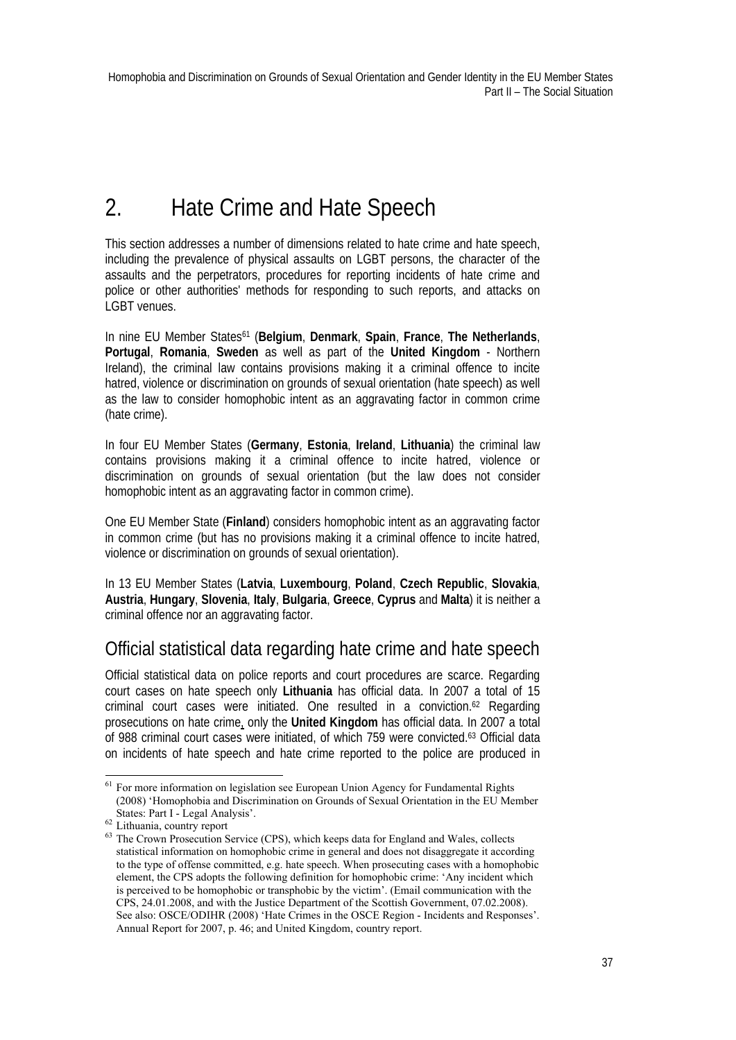# 2. Hate Crime and Hate Speech

This section addresses a number of dimensions related to hate crime and hate speech, including the prevalence of physical assaults on LGBT persons, the character of the assaults and the perpetrators, procedures for reporting incidents of hate crime and police or other authorities' methods for responding to such reports, and attacks on LGBT venues.

In nine EU Member States61 (**Belgium**, **Denmark**, **Spain**, **France**, **The Netherlands**, **Portugal**, **Romania**, **Sweden** as well as part of the **United Kingdom** - Northern Ireland), the criminal law contains provisions making it a criminal offence to incite hatred, violence or discrimination on grounds of sexual orientation (hate speech) as well as the law to consider homophobic intent as an aggravating factor in common crime (hate crime).

In four EU Member States (**Germany**, **Estonia**, **Ireland**, **Lithuania**) the criminal law contains provisions making it a criminal offence to incite hatred, violence or discrimination on grounds of sexual orientation (but the law does not consider homophobic intent as an aggravating factor in common crime).

One EU Member State (**Finland**) considers homophobic intent as an aggravating factor in common crime (but has no provisions making it a criminal offence to incite hatred, violence or discrimination on grounds of sexual orientation).

In 13 EU Member States (**Latvia**, **Luxembourg**, **Poland**, **Czech Republic**, **Slovakia**, **Austria**, **Hungary**, **Slovenia**, **Italy**, **Bulgaria**, **Greece**, **Cyprus** and **Malta**) it is neither a criminal offence nor an aggravating factor.

## Official statistical data regarding hate crime and hate speech

Official statistical data on police reports and court procedures are scarce. Regarding court cases on hate speech only **Lithuania** has official data. In 2007 a total of 15 criminal court cases were initiated. One resulted in a conviction.62 Regarding prosecutions on hate crime, only the **United Kingdom** has official data. In 2007 a total of 988 criminal court cases were initiated, of which 759 were convicted.63 Official data on incidents of hate speech and hate crime reported to the police are produced in

1

 $61$  For more information on legislation see European Union Agency for Fundamental Rights (2008) 'Homophobia and Discrimination on Grounds of Sexual Orientation in the EU Member States: Part I - Legal Analysis'. 62 Lithuania, country report

<sup>&</sup>lt;sup>63</sup> The Crown Prosecution Service (CPS), which keeps data for England and Wales, collects statistical information on homophobic crime in general and does not disaggregate it according to the type of offense committed, e.g. hate speech. When prosecuting cases with a homophobic element, the CPS adopts the following definition for homophobic crime: 'Any incident which is perceived to be homophobic or transphobic by the victim'. (Email communication with the CPS, 24.01.2008, and with the Justice Department of the Scottish Government, 07.02.2008). See also: OSCE/ODIHR (2008) 'Hate Crimes in the OSCE Region - Incidents and Responses'. Annual Report for 2007, p. 46; and United Kingdom, country report.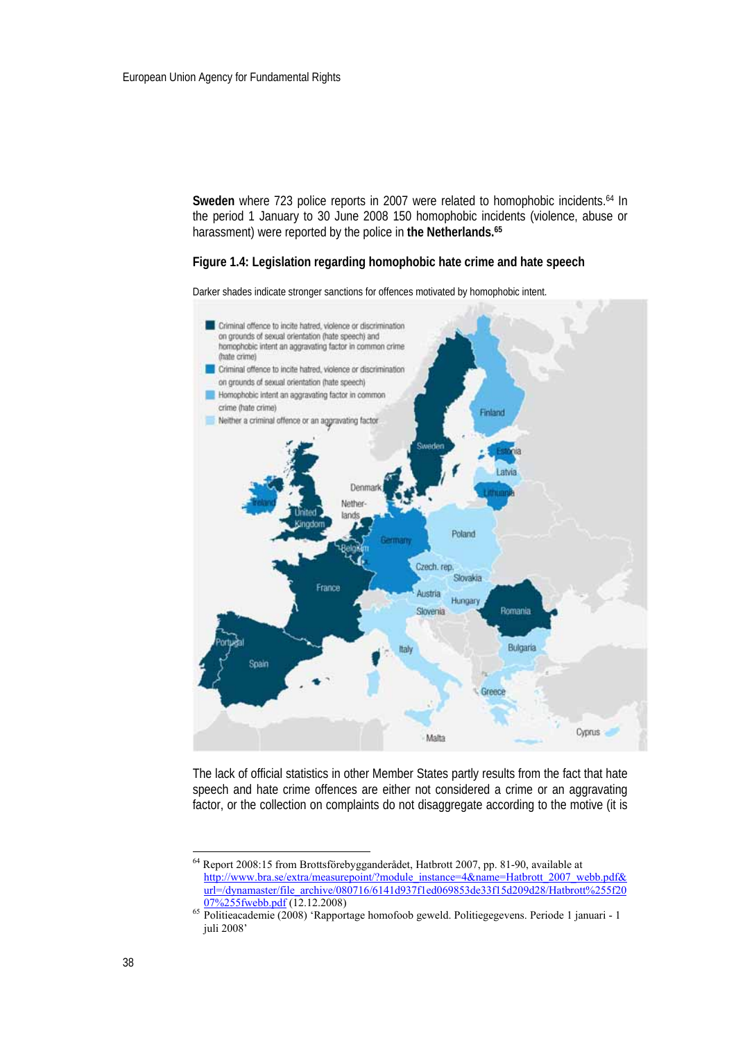**Sweden** where 723 police reports in 2007 were related to homophobic incidents.<sup>64</sup> In the period 1 January to 30 June 2008 150 homophobic incidents (violence, abuse or harassment) were reported by the police in **the Netherlands.65**

#### **Figure 1.4: Legislation regarding homophobic hate crime and hate speech**

Darker shades indicate stronger sanctions for offences motivated by homophobic intent.



The lack of official statistics in other Member States partly results from the fact that hate speech and hate crime offences are either not considered a crime or an aggravating factor, or the collection on complaints do not disaggregate according to the motive (it is

-

<sup>&</sup>lt;sup>64</sup> Report 2008:15 from Brottsförebygganderådet, Hatbrott 2007, pp. 81-90, available at http://www.bra.se/extra/measurepoint/?module\_instance=4&name=Hatbrott\_2007\_webb.pdf& url=/dynamaster/file\_archive/080716/6141d937f1ed069853de33f15d209d28/Hatbrott%255f20 07%255fwebb.pdf (12.12.2008)<br><sup>65</sup> Politieacademie (2008) 'Rapportage homofoob geweld. Politiegegevens. Periode 1 januari - 1

juli 2008'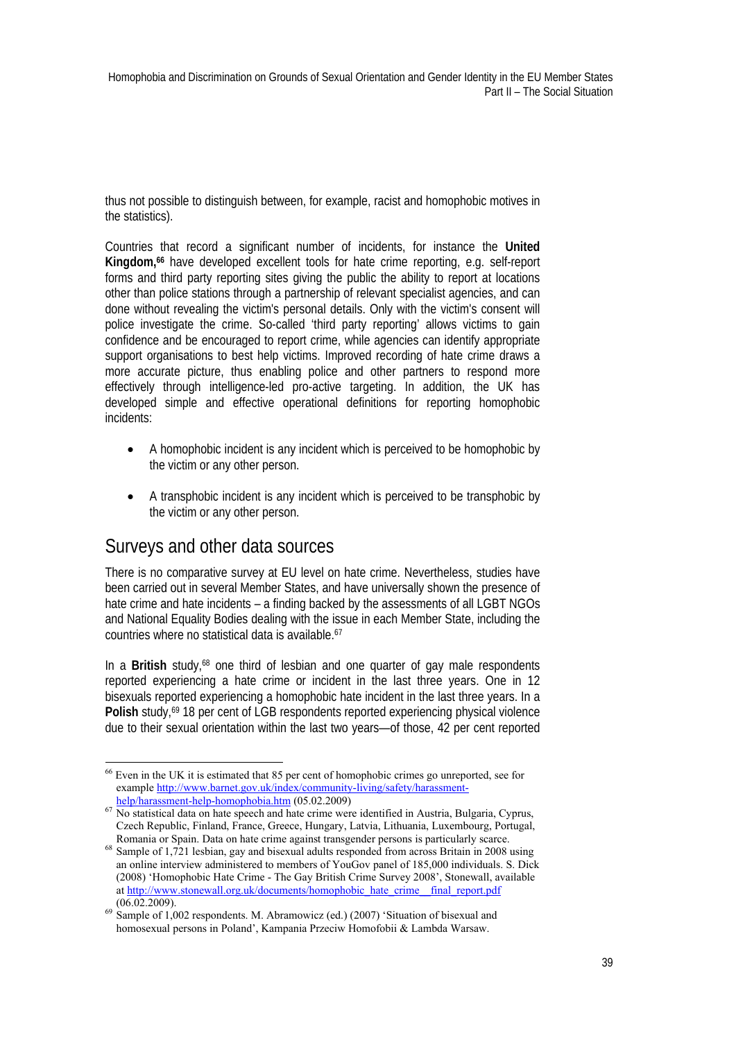thus not possible to distinguish between, for example, racist and homophobic motives in the statistics).

Countries that record a significant number of incidents, for instance the **United**  Kingdom,<sup>66</sup> have developed excellent tools for hate crime reporting, e.g. self-report forms and third party reporting sites giving the public the ability to report at locations other than police stations through a partnership of relevant specialist agencies, and can done without revealing the victim's personal details. Only with the victim's consent will police investigate the crime. So-called 'third party reporting' allows victims to gain confidence and be encouraged to report crime, while agencies can identify appropriate support organisations to best help victims. Improved recording of hate crime draws a more accurate picture, thus enabling police and other partners to respond more effectively through intelligence-led pro-active targeting. In addition, the UK has developed simple and effective operational definitions for reporting homophobic incidents:

- A homophobic incident is any incident which is perceived to be homophobic by the victim or any other person.
- A transphobic incident is any incident which is perceived to be transphobic by the victim or any other person.

### Surveys and other data sources

There is no comparative survey at EU level on hate crime. Nevertheless, studies have been carried out in several Member States, and have universally shown the presence of hate crime and hate incidents – a finding backed by the assessments of all LGBT NGOs and National Equality Bodies dealing with the issue in each Member State, including the countries where no statistical data is available.67

In a **British** study,68 one third of lesbian and one quarter of gay male respondents reported experiencing a hate crime or incident in the last three years. One in 12 bisexuals reported experiencing a homophobic hate incident in the last three years. In a Polish study,<sup>69</sup> 18 per cent of LGB respondents reported experiencing physical violence due to their sexual orientation within the last two years—of those, 42 per cent reported

<sup>-</sup>66 Even in the UK it is estimated that 85 per cent of homophobic crimes go unreported, see for example http://www.barnet.gov.uk/index/community-living/safety/harassment-

 $\frac{\text{help/harasment-help-homophobia.htm}}{\text{No statistical data on hate speech and hate crime were identified in Austria, Bulgaria, Cyprus, }$ Czech Republic, Finland, France, Greece, Hungary, Latvia, Lithuania, Luxembourg, Portugal,

Romania or Spain. Data on hate crime against transgender persons is particularly scarce.<br><sup>68</sup> Sample of 1,721 lesbian, gay and bisexual adults responded from across Britain in 2008 using an online interview administered to members of YouGov panel of 185,000 individuals. S. Dick (2008) 'Homophobic Hate Crime - The Gay British Crime Survey 2008', Stonewall, available at http://www.stonewall.org.uk/documents/homophobic\_hate\_crime\_final\_report.pdf (06.02.2009).

Sample of  $1,002$  respondents. M. Abramowicz (ed.) (2007) 'Situation of bisexual and homosexual persons in Poland', Kampania Przeciw Homofobii & Lambda Warsaw.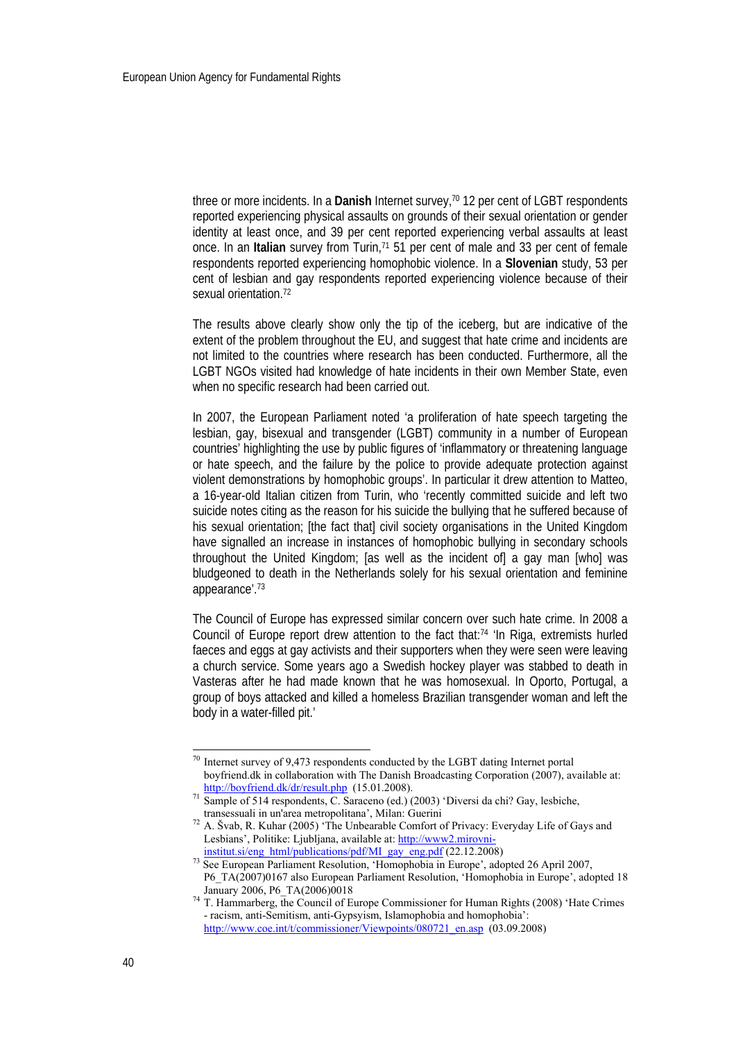three or more incidents. In a **Danish** Internet survey,70 12 per cent of LGBT respondents reported experiencing physical assaults on grounds of their sexual orientation or gender identity at least once, and 39 per cent reported experiencing verbal assaults at least once. In an **Italian** survey from Turin,<sup>71</sup> 51 per cent of male and 33 per cent of female respondents reported experiencing homophobic violence. In a **Slovenian** study, 53 per cent of lesbian and gay respondents reported experiencing violence because of their sexual orientation.72

The results above clearly show only the tip of the iceberg, but are indicative of the extent of the problem throughout the EU, and suggest that hate crime and incidents are not limited to the countries where research has been conducted. Furthermore, all the LGBT NGOs visited had knowledge of hate incidents in their own Member State, even when no specific research had been carried out.

In 2007, the European Parliament noted 'a proliferation of hate speech targeting the lesbian, gay, bisexual and transgender (LGBT) community in a number of European countries' highlighting the use by public figures of 'inflammatory or threatening language or hate speech, and the failure by the police to provide adequate protection against violent demonstrations by homophobic groups'. In particular it drew attention to Matteo, a 16-year-old Italian citizen from Turin, who 'recently committed suicide and left two suicide notes citing as the reason for his suicide the bullying that he suffered because of his sexual orientation; [the fact that] civil society organisations in the United Kingdom have signalled an increase in instances of homophobic bullying in secondary schools throughout the United Kingdom; [as well as the incident of] a gay man [who] was bludgeoned to death in the Netherlands solely for his sexual orientation and feminine appearance'.73

The Council of Europe has expressed similar concern over such hate crime. In 2008 a Council of Europe report drew attention to the fact that:<sup>74</sup> 'In Riga, extremists hurled faeces and eggs at gay activists and their supporters when they were seen were leaving a church service. Some years ago a Swedish hockey player was stabbed to death in Vasteras after he had made known that he was homosexual. In Oporto, Portugal, a group of boys attacked and killed a homeless Brazilian transgender woman and left the body in a water-filled pit.'

 $70$  Internet survey of 9,473 respondents conducted by the LGBT dating Internet portal boyfriend.dk in collaboration with The Danish Broadcasting Corporation (2007), available at:

http://boyfriend.dk/dr/result.php (15.01.2008). 71 Sample of 514 respondents, C. Saraceno (ed.) (2003) 'Diversi da chi? Gay, lesbiche,

transessuali in un'area metropolitana', Milan: Guerini<br><sup>72</sup> A. Švab, R. Kuhar (2005) 'The Unbearable Comfort of Privacy: Everyday Life of Gays and Lesbians', Politike: Ljubljana, available at: http://www2.mirovni-

 $\frac{\text{institut.si/eng}\ \text{html/publications/pdf/MI}\ \text{gay}\ \text{eng.pdf}$  (22.12.2008) 73 See European Parliament Resolution, 'Homophobia in Europe', adopted 26 April 2007, P6\_TA(2007)0167 also European Parliament Resolution, 'Homophobia in Europe', adopted 18

January 2006, P6\_TA(2006)0018 74 T. Hammarberg, the Council of Europe Commissioner for Human Rights (2008) 'Hate Crimes - racism, anti-Semitism, anti-Gypsyism, Islamophobia and homophobia': http://www.coe.int/t/commissioner/Viewpoints/080721\_en.asp (03.09.2008)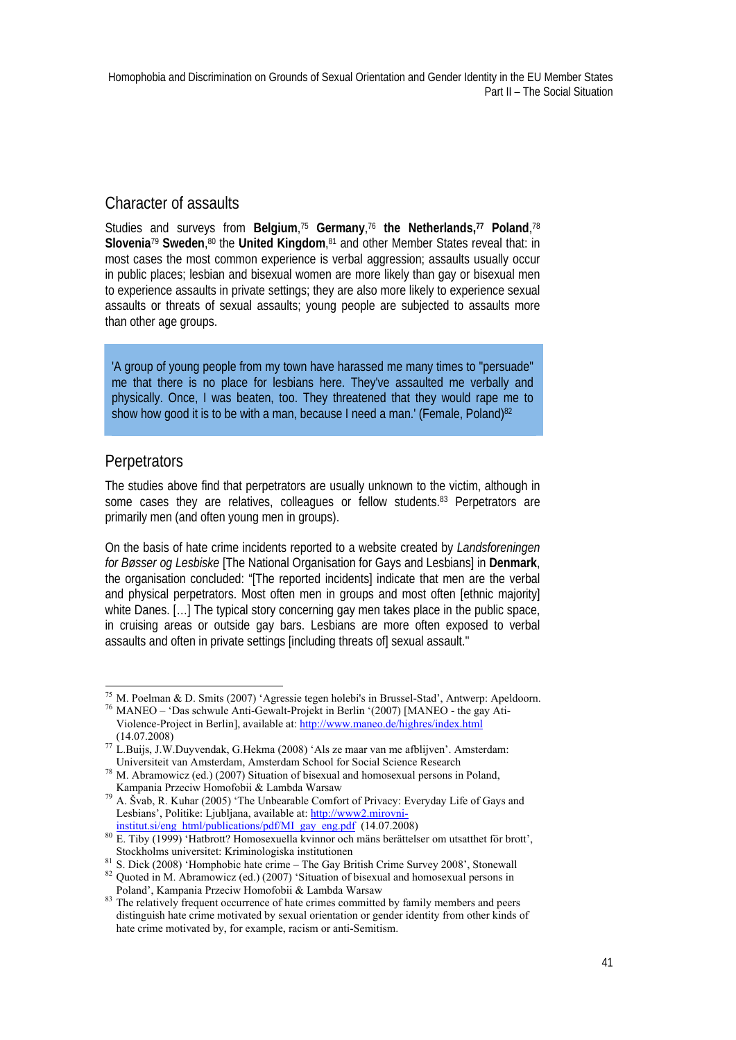#### Character of assaults

Studies and surveys from Belgium,<sup>75</sup> Germany,<sup>76</sup> the Netherlands,<sup>77</sup> Poland,<sup>78</sup> Slovenia<sup>79</sup> Sweden,<sup>80</sup> the United Kingdom,<sup>81</sup> and other Member States reveal that: in most cases the most common experience is verbal aggression; assaults usually occur in public places; lesbian and bisexual women are more likely than gay or bisexual men to experience assaults in private settings; they are also more likely to experience sexual assaults or threats of sexual assaults; young people are subjected to assaults more than other age groups.

'A group of young people from my town have harassed me many times to "persuade" me that there is no place for lesbians here. They've assaulted me verbally and physically. Once, I was beaten, too. They threatened that they would rape me to show how good it is to be with a man, because I need a man.' (Female, Poland)<sup>82</sup>

#### **Perpetrators**

The studies above find that perpetrators are usually unknown to the victim, although in some cases they are relatives, colleagues or fellow students.<sup>83</sup> Perpetrators are primarily men (and often young men in groups).

On the basis of hate crime incidents reported to a website created by *Landsforeningen for Bøsser og Lesbiske* [The National Organisation for Gays and Lesbians] in **Denmark**, the organisation concluded: "[The reported incidents] indicate that men are the verbal and physical perpetrators. Most often men in groups and most often [ethnic majority] white Danes. […] The typical story concerning gay men takes place in the public space, in cruising areas or outside gay bars. Lesbians are more often exposed to verbal assaults and often in private settings [including threats of] sexual assault.''

<sup>&</sup>lt;sup>75</sup> M. Poelman & D. Smits (2007) 'Agressie tegen holebi's in Brussel-Stad', Antwerp: Apeldoorn.

<sup>&</sup>lt;sup>76</sup> MANEO – 'Das schwule Anti-Gewalt-Projekt in Berlin '(2007) [MANEO - the gay Ati-Violence-Project in Berlin], available at: http://www.maneo.de/highres/index.html (14.07.2008) <sup>77</sup> L.Buiis, J.W.Duyvendak, G.Hekma (2008) 'Als ze maar van me afblijven'. Amsterdam:

Universiteit van Amsterdam, Amsterdam School for Social Science Research 78 M. Abramowicz (ed.) (2007) Situation of bisexual and homosexual persons in Poland,

 $\frac{79}{2}$  A. Švab, R. Kuhar (2005) 'The Unbearable Comfort of Privacy: Everyday Life of Gays and Lesbians', Politike: Ljubljana, available at: http://www2.mirovni-

<sup>&</sup>lt;sup>80</sup> E. Tiby (1999) 'Hatbrott? Homosexuella kvinnor och mäns berättelser om utsatthet för brott',

Stockholms universitet: Kriminologiska institutionen 81 S. Dick (2008) 'Homphobic hate crime – The Gay British Crime Survey 2008', Stonewall

<sup>&</sup>lt;sup>82</sup> Ouoted in M. Abramowicz (ed.) (2007) 'Situation of bisexual and homosexual persons in

Poland', Kampania Przeciw Homofobii & Lambda Warsaw  $83$  The relatively frequent occurrence of hate crimes committed by family members and peers distinguish hate crime motivated by sexual orientation or gender identity from other kinds of hate crime motivated by, for example, racism or anti-Semitism.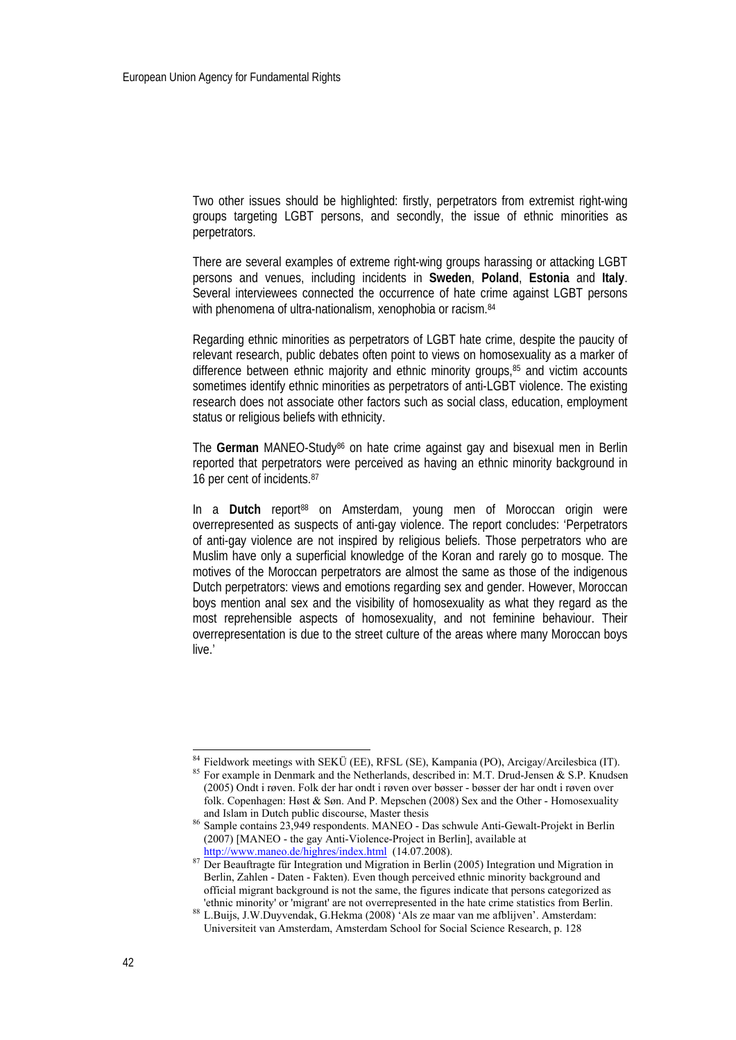Two other issues should be highlighted: firstly, perpetrators from extremist right-wing groups targeting LGBT persons, and secondly, the issue of ethnic minorities as perpetrators.

There are several examples of extreme right-wing groups harassing or attacking LGBT persons and venues, including incidents in **Sweden**, **Poland**, **Estonia** and **Italy**. Several interviewees connected the occurrence of hate crime against LGBT persons with phenomena of ultra-nationalism, xenophobia or racism.<sup>84</sup>

Regarding ethnic minorities as perpetrators of LGBT hate crime, despite the paucity of relevant research, public debates often point to views on homosexuality as a marker of difference between ethnic majority and ethnic minority groups, $85$  and victim accounts sometimes identify ethnic minorities as perpetrators of anti-LGBT violence. The existing research does not associate other factors such as social class, education, employment status or religious beliefs with ethnicity.

The German MANEO-Study<sup>86</sup> on hate crime against gay and bisexual men in Berlin reported that perpetrators were perceived as having an ethnic minority background in 16 per cent of incidents.87

In a **Dutch** report<sup>88</sup> on Amsterdam, young men of Moroccan origin were overrepresented as suspects of anti-gay violence. The report concludes: 'Perpetrators of anti-gay violence are not inspired by religious beliefs. Those perpetrators who are Muslim have only a superficial knowledge of the Koran and rarely go to mosque. The motives of the Moroccan perpetrators are almost the same as those of the indigenous Dutch perpetrators: views and emotions regarding sex and gender. However, Moroccan boys mention anal sex and the visibility of homosexuality as what they regard as the most reprehensible aspects of homosexuality, and not feminine behaviour. Their overrepresentation is due to the street culture of the areas where many Moroccan boys live.'

<sup>&</sup>lt;sup>84</sup> Fieldwork meetings with SEKÜ (EE), RFSL (SE), Kampania (PO), Arcigay/Arcilesbica (IT). <sup>85</sup> For example in Denmark and the Netherlands, described in: M.T. Drud-Jensen & S.P. Knudsen

<sup>&</sup>lt;sup>85</sup> For example in Denmark and the Netherlands, described in: M.T. Drud-Jensen & S.P. Knudsen (2005) Ondt i røven. Folk der har ondt i røven over bøsser - bøsser der har ondt i røven over folk. Copenhagen: Høst & Søn. And P. Mepschen (2008) Sex and the Other - Homosexuality

and Islam in Dutch public discourse, Master thesis 86 Sample contains 23,949 respondents. MANEO - Das schwule Anti-Gewalt-Projekt in Berlin (2007) [MANEO - the gay Anti-Violence-Project in Berlin], available at

 $\frac{\text{http://www.maneo.de/highres/index.html}}{\text{Der Beaufragte für Integration und Migration in Berlin (2005)} Intergeff (2005)}$  Integration und Migration in Berlin, Zahlen - Daten - Fakten). Even though perceived ethnic minority background and official migrant background is not the same, the figures indicate that persons categorized as

<sup>&#</sup>x27;ethnic minority' or 'migrant' are not overrepresented in the hate crime statistics from Berlin.<br>L.Buijs, J.W.Duyvendak, G.Hekma (2008) 'Als ze maar van me afblijven'. Amsterdam: Universiteit van Amsterdam, Amsterdam School for Social Science Research, p. 128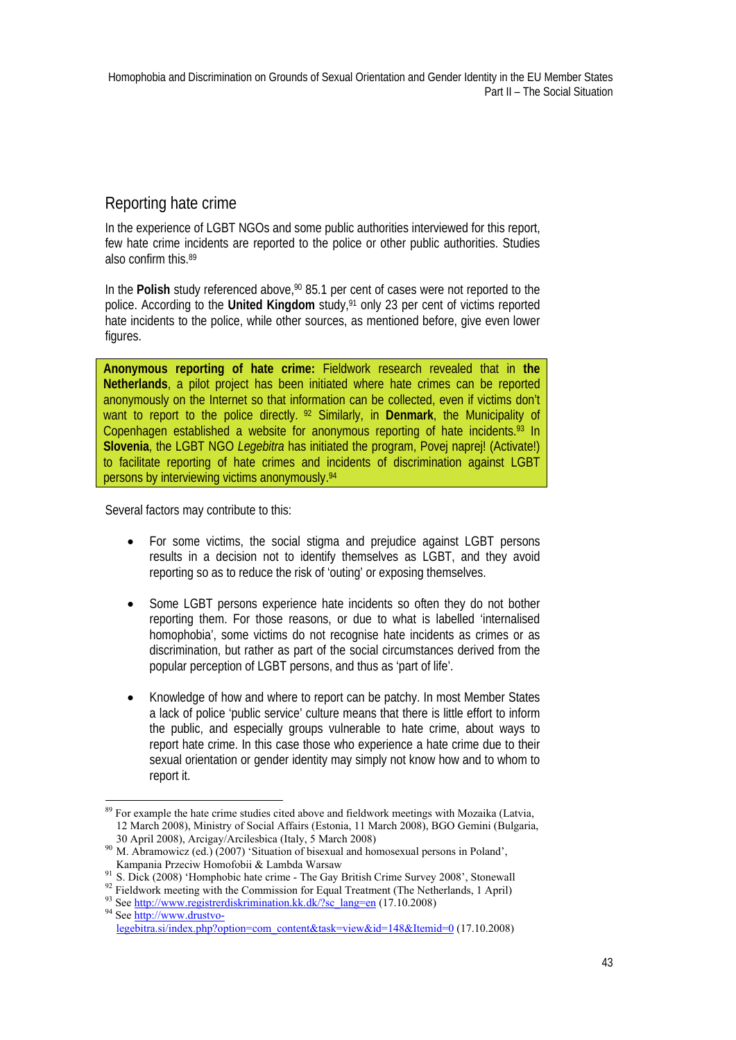#### Reporting hate crime

In the experience of LGBT NGOs and some public authorities interviewed for this report, few hate crime incidents are reported to the police or other public authorities. Studies also confirm this.89

In the **Polish** study referenced above,<sup>90</sup> 85.1 per cent of cases were not reported to the police. According to the **United Kingdom** study,<sup>91</sup> only 23 per cent of victims reported hate incidents to the police, while other sources, as mentioned before, give even lower figures.

**Anonymous reporting of hate crime:** Fieldwork research revealed that in **the Netherlands**, a pilot project has been initiated where hate crimes can be reported anonymously on the Internet so that information can be collected, even if victims don't want to report to the police directly. 92 Similarly, in **Denmark**, the Municipality of Copenhagen established a website for anonymous reporting of hate incidents.93 In **Slovenia**, the LGBT NGO *Legebitra* has initiated the program, Povej naprej! (Activate!) to facilitate reporting of hate crimes and incidents of discrimination against LGBT persons by interviewing victims anonymously.94

Several factors may contribute to this:

- For some victims, the social stigma and prejudice against LGBT persons results in a decision not to identify themselves as LGBT, and they avoid reporting so as to reduce the risk of 'outing' or exposing themselves.
- Some LGBT persons experience hate incidents so often they do not bother reporting them. For those reasons, or due to what is labelled 'internalised homophobia', some victims do not recognise hate incidents as crimes or as discrimination, but rather as part of the social circumstances derived from the popular perception of LGBT persons, and thus as 'part of life'.
- Knowledge of how and where to report can be patchy. In most Member States a lack of police 'public service' culture means that there is little effort to inform the public, and especially groups vulnerable to hate crime, about ways to report hate crime. In this case those who experience a hate crime due to their sexual orientation or gender identity may simply not know how and to whom to report it.

<sup>1</sup> <sup>89</sup> For example the hate crime studies cited above and fieldwork meetings with Mozaika (Latvia, 12 March 2008), Ministry of Social Affairs (Estonia, 11 March 2008), BGO Gemini (Bulgaria,

<sup>30</sup> April 2008), Arcigay/Arcilesbica (Italy, 5 March 2008)<br><sup>90</sup> M. Abramowicz (ed.) (2007) 'Situation of bisexual and homosexual persons in Poland',<br>Kampania Przeciw Homofobii & Lambda Warsaw

<sup>&</sup>lt;sup>91</sup> S. Dick (2008) 'Homphobic hate crime - The Gay British Crime Survey 2008', Stonewall

<sup>&</sup>lt;sup>92</sup> Fieldwork meeting with the Commission for Equal Treatment (The Netherlands, 1 April) <sup>93</sup> See http://www.registrerdiskrimination.kk.dk/?sc\_lang=en (17.10.2008) <sup>94</sup> See http://www.drustvolegebitra.si/index.php?option=com\_content&task=view&id=148&Itemid=0 (17.10.2008)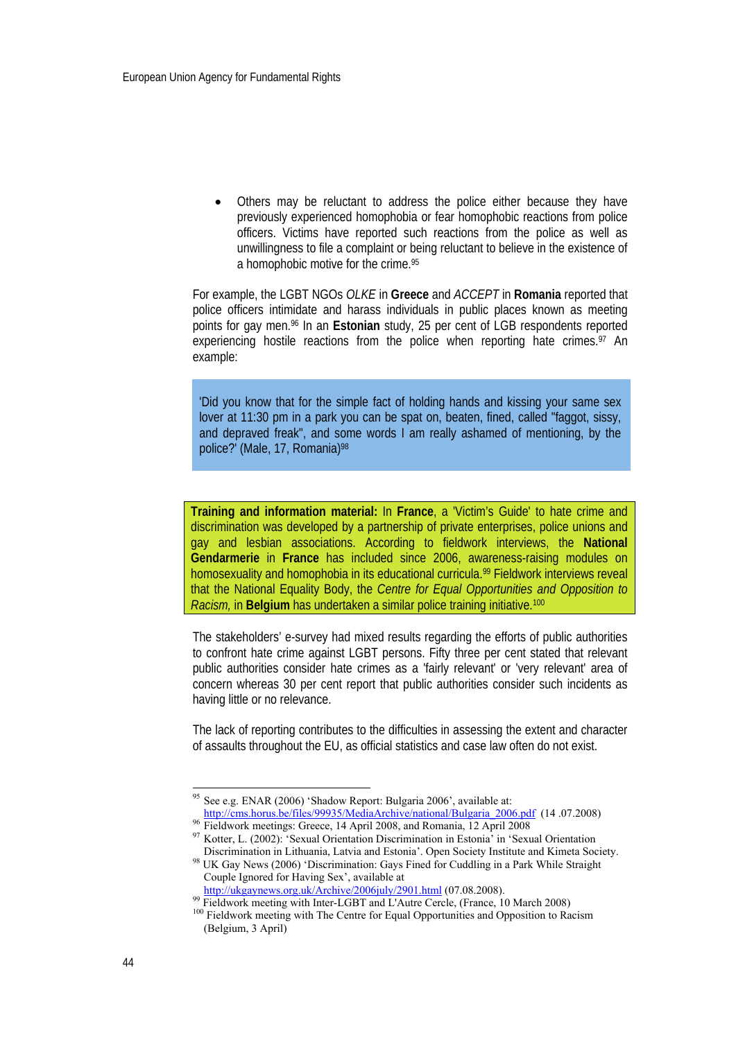Others may be reluctant to address the police either because they have previously experienced homophobia or fear homophobic reactions from police officers. Victims have reported such reactions from the police as well as unwillingness to file a complaint or being reluctant to believe in the existence of a homophobic motive for the crime.95

For example, the LGBT NGOs *OLKE* in **Greece** and *ACCEPT* in **Romania** reported that police officers intimidate and harass individuals in public places known as meeting points for gay men.96 In an **Estonian** study, 25 per cent of LGB respondents reported experiencing hostile reactions from the police when reporting hate crimes.<sup>97</sup> An example:

'Did you know that for the simple fact of holding hands and kissing your same sex lover at 11:30 pm in a park you can be spat on, beaten, fined, called "faggot, sissy, and depraved freak", and some words I am really ashamed of mentioning, by the police?' (Male, 17, Romania)<sup>98</sup>

**Training and information material:** In **France**, a 'Victim's Guide' to hate crime and discrimination was developed by a partnership of private enterprises, police unions and gay and lesbian associations. According to fieldwork interviews, the **National Gendarmerie** in **France** has included since 2006, awareness-raising modules on homosexuality and homophobia in its educational curricula.<sup>99</sup> Fieldwork interviews reveal that the National Equality Body, the *Centre for Equal Opportunities and Opposition to Racism,* in **Belgium** has undertaken a similar police training initiative.100

The stakeholders' e-survey had mixed results regarding the efforts of public authorities to confront hate crime against LGBT persons. Fifty three per cent stated that relevant public authorities consider hate crimes as a 'fairly relevant' or 'very relevant' area of concern whereas 30 per cent report that public authorities consider such incidents as having little or no relevance.

The lack of reporting contributes to the difficulties in assessing the extent and character of assaults throughout the EU, as official statistics and case law often do not exist.

<sup>-</sup> $95$  See e.g. ENAR (2006) 'Shadow Report: Bulgaria 2006', available at: 96 http://cms.horus.be/files/99935/MediaArchive/national/Bulgaria\_2006.pdf (14.07.2008)<br>
96 Fieldwork meetings: Greece, 14 April 2008, and Romania, 12 April 2008<br>
97 Kotter, L. (2002): 'Sexual Orientation Discrimination in

Discrimination in Lithuania, Latvia and Estonia'. Open Society Institute and Kimeta Society. 98 UK Gay News (2006) 'Discrimination: Gays Fined for Cuddling in a Park While Straight Couple Ignored for Having Sex', available at

http://ukgaynews.org.uk/Archive/2006july/2901.html (07.08.2008).<br><sup>99</sup> Fieldwork meeting with Inter-LGBT and L'Autre Cercle, (France, 10 March 2008)<br><sup>100</sup> Fieldwork meeting with The Centre for Equal Opportunities and Opposi (Belgium, 3 April)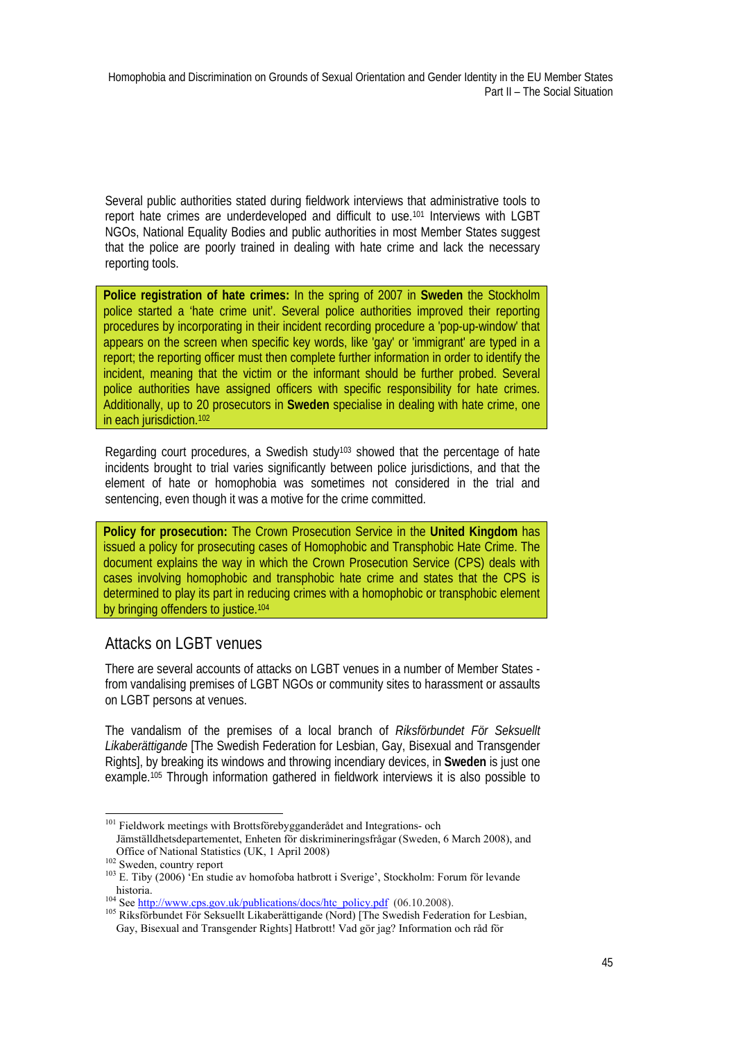Several public authorities stated during fieldwork interviews that administrative tools to report hate crimes are underdeveloped and difficult to use.101 Interviews with LGBT NGOs, National Equality Bodies and public authorities in most Member States suggest that the police are poorly trained in dealing with hate crime and lack the necessary reporting tools.

**Police registration of hate crimes:** In the spring of 2007 in **Sweden** the Stockholm police started a 'hate crime unit'. Several police authorities improved their reporting procedures by incorporating in their incident recording procedure a 'pop-up-window' that appears on the screen when specific key words, like 'gay' or 'immigrant' are typed in a report; the reporting officer must then complete further information in order to identify the incident, meaning that the victim or the informant should be further probed. Several police authorities have assigned officers with specific responsibility for hate crimes. Additionally, up to 20 prosecutors in **Sweden** specialise in dealing with hate crime, one in each jurisdiction.<sup>102</sup>

Regarding court procedures, a Swedish study<sup>103</sup> showed that the percentage of hate incidents brought to trial varies significantly between police jurisdictions, and that the element of hate or homophobia was sometimes not considered in the trial and sentencing, even though it was a motive for the crime committed.

**Policy for prosecution:** The Crown Prosecution Service in the **United Kingdom** has issued a policy for prosecuting cases of Homophobic and Transphobic Hate Crime. The document explains the way in which the Crown Prosecution Service (CPS) deals with cases involving homophobic and transphobic hate crime and states that the CPS is determined to play its part in reducing crimes with a homophobic or transphobic element by bringing offenders to justice.<sup>104</sup>

#### Attacks on LGBT venues

There are several accounts of attacks on LGBT venues in a number of Member States from vandalising premises of LGBT NGOs or community sites to harassment or assaults on LGBT persons at venues.

The vandalism of the premises of a local branch of *Riksförbundet För Seksuellt Likaberättigande* [The Swedish Federation for Lesbian, Gay, Bisexual and Transgender Rights], by breaking its windows and throwing incendiary devices, in **Sweden** is just one example.<sup>105</sup> Through information gathered in fieldwork interviews it is also possible to

1

<sup>&</sup>lt;sup>101</sup> Fieldwork meetings with Brottsförebygganderådet and Integrations- och Jämställdhetsdepartementet, Enheten för diskrimineringsfrågar (Sweden, 6 March 2008), and Office of National Statistics (UK, 1 April 2008)<br><sup>102</sup> Sweden, country report

<sup>&</sup>lt;sup>103</sup> E. Tiby (2006) 'En studie av homofoba hatbrott i Sverige', Stockholm: Forum för levande

historia.<br><sup>104</sup> See <u>http://www.cps.gov.uk/publications/docs/htc\_policy.pdf</u> (06.10.2008).<br><sup>105</sup> Riksförbundet För Seksuellt Likaberättigande (Nord) [The Swedish Federation for Lesbian, Gay, Bisexual and Transgender Rights] Hatbrott! Vad gör jag? Information och råd för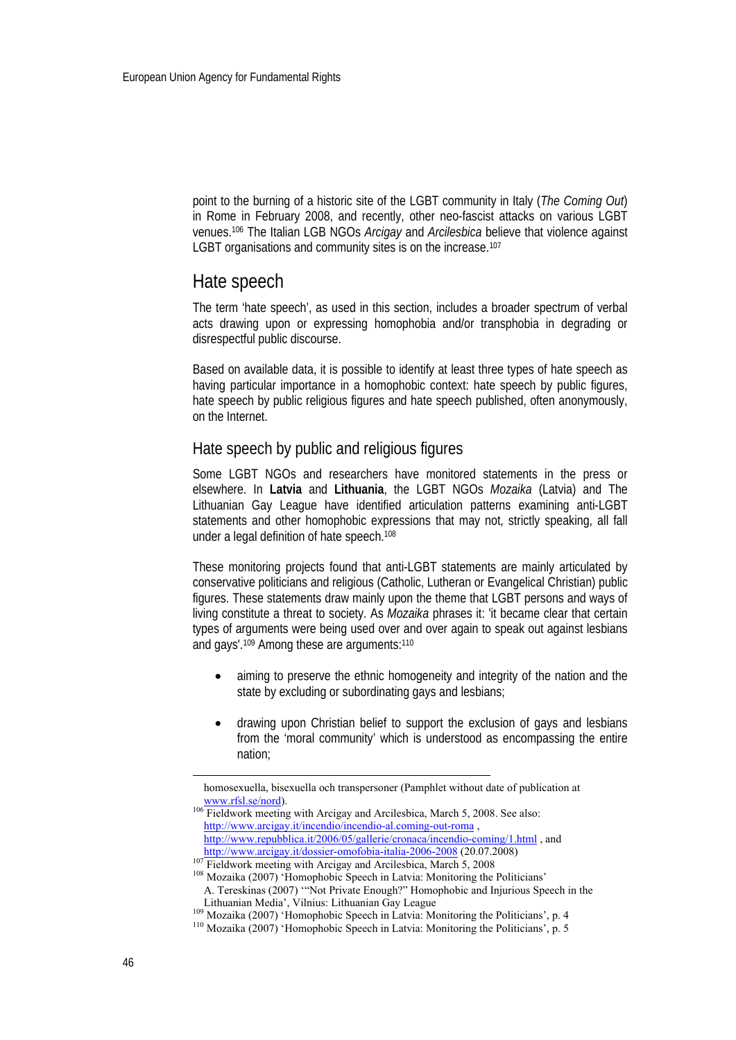point to the burning of a historic site of the LGBT community in Italy (*The Coming Out*) in Rome in February 2008, and recently, other neo-fascist attacks on various LGBT venues.106 The Italian LGB NGOs *Arcigay* and *Arcilesbica* believe that violence against LGBT organisations and community sites is on the increase.<sup>107</sup>

#### Hate speech

The term 'hate speech', as used in this section, includes a broader spectrum of verbal acts drawing upon or expressing homophobia and/or transphobia in degrading or disrespectful public discourse.

Based on available data, it is possible to identify at least three types of hate speech as having particular importance in a homophobic context: hate speech by public figures, hate speech by public religious figures and hate speech published, often anonymously, on the Internet.

#### Hate speech by public and religious figures

Some LGBT NGOs and researchers have monitored statements in the press or elsewhere. In **Latvia** and **Lithuania**, the LGBT NGOs *Mozaika* (Latvia) and The Lithuanian Gay League have identified articulation patterns examining anti-LGBT statements and other homophobic expressions that may not, strictly speaking, all fall under a legal definition of hate speech.108

These monitoring projects found that anti-LGBT statements are mainly articulated by conservative politicians and religious (Catholic, Lutheran or Evangelical Christian) public figures. These statements draw mainly upon the theme that LGBT persons and ways of living constitute a threat to society. As *Mozaika* phrases it: 'it became clear that certain types of arguments were being used over and over again to speak out against lesbians and gays'.109 Among these are arguments:110

- aiming to preserve the ethnic homogeneity and integrity of the nation and the state by excluding or subordinating gays and lesbians;
- drawing upon Christian belief to support the exclusion of gays and lesbians from the 'moral community' which is understood as encompassing the entire nation;

homosexuella, bisexuella och transpersoner (Pamphlet without date of publication at

www.rfsl.se/nord).<br><sup>106</sup> Fieldwork meeting with Arcigay and Arcilesbica, March 5, 2008. See also: http://www.arcigay.it/incendio/incendio-al.coming-out-roma , http://www.repubblica.it/2006/05/gallerie/cronaca/incendio-coming/1.html , and

http://www.arcigay.it/dossier-omofobia-italia-2006-2008 (20.07.2008)<br><sup>107</sup> Fieldwork meeting with Arcigay and Arcilesbica, March 5, 2008<br><sup>108</sup> Mozaika (2007) 'Homophobic Speech in Latvia: Monitoring the Politicians'

A. Tereskinas (2007) '"Not Private Enough?" Homophobic and Injurious Speech in the

Lithuanian Media', Vilnius: Lithuanian Gay League<br><sup>109</sup> Mozaika (2007) 'Homophobic Speech in Latvia: Monitoring the Politicians', p. 4<br><sup>110</sup> Mozaika (2007) 'Homophobic Speech in Latvia: Monitoring the Politicians', p. 5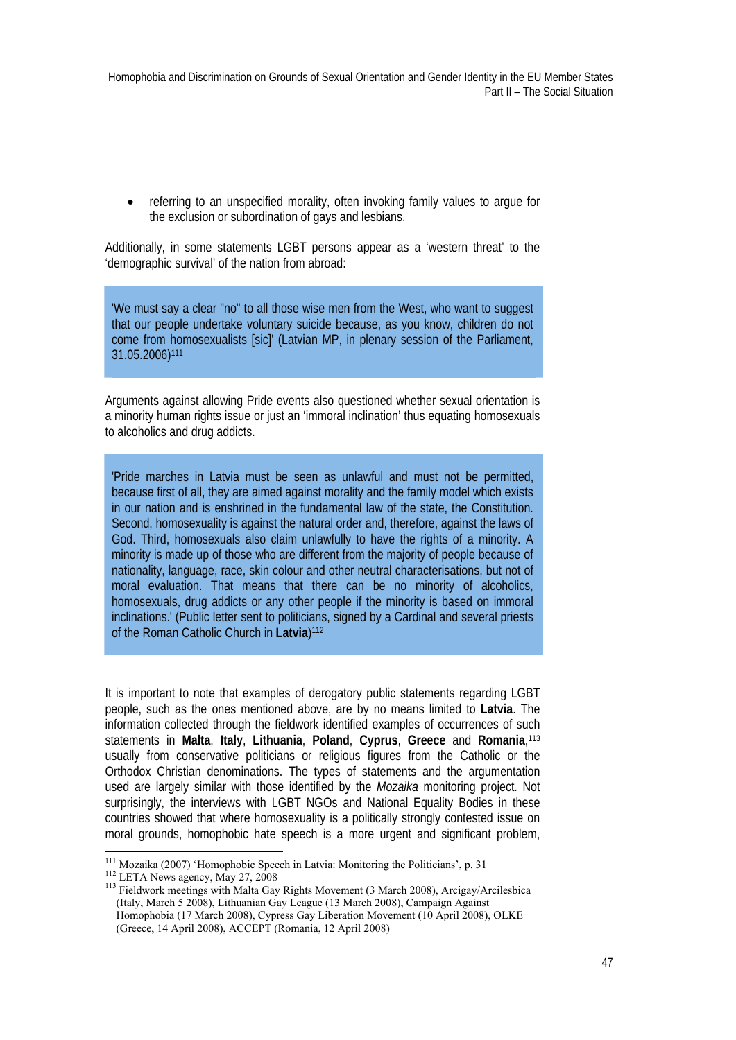• referring to an unspecified morality, often invoking family values to argue for the exclusion or subordination of gays and lesbians.

Additionally, in some statements LGBT persons appear as a 'western threat' to the 'demographic survival' of the nation from abroad:

'We must say a clear "no" to all those wise men from the West, who want to suggest that our people undertake voluntary suicide because, as you know, children do not come from homosexualists [sic]' (Latvian MP, in plenary session of the Parliament, 31.05.2006)111

Arguments against allowing Pride events also questioned whether sexual orientation is a minority human rights issue or just an 'immoral inclination' thus equating homosexuals to alcoholics and drug addicts.

'Pride marches in Latvia must be seen as unlawful and must not be permitted, because first of all, they are aimed against morality and the family model which exists in our nation and is enshrined in the fundamental law of the state, the Constitution. Second, homosexuality is against the natural order and, therefore, against the laws of God. Third, homosexuals also claim unlawfully to have the rights of a minority. A minority is made up of those who are different from the majority of people because of nationality, language, race, skin colour and other neutral characterisations, but not of moral evaluation. That means that there can be no minority of alcoholics, homosexuals, drug addicts or any other people if the minority is based on immoral inclinations.' (Public letter sent to politicians, signed by a Cardinal and several priests of the Roman Catholic Church in **Latvia**)112

It is important to note that examples of derogatory public statements regarding LGBT people, such as the ones mentioned above, are by no means limited to **Latvia**. The information collected through the fieldwork identified examples of occurrences of such statements in **Malta**, **Italy**, **Lithuania**, **Poland**, **Cyprus**, **Greece** and **Romania**, 113 usually from conservative politicians or religious figures from the Catholic or the Orthodox Christian denominations. The types of statements and the argumentation used are largely similar with those identified by the *Mozaika* monitoring project. Not surprisingly, the interviews with LGBT NGOs and National Equality Bodies in these countries showed that where homosexuality is a politically strongly contested issue on moral grounds, homophobic hate speech is a more urgent and significant problem,

<sup>&</sup>lt;sup>111</sup> Mozaika (2007) 'Homophobic Speech in Latvia: Monitoring the Politicians', p. 31

<sup>&</sup>lt;sup>112</sup> LETA News agency, May 27, 2008<br><sup>113</sup> Fieldwork meetings with Malta Gay Rights Movement (3 March 2008), Arcigay/Arcilesbica (Italy, March 5 2008), Lithuanian Gay League (13 March 2008), Campaign Against Homophobia (17 March 2008), Cypress Gay Liberation Movement (10 April 2008), OLKE (Greece, 14 April 2008), ACCEPT (Romania, 12 April 2008)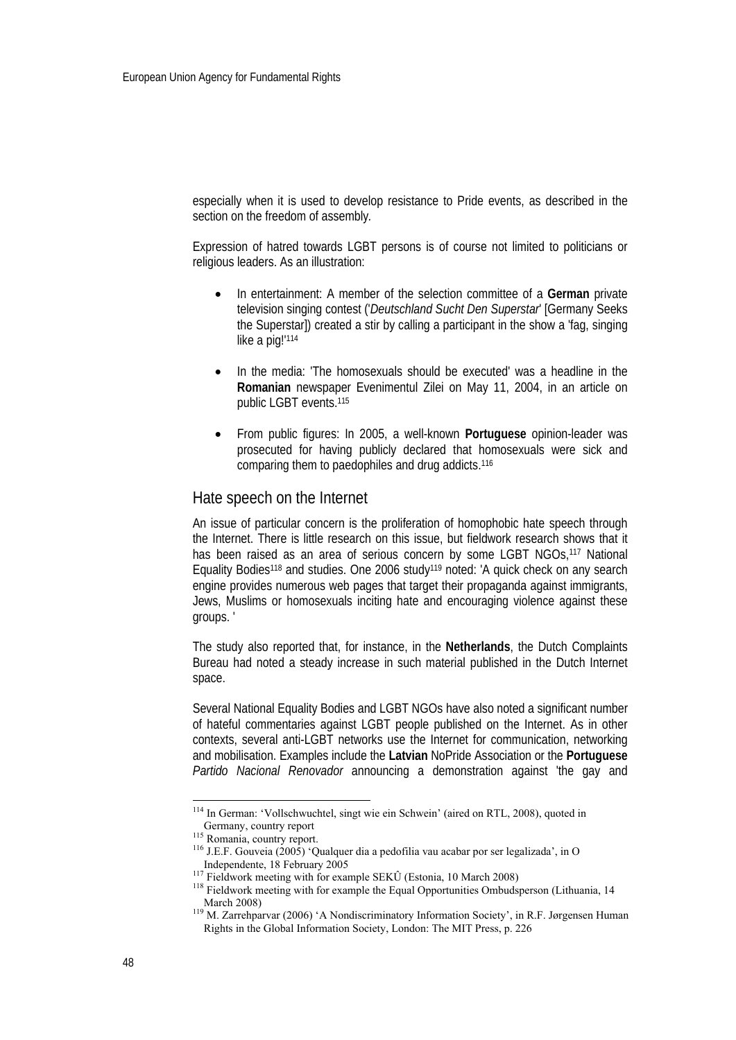especially when it is used to develop resistance to Pride events, as described in the section on the freedom of assembly*.*

Expression of hatred towards LGBT persons is of course not limited to politicians or religious leaders. As an illustration:

- In entertainment: A member of the selection committee of a **German** private television singing contest ('*Deutschland Sucht Den Superstar*' [Germany Seeks the Superstar]) created a stir by calling a participant in the show a 'fag, singing like a pig!'<sup>114</sup>
- In the media: 'The homosexuals should be executed' was a headline in the **Romanian** newspaper Evenimentul Zilei on May 11, 2004, in an article on public LGBT events.115
- From public figures: In 2005, a well-known **Portuguese** opinion-leader was prosecuted for having publicly declared that homosexuals were sick and comparing them to paedophiles and drug addicts.<sup>116</sup>

#### Hate speech on the Internet

An issue of particular concern is the proliferation of homophobic hate speech through the Internet. There is little research on this issue, but fieldwork research shows that it has been raised as an area of serious concern by some LGBT NGOs,<sup>117</sup> National Equality Bodies118 and studies. One 2006 study119 noted: 'A quick check on any search engine provides numerous web pages that target their propaganda against immigrants, Jews, Muslims or homosexuals inciting hate and encouraging violence against these groups. '

The study also reported that, for instance, in the **Netherlands**, the Dutch Complaints Bureau had noted a steady increase in such material published in the Dutch Internet space.

Several National Equality Bodies and LGBT NGOs have also noted a significant number of hateful commentaries against LGBT people published on the Internet. As in other contexts, several anti-LGBT networks use the Internet for communication, networking and mobilisation. Examples include the **Latvian** NoPride Association or the **Portuguese** *Partido Nacional Renovador* announcing a demonstration against 'the gay and

<sup>&</sup>lt;sup>114</sup> In German: 'Vollschwuchtel, singt wie ein Schwein' (aired on RTL, 2008), quoted in

Germany, country report<br>
<sup>115</sup> Romania, country report.<br>
<sup>116</sup> J.E.F. Gouveia (2005) 'Qualquer dia a pedofilia vau acabar por ser legalizada', in O<br>
Independente. 18 February 2005

IT Fieldwork meeting with for example SEKÛ (Estonia, 10 March 2008)<br><sup>118</sup> Fieldwork meeting with for example the Equal Opportunities Ombudsperson (Lithuania, 14

March 2008)<br><sup>119</sup> M. Zarrehparvar (2006) 'A Nondiscriminatory Information Society', in R.F. Jørgensen Human Rights in the Global Information Society, London: The MIT Press, p. 226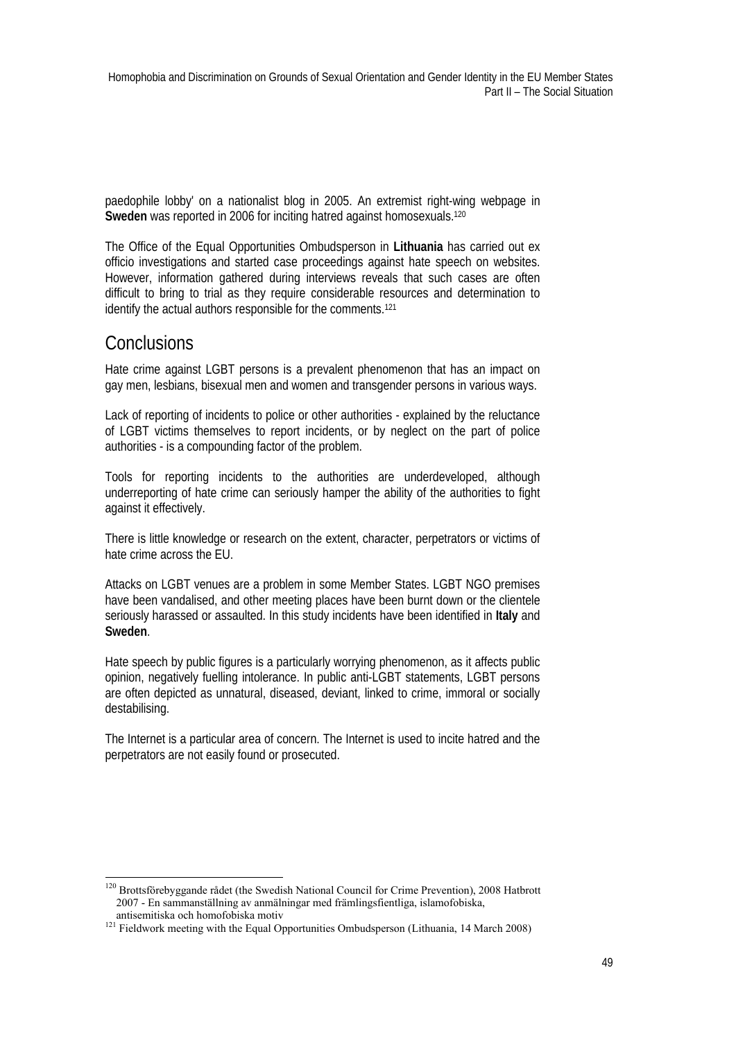paedophile lobby' on a nationalist blog in 2005. An extremist right-wing webpage in **Sweden** was reported in 2006 for inciting hatred against homosexuals.120

The Office of the Equal Opportunities Ombudsperson in **Lithuania** has carried out ex officio investigations and started case proceedings against hate speech on websites. However, information gathered during interviews reveals that such cases are often difficult to bring to trial as they require considerable resources and determination to identify the actual authors responsible for the comments.<sup>121</sup>

## **Conclusions**

Hate crime against LGBT persons is a prevalent phenomenon that has an impact on gay men, lesbians, bisexual men and women and transgender persons in various ways.

Lack of reporting of incidents to police or other authorities - explained by the reluctance of LGBT victims themselves to report incidents, or by neglect on the part of police authorities - is a compounding factor of the problem.

Tools for reporting incidents to the authorities are underdeveloped, although underreporting of hate crime can seriously hamper the ability of the authorities to fight against it effectively.

There is little knowledge or research on the extent, character, perpetrators or victims of hate crime across the EU.

Attacks on LGBT venues are a problem in some Member States. LGBT NGO premises have been vandalised, and other meeting places have been burnt down or the clientele seriously harassed or assaulted. In this study incidents have been identified in **Italy** and **Sweden**.

Hate speech by public figures is a particularly worrying phenomenon, as it affects public opinion, negatively fuelling intolerance. In public anti-LGBT statements, LGBT persons are often depicted as unnatural, diseased, deviant, linked to crime, immoral or socially destabilising.

The Internet is a particular area of concern. The Internet is used to incite hatred and the perpetrators are not easily found or prosecuted.

<sup>1</sup> <sup>120</sup> Brottsförebyggande rådet (the Swedish National Council for Crime Prevention), 2008 Hatbrott 2007 - En sammanställning av anmälningar med främlingsfientliga, islamofobiska,

antisemitiska och homofobiska motiv 121 Fieldwork meeting with the Equal Opportunities Ombudsperson (Lithuania, 14 March 2008)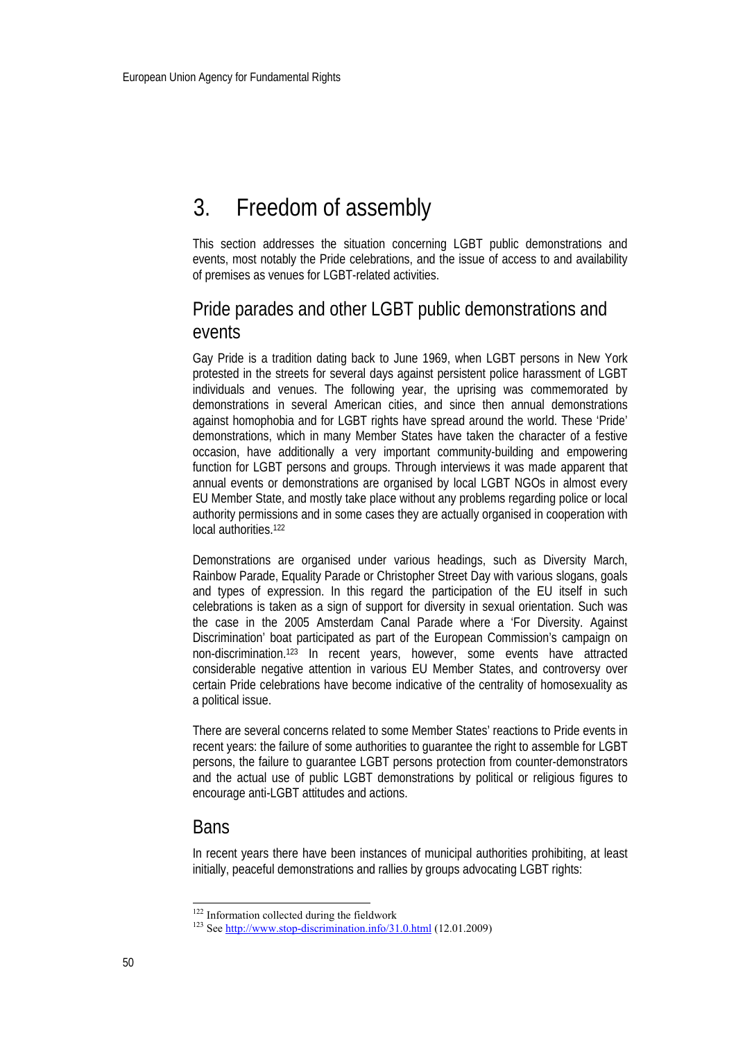# 3. Freedom of assembly

This section addresses the situation concerning LGBT public demonstrations and events, most notably the Pride celebrations, and the issue of access to and availability of premises as venues for LGBT-related activities.

## Pride parades and other LGBT public demonstrations and events

Gay Pride is a tradition dating back to June 1969, when LGBT persons in New York protested in the streets for several days against persistent police harassment of LGBT individuals and venues. The following year, the uprising was commemorated by demonstrations in several American cities, and since then annual demonstrations against homophobia and for LGBT rights have spread around the world. These 'Pride' demonstrations, which in many Member States have taken the character of a festive occasion, have additionally a very important community-building and empowering function for LGBT persons and groups. Through interviews it was made apparent that annual events or demonstrations are organised by local LGBT NGOs in almost every EU Member State, and mostly take place without any problems regarding police or local authority permissions and in some cases they are actually organised in cooperation with local authorities.122

Demonstrations are organised under various headings, such as Diversity March, Rainbow Parade, Equality Parade or Christopher Street Day with various slogans, goals and types of expression. In this regard the participation of the EU itself in such celebrations is taken as a sign of support for diversity in sexual orientation. Such was the case in the 2005 Amsterdam Canal Parade where a 'For Diversity. Against Discrimination' boat participated as part of the European Commission's campaign on non-discrimination.123 In recent years, however, some events have attracted considerable negative attention in various EU Member States, and controversy over certain Pride celebrations have become indicative of the centrality of homosexuality as a political issue.

There are several concerns related to some Member States' reactions to Pride events in recent years: the failure of some authorities to guarantee the right to assemble for LGBT persons, the failure to guarantee LGBT persons protection from counter-demonstrators and the actual use of public LGBT demonstrations by political or religious figures to encourage anti-LGBT attitudes and actions.

#### Bans

In recent years there have been instances of municipal authorities prohibiting, at least initially, peaceful demonstrations and rallies by groups advocating LGBT rights:

<sup>&</sup>lt;sup>122</sup> Information collected during the fieldwork

 $123$  See http://www.stop-discrimination.info/31.0.html (12.01.2009)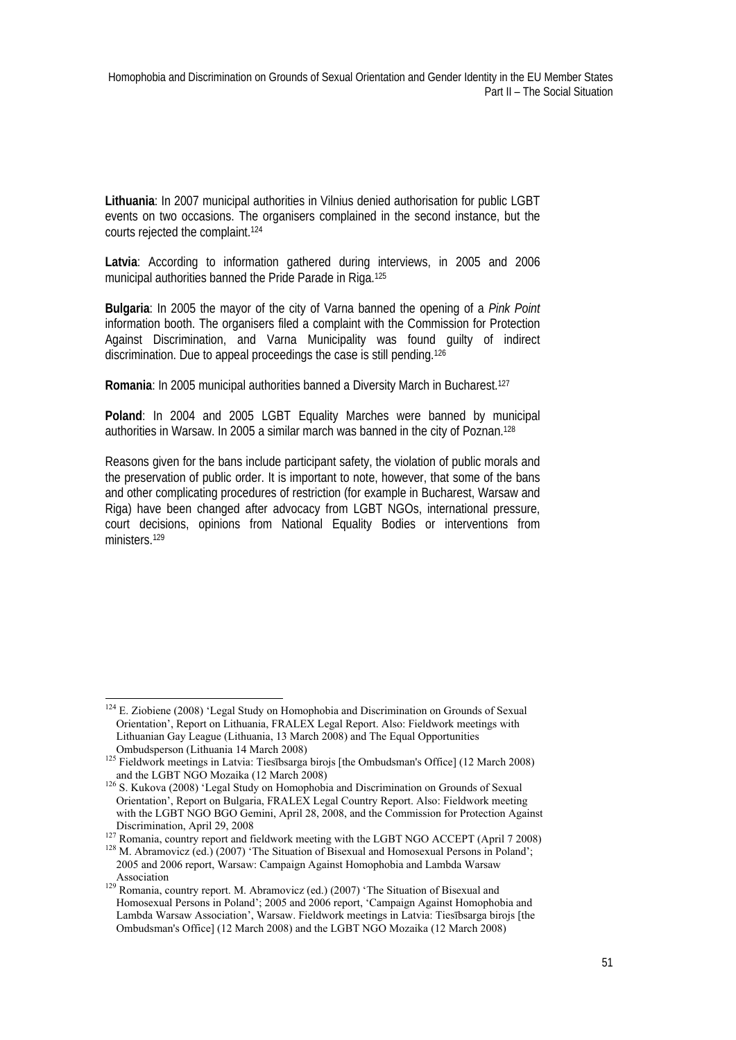**Lithuania**: In 2007 municipal authorities in Vilnius denied authorisation for public LGBT events on two occasions. The organisers complained in the second instance, but the courts rejected the complaint.124

**Latvia**: According to information gathered during interviews, in 2005 and 2006 municipal authorities banned the Pride Parade in Riga.125

**Bulgaria**: In 2005 the mayor of the city of Varna banned the opening of a *Pink Point* information booth. The organisers filed a complaint with the Commission for Protection Against Discrimination, and Varna Municipality was found guilty of indirect discrimination. Due to appeal proceedings the case is still pending.126

**Romania**: In 2005 municipal authorities banned a Diversity March in Bucharest.127

**Poland**: In 2004 and 2005 LGBT Equality Marches were banned by municipal authorities in Warsaw. In 2005 a similar march was banned in the city of Poznan.128

Reasons given for the bans include participant safety, the violation of public morals and the preservation of public order. It is important to note, however, that some of the bans and other complicating procedures of restriction (for example in Bucharest, Warsaw and Riga) have been changed after advocacy from LGBT NGOs, international pressure, court decisions, opinions from National Equality Bodies or interventions from ministers.129

-

 $124$  E. Ziobiene (2008) 'Legal Study on Homophobia and Discrimination on Grounds of Sexual Orientation', Report on Lithuania, FRALEX Legal Report. Also: Fieldwork meetings with Lithuanian Gay League (Lithuania, 13 March 2008) and The Equal Opportunities

<sup>&</sup>lt;sup>125</sup> Fieldwork meetings in Latvia: Tiesībsarga birojs [the Ombudsman's Office] (12 March 2008)

and the LGBT NGO Mozaika (12 March 2008)<br><sup>126</sup> S. Kukova (2008) 'Legal Study on Homophobia and Discrimination on Grounds of Sexual Orientation', Report on Bulgaria, FRALEX Legal Country Report. Also: Fieldwork meeting with the LGBT NGO BGO Gemini, April 28, 2008, and the Commission for Protection Against

Discrimination, April 29, 2008<br><sup>127</sup> Romania, country report and fieldwork meeting with the LGBT NGO ACCEPT (April 7 2008)<br><sup>128</sup> M. Abramovicz (ed.) (2007) 'The Situation of Bisexual and Homosexual Persons in Poland'; 2005 and 2006 report, Warsaw: Campaign Against Homophobia and Lambda Warsaw

Association<br><sup>129</sup> Romania, country report. M. Abramovicz (ed.) (2007) 'The Situation of Bisexual and Homosexual Persons in Poland'; 2005 and 2006 report, 'Campaign Against Homophobia and Lambda Warsaw Association', Warsaw. Fieldwork meetings in Latvia: Tiesībsarga birojs [the Ombudsman's Office] (12 March 2008) and the LGBT NGO Mozaika (12 March 2008)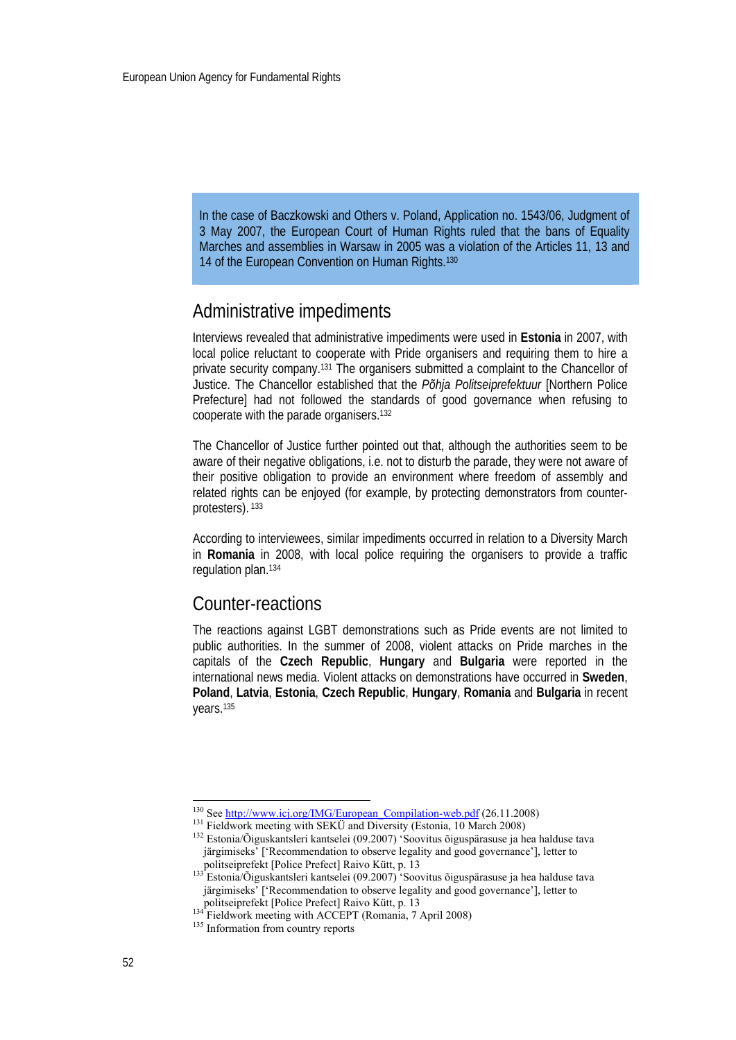In the case of Baczkowski and Others v. Poland, Application no. 1543/06, Judgment of 3 May 2007, the European Court of Human Rights ruled that the bans of Equality Marches and assemblies in Warsaw in 2005 was a violation of the Articles 11, 13 and 14 of the European Convention on Human Rights.<sup>130</sup>

### Administrative impediments

Interviews revealed that administrative impediments were used in **Estonia** in 2007, with local police reluctant to cooperate with Pride organisers and requiring them to hire a private security company.131 The organisers submitted a complaint to the Chancellor of Justice. The Chancellor established that the *Põhja Politseiprefektuur* [Northern Police Prefecture] had not followed the standards of good governance when refusing to cooperate with the parade organisers.132

The Chancellor of Justice further pointed out that, although the authorities seem to be aware of their negative obligations, i.e. not to disturb the parade, they were not aware of their positive obligation to provide an environment where freedom of assembly and related rights can be enjoyed (for example, by protecting demonstrators from counterprotesters). 133

According to interviewees, similar impediments occurred in relation to a Diversity March in **Romania** in 2008, with local police requiring the organisers to provide a traffic regulation plan.134

### Counter-reactions

The reactions against LGBT demonstrations such as Pride events are not limited to public authorities. In the summer of 2008, violent attacks on Pride marches in the capitals of the **Czech Republic**, **Hungary** and **Bulgaria** were reported in the international news media. Violent attacks on demonstrations have occurred in **Sweden**, **Poland**, **Latvia**, **Estonia**, **Czech Republic**, **Hungary**, **Romania** and **Bulgaria** in recent years.135

<sup>&</sup>lt;sup>130</sup> See http://www.icj.org/IMG/European\_Compilation-web.pdf (26.11.2008)

<sup>&</sup>lt;sup>131</sup> Fieldwork meeting with SEKÜ and Diversity (Estonia, 10 March 2008)<br><sup>132</sup> Estonia/Õiguskantsleri kantselei (09.2007) 'Soovitus õiguspärasuse ja hea halduse tava järgimiseks' ['Recommendation to observe legality and good governance'], letter to politseiprefekt [Police Prefect] Raivo Kütt, p. 13 133 Estonia/Õiguskantsleri kantselei (09.2007) 'Soovitus õiguspärasuse ja hea halduse tava

järgimiseks' ['Recommendation to observe legality and good governance'], letter to politseiprefekt [Police Prefect] Raivo Kütt, p. 13<br><sup>134</sup> Fieldwork meeting with ACCEPT (Romania, 7 April 2008)<br><sup>135</sup> Information from country reports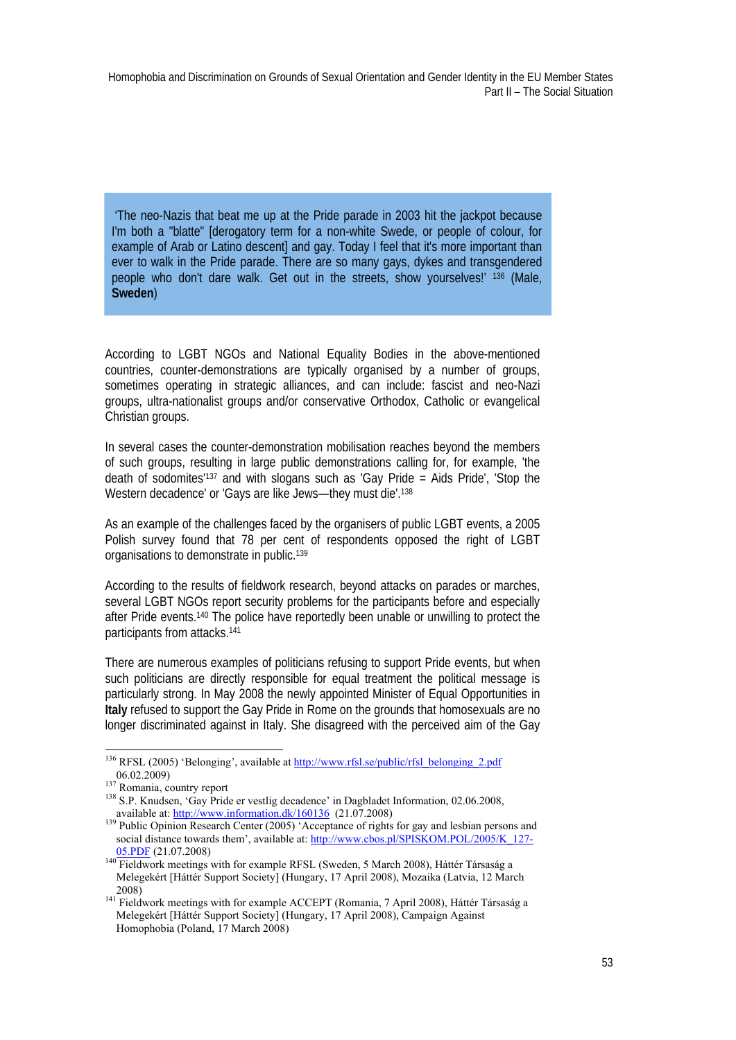'The neo-Nazis that beat me up at the Pride parade in 2003 hit the jackpot because I'm both a "blatte" [derogatory term for a non-white Swede, or people of colour, for example of Arab or Latino descent] and gay. Today I feel that it's more important than ever to walk in the Pride parade. There are so many gays, dykes and transgendered people who don't dare walk. Get out in the streets, show yourselves!' 136 (Male, **Sweden**)

According to LGBT NGOs and National Equality Bodies in the above-mentioned countries, counter-demonstrations are typically organised by a number of groups, sometimes operating in strategic alliances, and can include: fascist and neo-Nazi groups, ultra-nationalist groups and/or conservative Orthodox, Catholic or evangelical Christian groups.

In several cases the counter-demonstration mobilisation reaches beyond the members of such groups, resulting in large public demonstrations calling for, for example, 'the death of sodomites<sup>'137</sup> and with slogans such as 'Gay Pride = Aids Pride', 'Stop the Western decadence' or 'Gays are like Jews—they must die'.138

As an example of the challenges faced by the organisers of public LGBT events, a 2005 Polish survey found that 78 per cent of respondents opposed the right of LGBT organisations to demonstrate in public.<sup>139</sup>

According to the results of fieldwork research, beyond attacks on parades or marches, several LGBT NGOs report security problems for the participants before and especially after Pride events.140 The police have reportedly been unable or unwilling to protect the participants from attacks.141

There are numerous examples of politicians refusing to support Pride events, but when such politicians are directly responsible for equal treatment the political message is particularly strong. In May 2008 the newly appointed Minister of Equal Opportunities in **Italy** refused to support the Gay Pride in Rome on the grounds that homosexuals are no longer discriminated against in Italy. She disagreed with the perceived aim of the Gay

<sup>1</sup> <sup>136</sup> RFSL (2005) 'Belonging', available at http://www.rfsl.se/public/rfsl\_belonging\_2.pdf

<sup>06.02.2009)&</sup>lt;br><sup>137</sup> Romania, country report<br><sup>138</sup> S.P. Knudsen, 'Gay Pride er vestlig decadence' in Dagbladet Information, 02.06.2008,

available at: http://www.information.dk/160136 (21.07.2008)<br><sup>139</sup> Public Opinion Research Center (2005) 'Acceptance of rights for gay and lesbian persons and social distance towards them', available at: http://www.cbos.pl/SPISKOM.POL/2005/K\_127-

<sup>05.</sup>PDF (21.07.2008)<br><sup>140</sup> Fieldwork meetings with for example RFSL (Sweden, 5 March 2008), Háttér Társaság a Melegekért [Háttér Support Society] (Hungary, 17 April 2008), Mozaika (Latvia, 12 March

<sup>2008) 141</sup> Fieldwork meetings with for example ACCEPT (Romania, 7 April 2008), Háttér Társaság a Melegekért [Háttér Support Society] (Hungary, 17 April 2008), Campaign Against Homophobia (Poland, 17 March 2008)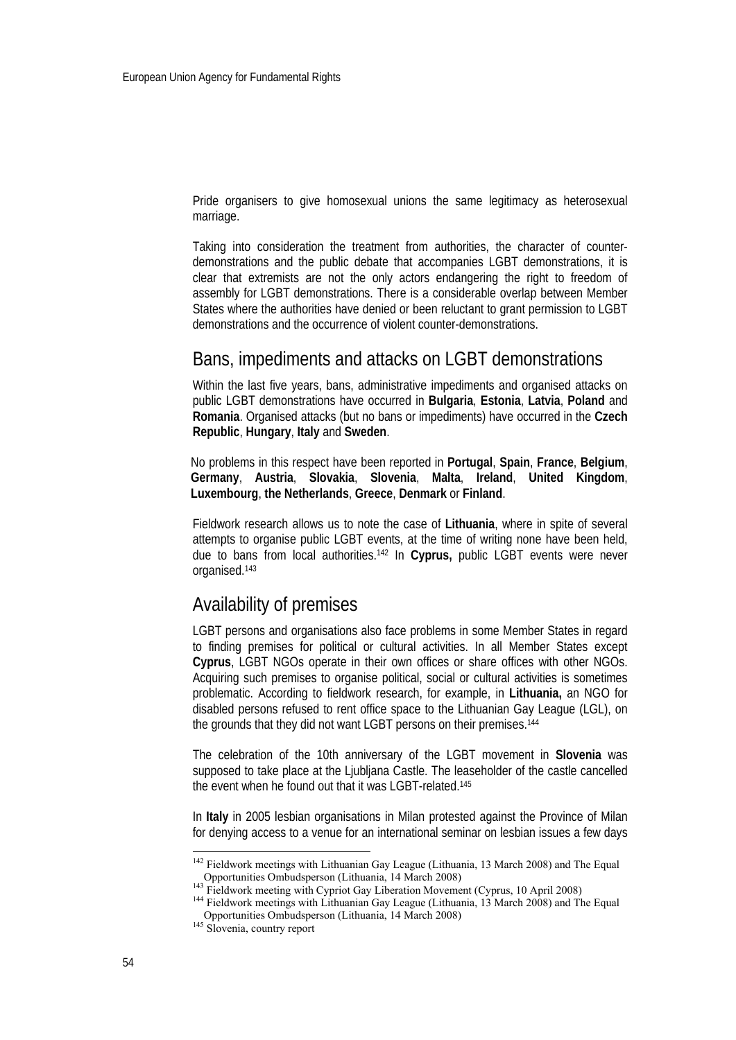Pride organisers to give homosexual unions the same legitimacy as heterosexual marriage.

Taking into consideration the treatment from authorities, the character of counterdemonstrations and the public debate that accompanies LGBT demonstrations, it is clear that extremists are not the only actors endangering the right to freedom of assembly for LGBT demonstrations. There is a considerable overlap between Member States where the authorities have denied or been reluctant to grant permission to LGBT demonstrations and the occurrence of violent counter-demonstrations.

### Bans, impediments and attacks on LGBT demonstrations

Within the last five years, bans, administrative impediments and organised attacks on public LGBT demonstrations have occurred in **Bulgaria**, **Estonia**, **Latvia**, **Poland** and **Romania**. Organised attacks (but no bans or impediments) have occurred in the **Czech Republic**, **Hungary**, **Italy** and **Sweden**.

No problems in this respect have been reported in **Portugal**, **Spain**, **France**, **Belgium**, **Germany**, **Austria**, **Slovakia**, **Slovenia**, **Malta**, **Ireland**, **United Kingdom**, **Luxembourg**, **the Netherlands**, **Greece**, **Denmark** or **Finland**.

Fieldwork research allows us to note the case of **Lithuania**, where in spite of several attempts to organise public LGBT events, at the time of writing none have been held, due to bans from local authorities.142 In **Cyprus,** public LGBT events were never organised.143

### Availability of premises

LGBT persons and organisations also face problems in some Member States in regard to finding premises for political or cultural activities. In all Member States except **Cyprus**, LGBT NGOs operate in their own offices or share offices with other NGOs. Acquiring such premises to organise political, social or cultural activities is sometimes problematic. According to fieldwork research, for example, in **Lithuania,** an NGO for disabled persons refused to rent office space to the Lithuanian Gay League (LGL), on the grounds that they did not want LGBT persons on their premises.<sup>144</sup>

The celebration of the 10th anniversary of the LGBT movement in **Slovenia** was supposed to take place at the Ljubljana Castle. The leaseholder of the castle cancelled the event when he found out that it was LGBT-related.145

In **Italy** in 2005 lesbian organisations in Milan protested against the Province of Milan for denying access to a venue for an international seminar on lesbian issues a few days

-

<sup>&</sup>lt;sup>142</sup> Fieldwork meetings with Lithuanian Gay League (Lithuania, 13 March 2008) and The Equal Opportunities Ombudsperson (Lithuania, 14 March 2008)<br><sup>143</sup> Fieldwork meeting with Cypriot Gay Liberation Movement (Cyprus, 10 April 2008)<br><sup>144</sup> Fieldwork meetings with Lithuanian Gay League (Lithuania, 13 March 2008) and

Opportunities Ombudsperson (Lithuania, 14 March 2008) 145 Slovenia, country report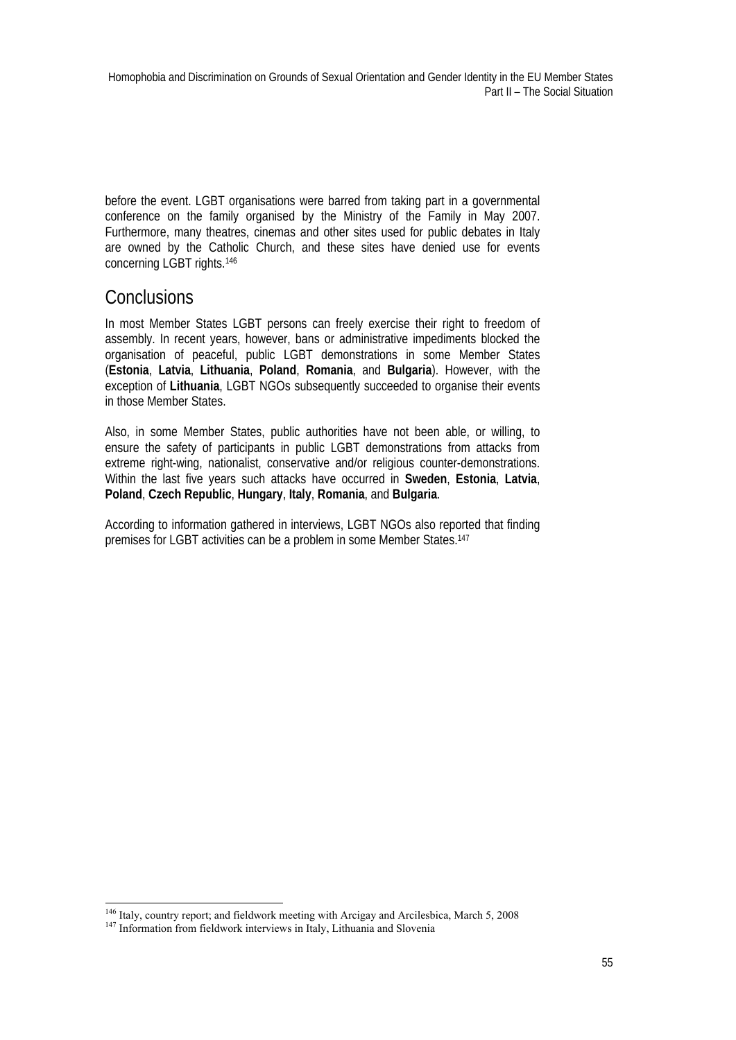before the event. LGBT organisations were barred from taking part in a governmental conference on the family organised by the Ministry of the Family in May 2007. Furthermore, many theatres, cinemas and other sites used for public debates in Italy are owned by the Catholic Church, and these sites have denied use for events concerning LGBT rights.146

## **Conclusions**

1

In most Member States LGBT persons can freely exercise their right to freedom of assembly. In recent years, however, bans or administrative impediments blocked the organisation of peaceful, public LGBT demonstrations in some Member States (**Estonia**, **Latvia**, **Lithuania**, **Poland**, **Romania**, and **Bulgaria**). However, with the exception of **Lithuania**, LGBT NGOs subsequently succeeded to organise their events in those Member States.

Also, in some Member States, public authorities have not been able, or willing, to ensure the safety of participants in public LGBT demonstrations from attacks from extreme right-wing, nationalist, conservative and/or religious counter-demonstrations. Within the last five years such attacks have occurred in **Sweden**, **Estonia**, **Latvia**, **Poland**, **Czech Republic**, **Hungary**, **Italy**, **Romania**, and **Bulgaria**.

According to information gathered in interviews, LGBT NGOs also reported that finding premises for LGBT activities can be a problem in some Member States.147

<sup>&</sup>lt;sup>146</sup> Italy, country report; and fieldwork meeting with Arcigay and Arcilesbica, March 5, 2008  $147$  Information from fieldwork interviews in Italy, Lithuania and Slovenia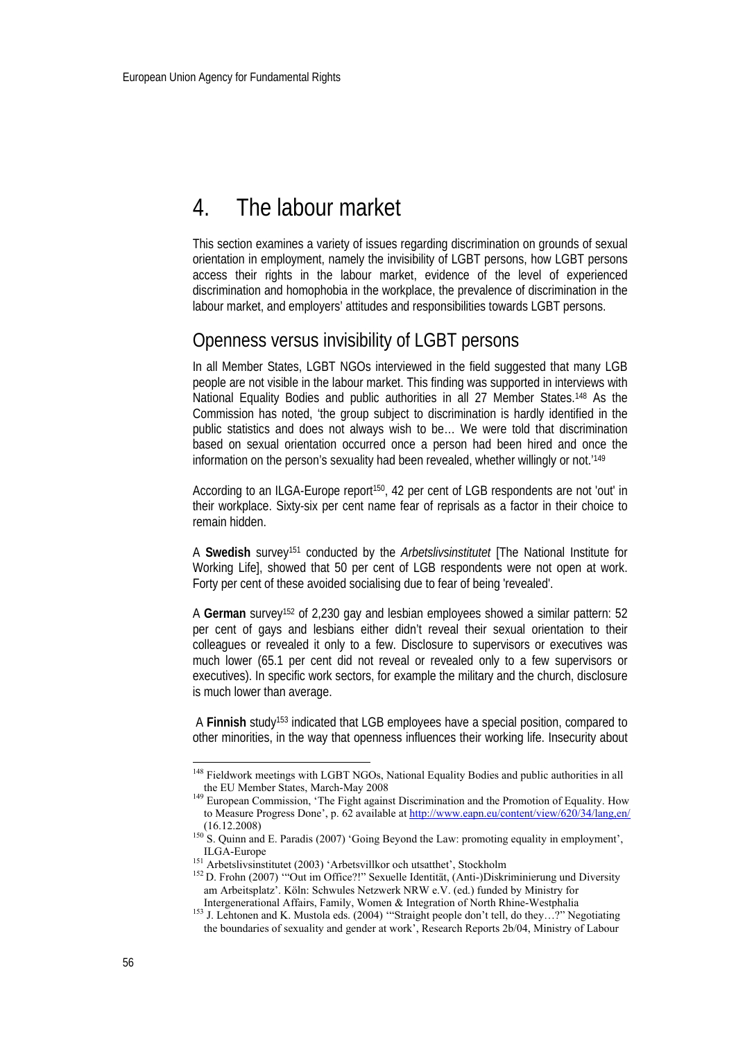# 4. The labour market

This section examines a variety of issues regarding discrimination on grounds of sexual orientation in employment, namely the invisibility of LGBT persons, how LGBT persons access their rights in the labour market, evidence of the level of experienced discrimination and homophobia in the workplace, the prevalence of discrimination in the labour market, and employers' attitudes and responsibilities towards LGBT persons.

#### Openness versus invisibility of LGBT persons

In all Member States, LGBT NGOs interviewed in the field suggested that many LGB people are not visible in the labour market. This finding was supported in interviews with National Equality Bodies and public authorities in all 27 Member States.<sup>148</sup> As the Commission has noted, 'the group subject to discrimination is hardly identified in the public statistics and does not always wish to be… We were told that discrimination based on sexual orientation occurred once a person had been hired and once the information on the person's sexuality had been revealed, whether willingly or not.<sup>149</sup>

According to an ILGA-Europe report<sup>150</sup>, 42 per cent of LGB respondents are not 'out' in their workplace. Sixty-six per cent name fear of reprisals as a factor in their choice to remain hidden.

A **Swedish** survey151 conducted by the *Arbetslivsinstitutet* [The National Institute for Working Life], showed that 50 per cent of LGB respondents were not open at work. Forty per cent of these avoided socialising due to fear of being 'revealed'.

A **German** survey152 of 2,230 gay and lesbian employees showed a similar pattern: 52 per cent of gays and lesbians either didn't reveal their sexual orientation to their colleagues or revealed it only to a few. Disclosure to supervisors or executives was much lower (65.1 per cent did not reveal or revealed only to a few supervisors or executives). In specific work sectors, for example the military and the church, disclosure is much lower than average.

 A **Finnish** study153 indicated that LGB employees have a special position, compared to other minorities, in the way that openness influences their working life. Insecurity about

 $\overline{a}$ 

 $148$  Fieldwork meetings with LGBT NGOs, National Equality Bodies and public authorities in all the EU Member States, March-May 2008

 $t<sup>49</sup>$  European Commission, 'The Fight against Discrimination and the Promotion of Equality. How to Measure Progress Done', p. 62 available at http://www.eapn.eu/content/view/620/34/lang.en/

 $(16.12.2008)$ <br><sup>150</sup> S. Quinn and E. Paradis (2007) 'Going Beyond the Law: promoting equality in employment',

ILGA-Europe 151 Arbetslivsinstitutet (2003) 'Arbetsvillkor och utsatthet', Stockholm 152 D. Frohn (2007) '"Out im Office?!" Sexuelle Identität, (Anti-)Diskriminierung und Diversity am Arbeitsplatz'. Köln: Schwules Netzwerk NRW e.V. (ed.) funded by Ministry for

Intergenerational Affairs, Family, Women & Integration of North Rhine-Westphalia 153 J. Lehtonen and K. Mustola eds. (2004) '"Straight people don't tell, do they…?" Negotiating the boundaries of sexuality and gender at work', Research Reports 2b/04, Ministry of Labour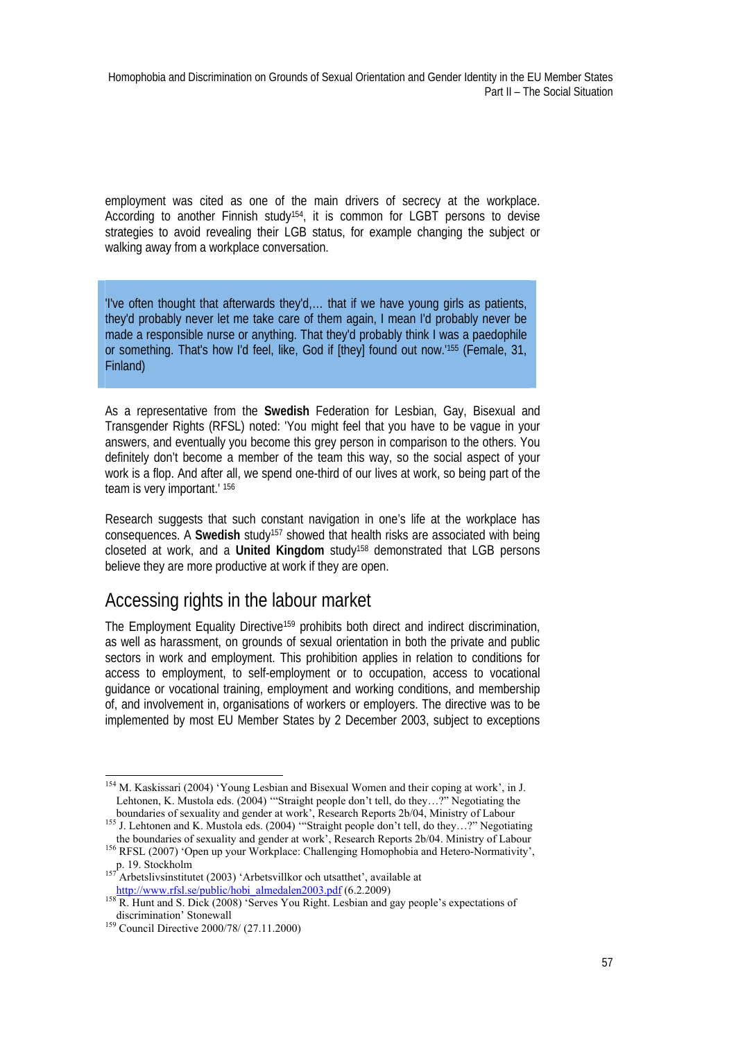employment was cited as one of the main drivers of secrecy at the workplace. According to another Finnish study154, it is common for LGBT persons to devise strategies to avoid revealing their LGB status, for example changing the subject or walking away from a workplace conversation.

'I've often thought that afterwards they'd,… that if we have young girls as patients, they'd probably never let me take care of them again, I mean I'd probably never be made a responsible nurse or anything. That they'd probably think I was a paedophile or something. That's how I'd feel, like, God if [they] found out now.'155 (Female, 31, Finland)

As a representative from the **Swedish** Federation for Lesbian, Gay, Bisexual and Transgender Rights (RFSL) noted: 'You might feel that you have to be vague in your answers, and eventually you become this grey person in comparison to the others. You definitely don't become a member of the team this way, so the social aspect of your work is a flop. And after all, we spend one-third of our lives at work, so being part of the team is very important.' 156

Research suggests that such constant navigation in one's life at the workplace has consequences. A **Swedish** study157 showed that health risks are associated with being closeted at work, and a **United Kingdom** study158 demonstrated that LGB persons believe they are more productive at work if they are open.

## Accessing rights in the labour market

The Employment Equality Directive<sup>159</sup> prohibits both direct and indirect discrimination, as well as harassment, on grounds of sexual orientation in both the private and public sectors in work and employment. This prohibition applies in relation to conditions for access to employment, to self-employment or to occupation, access to vocational guidance or vocational training, employment and working conditions, and membership of, and involvement in, organisations of workers or employers. The directive was to be implemented by most EU Member States by 2 December 2003, subject to exceptions

1

<sup>154</sup> M. Kaskissari (2004) 'Young Lesbian and Bisexual Women and their coping at work', in J. Lehtonen, K. Mustola eds. (2004) '"Straight people don't tell, do they…?" Negotiating the boundaries of sexuality and gender at work', Research Reports 2b/04, Ministry of Labour 155 J. Lehtonen and K. Mustola eds. (2004) "Straight people don't tell, do they…?" Negotiating

the boundaries of sexuality and gender at work', Research Reports 2b/04. Ministry of Labour 156 RFSL (2007) 'Open up your Workplace: Challenging Homophobia and Hetero-Normativity',

p. 19. Stockholm 157 Arbetslivsinstitutet (2003) 'Arbetsvillkor och utsatthet', available at

http://www.rfsl.se/public/hobi\_almedalen2003.pdf (6.2.2009)<br><sup>158</sup> R. Hunt and S. Dick (2008) 'Serves You Right. Lesbian and gay people's expectations of discrimination' Stonewall

<sup>&</sup>lt;sup>159</sup> Council Directive 2000/78/ (27.11.2000)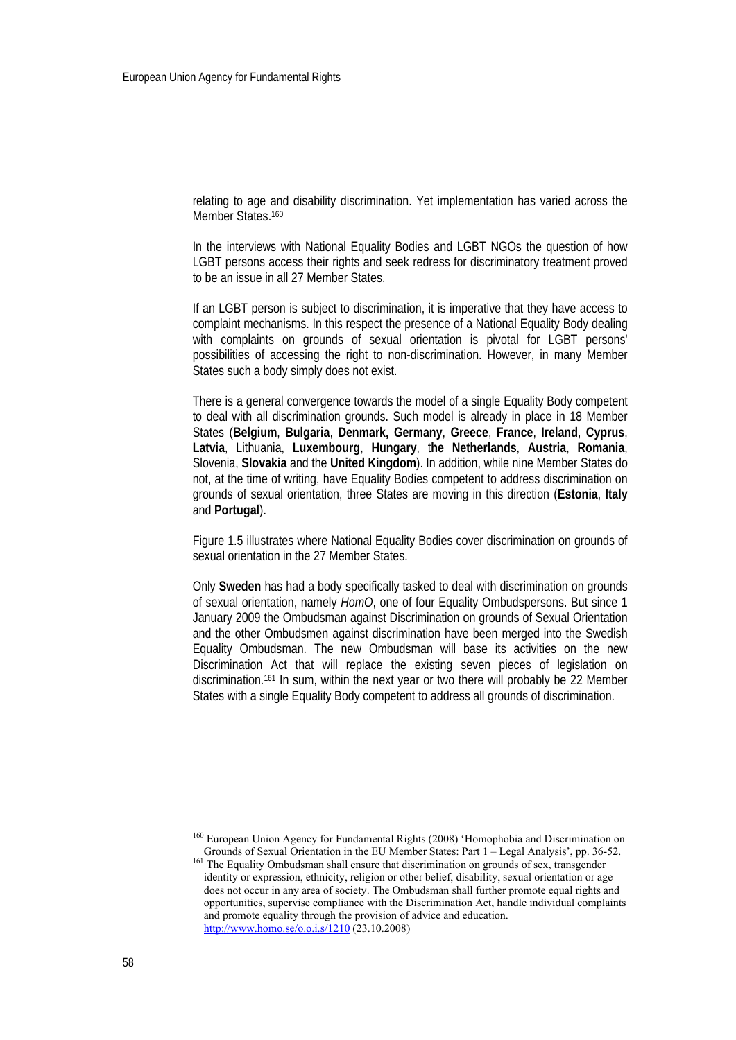relating to age and disability discrimination. Yet implementation has varied across the Member States.<sup>160</sup>

In the interviews with National Equality Bodies and LGBT NGOs the question of how LGBT persons access their rights and seek redress for discriminatory treatment proved to be an issue in all 27 Member States.

If an LGBT person is subject to discrimination, it is imperative that they have access to complaint mechanisms. In this respect the presence of a National Equality Body dealing with complaints on grounds of sexual orientation is pivotal for LGBT persons' possibilities of accessing the right to non-discrimination. However, in many Member States such a body simply does not exist.

There is a general convergence towards the model of a single Equality Body competent to deal with all discrimination grounds. Such model is already in place in 18 Member States (**Belgium**, **Bulgaria**, **Denmark, Germany**, **Greece**, **France**, **Ireland**, **Cyprus**, **Latvia**, Lithuania, **Luxembourg**, **Hungary**, t**he Netherlands**, **Austria**, **Romania**, Slovenia, **Slovakia** and the **United Kingdom**). In addition, while nine Member States do not, at the time of writing, have Equality Bodies competent to address discrimination on grounds of sexual orientation, three States are moving in this direction (**Estonia**, **Italy** and **Portugal**).

Figure 1.5 illustrates where National Equality Bodies cover discrimination on grounds of sexual orientation in the 27 Member States.

Only **Sweden** has had a body specifically tasked to deal with discrimination on grounds of sexual orientation, namely *HomO*, one of four Equality Ombudspersons. But since 1 January 2009 the Ombudsman against Discrimination on grounds of Sexual Orientation and the other Ombudsmen against discrimination have been merged into the Swedish Equality Ombudsman. The new Ombudsman will base its activities on the new Discrimination Act that will replace the existing seven pieces of legislation on discrimination.161 In sum, within the next year or two there will probably be 22 Member States with a single Equality Body competent to address all grounds of discrimination.

<sup>&</sup>lt;sup>160</sup> European Union Agency for Fundamental Rights (2008) 'Homophobia and Discrimination on Grounds of Sexual Orientation in the EU Member States: Part 1 – Legal Analysis', pp. 36-52.<br><sup>161</sup> The Equality Ombudsman shall ensure that discrimination on grounds of sex, transgender

identity or expression, ethnicity, religion or other belief, disability, sexual orientation or age does not occur in any area of society. The Ombudsman shall further promote equal rights and opportunities, supervise compliance with the Discrimination Act, handle individual complaints and promote equality through the provision of advice and education. http://www.homo.se/o.o.i.s/1210 (23.10.2008)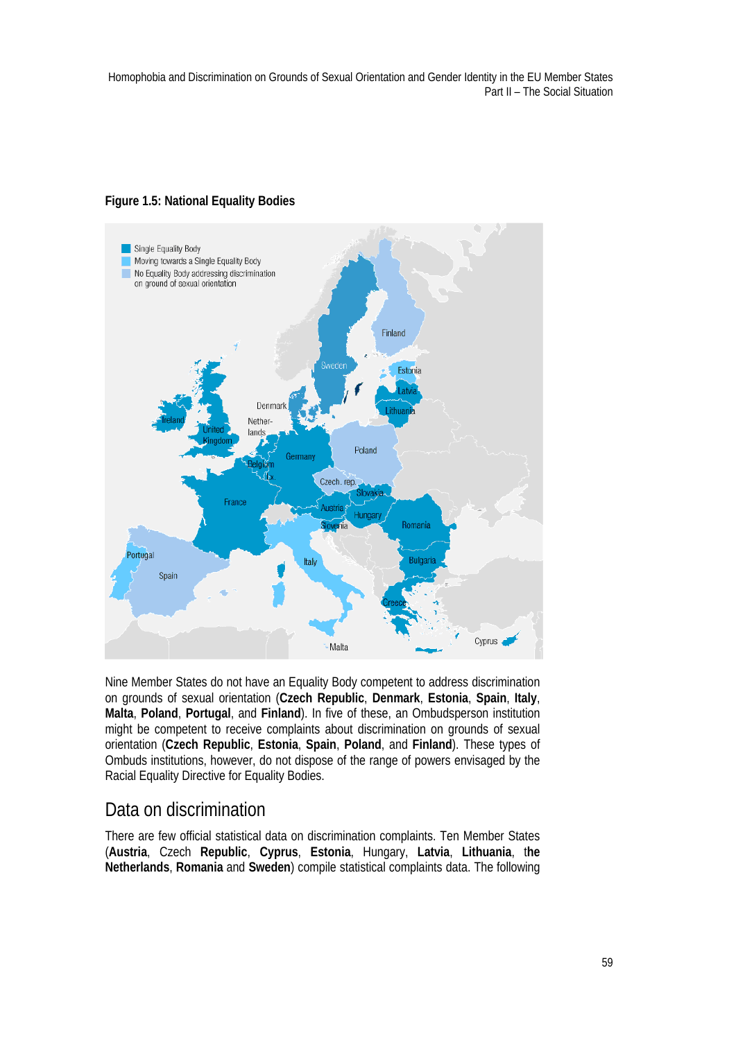

#### **Figure 1.5: National Equality Bodies**

Nine Member States do not have an Equality Body competent to address discrimination on grounds of sexual orientation (**Czech Republic**, **Denmark**, **Estonia**, **Spain**, **Italy**, **Malta**, **Poland**, **Portugal**, and **Finland**). In five of these, an Ombudsperson institution might be competent to receive complaints about discrimination on grounds of sexual orientation (**Czech Republic**, **Estonia**, **Spain**, **Poland**, and **Finland**). These types of Ombuds institutions, however, do not dispose of the range of powers envisaged by the Racial Equality Directive for Equality Bodies.

## Data on discrimination

There are few official statistical data on discrimination complaints. Ten Member States (**Austria**, Czech **Republic**, **Cyprus**, **Estonia**, Hungary, **Latvia**, **Lithuania**, t**he Netherlands**, **Romania** and **Sweden**) compile statistical complaints data. The following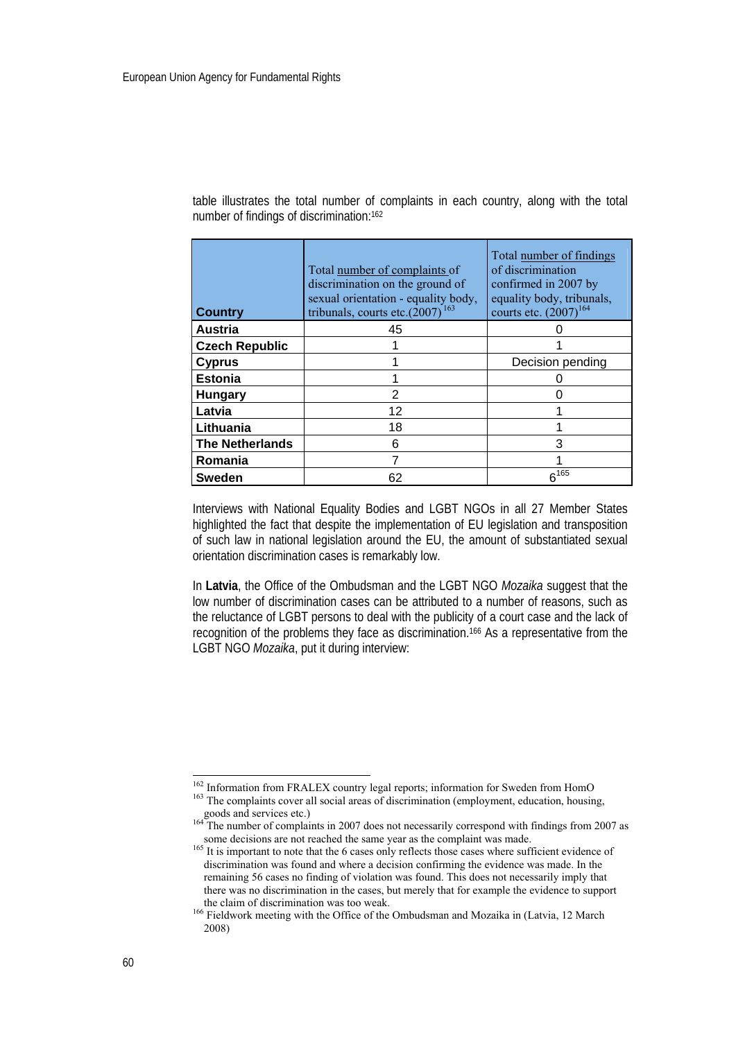| <b>Country</b>         | Total number of complaints of<br>discrimination on the ground of<br>sexual orientation - equality body,<br>tribunals, courts etc. $(2007)^{163}$ | Total number of findings<br>of discrimination<br>confirmed in 2007 by<br>equality body, tribunals,<br>courts etc. $(2007)^{164}$ |
|------------------------|--------------------------------------------------------------------------------------------------------------------------------------------------|----------------------------------------------------------------------------------------------------------------------------------|
| <b>Austria</b>         | 45                                                                                                                                               |                                                                                                                                  |
| <b>Czech Republic</b>  |                                                                                                                                                  |                                                                                                                                  |
| <b>Cyprus</b>          |                                                                                                                                                  | Decision pending                                                                                                                 |
| <b>Estonia</b>         |                                                                                                                                                  |                                                                                                                                  |
| <b>Hungary</b>         | 2                                                                                                                                                |                                                                                                                                  |
| Latvia                 | 12                                                                                                                                               |                                                                                                                                  |
| Lithuania              | 18                                                                                                                                               |                                                                                                                                  |
| <b>The Netherlands</b> | 6                                                                                                                                                | 3                                                                                                                                |
| Romania                | 7                                                                                                                                                |                                                                                                                                  |
| <b>Sweden</b>          | 62                                                                                                                                               | $6^{165}$                                                                                                                        |

table illustrates the total number of complaints in each country, along with the total number of findings of discrimination:162

Interviews with National Equality Bodies and LGBT NGOs in all 27 Member States highlighted the fact that despite the implementation of EU legislation and transposition of such law in national legislation around the EU, the amount of substantiated sexual orientation discrimination cases is remarkably low.

In **Latvia**, the Office of the Ombudsman and the LGBT NGO *Mozaika* suggest that the low number of discrimination cases can be attributed to a number of reasons, such as the reluctance of LGBT persons to deal with the publicity of a court case and the lack of recognition of the problems they face as discrimination.166 As a representative from the LGBT NGO *Mozaika*, put it during interview:

 $162$  Information from FRALEX country legal reports; information for Sweden from HomO  $163$  The complaints cover all social areas of discrimination (employment, education, housing, <sup>163</sup> The complaints cover all social areas of discrimination (employment, education, housing, goods and services etc.)<br><sup>164</sup> The number of complaints in 2007 does not necessarily correspond with findings from 2007 as

some decisions are not reached the same year as the complaint was made.<br><sup>165</sup> It is important to note that the 6 cases only reflects those cases where sufficient evidence of

discrimination was found and where a decision confirming the evidence was made. In the remaining 56 cases no finding of violation was found. This does not necessarily imply that there was no discrimination in the cases, but merely that for example the evidence to support

the Fieldwork meeting with the Office of the Ombudsman and Mozaika in (Latvia, 12 March) 2008)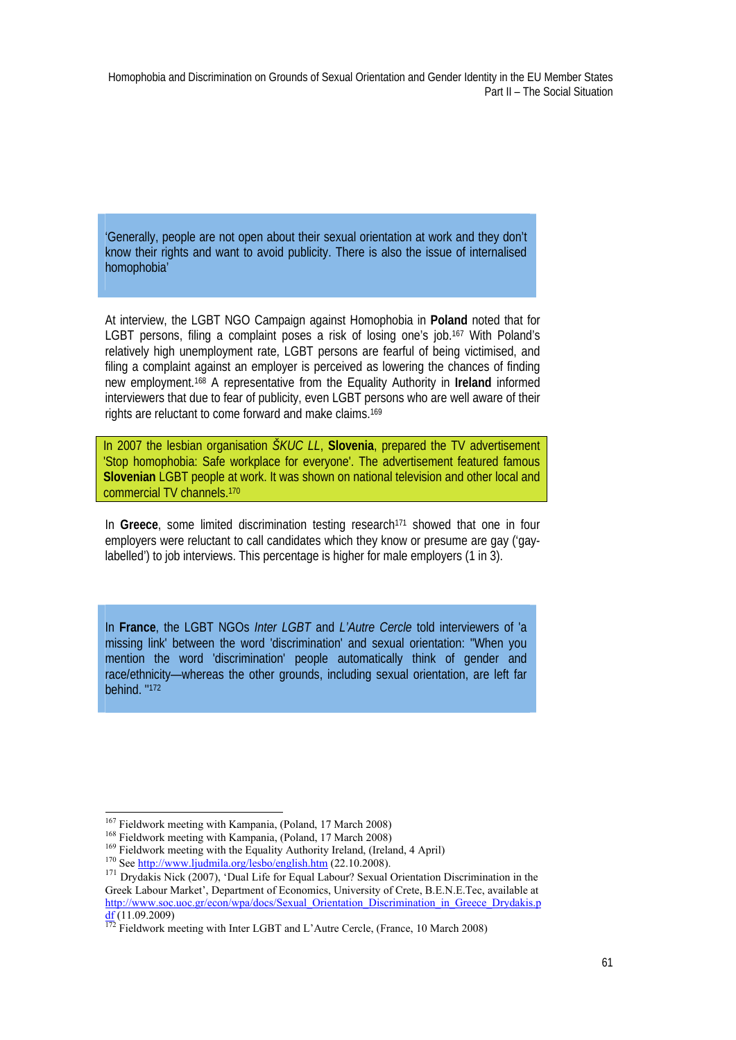'Generally, people are not open about their sexual orientation at work and they don't know their rights and want to avoid publicity. There is also the issue of internalised homophobia'

At interview, the LGBT NGO Campaign against Homophobia in **Poland** noted that for LGBT persons, filing a complaint poses a risk of losing one's job.167 With Poland's relatively high unemployment rate, LGBT persons are fearful of being victimised, and filing a complaint against an employer is perceived as lowering the chances of finding new employment.168 A representative from the Equality Authority in **Ireland** informed interviewers that due to fear of publicity, even LGBT persons who are well aware of their rights are reluctant to come forward and make claims.169

In 2007 the lesbian organisation *ŠKUC LL*, **Slovenia**, prepared the TV advertisement 'Stop homophobia: Safe workplace for everyone'. The advertisement featured famous **Slovenian** LGBT people at work. It was shown on national television and other local and commercial TV channels.170

In Greece, some limited discrimination testing research<sup>171</sup> showed that one in four employers were reluctant to call candidates which they know or presume are gay ('gaylabelled') to job interviews. This percentage is higher for male employers (1 in 3).

In **France**, the LGBT NGOs *Inter LGBT* and *L'Autre Cercle* told interviewers of 'a missing link' between the word 'discrimination' and sexual orientation: ''When you mention the word 'discrimination' people automatically think of gender and race/ethnicity—whereas the other grounds, including sexual orientation, are left far behind. ''172

<sup>&</sup>lt;sup>167</sup> Fieldwork meeting with Kampania, (Poland, 17 March 2008)

<sup>&</sup>lt;sup>168</sup> Fieldwork meeting with Kampania, (Poland, 17 March 2008)<br><sup>169</sup> Fieldwork meeting with the Equality Authority Ireland, (Ireland, 4 April)<br><sup>170</sup> See <u>http://www.ljudmila.org/lesbo/english.htm</u> (22.10.2008).<br><sup>171</sup> Dryd Greek Labour Market', Department of Economics, University of Crete, B.E.N.E.Tec, available at http://www.soc.uoc.gr/econ/wpa/docs/Sexual\_Orientation\_Discrimination\_in\_Greece\_Drydakis.p  $\frac{df}{172}$  Fieldwork meeting with Inter LGBT and L'Autre Cercle, (France, 10 March 2008)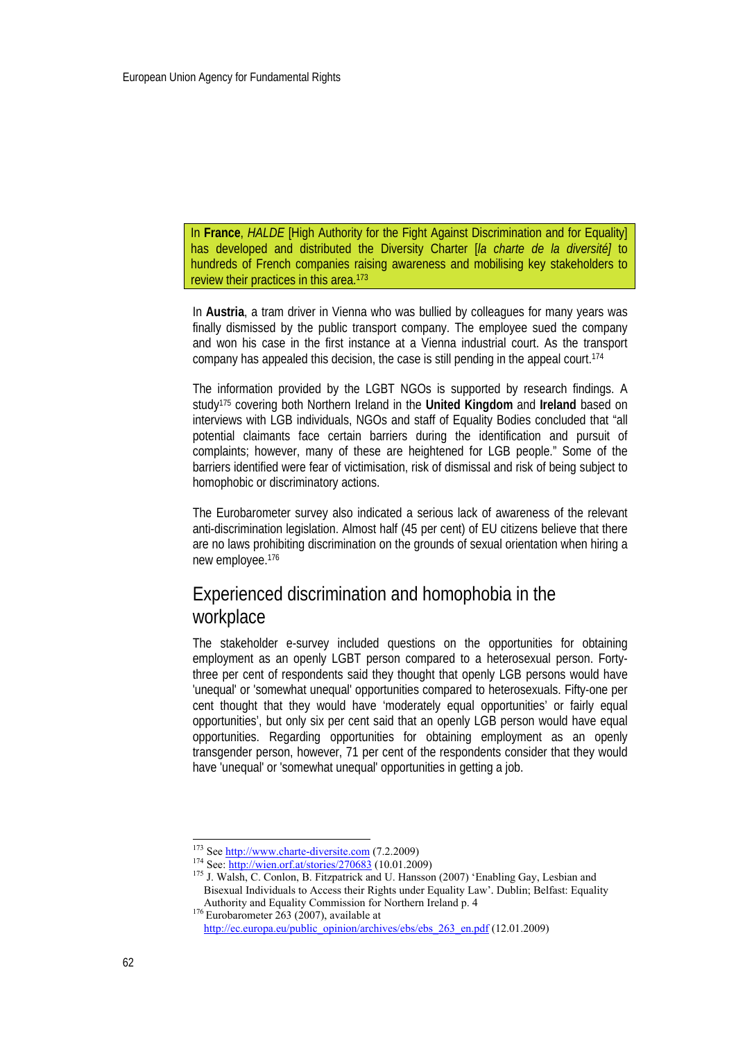In **France**, *HALDE* [High Authority for the Fight Against Discrimination and for Equality] has developed and distributed the Diversity Charter [*la charte de la diversité]* to hundreds of French companies raising awareness and mobilising key stakeholders to review their practices in this area.173

In **Austria**, a tram driver in Vienna who was bullied by colleagues for many years was finally dismissed by the public transport company. The employee sued the company and won his case in the first instance at a Vienna industrial court. As the transport company has appealed this decision, the case is still pending in the appeal court.174

The information provided by the LGBT NGOs is supported by research findings. A study175 covering both Northern Ireland in the **United Kingdom** and **Ireland** based on interviews with LGB individuals, NGOs and staff of Equality Bodies concluded that "all potential claimants face certain barriers during the identification and pursuit of complaints; however, many of these are heightened for LGB people." Some of the barriers identified were fear of victimisation, risk of dismissal and risk of being subject to homophobic or discriminatory actions.

The Eurobarometer survey also indicated a serious lack of awareness of the relevant anti-discrimination legislation. Almost half (45 per cent) of EU citizens believe that there are no laws prohibiting discrimination on the grounds of sexual orientation when hiring a new employee.176

## Experienced discrimination and homophobia in the workplace

The stakeholder e-survey included questions on the opportunities for obtaining employment as an openly LGBT person compared to a heterosexual person. Fortythree per cent of respondents said they thought that openly LGB persons would have 'unequal' or 'somewhat unequal' opportunities compared to heterosexuals. Fifty-one per cent thought that they would have 'moderately equal opportunities' or fairly equal opportunities', but only six per cent said that an openly LGB person would have equal opportunities. Regarding opportunities for obtaining employment as an openly transgender person, however, 71 per cent of the respondents consider that they would have 'unequal' or 'somewhat unequal' opportunities in getting a job.

<sup>&</sup>lt;sup>173</sup> See http://www.charte-diversite.com (7.2.2009)

<sup>174</sup> See: http://wien.orf.at/stories/270683 (10.01.2009) 175 J. Walsh, C. Conlon, B. Fitzpatrick and U. Hansson (2007) 'Enabling Gay, Lesbian and Bisexual Individuals to Access their Rights under Equality Law'*.* Dublin; Belfast: Equality

Authority and Equality Commission for Northern Ireland p. 4 176 Eurobarometer 263 (2007), available at http://ec.europa.eu/public\_opinion/archives/ebs/ebs\_263\_en.pdf (12.01.2009)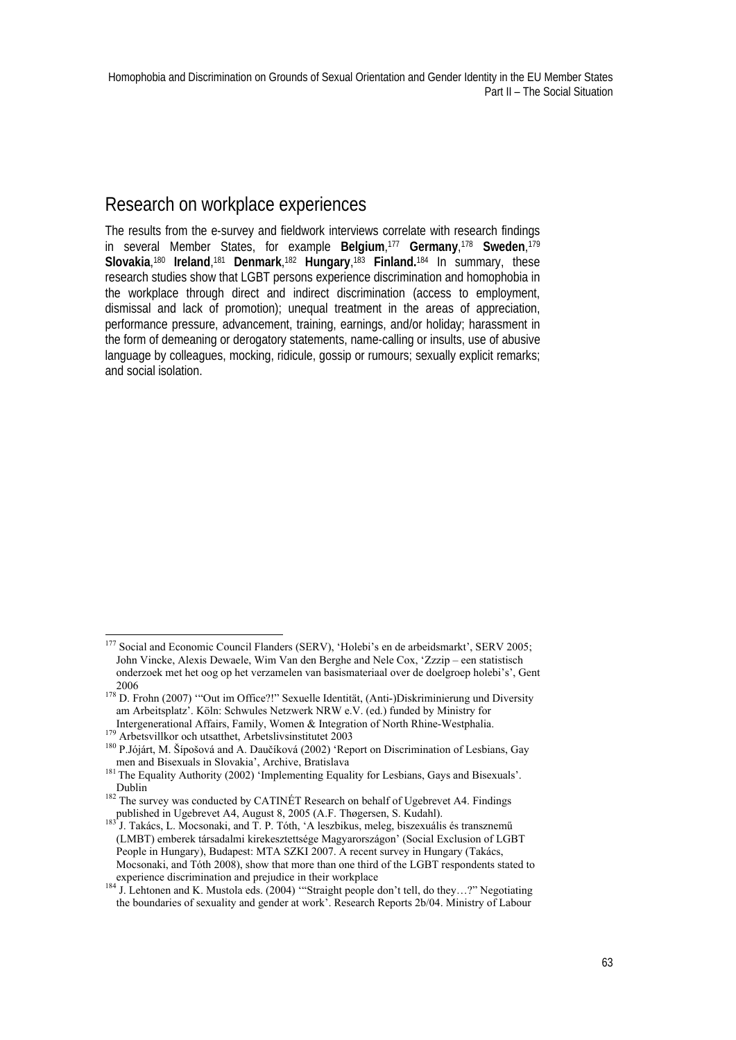### Research on workplace experiences

The results from the e-survey and fieldwork interviews correlate with research findings in several Member States, for example **Belgium**, <sup>177</sup> **Germany**, <sup>178</sup> **Sweden**, 179 **Slovakia**, <sup>180</sup> **Ireland**, <sup>181</sup> **Denmark**, <sup>182</sup> **Hungary**, <sup>183</sup> **Finland.**184 In summary, these research studies show that LGBT persons experience discrimination and homophobia in the workplace through direct and indirect discrimination (access to employment, dismissal and lack of promotion); unequal treatment in the areas of appreciation, performance pressure, advancement, training, earnings, and/or holiday; harassment in the form of demeaning or derogatory statements, name-calling or insults, use of abusive language by colleagues, mocking, ridicule, gossip or rumours; sexually explicit remarks; and social isolation.

1

<sup>&</sup>lt;sup>177</sup> Social and Economic Council Flanders (SERV), 'Holebi's en de arbeidsmarkt', SERV 2005; John Vincke, Alexis Dewaele, Wim Van den Berghe and Nele Cox, 'Zzzip – een statistisch onderzoek met het oog op het verzamelen van basismateriaal over de doelgroep holebi's', Gent

<sup>2006 178</sup> D. Frohn (2007) "Out im Office?!" Sexuelle Identität, (Anti-)Diskriminierung und Diversity am Arbeitsplatz'. Köln: Schwules Netzwerk NRW e.V. (ed.) funded by Ministry for

Intergenerational Affairs, Family, Women & Integration of North Rhine-Westphalia.<br><sup>179</sup> Arbetsvillkor och utsatthet, Arbetslivsinstitutet 2003<br><sup>180</sup> P.Jóiárt, M. Šípošová and A. Daučíková (2002) 'Report on Discrimination o

men and Bisexuals in Slovakia', Archive, Bratislava<br><sup>181</sup> The Equality Authority (2002) 'Implementing Equality for Lesbians, Gays and Bisexuals'.<br>Dublin

 $182$  The survey was conducted by CATINÉT Research on behalf of Ugebrevet A4. Findings

published in Ugebrevet A4, August 8, 2005 (A.F. Thøgersen, S. Kudahl). 183 J. Takács, L. Mocsonaki, and T. P. Tóth, 'A leszbikus, meleg, biszexuális és transznem<sup>ű</sup> (LMBT) emberek társadalmi kirekesztettsége Magyarországon' (Social Exclusion of LGBT People in Hungary), Budapest: MTA SZKI 2007. A recent survey in Hungary (Takács, Mocsonaki, and Tóth 2008), show that more than one third of the LGBT respondents stated to

experience discrimination and prejudice in their workplace<br><sup>184</sup> J. Lehtonen and K. Mustola eds. (2004) "Straight people don't tell, do they…?" Negotiating the boundaries of sexuality and gender at work'. Research Reports 2b/04. Ministry of Labour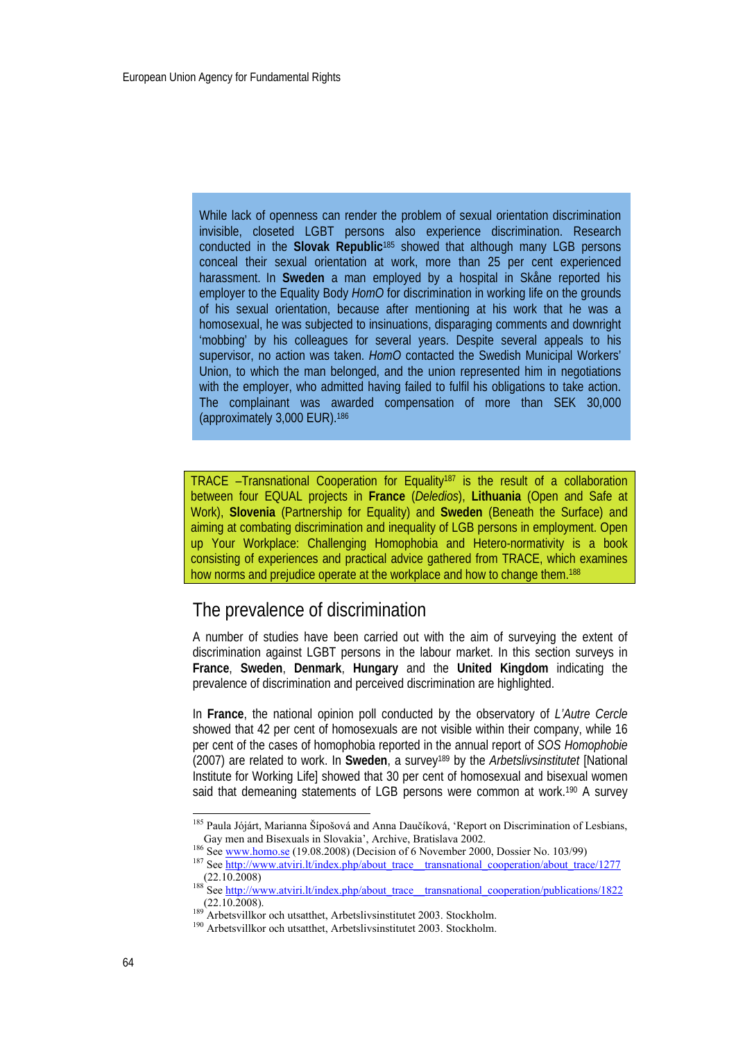While lack of openness can render the problem of sexual orientation discrimination invisible, closeted LGBT persons also experience discrimination. Research conducted in the **Slovak Republic**185 showed that although many LGB persons conceal their sexual orientation at work, more than 25 per cent experienced harassment. In **Sweden** a man employed by a hospital in Skåne reported his employer to the Equality Body *HomO* for discrimination in working life on the grounds of his sexual orientation, because after mentioning at his work that he was a homosexual, he was subjected to insinuations, disparaging comments and downright 'mobbing' by his colleagues for several years. Despite several appeals to his supervisor, no action was taken. *HomO* contacted the Swedish Municipal Workers' Union, to which the man belonged, and the union represented him in negotiations with the employer, who admitted having failed to fulfil his obligations to take action. The complainant was awarded compensation of more than SEK 30,000 (approximately 3,000 EUR).186

TRACE –Transnational Cooperation for Equality187 is the result of a collaboration between four EQUAL projects in **France** (*Deledios*), **Lithuania** (Open and Safe at Work), **Slovenia** (Partnership for Equality) and **Sweden** (Beneath the Surface) and aiming at combating discrimination and inequality of LGB persons in employment. Open up Your Workplace: Challenging Homophobia and Hetero-normativity is a book consisting of experiences and practical advice gathered from TRACE, which examines how norms and prejudice operate at the workplace and how to change them.<sup>188</sup>

### The prevalence of discrimination

A number of studies have been carried out with the aim of surveying the extent of discrimination against LGBT persons in the labour market. In this section surveys in **France**, **Sweden**, **Denmark**, **Hungary** and the **United Kingdom** indicating the prevalence of discrimination and perceived discrimination are highlighted.

In **France**, the national opinion poll conducted by the observatory of *L'Autre Cercle* showed that 42 per cent of homosexuals are not visible within their company, while 16 per cent of the cases of homophobia reported in the annual report of *SOS Homophobie* (2007) are related to work. In **Sweden**, a survey189 by the *Arbetslivsinstitutet* [National Institute for Working Life] showed that 30 per cent of homosexual and bisexual women said that demeaning statements of LGB persons were common at work.<sup>190</sup> A survey

<sup>&</sup>lt;sup>185</sup> Paula Jójárt, Marianna Šípošová and Anna Daučíková, 'Report on Discrimination of Lesbians, Gay men and Bisexuals in Slovakia', Archive, Bratislava 2002.<br><sup>186</sup> See <u>www.homo.se</u> (19.08.2008) (Decision of 6 November 2000, Dossier No. 103/99)<br><sup>187</sup> See http://www.atviri.lt/index.php/about trace transpational cooper

<sup>(22.10.2008)&</sup>lt;br>
<sup>188</sup> See <u>http://www.atviri.lt/index.php/about\_trace\_\_transnational\_cooperation/publications/1822</u><br>
<sup>189</sup> A theterrillians and the intervention of the intervention of the interventions.

<sup>&</sup>lt;sup>189</sup> Arbetsvillkor och utsatthet, Arbetslivsinstitutet 2003. Stockholm.<br><sup>190</sup> Arbetsvillkor och utsatthet, Arbetslivsinstitutet 2003. Stockholm.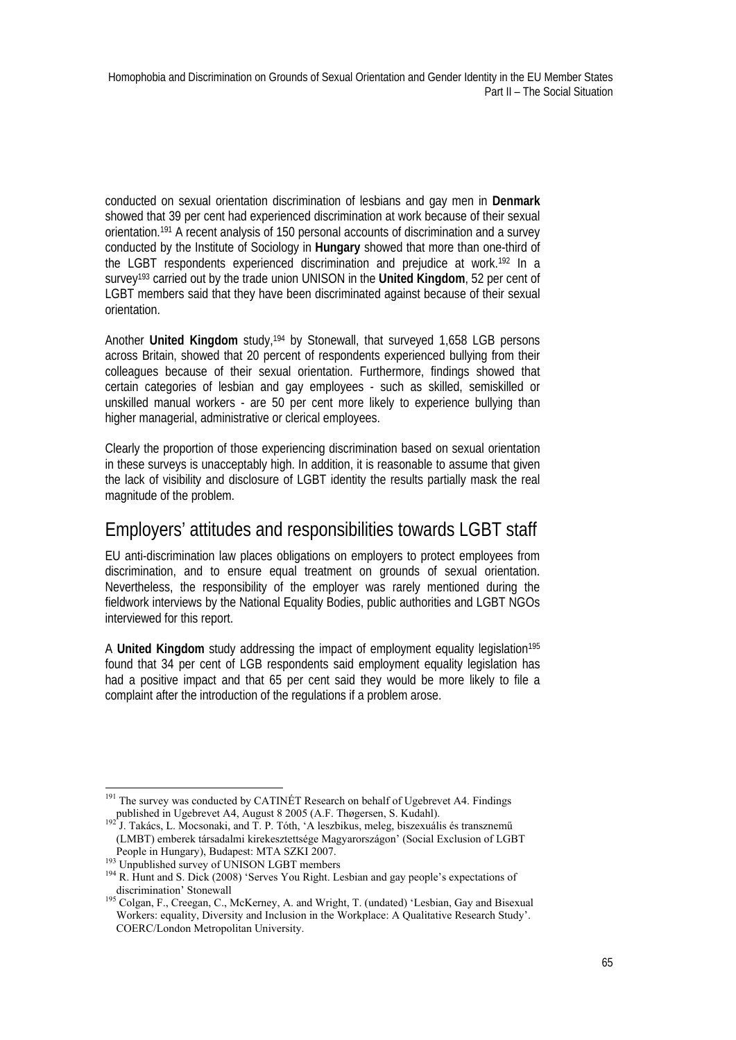conducted on sexual orientation discrimination of lesbians and gay men in **Denmark** showed that 39 per cent had experienced discrimination at work because of their sexual orientation.191 A recent analysis of 150 personal accounts of discrimination and a survey conducted by the Institute of Sociology in **Hungary** showed that more than one-third of the LGBT respondents experienced discrimination and prejudice at work.192 In a survey193 carried out by the trade union UNISON in the **United Kingdom**, 52 per cent of LGBT members said that they have been discriminated against because of their sexual orientation.

Another **United Kingdom** study,194 by Stonewall, that surveyed 1,658 LGB persons across Britain, showed that 20 percent of respondents experienced bullying from their colleagues because of their sexual orientation. Furthermore, findings showed that certain categories of lesbian and gay employees - such as skilled, semiskilled or unskilled manual workers - are 50 per cent more likely to experience bullying than higher managerial, administrative or clerical employees.

Clearly the proportion of those experiencing discrimination based on sexual orientation in these surveys is unacceptably high. In addition, it is reasonable to assume that given the lack of visibility and disclosure of LGBT identity the results partially mask the real magnitude of the problem.

## Employers' attitudes and responsibilities towards LGBT staff

EU anti-discrimination law places obligations on employers to protect employees from discrimination, and to ensure equal treatment on grounds of sexual orientation. Nevertheless, the responsibility of the employer was rarely mentioned during the fieldwork interviews by the National Equality Bodies, public authorities and LGBT NGOs interviewed for this report.

A **United Kingdom** study addressing the impact of employment equality legislation195 found that 34 per cent of LGB respondents said employment equality legislation has had a positive impact and that 65 per cent said they would be more likely to file a complaint after the introduction of the regulations if a problem arose.

<sup>-</sup> $191$  The survey was conducted by CATINÉT Research on behalf of Ugebrevet A4. Findings published in Ugebrevet A4, August 8 2005 (A.F. Thøgersen, S. Kudahl). 192 J. Takács, L. Mocsonaki, and T. P. Tóth, 'A leszbikus, meleg, biszexuális és transznem<sup>ű</sup>

<sup>(</sup>LMBT) emberek társadalmi kirekesztettsége Magyarországon' (Social Exclusion of LGBT

 $\frac{193}{193}$  Unpublished survey of UNISON LGBT members<br><sup>194</sup> R. Hunt and S. Dick (2008) 'Serves You Right. Lesbian and gay people's expectations of

discrimination' Stonewall<br><sup>195</sup> Colgan, F., Creegan, C., McKerney, A. and Wright, T. (undated) 'Lesbian, Gay and Bisexual Workers: equality, Diversity and Inclusion in the Workplace: A Qualitative Research Study'. COERC/London Metropolitan University.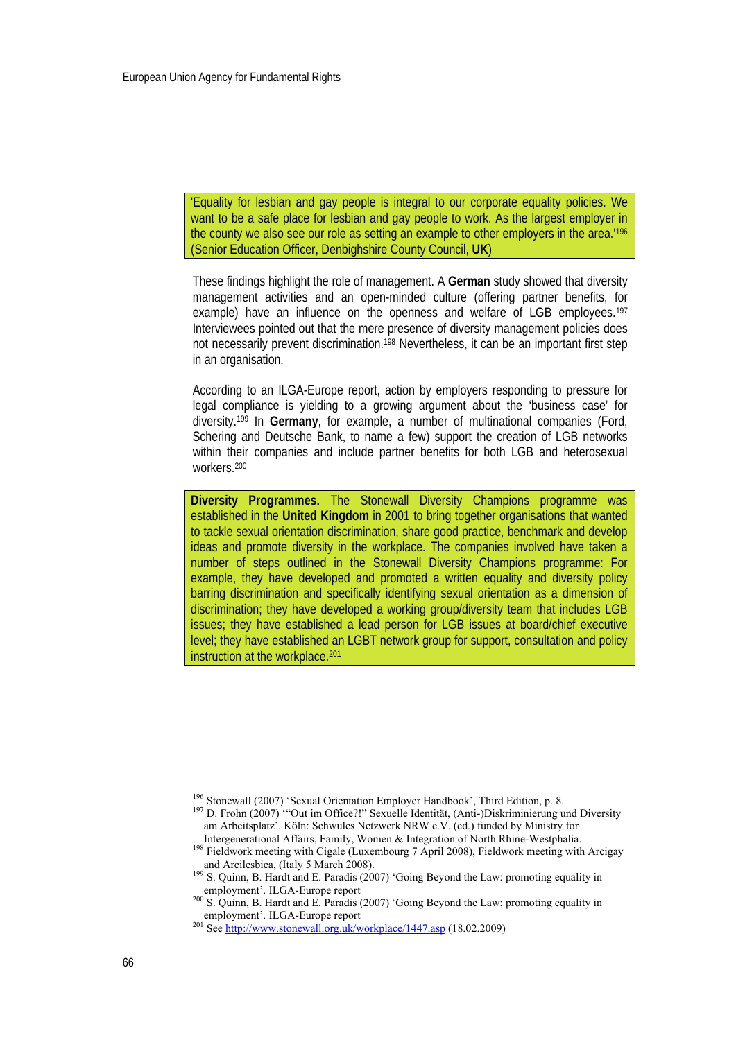'Equality for lesbian and gay people is integral to our corporate equality policies. We want to be a safe place for lesbian and gay people to work. As the largest employer in the county we also see our role as setting an example to other employers in the area.'196 (Senior Education Officer, Denbighshire County Council, **UK**)

These findings highlight the role of management. A **German** study showed that diversity management activities and an open-minded culture (offering partner benefits, for example) have an influence on the openness and welfare of LGB employees.<sup>197</sup> Interviewees pointed out that the mere presence of diversity management policies does not necessarily prevent discrimination.<sup>198</sup> Nevertheless, it can be an important first step in an organisation.

According to an ILGA-Europe report, action by employers responding to pressure for legal compliance is yielding to a growing argument about the 'business case' for diversity.199 In **Germany**, for example, a number of multinational companies (Ford, Schering and Deutsche Bank, to name a few) support the creation of LGB networks within their companies and include partner benefits for both LGB and heterosexual workers.200

**Diversity Programmes.** The Stonewall Diversity Champions programme was established in the **United Kingdom** in 2001 to bring together organisations that wanted to tackle sexual orientation discrimination, share good practice, benchmark and develop ideas and promote diversity in the workplace. The companies involved have taken a number of steps outlined in the Stonewall Diversity Champions programme: For example, they have developed and promoted a written equality and diversity policy barring discrimination and specifically identifying sexual orientation as a dimension of discrimination; they have developed a working group/diversity team that includes LGB issues; they have established a lead person for LGB issues at board/chief executive level; they have established an LGBT network group for support, consultation and policy instruction at the workplace.<sup>201</sup>

<sup>&</sup>lt;sup>196</sup> Stonewall (2007) 'Sexual Orientation Employer Handbook', Third Edition, p. 8.

<sup>&</sup>lt;sup>197</sup> D. Frohn (2007) "Out im Office?!" Sexuelle Identität, (Anti-)Diskriminierung und Diversity am Arbeitsplatz'. Köln: Schwules Netzwerk NRW e.V. (ed.) funded by Ministry for

Intergenerational Affairs, Family, Women & Integration of North Rhine-Westphalia. 198 Fieldwork meeting with Cigale (Luxembourg 7 April 2008), Fieldwork meeting with Arcigay

and Arcilesbica, (Italy 5 March 2008).<br><sup>199</sup> S. Quinn, B. Hardt and E. Paradis (2007) 'Going Beyond the Law: promoting equality in

employment'. ILGA-Europe report <sup>200</sup> S. Quinn, B. Hardt and E. Paradis (2007) 'Going Beyond the Law: promoting equality in employment'. ILGA-Europe report <sup>201</sup> See http://www.stonewall.org.uk/workplace/1447.asp (18.02.2009)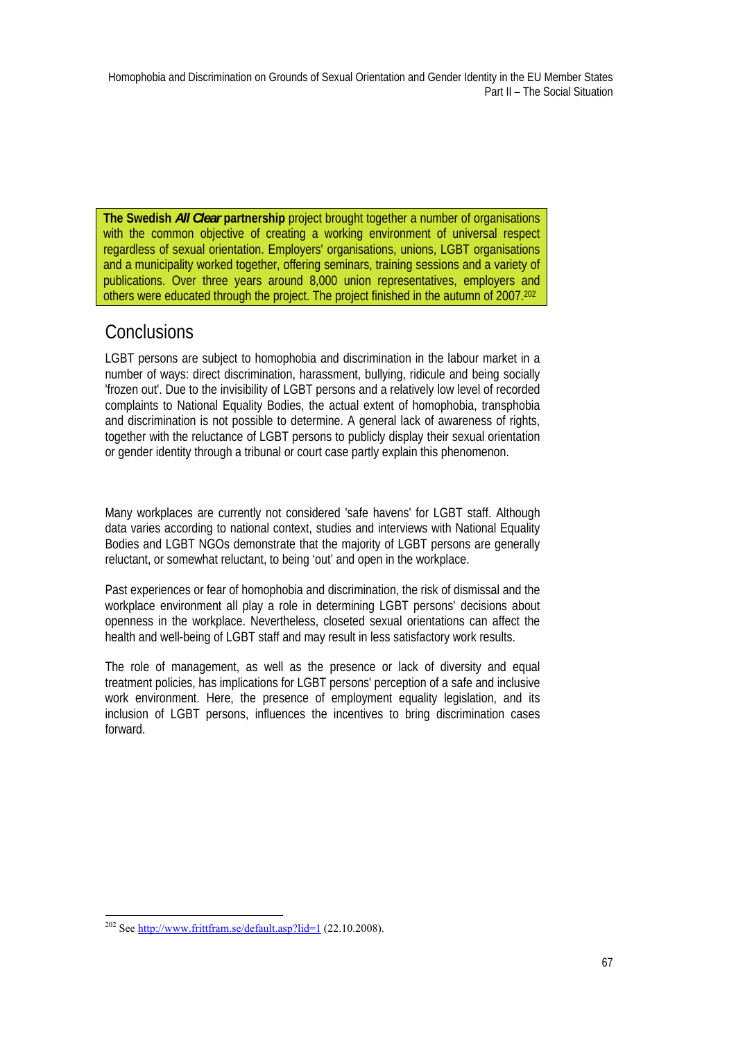**The Swedish** *All Clear* **partnership** project brought together a number of organisations with the common objective of creating a working environment of universal respect regardless of sexual orientation. Employers' organisations, unions, LGBT organisations and a municipality worked together, offering seminars, training sessions and a variety of publications. Over three years around 8,000 union representatives, employers and others were educated through the project. The project finished in the autumn of 2007.202

## **Conclusions**

LGBT persons are subject to homophobia and discrimination in the labour market in a number of ways: direct discrimination, harassment, bullying, ridicule and being socially 'frozen out'. Due to the invisibility of LGBT persons and a relatively low level of recorded complaints to National Equality Bodies, the actual extent of homophobia, transphobia and discrimination is not possible to determine. A general lack of awareness of rights, together with the reluctance of LGBT persons to publicly display their sexual orientation or gender identity through a tribunal or court case partly explain this phenomenon.

Many workplaces are currently not considered 'safe havens' for LGBT staff. Although data varies according to national context, studies and interviews with National Equality Bodies and LGBT NGOs demonstrate that the majority of LGBT persons are generally reluctant, or somewhat reluctant, to being 'out' and open in the workplace.

Past experiences or fear of homophobia and discrimination, the risk of dismissal and the workplace environment all play a role in determining LGBT persons' decisions about openness in the workplace. Nevertheless, closeted sexual orientations can affect the health and well-being of LGBT staff and may result in less satisfactory work results.

The role of management, as well as the presence or lack of diversity and equal treatment policies, has implications for LGBT persons' perception of a safe and inclusive work environment. Here, the presence of employment equality legislation, and its inclusion of LGBT persons, influences the incentives to bring discrimination cases forward.

<sup>-</sup><sup>202</sup> See http://www.frittfram.se/default.asp?lid=1 (22.10.2008).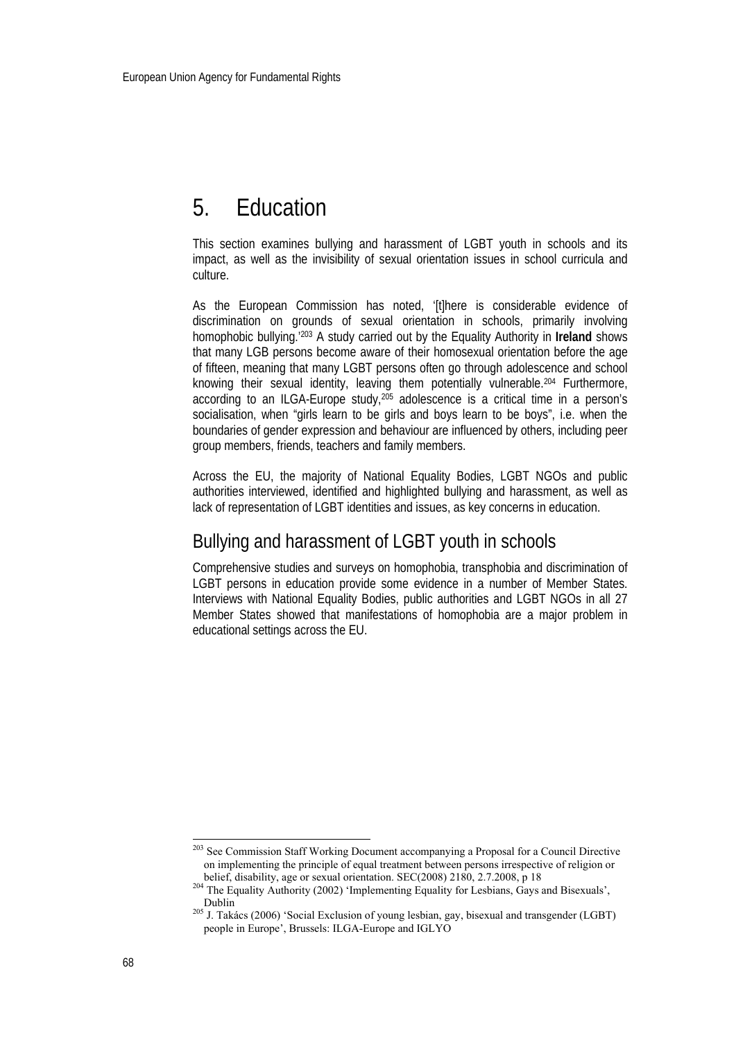# 5. Education

This section examines bullying and harassment of LGBT youth in schools and its impact, as well as the invisibility of sexual orientation issues in school curricula and culture.

As the European Commission has noted, '[t]here is considerable evidence of discrimination on grounds of sexual orientation in schools, primarily involving homophobic bullying.'203 A study carried out by the Equality Authority in **Ireland** shows that many LGB persons become aware of their homosexual orientation before the age of fifteen, meaning that many LGBT persons often go through adolescence and school knowing their sexual identity, leaving them potentially vulnerable.204 Furthermore, according to an ILGA-Europe study,205 adolescence is a critical time in a person's socialisation, when "girls learn to be girls and boys learn to be boys", i.e. when the boundaries of gender expression and behaviour are influenced by others, including peer group members, friends, teachers and family members.

Across the EU, the majority of National Equality Bodies, LGBT NGOs and public authorities interviewed, identified and highlighted bullying and harassment, as well as lack of representation of LGBT identities and issues, as key concerns in education.

### Bullying and harassment of LGBT youth in schools

Comprehensive studies and surveys on homophobia, transphobia and discrimination of LGBT persons in education provide some evidence in a number of Member States. Interviews with National Equality Bodies, public authorities and LGBT NGOs in all 27 Member States showed that manifestations of homophobia are a major problem in educational settings across the EU.

<sup>&</sup>lt;sup>203</sup> See Commission Staff Working Document accompanying a Proposal for a Council Directive on implementing the principle of equal treatment between persons irrespective of religion or

belief, disability, age or sexual orientation. SEC(2008) 2180, 2.7.2008, p 18 204 The Equality Authority (2002) 'Implementing Equality for Lesbians, Gays and Bisexuals',

Dublin 205 J. Takács (2006) 'Social Exclusion of young lesbian, gay, bisexual and transgender (LGBT) people in Europe', Brussels: ILGA-Europe and IGLYO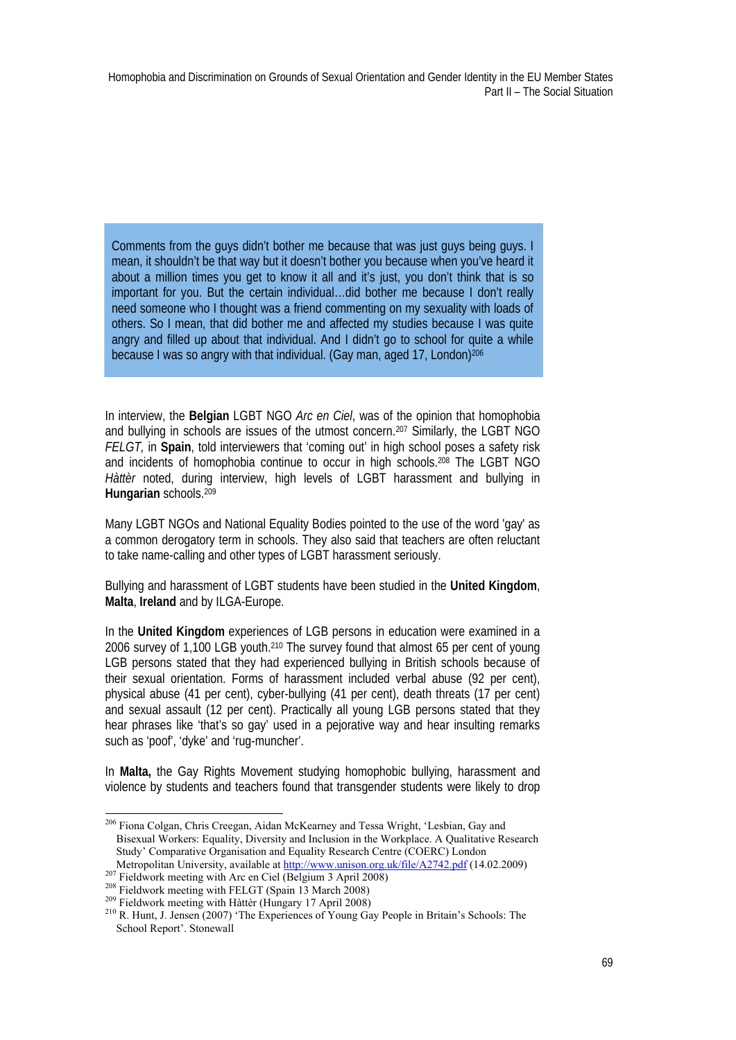Comments from the guys didn't bother me because that was just guys being guys. I mean, it shouldn't be that way but it doesn't bother you because when you've heard it about a million times you get to know it all and it's just, you don't think that is so important for you. But the certain individual…did bother me because I don't really need someone who I thought was a friend commenting on my sexuality with loads of others. So I mean, that did bother me and affected my studies because I was quite angry and filled up about that individual. And I didn't go to school for quite a while because I was so angry with that individual. (Gay man, aged 17, London)<sup>206</sup>

In interview, the **Belgian** LGBT NGO *Arc en Ciel*, was of the opinion that homophobia and bullying in schools are issues of the utmost concern.207 Similarly, the LGBT NGO *FELGT,* in **Spain**, told interviewers that 'coming out' in high school poses a safety risk and incidents of homophobia continue to occur in high schools.208 The LGBT NGO *Hàttèr* noted, during interview, high levels of LGBT harassment and bullying in **Hungarian** schools.209

Many LGBT NGOs and National Equality Bodies pointed to the use of the word 'gay' as a common derogatory term in schools. They also said that teachers are often reluctant to take name-calling and other types of LGBT harassment seriously.

Bullying and harassment of LGBT students have been studied in the **United Kingdom**, **Malta**, **Ireland** and by ILGA-Europe.

In the **United Kingdom** experiences of LGB persons in education were examined in a 2006 survey of 1,100 LGB youth.210 The survey found that almost 65 per cent of young LGB persons stated that they had experienced bullying in British schools because of their sexual orientation. Forms of harassment included verbal abuse (92 per cent), physical abuse (41 per cent), cyber-bullying (41 per cent), death threats (17 per cent) and sexual assault (12 per cent). Practically all young LGB persons stated that they hear phrases like 'that's so gay' used in a pejorative way and hear insulting remarks such as 'poof', 'dyke' and 'rug-muncher'.

In **Malta,** the Gay Rights Movement studying homophobic bullying, harassment and violence by students and teachers found that transgender students were likely to drop

1

<sup>&</sup>lt;sup>206</sup> Fiona Colgan, Chris Creegan, Aidan McKearney and Tessa Wright, 'Lesbian, Gay and Bisexual Workers: Equality, Diversity and Inclusion in the Workplace. A Qualitative Research Study' Comparative Organisation and Equality Research Centre (COERC) London<br>Metropolitan University, available at http://www.unison.org.uk/file/A2742.pdf (14.02.2009)

<sup>2007</sup> Fieldwork meeting with Arc en Ciel (Belgium 3 April 2008)<br>
2008 Fieldwork meeting with FELGT (Spain 13 March 2008)<br>
2008 Fieldwork meeting with Hàttèr (Hungary 17 April 2008)<br>
210 R. Hunt, J. Jensen (2007) 'The Experi School Report'. Stonewall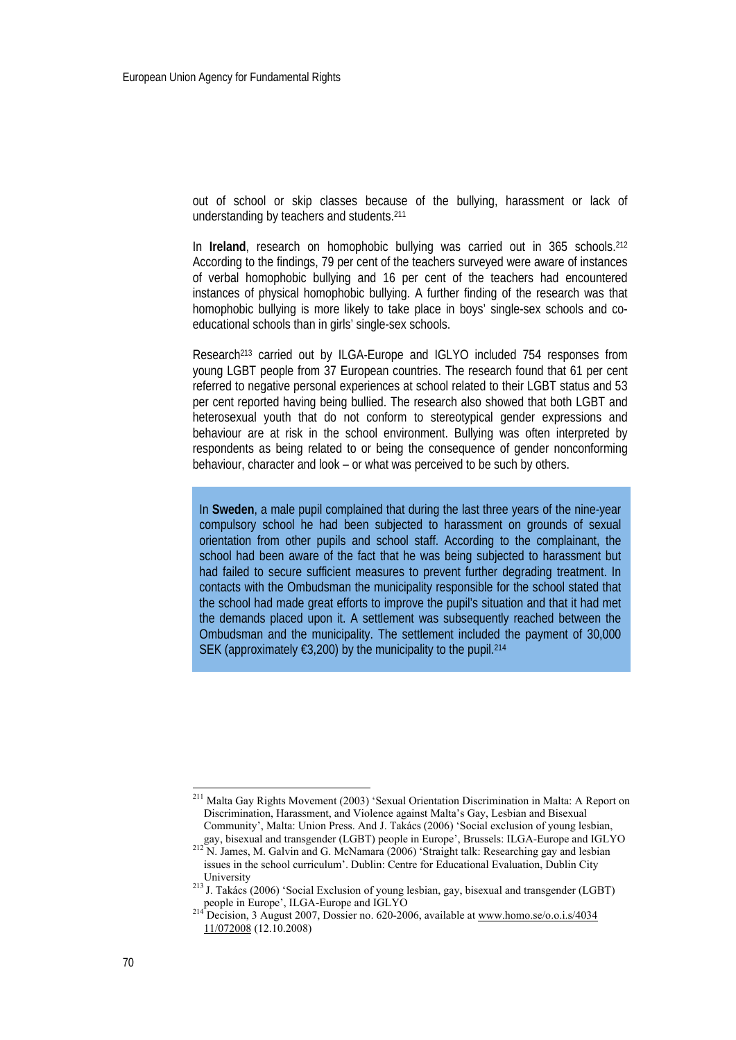out of school or skip classes because of the bullying, harassment or lack of understanding by teachers and students.211

In **Ireland**, research on homophobic bullying was carried out in 365 schools.<sup>212</sup> According to the findings, 79 per cent of the teachers surveyed were aware of instances of verbal homophobic bullying and 16 per cent of the teachers had encountered instances of physical homophobic bullying. A further finding of the research was that homophobic bullying is more likely to take place in boys' single-sex schools and coeducational schools than in girls' single-sex schools.

Research213 carried out by ILGA-Europe and IGLYO included 754 responses from young LGBT people from 37 European countries. The research found that 61 per cent referred to negative personal experiences at school related to their LGBT status and 53 per cent reported having being bullied. The research also showed that both LGBT and heterosexual youth that do not conform to stereotypical gender expressions and behaviour are at risk in the school environment. Bullying was often interpreted by respondents as being related to or being the consequence of gender nonconforming behaviour, character and look – or what was perceived to be such by others.

In **Sweden**, a male pupil complained that during the last three years of the nine-year compulsory school he had been subjected to harassment on grounds of sexual orientation from other pupils and school staff. According to the complainant, the school had been aware of the fact that he was being subjected to harassment but had failed to secure sufficient measures to prevent further degrading treatment. In contacts with the Ombudsman the municipality responsible for the school stated that the school had made great efforts to improve the pupil's situation and that it had met the demands placed upon it. A settlement was subsequently reached between the Ombudsman and the municipality. The settlement included the payment of 30,000 SEK (approximately  $\epsilon$ 3,200) by the municipality to the pupil.<sup>214</sup>

-

<sup>&</sup>lt;sup>211</sup> Malta Gay Rights Movement (2003) 'Sexual Orientation Discrimination in Malta: A Report on Discrimination, Harassment, and Violence against Malta's Gay, Lesbian and Bisexual Community', Malta: Union Press. And J. Takács (2006) 'Social exclusion of young lesbian,

gay, bisexual and transgender (LGBT) people in Europe', Brussels: ILGA-Europe and IGLYO 212 N. James, M. Galvin and G. McNamara (2006) 'Straight talk: Researching gay and lesbian issues in the school curriculum'. Dublin: Centre for Educational Evaluation, Dublin City

University<br>
<sup>213</sup> J. Takács (2006) 'Social Exclusion of young lesbian, gay, bisexual and transgender (LGBT)<br>
people in Europe', ILGA-Europe and IGLYO<br>
<sup>214</sup> Decision 3, Away 1997, D.

Decision, 3 August 2007, Dossier no. 620-2006, available at www.homo.se/o.o.i.s/4034 11/072008 (12.10.2008)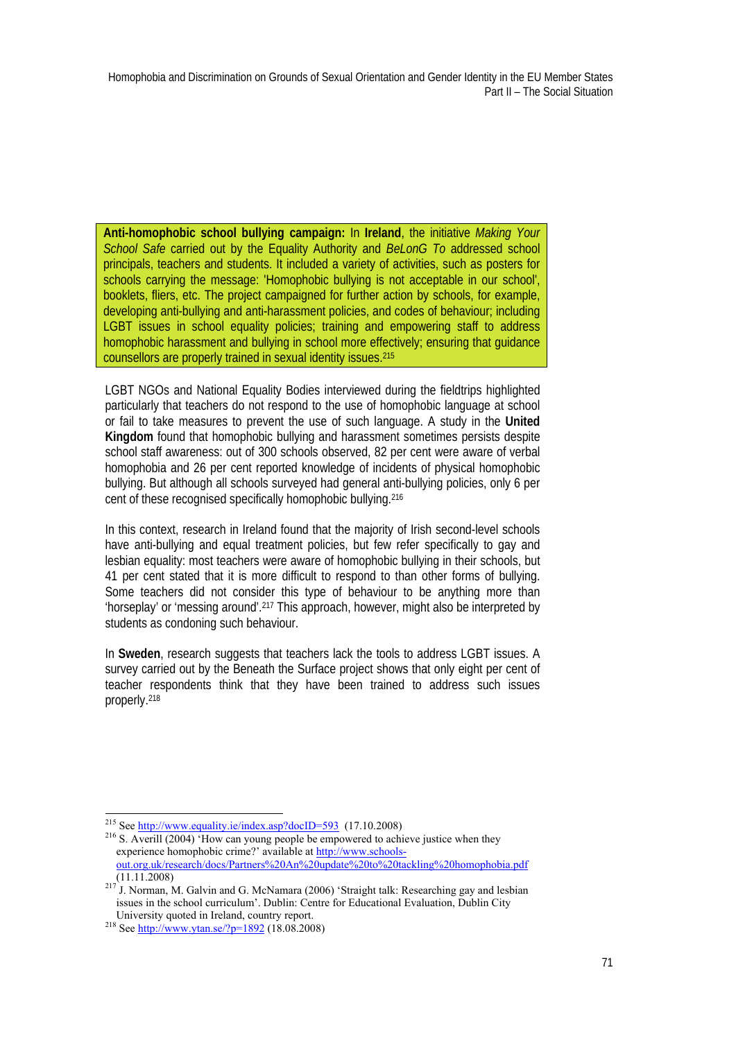**Anti-homophobic school bullying campaign:** In **Ireland**, the initiative *Making Your School Safe* carried out by the Equality Authority and *BeLonG To* addressed school principals, teachers and students. It included a variety of activities, such as posters for schools carrying the message: 'Homophobic bullying is not acceptable in our school', booklets, fliers, etc. The project campaigned for further action by schools, for example, developing anti-bullying and anti-harassment policies, and codes of behaviour; including LGBT issues in school equality policies; training and empowering staff to address homophobic harassment and bullying in school more effectively; ensuring that guidance counsellors are properly trained in sexual identity issues.215

LGBT NGOs and National Equality Bodies interviewed during the fieldtrips highlighted particularly that teachers do not respond to the use of homophobic language at school or fail to take measures to prevent the use of such language. A study in the **United Kingdom** found that homophobic bullying and harassment sometimes persists despite school staff awareness: out of 300 schools observed, 82 per cent were aware of verbal homophobia and 26 per cent reported knowledge of incidents of physical homophobic bullying. But although all schools surveyed had general anti-bullying policies, only 6 per cent of these recognised specifically homophobic bullying.216

In this context, research in Ireland found that the majority of Irish second-level schools have anti-bullying and equal treatment policies, but few refer specifically to gay and lesbian equality: most teachers were aware of homophobic bullying in their schools, but 41 per cent stated that it is more difficult to respond to than other forms of bullying. Some teachers did not consider this type of behaviour to be anything more than 'horseplay' or 'messing around'.217 This approach, however, might also be interpreted by students as condoning such behaviour.

In **Sweden**, research suggests that teachers lack the tools to address LGBT issues. A survey carried out by the Beneath the Surface project shows that only eight per cent of teacher respondents think that they have been trained to address such issues properly.218

<sup>&</sup>lt;sup>215</sup> See http://www.equality.<u>ie/index.asp?docID=593</u> (17.10.2008)

 $2^{16}$  S. Averill (2004) 'How can young people be empowered to achieve justice when they experience homophobic crime?' available at http://www.schoolsout.org.uk/research/docs/Partners%20An%20update%20to%20tackling%20homophobia.pdf

<sup>(11.11.2008)</sup> 217 J. Norman, M. Galvin and G. McNamara (2006) 'Straight talk: Researching gay and lesbian issues in the school curriculum'. Dublin: Centre for Educational Evaluation, Dublin City

<sup>2&</sup>lt;sup>18</sup> See http://www.ytan.se/?p=1892 (18.08.2008)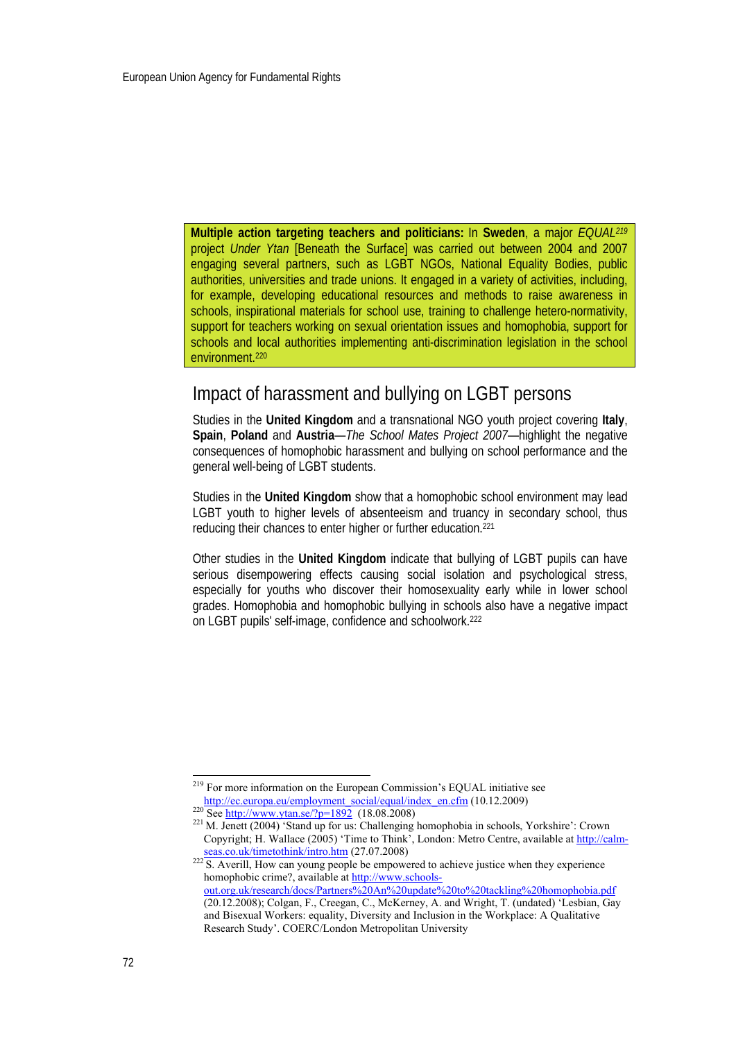**Multiple action targeting teachers and politicians:** In **Sweden**, a major *EQUAL219* project *Under Ytan* [Beneath the Surface] was carried out between 2004 and 2007 engaging several partners, such as LGBT NGOs, National Equality Bodies, public authorities, universities and trade unions. It engaged in a variety of activities, including, for example, developing educational resources and methods to raise awareness in schools, inspirational materials for school use, training to challenge hetero-normativity, support for teachers working on sexual orientation issues and homophobia, support for schools and local authorities implementing anti-discrimination legislation in the school environment.220

#### Impact of harassment and bullying on LGBT persons

Studies in the **United Kingdom** and a transnational NGO youth project covering **Italy**, **Spain**, **Poland** and **Austria**—*The School Mates Project 2007*—highlight the negative consequences of homophobic harassment and bullying on school performance and the general well-being of LGBT students.

Studies in the **United Kingdom** show that a homophobic school environment may lead LGBT youth to higher levels of absenteeism and truancy in secondary school, thus reducing their chances to enter higher or further education.221

Other studies in the **United Kingdom** indicate that bullying of LGBT pupils can have serious disempowering effects causing social isolation and psychological stress, especially for youths who discover their homosexuality early while in lower school grades. Homophobia and homophobic bullying in schools also have a negative impact on LGBT pupils' self-image, confidence and schoolwork.222

<sup>&</sup>lt;sup>219</sup> For more information on the European Commission's EQUAL initiative see http://ec.europa.eu/employment\_social/equal/index\_en.cfm (10.12.2009)<br>
<sup>220</sup> See http://www.ytan.se/?p=1892 (18.08.2008)<br>
<sup>221</sup> M. Jenett (2004) 'Stand up for us: Challenging homophobia in schools, Yorkshire': Crown

Copyright; H. Wallace (2005) 'Time to Think', London: Metro Centre, available at http://calm-

seas.co.uk/timetothink/intro.htm (27.07.2008) 222 S. Averill, How can young people be empowered to achieve justice when they experience homophobic crime?, available at http://www.schoolsout.org.uk/research/docs/Partners%20An%20update%20to%20tackling%20homophobia.pdf (20.12.2008); Colgan, F., Creegan, C., McKerney, A. and Wright, T. (undated) 'Lesbian, Gay and Bisexual Workers: equality, Diversity and Inclusion in the Workplace: A Qualitative Research Study'. COERC/London Metropolitan University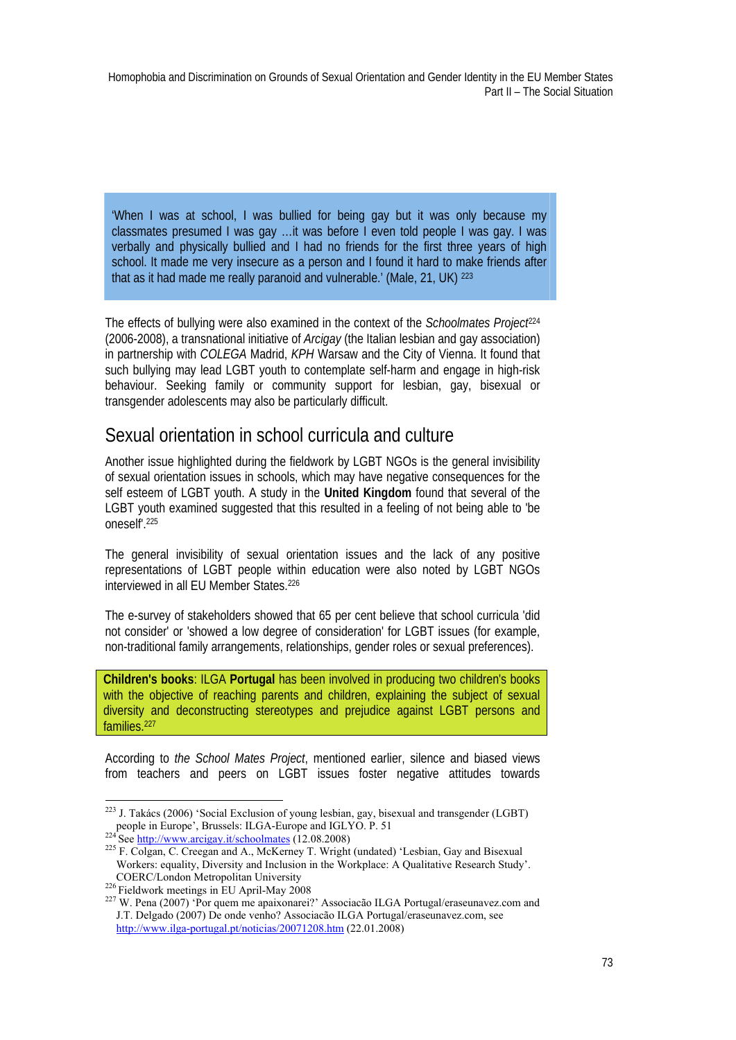'When I was at school, I was bullied for being gay but it was only because my classmates presumed I was gay …it was before I even told people I was gay. I was verbally and physically bullied and I had no friends for the first three years of high school. It made me very insecure as a person and I found it hard to make friends after that as it had made me really paranoid and vulnerable.' (Male, 21, UK) 223

The effects of bullying were also examined in the context of the *Schoolmates Project*<sup>224</sup> (2006-2008), a transnational initiative of *Arcigay* (the Italian lesbian and gay association) in partnership with *COLEGA* Madrid, *KPH* Warsaw and the City of Vienna. It found that such bullying may lead LGBT youth to contemplate self-harm and engage in high-risk behaviour. Seeking family or community support for lesbian, gay, bisexual or transgender adolescents may also be particularly difficult.

### Sexual orientation in school curricula and culture

Another issue highlighted during the fieldwork by LGBT NGOs is the general invisibility of sexual orientation issues in schools, which may have negative consequences for the self esteem of LGBT youth. A study in the **United Kingdom** found that several of the LGBT youth examined suggested that this resulted in a feeling of not being able to 'be oneself'.225

The general invisibility of sexual orientation issues and the lack of any positive representations of LGBT people within education were also noted by LGBT NGOs interviewed in all EU Member States.226

The e-survey of stakeholders showed that 65 per cent believe that school curricula 'did not consider' or 'showed a low degree of consideration' for LGBT issues (for example, non-traditional family arrangements, relationships, gender roles or sexual preferences).

**Children's books**: ILGA **Portugal** has been involved in producing two children's books with the objective of reaching parents and children, explaining the subject of sexual diversity and deconstructing stereotypes and prejudice against LGBT persons and families.<sup>227</sup>

According to *the School Mates Project*, mentioned earlier, silence and biased views from teachers and peers on LGBT issues foster negative attitudes towards

1

 $^{223}$  J. Takács (2006) 'Social Exclusion of young lesbian, gay, bisexual and transgender (LGBT) people in Europe', Brussels: ILGA-Europe and IGLYO. P. 51<br>
<sup>224</sup> See <u>http://www.arcigay.it/schoolmates</u> (12.08.2008)<br>
<sup>225</sup> F. Colgan, C. Creegan and A., McKerney T. Wright (undated) 'Lesbian, Gay and Bisexual

Workers: equality, Diversity and Inclusion in the Workplace: A Qualitative Research Study'. COERC/London Metropolitan University 226 Fieldwork meetings in EU April-May 2008 227 W. Pena (2007) 'Por quem me apaixonarei?' Associacão ILGA Portugal/eraseunavez.com and

J.T. Delgado (2007) De onde venho? Associacão ILGA Portugal/eraseunavez.com, see http://www.ilga-portugal.pt/noticias/20071208.htm (22.01.2008)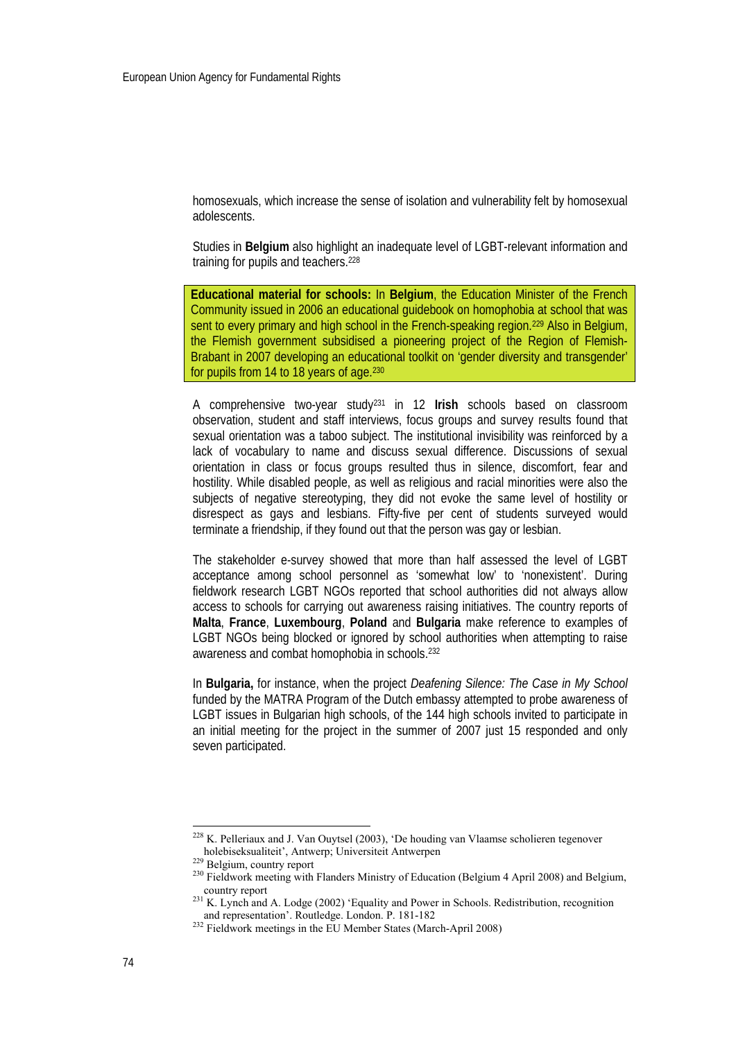homosexuals, which increase the sense of isolation and vulnerability felt by homosexual adolescents.

Studies in **Belgium** also highlight an inadequate level of LGBT-relevant information and training for pupils and teachers.228

**Educational material for schools:** In **Belgium**, the Education Minister of the French Community issued in 2006 an educational guidebook on homophobia at school that was sent to every primary and high school in the French-speaking region.229 Also in Belgium, the Flemish government subsidised a pioneering project of the Region of Flemish-Brabant in 2007 developing an educational toolkit on 'gender diversity and transgender' for pupils from 14 to 18 years of age.<sup>230</sup>

A comprehensive two-year study231 in 12 **Irish** schools based on classroom observation, student and staff interviews, focus groups and survey results found that sexual orientation was a taboo subject. The institutional invisibility was reinforced by a lack of vocabulary to name and discuss sexual difference. Discussions of sexual orientation in class or focus groups resulted thus in silence, discomfort, fear and hostility. While disabled people, as well as religious and racial minorities were also the subjects of negative stereotyping, they did not evoke the same level of hostility or disrespect as gays and lesbians. Fifty-five per cent of students surveyed would terminate a friendship, if they found out that the person was gay or lesbian.

The stakeholder e-survey showed that more than half assessed the level of LGBT acceptance among school personnel as 'somewhat low' to 'nonexistent'. During fieldwork research LGBT NGOs reported that school authorities did not always allow access to schools for carrying out awareness raising initiatives. The country reports of **Malta**, **France**, **Luxembourg**, **Poland** and **Bulgaria** make reference to examples of LGBT NGOs being blocked or ignored by school authorities when attempting to raise awareness and combat homophobia in schools.232

In **Bulgaria,** for instance, when the project *Deafening Silence: The Case in My School* funded by the MATRA Program of the Dutch embassy attempted to probe awareness of LGBT issues in Bulgarian high schools, of the 144 high schools invited to participate in an initial meeting for the project in the summer of 2007 just 15 responded and only seven participated.

 $228$  K. Pelleriaux and J. Van Ouytsel (2003), 'De houding van Vlaamse scholieren tegenover

holebiseksualiteit', Antwerp; Universiteit Antwerpen<br>
<sup>229</sup> Belgium, country report<br>
<sup>230</sup> Fieldwork meeting with Flanders Ministry of Education (Belgium 4 April 2008) and Belgium,

country report<br><sup>231</sup> K. Lynch and A. Lodge (2002) 'Equality and Power in Schools. Redistribution, recognition<br>and representation'. Routledge. London. P. 181-182

and representation . Routledge. London. P. 1814-1812 2008)<br><sup>232</sup> Fieldwork meetings in the EU Member States (March-April 2008)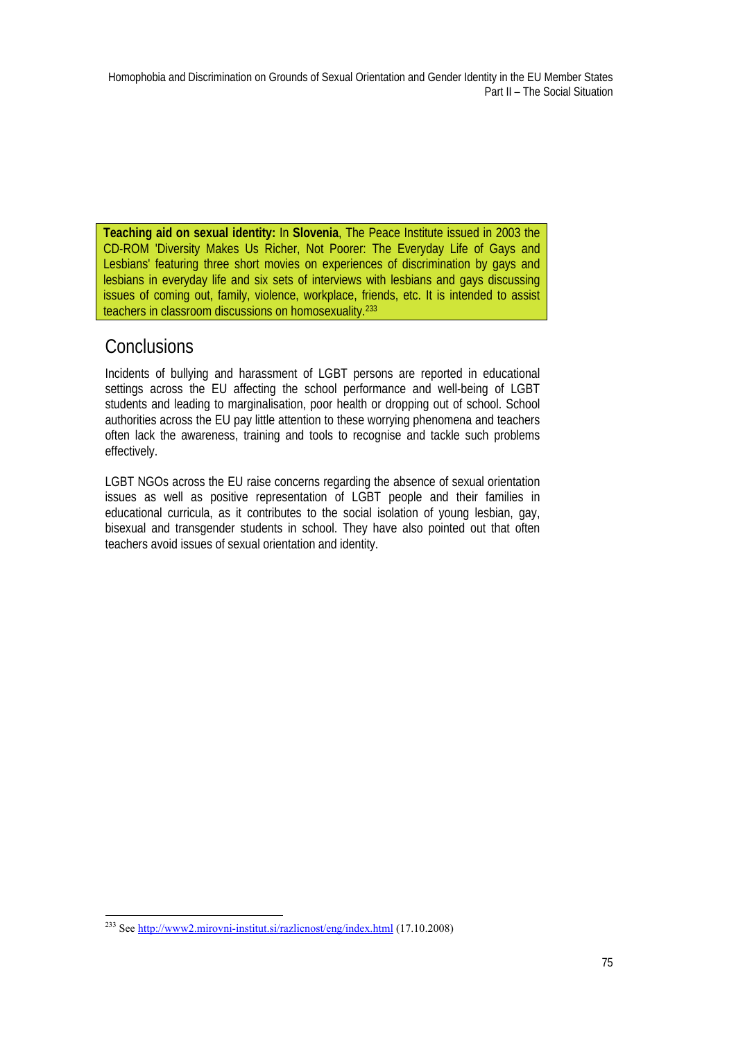**Teaching aid on sexual identity:** In **Slovenia**, The Peace Institute issued in 2003 the CD-ROM 'Diversity Makes Us Richer, Not Poorer: The Everyday Life of Gays and Lesbians' featuring three short movies on experiences of discrimination by gays and lesbians in everyday life and six sets of interviews with lesbians and gays discussing issues of coming out, family, violence, workplace, friends, etc. It is intended to assist teachers in classroom discussions on homosexuality.<sup>233</sup>

#### **Conclusions**

Incidents of bullying and harassment of LGBT persons are reported in educational settings across the EU affecting the school performance and well-being of LGBT students and leading to marginalisation, poor health or dropping out of school. School authorities across the EU pay little attention to these worrying phenomena and teachers often lack the awareness, training and tools to recognise and tackle such problems effectively.

LGBT NGOs across the EU raise concerns regarding the absence of sexual orientation issues as well as positive representation of LGBT people and their families in educational curricula, as it contributes to the social isolation of young lesbian, gay, bisexual and transgender students in school. They have also pointed out that often teachers avoid issues of sexual orientation and identity.

<sup>1</sup> <sup>233</sup> See http://www2.mirovni-institut.si/razlicnost/eng/index.html (17.10.2008)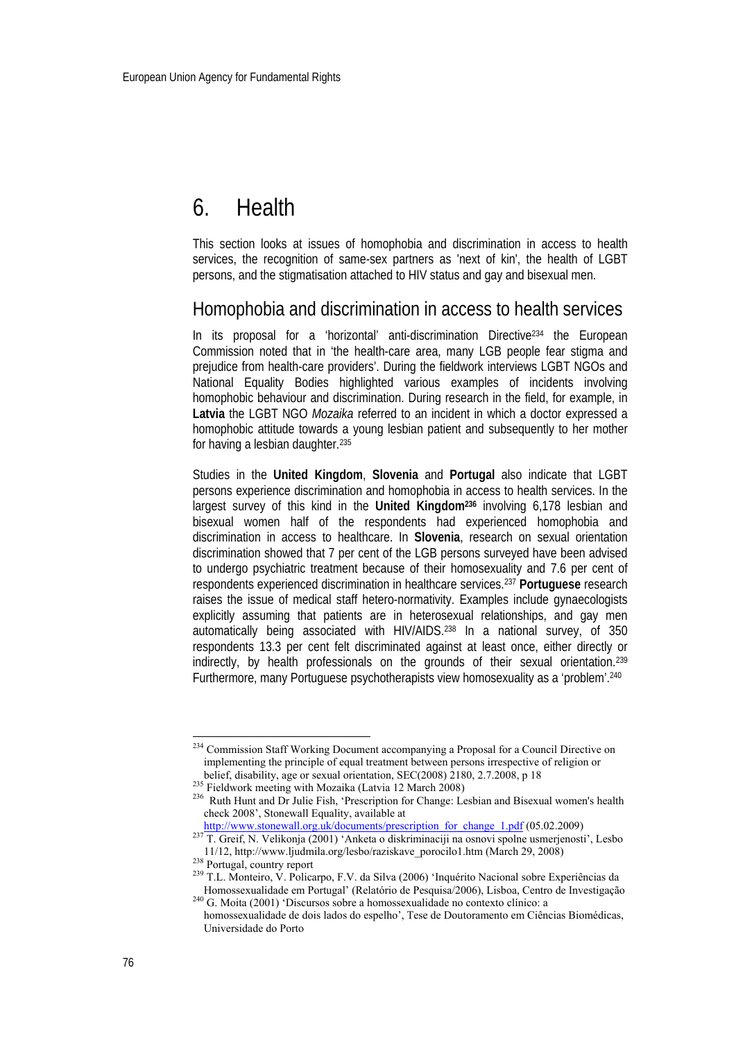# 6. Health

This section looks at issues of homophobia and discrimination in access to health services, the recognition of same-sex partners as 'next of kin', the health of LGBT persons, and the stigmatisation attached to HIV status and gay and bisexual men.

#### Homophobia and discrimination in access to health services

In its proposal for a 'horizontal' anti-discrimination Directive<sup>234</sup> the European Commission noted that in 'the health-care area, many LGB people fear stigma and prejudice from health-care providers'. During the fieldwork interviews LGBT NGOs and National Equality Bodies highlighted various examples of incidents involving homophobic behaviour and discrimination. During research in the field, for example, in **Latvia** the LGBT NGO *Mozaika* referred to an incident in which a doctor expressed a homophobic attitude towards a young lesbian patient and subsequently to her mother for having a lesbian daughter.<sup>235</sup>

Studies in the **United Kingdom**, **Slovenia** and **Portugal** also indicate that LGBT persons experience discrimination and homophobia in access to health services. In the largest survey of this kind in the **United Kingdom236** involving 6,178 lesbian and bisexual women half of the respondents had experienced homophobia and discrimination in access to healthcare. In **Slovenia**, research on sexual orientation discrimination showed that 7 per cent of the LGB persons surveyed have been advised to undergo psychiatric treatment because of their homosexuality and 7.6 per cent of respondents experienced discrimination in healthcare services.237 **Portuguese** research raises the issue of medical staff hetero-normativity. Examples include gynaecologists explicitly assuming that patients are in heterosexual relationships, and gay men automatically being associated with HIV/AIDS.238 In a national survey, of 350 respondents 13.3 per cent felt discriminated against at least once, either directly or indirectly, by health professionals on the grounds of their sexual orientation.<sup>239</sup> Furthermore, many Portuguese psychotherapists view homosexuality as a 'problem'.<sup>240</sup>

http://www.stonewall.org.uk/documents/prescription\_for\_change\_1.pdf (05.02.2009) 237 T. Greif, N. Velikonja (2001) 'Anketa o diskriminaciji na osnovi spolne usmerjenosti', Lesbo

<sup>&</sup>lt;sup>234</sup> Commission Staff Working Document accompanying a Proposal for a Council Directive on implementing the principle of equal treatment between persons irrespective of religion or

belief, disability, age or sexual orientation, SEC(2008) 2180, 2.7.2008, p 18<br><sup>235</sup> Fieldwork meeting with Mozaika (Latvia 12 March 2008)<br><sup>236</sup> Ruth Hunt and Dr Julie Fish, 'Prescription for Change: Lesbian and Bisexual wo check 2008', Stonewall Equality, available at

<sup>11/12,</sup> http://www.ljudmila.org/lesbo/raziskave\_porocilo1.htm (March 29, 2008) 238 Portugal, country report 239 T.L. Monteiro, V. Policarpo, F.V. da Silva (2006) 'Inquérito Nacional sobre Experiências da

Homossexualidade em Portugal' (Relatório de Pesquisa/2006), Lisboa, Centro de Investigação 240 G. Moita (2001) 'Discursos sobre a homossexualidade no contexto clínico: a

homossexualidade de dois lados do espelho', Tese de Doutoramento em Ciências Biomédicas, Universidade do Porto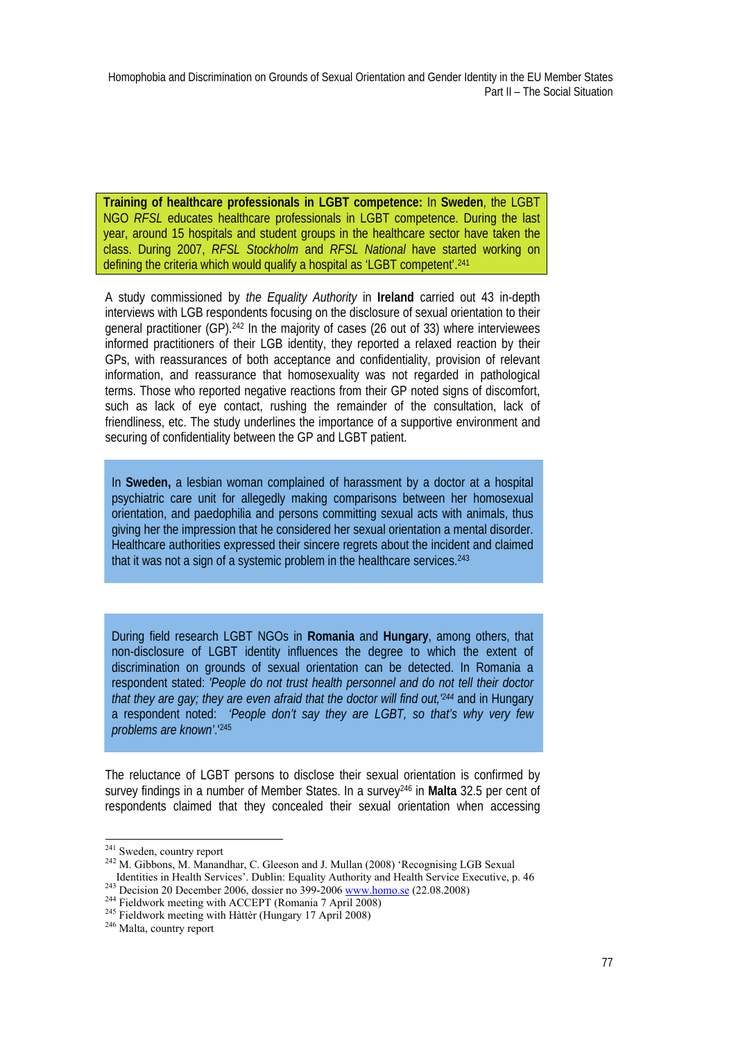**Training of healthcare professionals in LGBT competence:** In **Sweden**, the LGBT NGO *RFSL* educates healthcare professionals in LGBT competence. During the last year, around 15 hospitals and student groups in the healthcare sector have taken the class. During 2007, *RFSL Stockholm* and *RFSL National* have started working on defining the criteria which would qualify a hospital as 'LGBT competent'.241

A study commissioned by *the Equality Authority* in **Ireland** carried out 43 in-depth interviews with LGB respondents focusing on the disclosure of sexual orientation to their general practitioner (GP).242 In the majority of cases (26 out of 33) where interviewees informed practitioners of their LGB identity, they reported a relaxed reaction by their GPs, with reassurances of both acceptance and confidentiality, provision of relevant information, and reassurance that homosexuality was not regarded in pathological terms. Those who reported negative reactions from their GP noted signs of discomfort, such as lack of eye contact, rushing the remainder of the consultation, lack of friendliness, etc. The study underlines the importance of a supportive environment and securing of confidentiality between the GP and LGBT patient.

In **Sweden,** a lesbian woman complained of harassment by a doctor at a hospital psychiatric care unit for allegedly making comparisons between her homosexual orientation, and paedophilia and persons committing sexual acts with animals, thus giving her the impression that he considered her sexual orientation a mental disorder. Healthcare authorities expressed their sincere regrets about the incident and claimed that it was not a sign of a systemic problem in the healthcare services.<sup>243</sup>

During field research LGBT NGOs in **Romania** and **Hungary**, among others, that non-disclosure of LGBT identity influences the degree to which the extent of discrimination on grounds of sexual orientation can be detected. In Romania a respondent stated: *'People do not trust health personnel and do not tell their doctor that they are gay; they are even afraid that the doctor will find out,'244* and in Hungary a respondent noted: *'People don't say they are LGBT, so that's why very few problems are known'*.'245

The reluctance of LGBT persons to disclose their sexual orientation is confirmed by survey findings in a number of Member States. In a survey246 in **Malta** 32.5 per cent of respondents claimed that they concealed their sexual orientation when accessing

<sup>&</sup>lt;sup>241</sup> Sweden, country report

 $242$  M. Gibbons, M. Manandhar, C. Gleeson and J. Mullan (2008) 'Recognising LGB Sexual Identities in Health Services'. Dublin: Equality Authority and Health Service Executive, p. 46<br>
<sup>243</sup> Decision 20 December 2006, dossier no 399-2006 www.homo.se (22.08.2008)<br>
<sup>244</sup> Fieldwork meeting with ACCEPT (Romania 7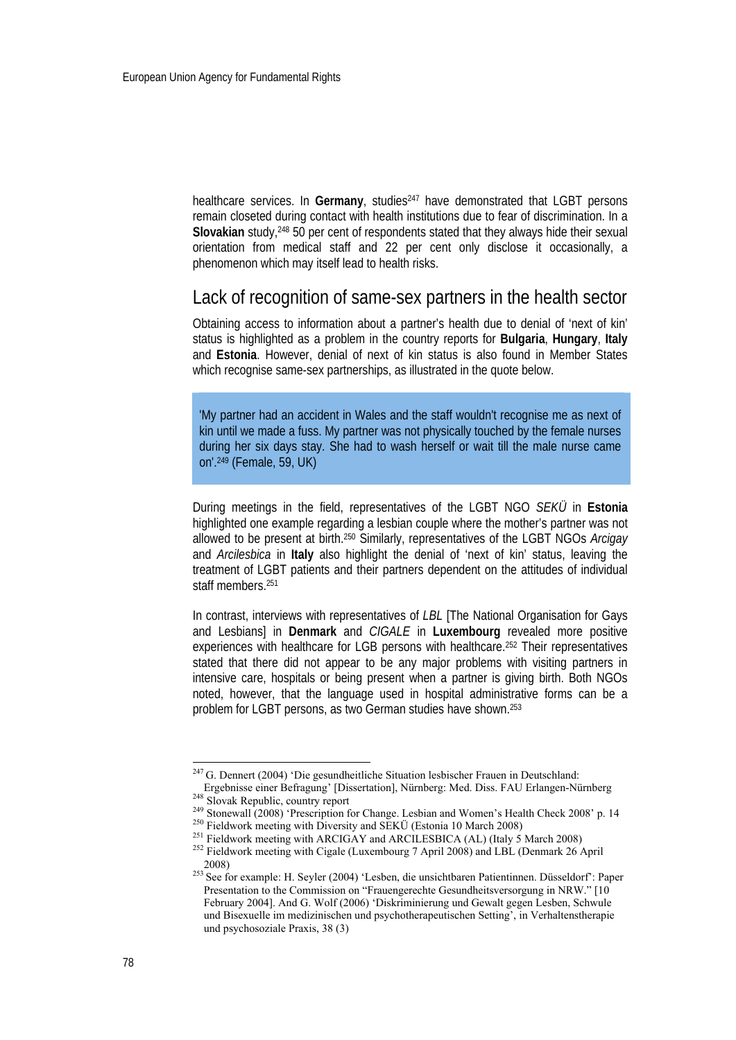healthcare services. In Germany, studies<sup>247</sup> have demonstrated that LGBT persons remain closeted during contact with health institutions due to fear of discrimination. In a Slovakian study,<sup>248</sup> 50 per cent of respondents stated that they always hide their sexual orientation from medical staff and 22 per cent only disclose it occasionally, a phenomenon which may itself lead to health risks.

### Lack of recognition of same-sex partners in the health sector

Obtaining access to information about a partner's health due to denial of 'next of kin' status is highlighted as a problem in the country reports for **Bulgaria**, **Hungary**, **Italy** and **Estonia**. However, denial of next of kin status is also found in Member States which recognise same-sex partnerships, as illustrated in the quote below.

'My partner had an accident in Wales and the staff wouldn't recognise me as next of kin until we made a fuss. My partner was not physically touched by the female nurses during her six days stay. She had to wash herself or wait till the male nurse came on'.249 (Female, 59, UK)

During meetings in the field, representatives of the LGBT NGO *SEKÜ* in **Estonia** highlighted one example regarding a lesbian couple where the mother's partner was not allowed to be present at birth.250 Similarly, representatives of the LGBT NGOs *Arcigay* and *Arcilesbica* in **Italy** also highlight the denial of 'next of kin' status, leaving the treatment of LGBT patients and their partners dependent on the attitudes of individual staff members.251

In contrast, interviews with representatives of *LBL* [The National Organisation for Gays and Lesbians] in **Denmark** and *CIGALE* in **Luxembourg** revealed more positive experiences with healthcare for LGB persons with healthcare.<sup>252</sup> Their representatives stated that there did not appear to be any major problems with visiting partners in intensive care, hospitals or being present when a partner is giving birth. Both NGOs noted, however, that the language used in hospital administrative forms can be a problem for LGBT persons, as two German studies have shown.253

 $\overline{a}$ 

 $^{247}$  G. Dennert (2004) 'Die gesundheitliche Situation lesbischer Frauen in Deutschland:

Ergebnisse einer Befragung' [Dissertation], Nürnberg: Med. Diss. FAU Erlangen-Nürnberg<br><sup>248</sup> Slovak Republic, country report<br><sup>249</sup> Stonewall (2008) 'Prescription for Change. Lesbian and Women's Health Check 2008' p. 14<br><sup>25</sup>

<sup>&</sup>lt;sup>253</sup> See for example: H. Seyler (2004) 'Lesben, die unsichtbaren Patientinnen. Düsseldorf': Paper Presentation to the Commission on "Frauengerechte Gesundheitsversorgung in NRW." [10 February 2004]. And G. Wolf (2006) 'Diskriminierung und Gewalt gegen Lesben, Schwule und Bisexuelle im medizinischen und psychotherapeutischen Setting', in Verhaltenstherapie und psychosoziale Praxis, 38 (3)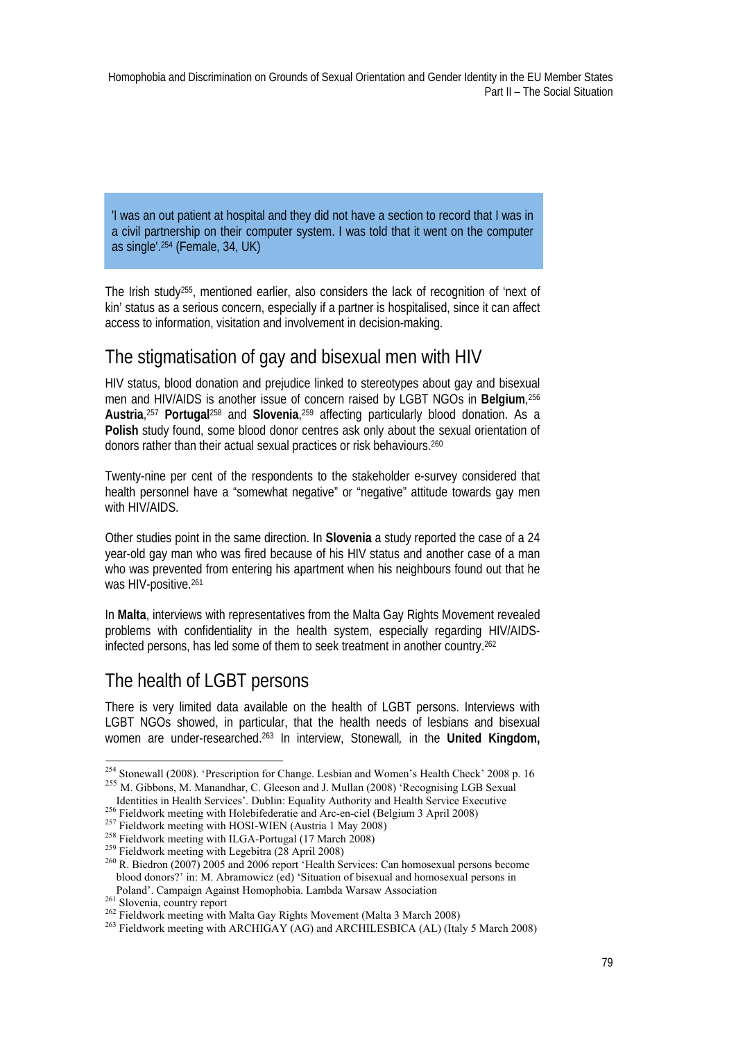'I was an out patient at hospital and they did not have a section to record that I was in a civil partnership on their computer system. I was told that it went on the computer as single'.254 (Female, 34, UK)

The Irish study255, mentioned earlier, also considers the lack of recognition of 'next of kin' status as a serious concern, especially if a partner is hospitalised, since it can affect access to information, visitation and involvement in decision-making.

## The stigmatisation of gay and bisexual men with HIV

HIV status, blood donation and prejudice linked to stereotypes about gay and bisexual men and HIV/AIDS is another issue of concern raised by LGBT NGOs in **Belgium**, 256 **Austria**, <sup>257</sup> **Portugal**258 and **Slovenia**, 259 affecting particularly blood donation. As a **Polish** study found, some blood donor centres ask only about the sexual orientation of donors rather than their actual sexual practices or risk behaviours.260

Twenty-nine per cent of the respondents to the stakeholder e-survey considered that health personnel have a "somewhat negative" or "negative" attitude towards gay men with HIV/AIDS.

Other studies point in the same direction. In **Slovenia** a study reported the case of a 24 year-old gay man who was fired because of his HIV status and another case of a man who was prevented from entering his apartment when his neighbours found out that he was HIV-positive.<sup>261</sup>

In **Malta**, interviews with representatives from the Malta Gay Rights Movement revealed problems with confidentiality in the health system, especially regarding HIV/AIDSinfected persons, has led some of them to seek treatment in another country.262

## The health of LGBT persons

There is very limited data available on the health of LGBT persons. Interviews with LGBT NGOs showed, in particular, that the health needs of lesbians and bisexual women are under-researched.263 In interview, Stonewall*,* in the **United Kingdom,**

<sup>&</sup>lt;sup>254</sup> Stonewall (2008). 'Prescription for Change. Lesbian and Women's Health Check' 2008 p. 16 <sup>255</sup> M. Gibbons. M. Manandhar, C. Gleeson and J. Mullan (2008) 'Recognising LGB Sexual

Identities in Health Services'. Dublin: Equality Authority and Health Service Executive<br>
<sup>256</sup> Fieldwork meeting with Holebifederatie and Arc-en-ciel (Belgium 3 April 2008)<br>
<sup>257</sup> Fieldwork meeting with HOSI-WIEN (Austria

blood donors?' in: M. Abramowicz (ed) 'Situation of bisexual and homosexual persons in

Poland'. Campaign Against Homophobia. Lambda Warsaw Association<br><sup>261</sup> Slovenia, country report<br><sup>262</sup> Fieldwork meeting with Malta Gay Rights Movement (Malta 3 March 2008)<br><sup>263</sup> Fieldwork meeting with ARCHIGAY (AG) and ARCH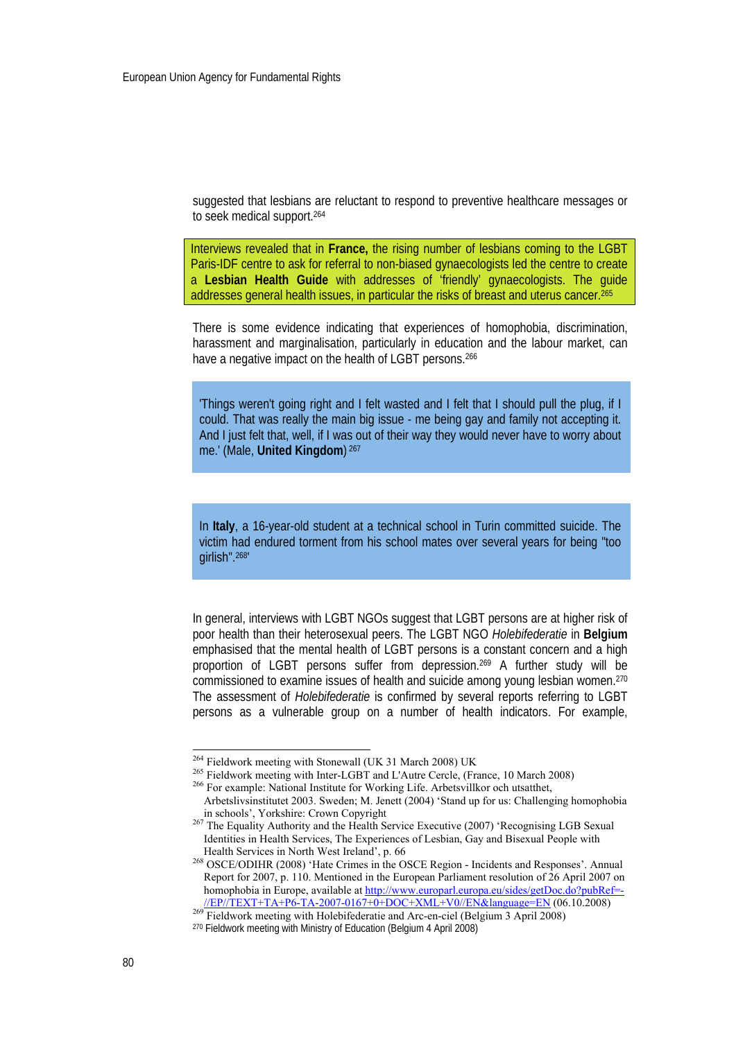suggested that lesbians are reluctant to respond to preventive healthcare messages or to seek medical support.<sup>264</sup>

Interviews revealed that in **France,** the rising number of lesbians coming to the LGBT Paris-IDF centre to ask for referral to non-biased gynaecologists led the centre to create a **Lesbian Health Guide** with addresses of 'friendly' gynaecologists. The guide addresses general health issues, in particular the risks of breast and uterus cancer.<sup>265</sup>

There is some evidence indicating that experiences of homophobia, discrimination, harassment and marginalisation, particularly in education and the labour market, can have a negative impact on the health of LGBT persons.<sup>266</sup>

'Things weren't going right and I felt wasted and I felt that I should pull the plug, if I could. That was really the main big issue - me being gay and family not accepting it. And I just felt that, well, if I was out of their way they would never have to worry about me.' (Male, **United Kingdom**) 267

In **Italy**, a 16-year-old student at a technical school in Turin committed suicide. The victim had endured torment from his school mates over several years for being "too girlish".268'

In general, interviews with LGBT NGOs suggest that LGBT persons are at higher risk of poor health than their heterosexual peers. The LGBT NGO *Holebifederatie* in **Belgium** emphasised that the mental health of LGBT persons is a constant concern and a high proportion of LGBT persons suffer from depression.269 A further study will be commissioned to examine issues of health and suicide among young lesbian women.270 The assessment of *Holebifederatie* is confirmed by several reports referring to LGBT persons as a vulnerable group on a number of health indicators. For example,

<sup>&</sup>lt;sup>264</sup> Fieldwork meeting with Stonewall (UK 31 March 2008) UK

<sup>&</sup>lt;sup>265</sup> Fieldwork meeting with Inter-LGBT and L'Autre Cercle, (France, 10 March 2008) <sup>266</sup> For example: National Institute for Working Life. Arbetsvillkor och utsatthet,

Arbetslivsinstitutet 2003. Sweden; M. Jenett (2004) 'Stand up for us: Challenging homophobia

in schools', Yorkshire: Crown Copyright 267 The Equality Authority and the Health Service Executive (2007) 'Recognising LGB Sexual Identities in Health Services, The Experiences of Lesbian, Gay and Bisexual People with

Health Services in North West Ireland', p. 66<br><sup>268</sup> OSCE/ODIHR (2008) 'Hate Crimes in the OSCE Region - Incidents and Responses'. Annual Report for 2007, p. 110. Mentioned in the European Parliament resolution of 26 April 2007 on homophobia in Europe, available at http://www.europarl.europa.eu/sides/getDoc.do?pubRef=-<br>//EP//TEXT+TA+P6-TA-2007-0167+0+DOC+XML+V0//EN&language=EN (06.10.2008)

<sup>&</sup>lt;sup>269</sup> Fieldwork meeting with Holebifederatie and Arc-en-ciel (Belgium 3 April 2008)

<sup>270</sup> Fieldwork meeting with Ministry of Education (Belgium 4 April 2008)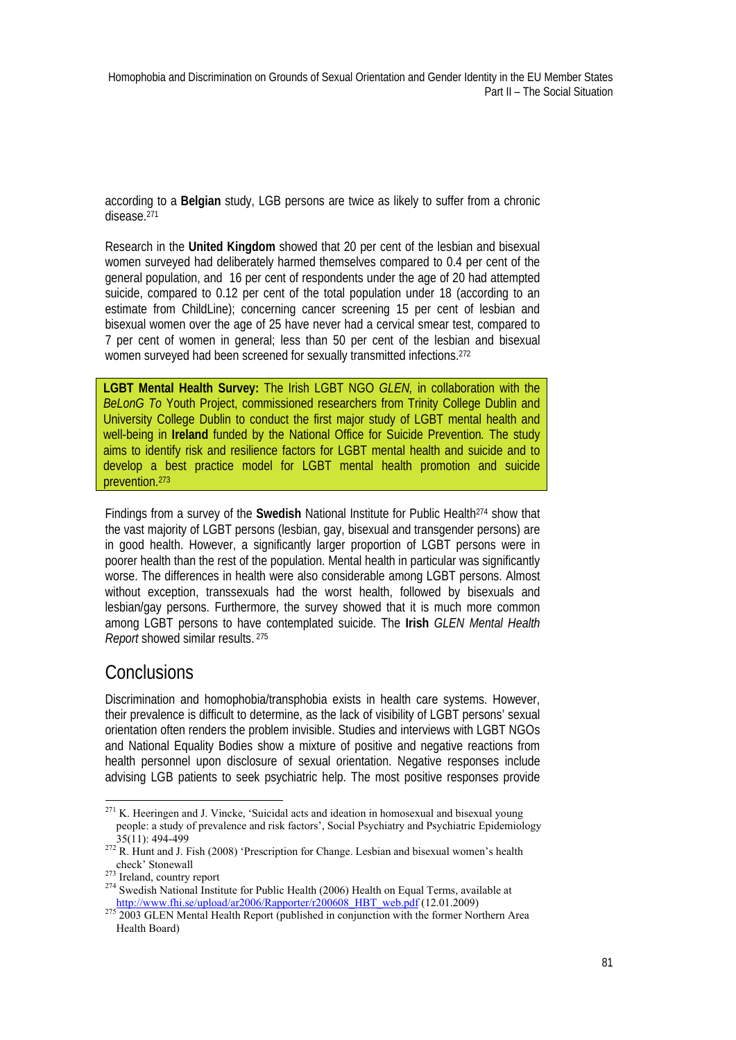according to a **Belgian** study, LGB persons are twice as likely to suffer from a chronic disease.271

Research in the **United Kingdom** showed that 20 per cent of the lesbian and bisexual women surveyed had deliberately harmed themselves compared to 0.4 per cent of the general population, and 16 per cent of respondents under the age of 20 had attempted suicide, compared to 0.12 per cent of the total population under 18 (according to an estimate from ChildLine); concerning cancer screening 15 per cent of lesbian and bisexual women over the age of 25 have never had a cervical smear test, compared to 7 per cent of women in general; less than 50 per cent of the lesbian and bisexual women surveyed had been screened for sexually transmitted infections.272

**LGBT Mental Health Survey:** The Irish LGBT NGO *GLEN,* in collaboration with the *BeLonG To* Youth Project, commissioned researchers from Trinity College Dublin and University College Dublin to conduct the first major study of LGBT mental health and well-being in **Ireland** funded by the National Office for Suicide Prevention*.* The study aims to identify risk and resilience factors for LGBT mental health and suicide and to develop a best practice model for LGBT mental health promotion and suicide prevention.273

Findings from a survey of the **Swedish** National Institute for Public Health<sup>274</sup> show that the vast majority of LGBT persons (lesbian, gay, bisexual and transgender persons) are in good health. However, a significantly larger proportion of LGBT persons were in poorer health than the rest of the population. Mental health in particular was significantly worse. The differences in health were also considerable among LGBT persons. Almost without exception, transsexuals had the worst health, followed by bisexuals and lesbian/gay persons. Furthermore, the survey showed that it is much more common among LGBT persons to have contemplated suicide. The **Irish** *GLEN Mental Health Report* showed similar results. 275

## **Conclusions**

Discrimination and homophobia/transphobia exists in health care systems. However, their prevalence is difficult to determine, as the lack of visibility of LGBT persons' sexual orientation often renders the problem invisible. Studies and interviews with LGBT NGOs and National Equality Bodies show a mixture of positive and negative reactions from health personnel upon disclosure of sexual orientation. Negative responses include advising LGB patients to seek psychiatric help. The most positive responses provide

<sup>1</sup>  $^{271}$  K. Heeringen and J. Vincke, 'Suicidal acts and ideation in homosexual and bisexual young people: a study of prevalence and risk factors', Social Psychiatry and Psychiatric Epidemiology

 $35(11)$ : 494-499<br><sup>272</sup> R. Hunt and J. Fish (2008) 'Prescription for Change. Lesbian and bisexual women's health<br>check' Stonewall

<sup>&</sup>lt;sup>273</sup> Ireland, country report<br>
<sup>274</sup> Swedish National Institute for Public Health (2006) Health on Equal Terms, available at<br>
<u>http://www.fhi.se/upload/ar2006/Rapporter/r200608 HBT web.pdf</u> (12.01.2009)

 $\frac{1}{200}$  2006 GLEN Mental Health Report (published in conjunction with the former Northern Area Health Board)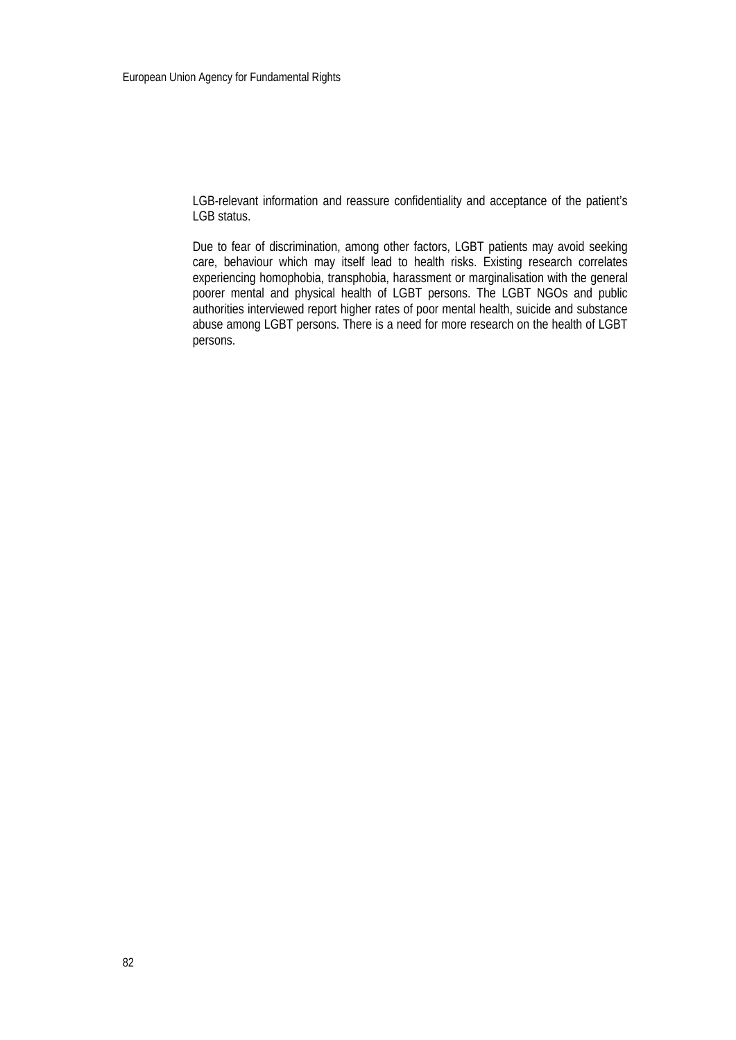LGB-relevant information and reassure confidentiality and acceptance of the patient's LGB status.

Due to fear of discrimination, among other factors, LGBT patients may avoid seeking care, behaviour which may itself lead to health risks. Existing research correlates experiencing homophobia, transphobia, harassment or marginalisation with the general poorer mental and physical health of LGBT persons. The LGBT NGOs and public authorities interviewed report higher rates of poor mental health, suicide and substance abuse among LGBT persons. There is a need for more research on the health of LGBT persons.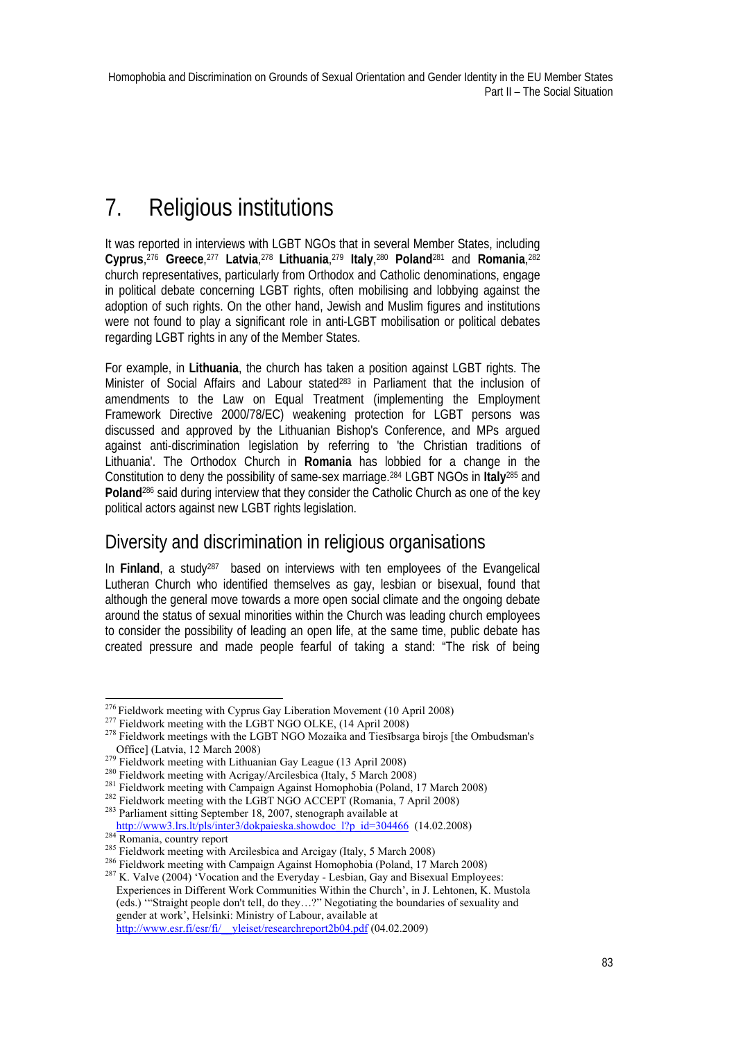# 7. Religious institutions

It was reported in interviews with LGBT NGOs that in several Member States, including **Cyprus**, <sup>276</sup> **Greece**, <sup>277</sup> **Latvia**, <sup>278</sup>**Lithuania**, <sup>279</sup> **Italy**, <sup>280</sup> **Poland**281 and **Romania**, 282 church representatives, particularly from Orthodox and Catholic denominations, engage in political debate concerning LGBT rights, often mobilising and lobbying against the adoption of such rights. On the other hand, Jewish and Muslim figures and institutions were not found to play a significant role in anti-LGBT mobilisation or political debates regarding LGBT rights in any of the Member States.

For example, in **Lithuania**, the church has taken a position against LGBT rights. The Minister of Social Affairs and Labour stated<sup>283</sup> in Parliament that the inclusion of amendments to the Law on Equal Treatment (implementing the Employment Framework Directive 2000/78/EC) weakening protection for LGBT persons was discussed and approved by the Lithuanian Bishop's Conference, and MPs argued against anti-discrimination legislation by referring to 'the Christian traditions of Lithuania'. The Orthodox Church in **Romania** has lobbied for a change in the Constitution to deny the possibility of same-sex marriage.284 LGBT NGOs in **Italy**<sup>285</sup> and **Poland**286 said during interview that they consider the Catholic Church as one of the key political actors against new LGBT rights legislation.

# Diversity and discrimination in religious organisations

In **Finland**, a study287 based on interviews with ten employees of the Evangelical Lutheran Church who identified themselves as gay, lesbian or bisexual, found that although the general move towards a more open social climate and the ongoing debate around the status of sexual minorities within the Church was leading church employees to consider the possibility of leading an open life, at the same time, public debate has created pressure and made people fearful of taking a stand: "The risk of being

<sup>&</sup>lt;sup>276</sup> Fieldwork meeting with Cyprus Gay Liberation Movement (10 April 2008)

<sup>277</sup> Fieldwork meeting with the LGBT NGO OLKE, (14 April 2008)<br><sup>278</sup> Fieldwork meetings with the LGBT NGO Mozaika and Tiesībsarga birojs [the Ombudsman's<br>Office] (Latvia, 12 March 2008)

<sup>&</sup>lt;sup>279</sup> Fieldwork meeting with Lithuanian Gay League (13 April 2008)<br><sup>280</sup> Fieldwork meeting with Acrigay/Arcilesbica (Italy, 5 March 2008)<br><sup>281</sup> Fieldwork meeting with Campaign Against Homophobia (Poland, 17 March 2008)<br><sup>2</sup>

 $\frac{http://www3.1rs.lt/pls/inter3/dokpaieska.showdoc_1?p_id=304466}{Romania, country report}$ <sup>284</sup> Romania, country report<br>
<sup>285</sup> Fieldwork meeting with Arcilesbica and Arcigay (Italy, 5 March 2008)<br>
<sup>286</sup> Fieldwork meeting with Campaign Against Homophobia (Poland, 1 Experiences in Different Work Communities Within the Church', in J. Lehtonen, K. Mustola (eds.) '"Straight people don't tell, do they…?" Negotiating the boundaries of sexuality and gender at work', Helsinki: Ministry of Labour, available at http://www.esr.fi/esr/fi/\_\_yleiset/researchreport2b04.pdf (04.02.2009)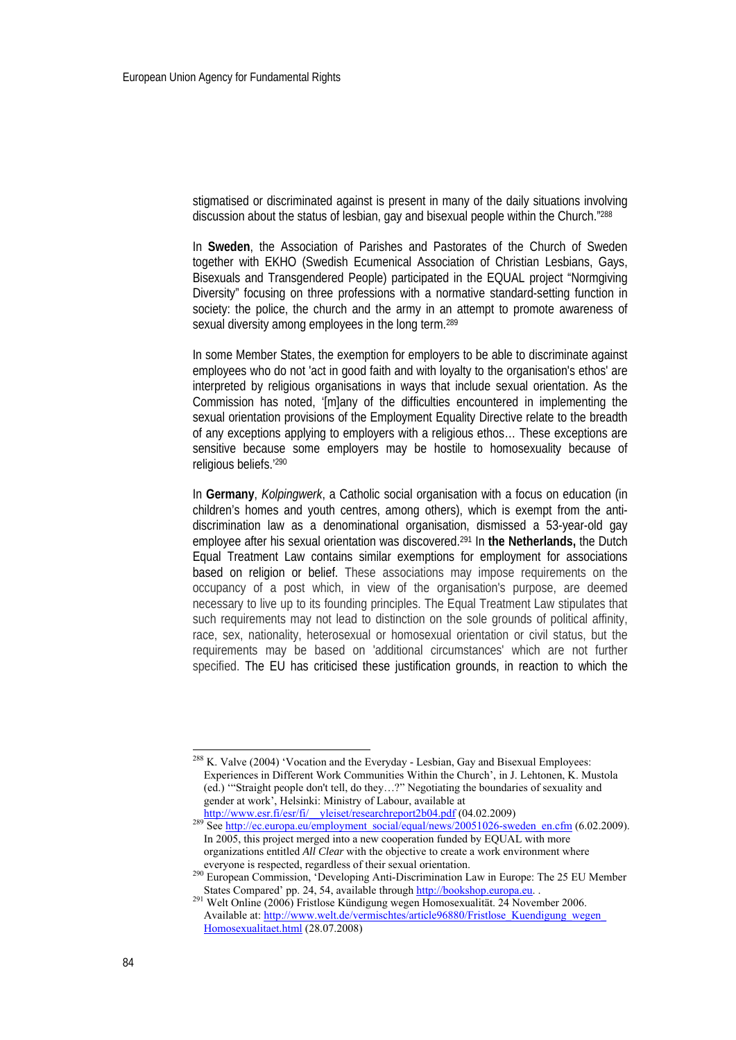stigmatised or discriminated against is present in many of the daily situations involving discussion about the status of lesbian, gay and bisexual people within the Church."<sup>288</sup>

In **Sweden**, the Association of Parishes and Pastorates of the Church of Sweden together with EKHO (Swedish Ecumenical Association of Christian Lesbians, Gays, Bisexuals and Transgendered People) participated in the EQUAL project "Normgiving Diversity" focusing on three professions with a normative standard-setting function in society: the police, the church and the army in an attempt to promote awareness of sexual diversity among employees in the long term.289

In some Member States, the exemption for employers to be able to discriminate against employees who do not 'act in good faith and with loyalty to the organisation's ethos' are interpreted by religious organisations in ways that include sexual orientation. As the Commission has noted, '[m]any of the difficulties encountered in implementing the sexual orientation provisions of the Employment Equality Directive relate to the breadth of any exceptions applying to employers with a religious ethos… These exceptions are sensitive because some employers may be hostile to homosexuality because of religious beliefs.'290

In **Germany**, *Kolpingwerk*, a Catholic social organisation with a focus on education (in children's homes and youth centres, among others), which is exempt from the antidiscrimination law as a denominational organisation, dismissed a 53-year-old gay employee after his sexual orientation was discovered.291 In **the Netherlands,** the Dutch Equal Treatment Law contains similar exemptions for employment for associations based on religion or belief. These associations may impose requirements on the occupancy of a post which, in view of the organisation's purpose, are deemed necessary to live up to its founding principles. The Equal Treatment Law stipulates that such requirements may not lead to distinction on the sole grounds of political affinity, race, sex, nationality, heterosexual or homosexual orientation or civil status, but the requirements may be based on 'additional circumstances' which are not further specified. The EU has criticised these justification grounds, in reaction to which the

<sup>&</sup>lt;u>.</u>  $^{288}$  K. Valve (2004) 'Vocation and the Everyday - Lesbian, Gay and Bisexual Employees: Experiences in Different Work Communities Within the Church', in J. Lehtonen, K. Mustola (ed.) '"Straight people don't tell, do they…?" Negotiating the boundaries of sexuality and gender at work', Helsinki: Ministry of Labour, available at

http://www.esr.fi/esr/fi/\_\_yleiset/researchreport2b04.pdf (04.02.2009)<br><sup>289</sup> See <u>http://ec.europa.eu/employment\_social/equal/news/20051026-sweden\_en.cfm</u> (6.02.2009). In 2005, this project merged into a new cooperation funded by EQUAL with more organizations entitled *All Clear* with the objective to create a work environment where

everyone is respected, regardless of their sexual orientation.<br><sup>290</sup> European Commission, 'Developing Anti-Discrimination Law in Europe: The 25 EU Member

States Compared' pp. 24, 54, available through http://bookshop.europa.eu. . 291 Welt Online (2006) Fristlose Kündigung wegen Homosexualität. 24 November 2006. Available at: http://www.welt.de/vermischtes/article96880/Fristlose\_Kuendigung\_wegen\_ Homosexualitaet.html (28.07.2008)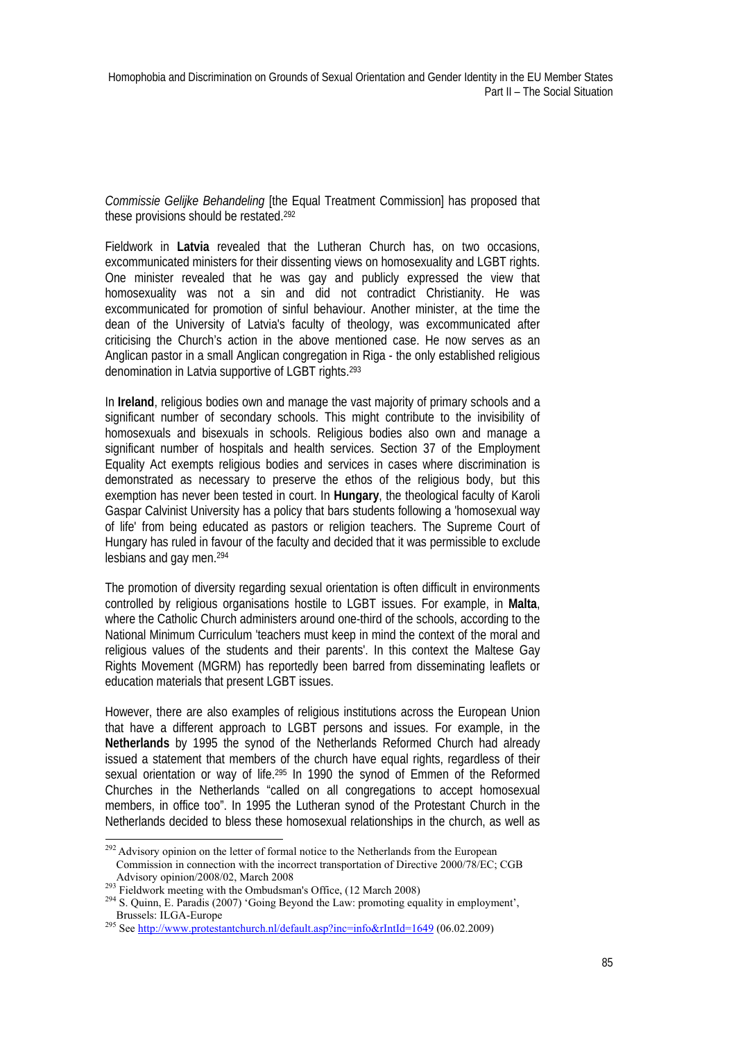*Commissie Gelijke Behandeling* [the Equal Treatment Commission] has proposed that these provisions should be restated.292

Fieldwork in **Latvia** revealed that the Lutheran Church has, on two occasions, excommunicated ministers for their dissenting views on homosexuality and LGBT rights. One minister revealed that he was gay and publicly expressed the view that homosexuality was not a sin and did not contradict Christianity. He was excommunicated for promotion of sinful behaviour. Another minister, at the time the dean of the University of Latvia's faculty of theology, was excommunicated after criticising the Church's action in the above mentioned case. He now serves as an Anglican pastor in a small Anglican congregation in Riga - the only established religious denomination in Latvia supportive of LGBT rights.293

In **Ireland**, religious bodies own and manage the vast majority of primary schools and a significant number of secondary schools. This might contribute to the invisibility of homosexuals and bisexuals in schools. Religious bodies also own and manage a significant number of hospitals and health services. Section 37 of the Employment Equality Act exempts religious bodies and services in cases where discrimination is demonstrated as necessary to preserve the ethos of the religious body, but this exemption has never been tested in court. In **Hungary**, the theological faculty of Karoli Gaspar Calvinist University has a policy that bars students following a 'homosexual way of life' from being educated as pastors or religion teachers. The Supreme Court of Hungary has ruled in favour of the faculty and decided that it was permissible to exclude lesbians and gay men.<sup>294</sup>

The promotion of diversity regarding sexual orientation is often difficult in environments controlled by religious organisations hostile to LGBT issues. For example, in **Malta**, where the Catholic Church administers around one-third of the schools, according to the National Minimum Curriculum 'teachers must keep in mind the context of the moral and religious values of the students and their parents'. In this context the Maltese Gay Rights Movement (MGRM) has reportedly been barred from disseminating leaflets or education materials that present LGBT issues.

However, there are also examples of religious institutions across the European Union that have a different approach to LGBT persons and issues. For example, in the **Netherlands** by 1995 the synod of the Netherlands Reformed Church had already issued a statement that members of the church have equal rights, regardless of their sexual orientation or way of life.<sup>295</sup> In 1990 the synod of Emmen of the Reformed Churches in the Netherlands "called on all congregations to accept homosexual members, in office too". In 1995 the Lutheran synod of the Protestant Church in the Netherlands decided to bless these homosexual relationships in the church, as well as

1

<sup>&</sup>lt;sup>292</sup> Advisory opinion on the letter of formal notice to the Netherlands from the European Commission in connection with the incorrect transportation of Directive 2000/78/EC; CGB

Advisory opinion/2008/02, March 2008<br><sup>293</sup> Fieldwork meeting with the Ombudsman's Office, (12 March 2008)<br><sup>294</sup> S. Quinn, E. Paradis (2007) 'Going Beyond the Law: promoting equality in employment',

Brussels: ILGA-Europe<br>
<sup>295</sup> See http://www.protestantchurch.nl/default.asp?inc=info&rIntId=1649 (06.02.2009)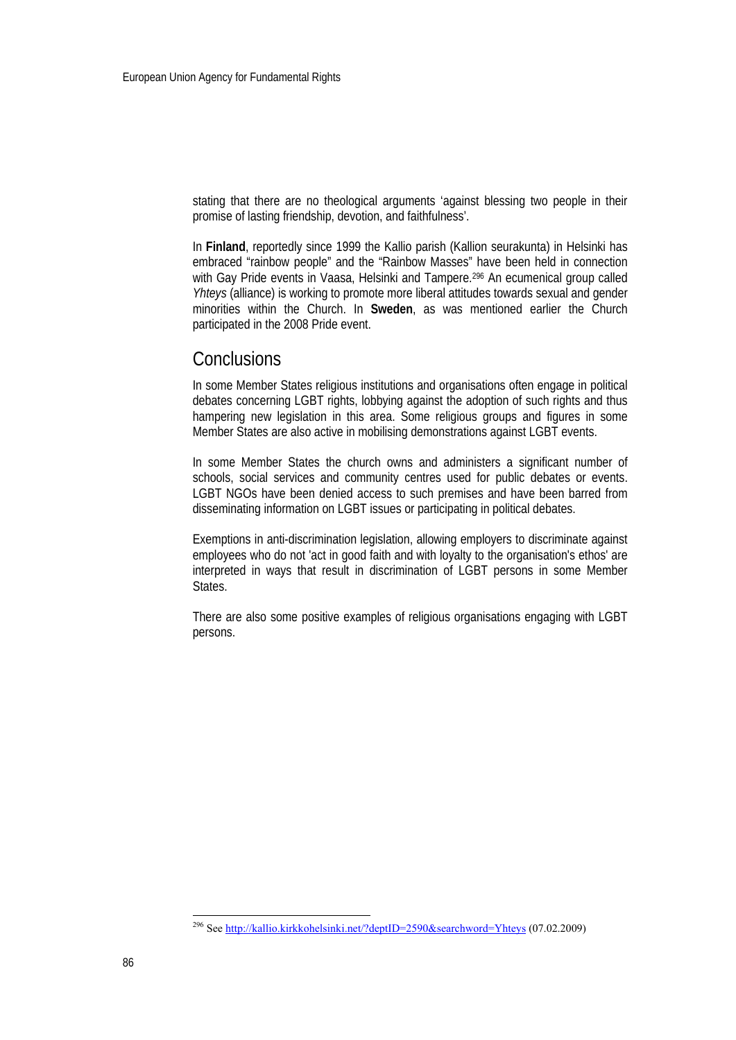stating that there are no theological arguments 'against blessing two people in their promise of lasting friendship, devotion, and faithfulness'.

In **Finland**, reportedly since 1999 the Kallio parish (Kallion seurakunta) in Helsinki has embraced "rainbow people" and the "Rainbow Masses" have been held in connection with Gay Pride events in Vaasa, Helsinki and Tampere.<sup>296</sup> An ecumenical group called *Yhteys* (alliance) is working to promote more liberal attitudes towards sexual and gender minorities within the Church. In **Sweden**, as was mentioned earlier the Church participated in the 2008 Pride event.

#### **Conclusions**

In some Member States religious institutions and organisations often engage in political debates concerning LGBT rights, lobbying against the adoption of such rights and thus hampering new legislation in this area. Some religious groups and figures in some Member States are also active in mobilising demonstrations against LGBT events.

In some Member States the church owns and administers a significant number of schools, social services and community centres used for public debates or events. LGBT NGOs have been denied access to such premises and have been barred from disseminating information on LGBT issues or participating in political debates.

Exemptions in anti-discrimination legislation, allowing employers to discriminate against employees who do not 'act in good faith and with loyalty to the organisation's ethos' are interpreted in ways that result in discrimination of LGBT persons in some Member States.

There are also some positive examples of religious organisations engaging with LGBT persons.

<sup>&</sup>lt;sup>296</sup> See http://kallio.kirkkohelsinki.net/?deptID=2590&searchword=Yhteys (07.02.2009)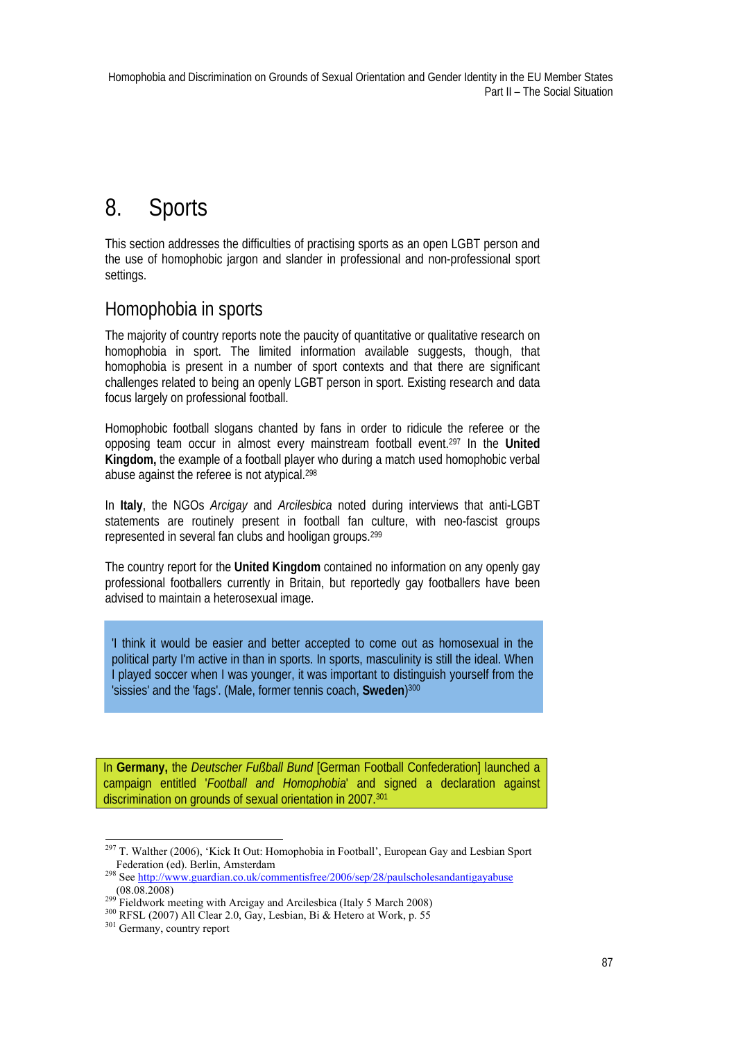# 8. Sports

This section addresses the difficulties of practising sports as an open LGBT person and the use of homophobic jargon and slander in professional and non-professional sport settings.

## Homophobia in sports

The majority of country reports note the paucity of quantitative or qualitative research on homophobia in sport. The limited information available suggests, though, that homophobia is present in a number of sport contexts and that there are significant challenges related to being an openly LGBT person in sport. Existing research and data focus largely on professional football.

Homophobic football slogans chanted by fans in order to ridicule the referee or the opposing team occur in almost every mainstream football event.297 In the **United Kingdom,** the example of a football player who during a match used homophobic verbal abuse against the referee is not atypical.298

In **Italy**, the NGOs *Arcigay* and *Arcilesbica* noted during interviews that anti-LGBT statements are routinely present in football fan culture, with neo-fascist groups represented in several fan clubs and hooligan groups.299

The country report for the **United Kingdom** contained no information on any openly gay professional footballers currently in Britain, but reportedly gay footballers have been advised to maintain a heterosexual image.

'I think it would be easier and better accepted to come out as homosexual in the political party I'm active in than in sports. In sports, masculinity is still the ideal. When I played soccer when I was younger, it was important to distinguish yourself from the 'sissies' and the 'fags'. (Male, former tennis coach, **Sweden**) 300

In **Germany,** the *Deutscher Fußball Bund* [German Football Confederation] launched a campaign entitled '*Football and Homophobia*' and signed a declaration against discrimination on grounds of sexual orientation in 2007.301

1

<sup>&</sup>lt;sup>297</sup> T. Walther (2006), 'Kick It Out: Homophobia in Football', European Gay and Lesbian Sport Federation (ed). Berlin, Amsterdam <sup>298</sup> See http://www.guardian.co.uk/commentisfree/2006/sep/28/paulscholesandantigayabuse

<sup>(08.08.2008)&</sup>lt;br><sup>299</sup> Fieldwork meeting with Arcigay and Arcilesbica (Italy 5 March 2008)<br><sup>300</sup> RFSL (2007) All Clear 2.0, Gay, Lesbian, Bi & Hetero at Work, p. 55<br><sup>301</sup> Germany, country report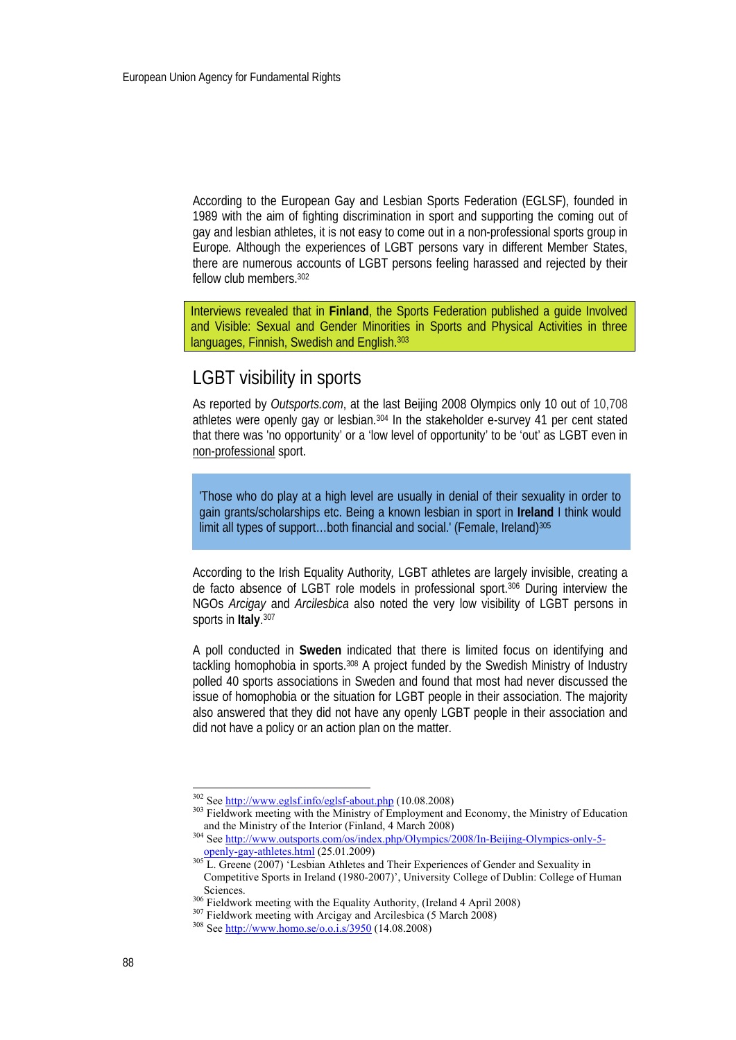According to the European Gay and Lesbian Sports Federation (EGLSF), founded in 1989 with the aim of fighting discrimination in sport and supporting the coming out of gay and lesbian athletes, it is not easy to come out in a non-professional sports group in Europe*.* Although the experiences of LGBT persons vary in different Member States, there are numerous accounts of LGBT persons feeling harassed and rejected by their fellow club members.302

Interviews revealed that in **Finland**, the Sports Federation published a guide Involved and Visible: Sexual and Gender Minorities in Sports and Physical Activities in three languages, Finnish, Swedish and English.<sup>303</sup>

### LGBT visibility in sports

As reported by *Outsports.com*, at the last Beijing 2008 Olympics only 10 out of 10,708 athletes were openly gay or lesbian.<sup>304</sup> In the stakeholder e-survey 41 per cent stated that there was 'no opportunity' or a 'low level of opportunity' to be 'out' as LGBT even in non-professional sport.

'Those who do play at a high level are usually in denial of their sexuality in order to gain grants/scholarships etc. Being a known lesbian in sport in **Ireland** I think would limit all types of support...both financial and social.' (Female, Ireland)<sup>305</sup>

According to the Irish Equality Authority*,* LGBT athletes are largely invisible, creating a de facto absence of LGBT role models in professional sport.306 During interview the NGOs *Arcigay* and *Arcilesbica* also noted the very low visibility of LGBT persons in sports in **Italy**. 307

A poll conducted in **Sweden** indicated that there is limited focus on identifying and tackling homophobia in sports.308 A project funded by the Swedish Ministry of Industry polled 40 sports associations in Sweden and found that most had never discussed the issue of homophobia or the situation for LGBT people in their association. The majority also answered that they did not have any openly LGBT people in their association and did not have a policy or an action plan on the matter.

<sup>302</sup> See http://www.eglsf.info/eglsf-about.php (10.08.2008)

 $303$  Fieldwork meeting with the Ministry of Employment and Economy, the Ministry of Education and the Ministry of the Interior (Finland, 4 March 2008)

<sup>&</sup>lt;sup>304</sup> See http://www.outsports.com/os/index.php/Olympics/2008/In-Beijing-Olympics-only-5openly-gay-athletes.html (25.01.2009)<br><sup>305</sup> L. Greene (2007) 'Lesbian Athletes and Their Experiences of Gender and Sexuality in

Competitive Sports in Ireland (1980-2007)', University College of Dublin: College of Human Sciences. <sup>306</sup> Fieldwork meeting with the Equality Authority, (Ireland 4 April 2008) <sup>307</sup> Fieldwork meeting with Arcigay and Arcilesbica (5 March 2008) <sup>308</sup> See http://<u>www.homo.se/o.o.i.s/3950</u> (14.08.2008)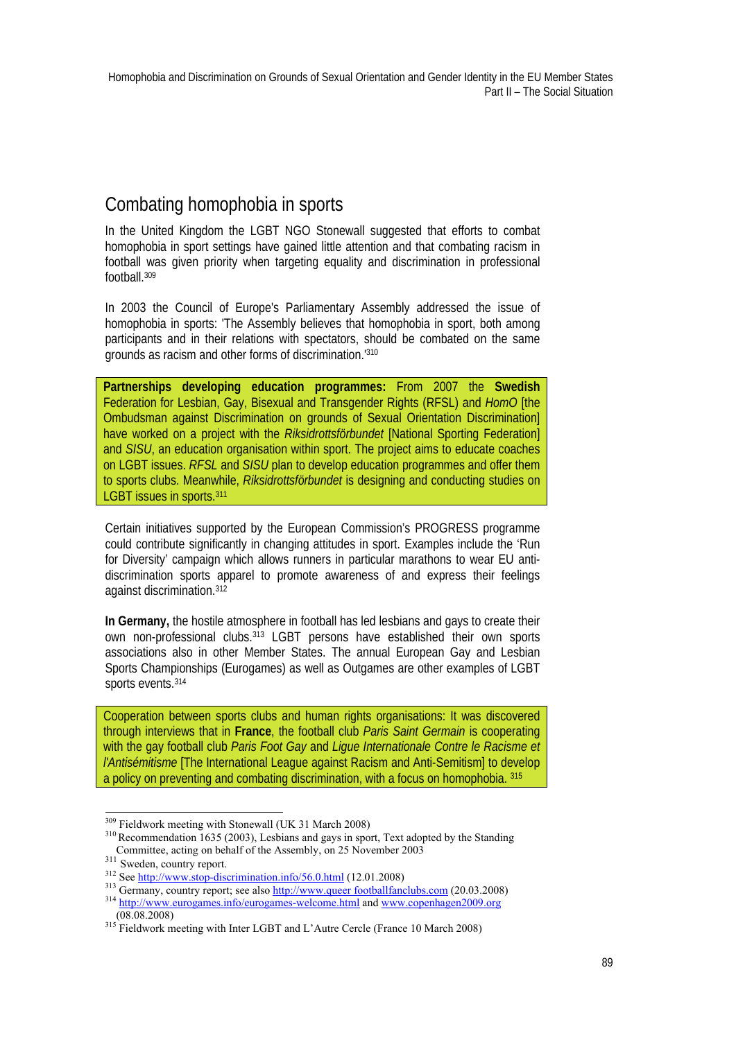## Combating homophobia in sports

In the United Kingdom the LGBT NGO Stonewall suggested that efforts to combat homophobia in sport settings have gained little attention and that combating racism in football was given priority when targeting equality and discrimination in professional football.309

In 2003 the Council of Europe's Parliamentary Assembly addressed the issue of homophobia in sports: 'The Assembly believes that homophobia in sport, both among participants and in their relations with spectators, should be combated on the same grounds as racism and other forms of discrimination.'310

**Partnerships developing education programmes:** From 2007 the **Swedish** Federation for Lesbian, Gay, Bisexual and Transgender Rights (RFSL) and *HomO* [the Ombudsman against Discrimination on grounds of Sexual Orientation Discrimination] have worked on a project with the *Riksidrottsförbundet* [National Sporting Federation] and *SISU*, an education organisation within sport. The project aims to educate coaches on LGBT issues. *RFSL* and *SISU* plan to develop education programmes and offer them to sports clubs. Meanwhile, *Riksidrottsförbundet* is designing and conducting studies on LGBT issues in sports.311

Certain initiatives supported by the European Commission's PROGRESS programme could contribute significantly in changing attitudes in sport. Examples include the 'Run for Diversity' campaign which allows runners in particular marathons to wear EU antidiscrimination sports apparel to promote awareness of and express their feelings against discrimination.<sup>312</sup>

**In Germany,** the hostile atmosphere in football has led lesbians and gays to create their own non-professional clubs.<sup>313</sup> LGBT persons have established their own sports associations also in other Member States. The annual European Gay and Lesbian Sports Championships (Eurogames) as well as Outgames are other examples of LGBT sports events. 314

Cooperation between sports clubs and human rights organisations: It was discovered through interviews that in **France**, the football club *Paris Saint Germain* is cooperating with the gay football club *Paris Foot Gay* and *Ligue Internationale Contre le Racisme et l'Antisémitisme* [The International League against Racism and Anti-Semitism] to develop a policy on preventing and combating discrimination, with a focus on homophobia. 315

<sup>&</sup>lt;sup>309</sup> Fieldwork meeting with Stonewall (UK 31 March 2008)

 $310$  Recommendation 1635 (2003), Lesbians and gays in sport, Text adopted by the Standing

Committee, acting on behalf of the Assembly, on 25 November 2003<br><sup>311</sup> Sweden, country report.<br><sup>312</sup> See <u>http://www.stop-discrimination.info/56.0.html</u> (12.01.2008)<br><sup>313</sup> Germany, country report; see also <u>http://www.quee</u>

<sup>(08.08.2008) 315</sup> Fieldwork meeting with Inter LGBT and L'Autre Cercle (France 10 March 2008)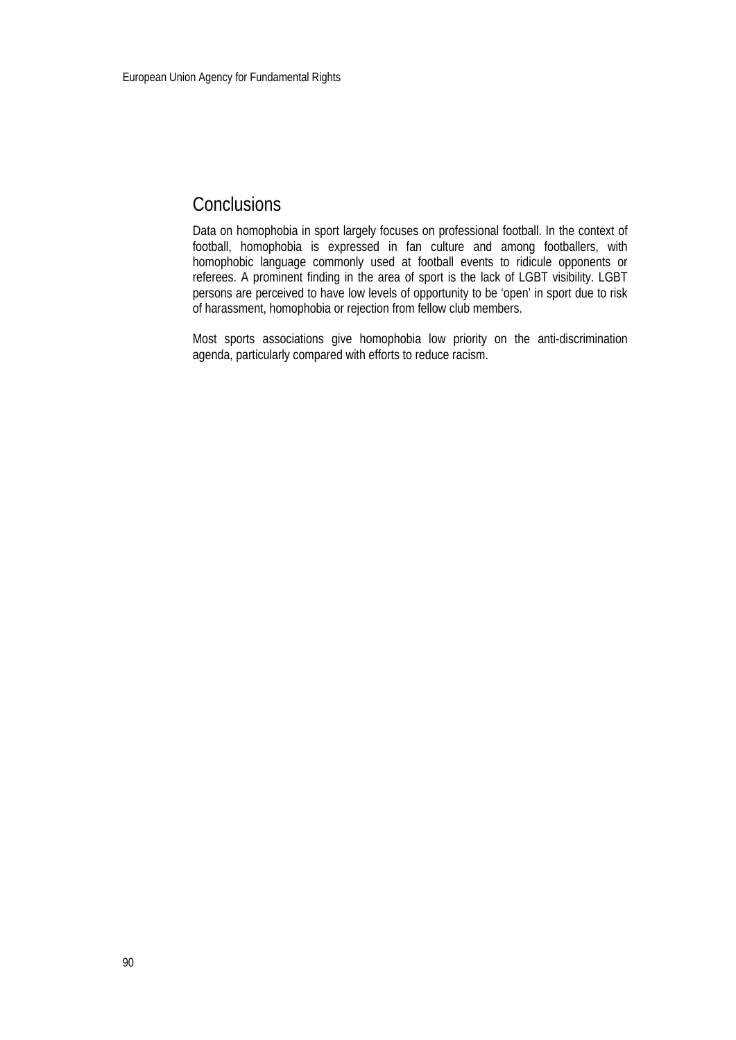## **Conclusions**

Data on homophobia in sport largely focuses on professional football. In the context of football, homophobia is expressed in fan culture and among footballers, with homophobic language commonly used at football events to ridicule opponents or referees. A prominent finding in the area of sport is the lack of LGBT visibility. LGBT persons are perceived to have low levels of opportunity to be 'open' in sport due to risk of harassment, homophobia or rejection from fellow club members.

Most sports associations give homophobia low priority on the anti-discrimination agenda, particularly compared with efforts to reduce racism.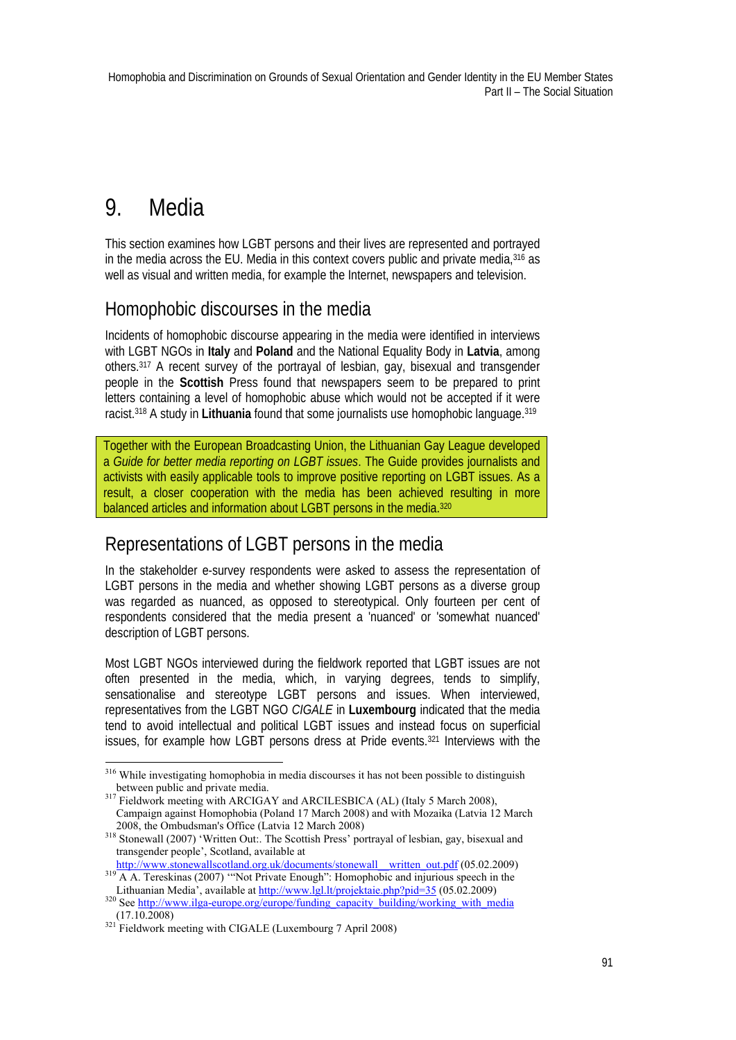# 9. Media

This section examines how LGBT persons and their lives are represented and portrayed in the media across the EU. Media in this context covers public and private media,316 as well as visual and written media, for example the Internet, newspapers and television.

## Homophobic discourses in the media

Incidents of homophobic discourse appearing in the media were identified in interviews with LGBT NGOs in **Italy** and **Poland** and the National Equality Body in **Latvia**, among others.317 A recent survey of the portrayal of lesbian, gay, bisexual and transgender people in the **Scottish** Press found that newspapers seem to be prepared to print letters containing a level of homophobic abuse which would not be accepted if it were racist.318 A study in **Lithuania** found that some journalists use homophobic language.319

Together with the European Broadcasting Union, the Lithuanian Gay League developed a *Guide for better media reporting on LGBT issues*. The Guide provides journalists and activists with easily applicable tools to improve positive reporting on LGBT issues. As a result, a closer cooperation with the media has been achieved resulting in more balanced articles and information about LGBT persons in the media.320

# Representations of LGBT persons in the media

In the stakeholder e-survey respondents were asked to assess the representation of LGBT persons in the media and whether showing LGBT persons as a diverse group was regarded as nuanced, as opposed to stereotypical. Only fourteen per cent of respondents considered that the media present a 'nuanced' or 'somewhat nuanced' description of LGBT persons.

Most LGBT NGOs interviewed during the fieldwork reported that LGBT issues are not often presented in the media, which, in varying degrees, tends to simplify, sensationalise and stereotype LGBT persons and issues. When interviewed, representatives from the LGBT NGO *CIGALE* in **Luxembourg** indicated that the media tend to avoid intellectual and political LGBT issues and instead focus on superficial issues, for example how LGBT persons dress at Pride events.321 Interviews with the

<sup>-</sup><sup>316</sup> While investigating homophobia in media discourses it has not been possible to distinguish

between public and private media.<br><sup>317</sup> Fieldwork meeting with ARCIGAY and ARCILESBICA (AL) (Italy 5 March 2008), Campaign against Homophobia (Poland 17 March 2008) and with Mozaika (Latvia 12 March

<sup>2008,</sup> the Ombudsman's Office (Latvia 12 March 2008) 318 Stonewall (2007) 'Written Out:. The Scottish Press' portrayal of lesbian, gay, bisexual and transgender people', Scotland, available at<br>http://www.stonewallscotland.org.uk/documents/stonewall written out.pdf (05.02.2009)

<sup>&</sup>lt;sup>319</sup> A A. Tereskinas (2007) "Not Private Enough": Homophobic and injurious speech in the

Lithuanian Media', available at http://www.lgl.lt/projektaie.php?pid=35 (05.02.2009)<br><sup>320</sup> See http://www.ilga-europe.org/europe/funding\_capacity\_building/working\_with\_media

<sup>(17.10.2008) 321</sup> Fieldwork meeting with CIGALE (Luxembourg 7 April 2008)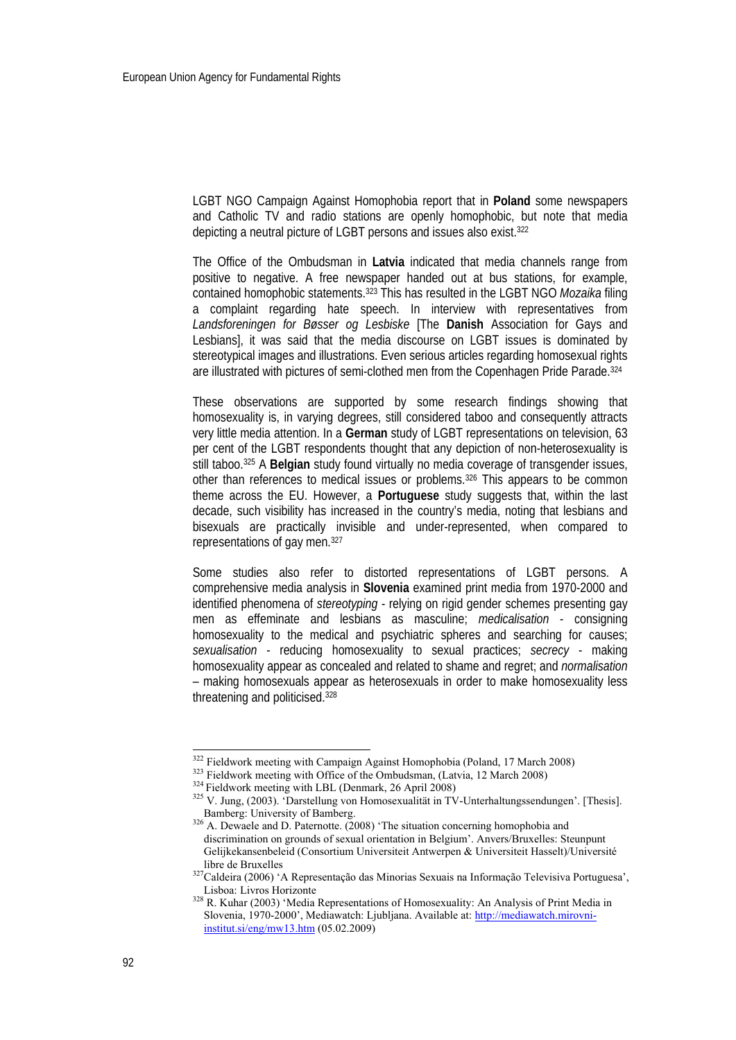LGBT NGO Campaign Against Homophobia report that in **Poland** some newspapers and Catholic TV and radio stations are openly homophobic, but note that media depicting a neutral picture of LGBT persons and issues also exist.322

The Office of the Ombudsman in **Latvia** indicated that media channels range from positive to negative. A free newspaper handed out at bus stations, for example, contained homophobic statements.323 This has resulted in the LGBT NGO *Mozaika* filing a complaint regarding hate speech. In interview with representatives from *Landsforeningen for Bøsser og Lesbiske* [The **Danish** Association for Gays and Lesbians], it was said that the media discourse on LGBT issues is dominated by stereotypical images and illustrations. Even serious articles regarding homosexual rights are illustrated with pictures of semi-clothed men from the Copenhagen Pride Parade.324

These observations are supported by some research findings showing that homosexuality is, in varying degrees, still considered taboo and consequently attracts very little media attention. In a **German** study of LGBT representations on television, 63 per cent of the LGBT respondents thought that any depiction of non-heterosexuality is still taboo.325 A **Belgian** study found virtually no media coverage of transgender issues, other than references to medical issues or problems.326 This appears to be common theme across the EU. However, a **Portuguese** study suggests that, within the last decade, such visibility has increased in the country's media, noting that lesbians and bisexuals are practically invisible and under-represented, when compared to representations of gay men.327

Some studies also refer to distorted representations of LGBT persons. A comprehensive media analysis in **Slovenia** examined print media from 1970-2000 and identified phenomena of *stereotyping* - relying on rigid gender schemes presenting gay men as effeminate and lesbians as masculine; *medicalisation* - consigning homosexuality to the medical and psychiatric spheres and searching for causes; *sexualisation* - reducing homosexuality to sexual practices; *secrecy* - making homosexuality appear as concealed and related to shame and regret; and *normalisation* – making homosexuals appear as heterosexuals in order to make homosexuality less threatening and politicised.328

<sup>&</sup>lt;sup>322</sup> Fieldwork meeting with Campaign Against Homophobia (Poland, 17 March 2008)

<sup>&</sup>lt;sup>323</sup> Fieldwork meeting with Office of the Ombudsman, (Latvia, 12 March 2008)<br><sup>324</sup> Fieldwork meeting with LBL (Denmark, 26 April 2008)<br><sup>325</sup> V. Jung, (2003). 'Darstellung von Homosexualität in TV-Unterhaltungssendungen'.

Bamberg: University of Bamberg.<br><sup>326</sup> A. Dewaele and D. Paternotte. (2008) 'The situation concerning homophobia and discrimination on grounds of sexual orientation in Belgium'. Anvers/Bruxelles: Steunpunt Gelijkekansenbeleid (Consortium Universiteit Antwerpen & Universiteit Hasselt)/Université

libre de Bruxelles<br><sup>327</sup>Caldeira (2006) 'A Representação das Minorias Sexuais na Informação Televisiva Portuguesa',

Lisboa: Livros Horizonte<br><sup>328</sup> R. Kuhar (2003) 'Media Representations of Homosexuality: An Analysis of Print Media in Slovenia, 1970-2000', Mediawatch: Ljubljana. Available at: http://mediawatch.mirovniinstitut.si/eng/mw13.htm (05.02.2009)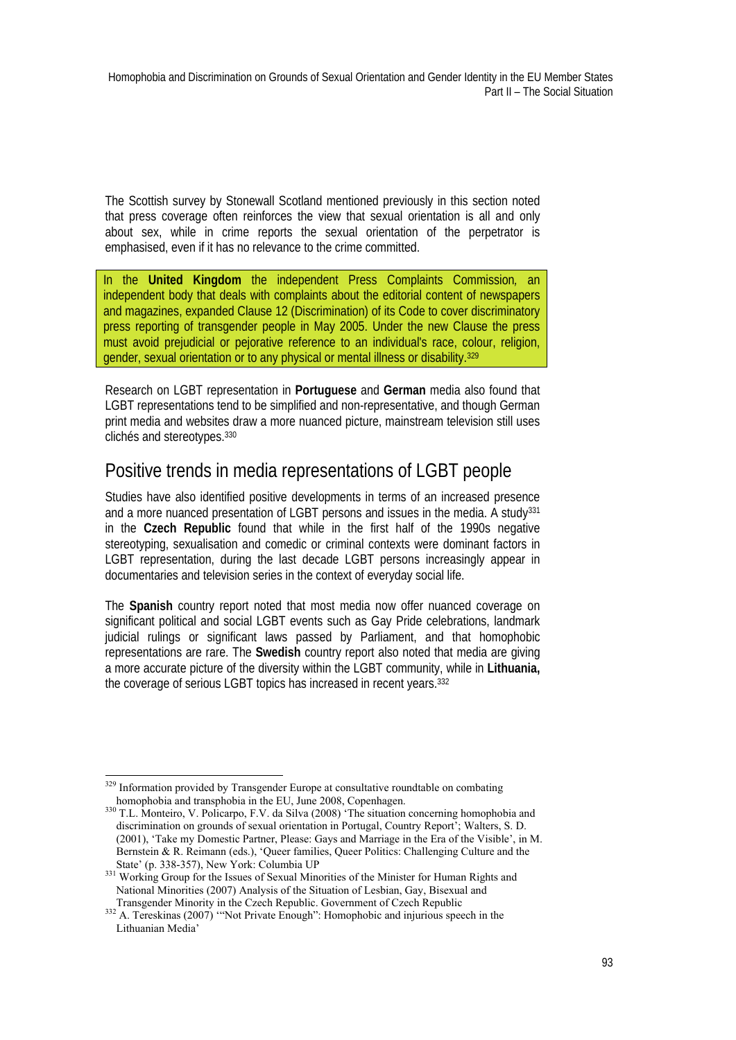The Scottish survey by Stonewall Scotland mentioned previously in this section noted that press coverage often reinforces the view that sexual orientation is all and only about sex, while in crime reports the sexual orientation of the perpetrator is emphasised, even if it has no relevance to the crime committed.

In the **United Kingdom** the independent Press Complaints Commission*,* an independent body that deals with complaints about the editorial content of newspapers and magazines, expanded Clause 12 (Discrimination) of its Code to cover discriminatory press reporting of transgender people in May 2005. Under the new Clause the press must avoid prejudicial or pejorative reference to an individual's race, colour, religion, gender, sexual orientation or to any physical or mental illness or disability.329

Research on LGBT representation in **Portuguese** and **German** media also found that LGBT representations tend to be simplified and non-representative, and though German print media and websites draw a more nuanced picture, mainstream television still uses clichés and stereotypes.330

### Positive trends in media representations of LGBT people

Studies have also identified positive developments in terms of an increased presence and a more nuanced presentation of LGBT persons and issues in the media. A study<sup>331</sup> in the **Czech Republic** found that while in the first half of the 1990s negative stereotyping, sexualisation and comedic or criminal contexts were dominant factors in LGBT representation, during the last decade LGBT persons increasingly appear in documentaries and television series in the context of everyday social life.

The **Spanish** country report noted that most media now offer nuanced coverage on significant political and social LGBT events such as Gay Pride celebrations, landmark judicial rulings or significant laws passed by Parliament, and that homophobic representations are rare. The **Swedish** country report also noted that media are giving a more accurate picture of the diversity within the LGBT community, while in **Lithuania,** the coverage of serious LGBT topics has increased in recent years.332

1

<sup>&</sup>lt;sup>329</sup> Information provided by Transgender Europe at consultative roundtable on combating

homophobia and transphobia in the EU, June 2008, Copenhagen.<br><sup>330</sup> T.L. Monteiro, V. Policarpo, F.V. da Silva (2008) 'The situation concerning homophobia and discrimination on grounds of sexual orientation in Portugal, Country Report'; Walters, S. D. (2001), 'Take my Domestic Partner, Please: Gays and Marriage in the Era of the Visible', in M. Bernstein & R. Reimann (eds.), 'Queer families, Queer Politics: Challenging Culture and the State' (p. 338-357), New York: Columbia UP

<sup>331</sup> Working Group for the Issues of Sexual Minorities of the Minister for Human Rights and National Minorities (2007) Analysis of the Situation of Lesbian, Gay, Bisexual and

Transgender Minority in the Czech Republic. Government of Czech Republic 332 A. Tereskinas (2007) '"Not Private Enough": Homophobic and injurious speech in the Lithuanian Media'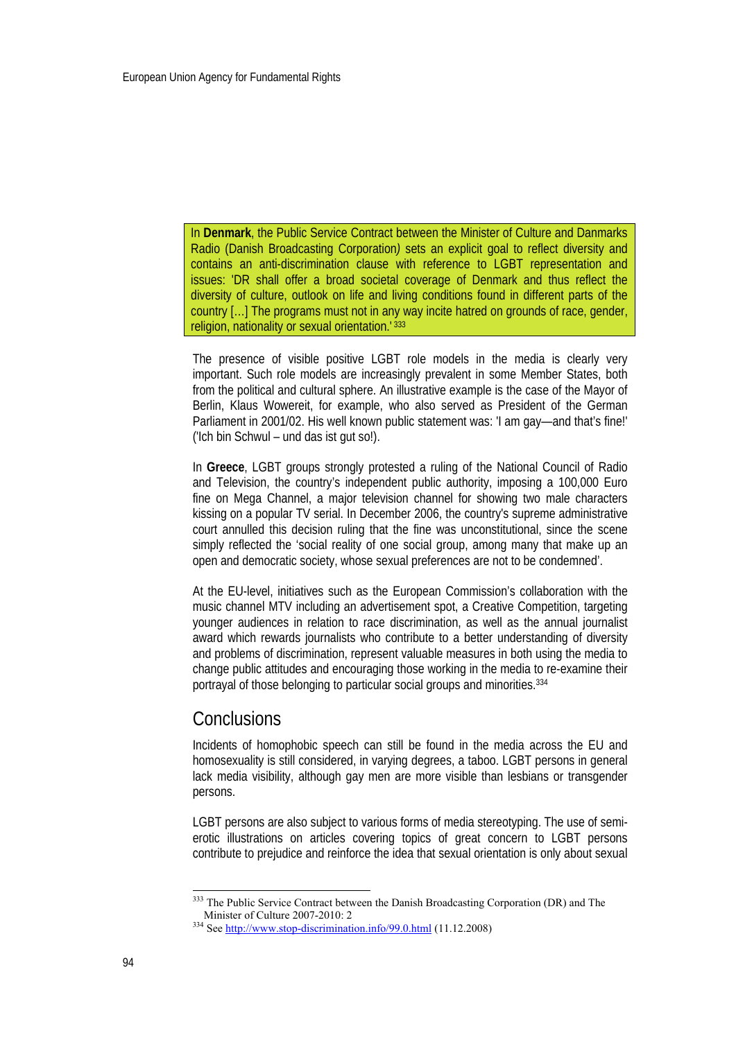In **Denmark**, the Public Service Contract between the Minister of Culture and Danmarks Radio (Danish Broadcasting Corporation*)* sets an explicit goal to reflect diversity and contains an anti-discrimination clause with reference to LGBT representation and issues: 'DR shall offer a broad societal coverage of Denmark and thus reflect the diversity of culture, outlook on life and living conditions found in different parts of the country […] The programs must not in any way incite hatred on grounds of race, gender, religion, nationality or sexual orientation.<sup>' 333</sup>

The presence of visible positive LGBT role models in the media is clearly very important. Such role models are increasingly prevalent in some Member States, both from the political and cultural sphere. An illustrative example is the case of the Mayor of Berlin, Klaus Wowereit, for example, who also served as President of the German Parliament in 2001/02. His well known public statement was: 'I am gay—and that's fine!' ('Ich bin Schwul – und das ist gut so!).

In **Greece**, LGBT groups strongly protested a ruling of the National Council of Radio and Television, the country's independent public authority, imposing a 100,000 Euro fine on Mega Channel, a major television channel for showing two male characters kissing on a popular TV serial. In December 2006, the country's supreme administrative court annulled this decision ruling that the fine was unconstitutional, since the scene simply reflected the 'social reality of one social group, among many that make up an open and democratic society, whose sexual preferences are not to be condemned'.

At the EU-level, initiatives such as the European Commission's collaboration with the music channel MTV including an advertisement spot, a Creative Competition, targeting younger audiences in relation to race discrimination, as well as the annual journalist award which rewards journalists who contribute to a better understanding of diversity and problems of discrimination, represent valuable measures in both using the media to change public attitudes and encouraging those working in the media to re-examine their portrayal of those belonging to particular social groups and minorities.334

#### **Conclusions**

-

Incidents of homophobic speech can still be found in the media across the EU and homosexuality is still considered, in varying degrees, a taboo. LGBT persons in general lack media visibility, although gay men are more visible than lesbians or transgender persons.

LGBT persons are also subject to various forms of media stereotyping. The use of semierotic illustrations on articles covering topics of great concern to LGBT persons contribute to prejudice and reinforce the idea that sexual orientation is only about sexual

<sup>&</sup>lt;sup>333</sup> The Public Service Contract between the Danish Broadcasting Corporation (DR) and The Minister of Culture 2007-2010: 2<br><sup>334</sup> See http://www.stop-discrimination.info/99.0.html (11.12.2008)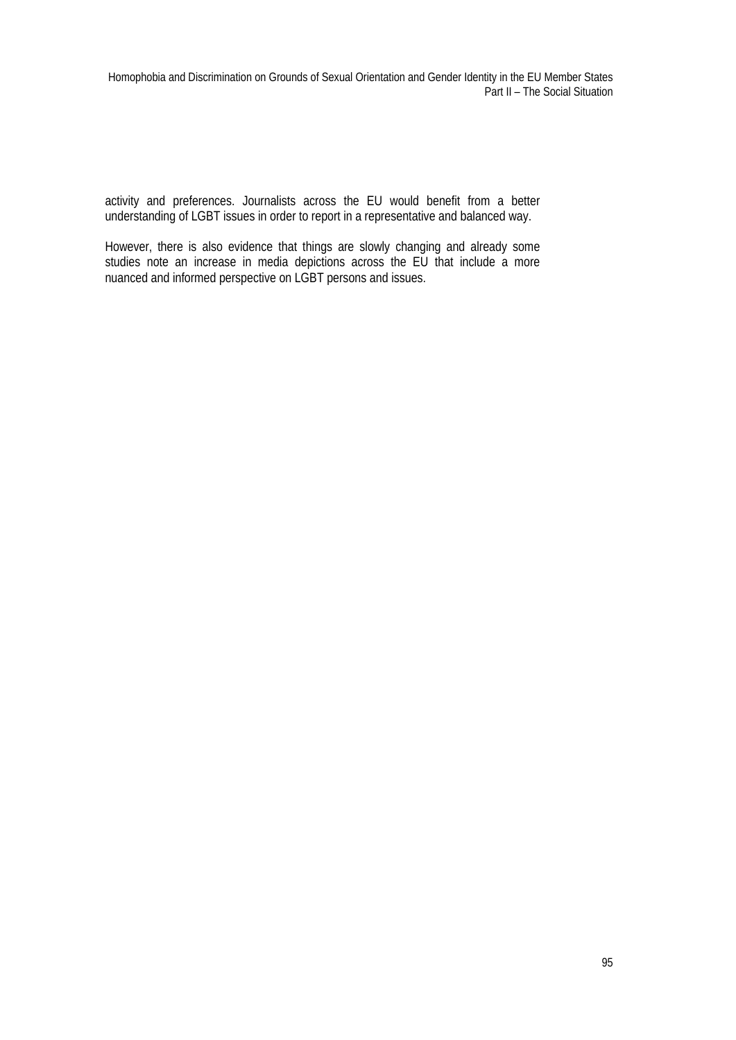activity and preferences. Journalists across the EU would benefit from a better understanding of LGBT issues in order to report in a representative and balanced way.

However, there is also evidence that things are slowly changing and already some studies note an increase in media depictions across the EU that include a more nuanced and informed perspective on LGBT persons and issues.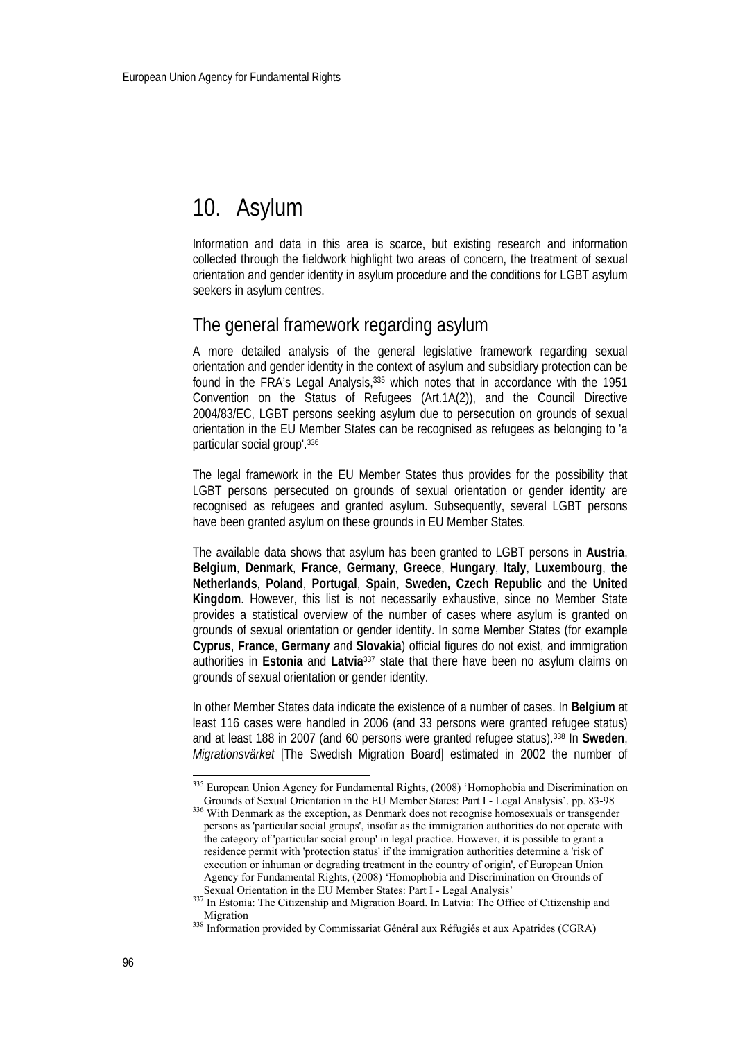# 10. Asylum

Information and data in this area is scarce, but existing research and information collected through the fieldwork highlight two areas of concern, the treatment of sexual orientation and gender identity in asylum procedure and the conditions for LGBT asylum seekers in asylum centres.

#### The general framework regarding asylum

A more detailed analysis of the general legislative framework regarding sexual orientation and gender identity in the context of asylum and subsidiary protection can be found in the FRA's Legal Analysis,335 which notes that in accordance with the 1951 Convention on the Status of Refugees (Art.1A(2)), and the Council Directive 2004/83/EC, LGBT persons seeking asylum due to persecution on grounds of sexual orientation in the EU Member States can be recognised as refugees as belonging to 'a particular social group'.336

The legal framework in the EU Member States thus provides for the possibility that LGBT persons persecuted on grounds of sexual orientation or gender identity are recognised as refugees and granted asylum. Subsequently, several LGBT persons have been granted asylum on these grounds in EU Member States.

The available data shows that asylum has been granted to LGBT persons in **Austria**, **Belgium**, **Denmark**, **France**, **Germany**, **Greece**, **Hungary**, **Italy**, **Luxembourg**, **the Netherlands**, **Poland**, **Portugal**, **Spain**, **Sweden, Czech Republic** and the **United Kingdom**. However, this list is not necessarily exhaustive, since no Member State provides a statistical overview of the number of cases where asylum is granted on grounds of sexual orientation or gender identity. In some Member States (for example **Cyprus**, **France**, **Germany** and **Slovakia**) official figures do not exist, and immigration authorities in **Estonia** and **Latvia**337 state that there have been no asylum claims on grounds of sexual orientation or gender identity.

In other Member States data indicate the existence of a number of cases. In **Belgium** at least 116 cases were handled in 2006 (and 33 persons were granted refugee status) and at least 188 in 2007 (and 60 persons were granted refugee status).338 In **Sweden**, *Migrationsvärket* [The Swedish Migration Board] estimated in 2002 the number of

<sup>&</sup>lt;sup>335</sup> European Union Agency for Fundamental Rights, (2008) 'Homophobia and Discrimination on

Grounds of Sexual Orientation in the EU Member States: Part I - Legal Analysis'. pp. 83-98 With Denmark as the exception, as Denmark does not recognise homosexuals or transgender persons as 'particular social groups', insofar as the immigration authorities do not operate with the category of 'particular social group' in legal practice. However, it is possible to grant a residence permit with 'protection status' if the immigration authorities determine a 'risk of execution or inhuman or degrading treatment in the country of origin', cf European Union Agency for Fundamental Rights, (2008) 'Homophobia and Discrimination on Grounds of

Sexual Orientation in the EU Member States: Part I - Legal Analysis'<br><sup>337</sup> In Estonia: The Citizenship and Migration Board. In Latvia: The Office of Citizenship and

Migration 338 Information provided by Commissariat Général aux Réfugiés et aux Apatrides (CGRA)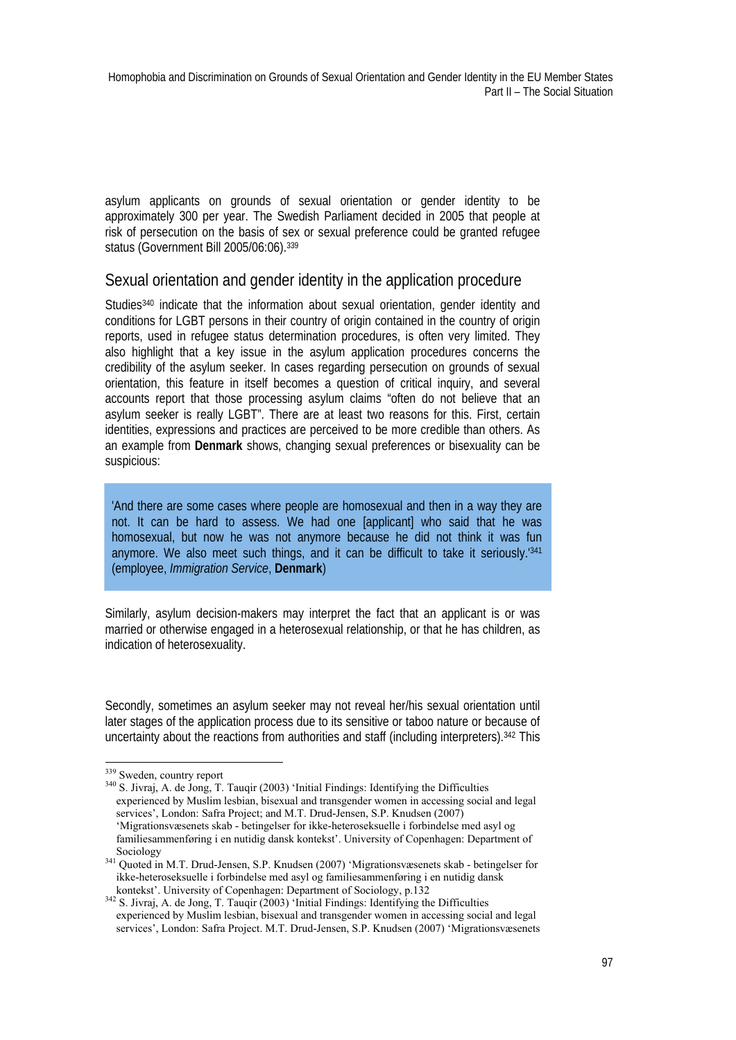asylum applicants on grounds of sexual orientation or gender identity to be approximately 300 per year. The Swedish Parliament decided in 2005 that people at risk of persecution on the basis of sex or sexual preference could be granted refugee status (Government Bill 2005/06:06).339

#### Sexual orientation and gender identity in the application procedure

Studies<sup>340</sup> indicate that the information about sexual orientation, gender identity and conditions for LGBT persons in their country of origin contained in the country of origin reports, used in refugee status determination procedures, is often very limited. They also highlight that a key issue in the asylum application procedures concerns the credibility of the asylum seeker. In cases regarding persecution on grounds of sexual orientation, this feature in itself becomes a question of critical inquiry, and several accounts report that those processing asylum claims "often do not believe that an asylum seeker is really LGBT". There are at least two reasons for this. First, certain identities, expressions and practices are perceived to be more credible than others. As an example from **Denmark** shows, changing sexual preferences or bisexuality can be suspicious:

'And there are some cases where people are homosexual and then in a way they are not. It can be hard to assess. We had one [applicant] who said that he was homosexual, but now he was not anymore because he did not think it was fun anymore. We also meet such things, and it can be difficult to take it seriously.'341 (employee, *Immigration Service*, **Denmark**)

Similarly, asylum decision-makers may interpret the fact that an applicant is or was married or otherwise engaged in a heterosexual relationship, or that he has children, as indication of heterosexuality.

Secondly, sometimes an asylum seeker may not reveal her/his sexual orientation until later stages of the application process due to its sensitive or taboo nature or because of uncertainty about the reactions from authorities and staff (including interpreters).342 This

<sup>339</sup> Sweden, country report

<sup>&</sup>lt;sup>340</sup> S. Jivraj, A. de Jong, T. Tauqir (2003) 'Initial Findings: Identifying the Difficulties experienced by Muslim lesbian, bisexual and transgender women in accessing social and legal services', London: Safra Project; and M.T. Drud-Jensen, S.P. Knudsen (2007) 'Migrationsvæsenets skab - betingelser for ikke-heteroseksuelle i forbindelse med asyl og familiesammenføring i en nutidig dansk kontekst'. University of Copenhagen: Department of

Sociology 341 Quoted in M.T. Drud-Jensen, S.P. Knudsen (2007) 'Migrationsvæsenets skab - betingelser for ikke-heteroseksuelle i forbindelse med asyl og familiesammenføring i en nutidig dansk

kontekst'. University of Copenhagen: Department of Sociology, p.132 S. Jivraj, A. de Jong, T. Tauqir (2003) 'Initial Findings: Identifying the Difficulties experienced by Muslim lesbian, bisexual and transgender women in accessing social and legal services', London: Safra Project. M.T. Drud-Jensen, S.P. Knudsen (2007) 'Migrationsvæsenets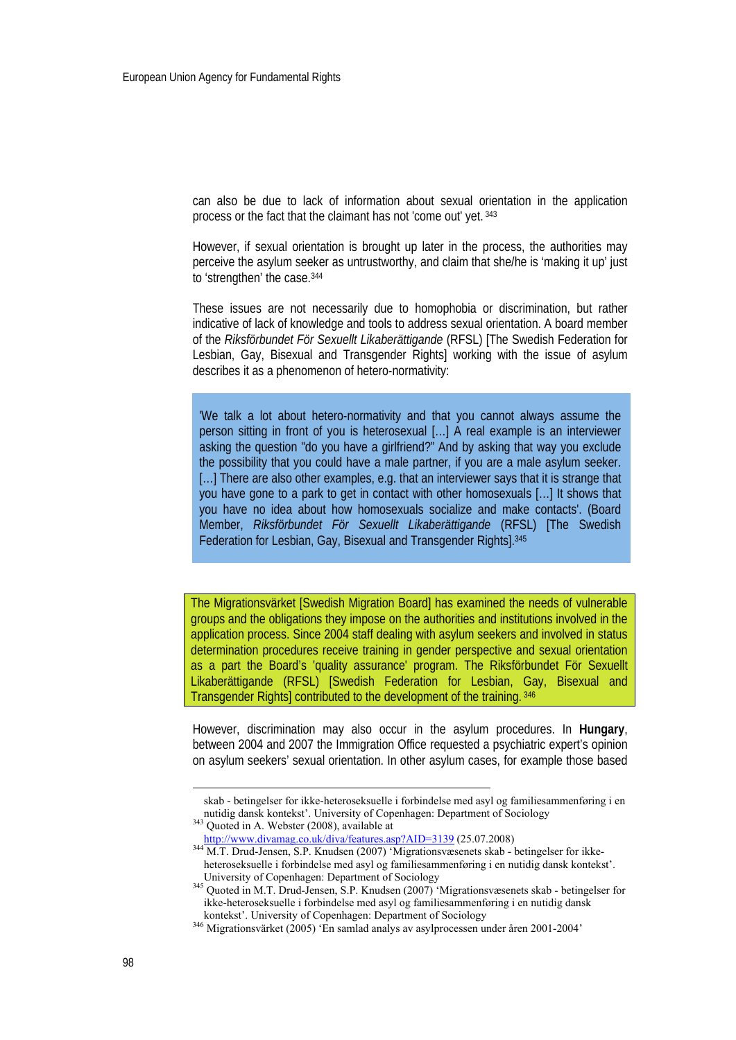can also be due to lack of information about sexual orientation in the application process or the fact that the claimant has not 'come out' yet. 343

However, if sexual orientation is brought up later in the process, the authorities may perceive the asylum seeker as untrustworthy, and claim that she/he is 'making it up' just to 'strengthen' the case.<sup>344</sup>

These issues are not necessarily due to homophobia or discrimination, but rather indicative of lack of knowledge and tools to address sexual orientation. A board member of the *Riksförbundet För Sexuellt Likaberättigande* (RFSL) [The Swedish Federation for Lesbian, Gay, Bisexual and Transgender Rights] working with the issue of asylum describes it as a phenomenon of hetero-normativity:

'We talk a lot about hetero-normativity and that you cannot always assume the person sitting in front of you is heterosexual […] A real example is an interviewer asking the question "do you have a girlfriend?" And by asking that way you exclude the possibility that you could have a male partner, if you are a male asylum seeker. [...] There are also other examples, e.g. that an interviewer says that it is strange that you have gone to a park to get in contact with other homosexuals […] It shows that you have no idea about how homosexuals socialize and make contacts'. (Board Member, *Riksförbundet För Sexuellt Likaberättigande* (RFSL) [The Swedish Federation for Lesbian, Gay, Bisexual and Transgender Rights].345

The Migrationsvärket [Swedish Migration Board] has examined the needs of vulnerable groups and the obligations they impose on the authorities and institutions involved in the application process. Since 2004 staff dealing with asylum seekers and involved in status determination procedures receive training in gender perspective and sexual orientation as a part the Board's 'quality assurance' program. The Riksförbundet För Sexuellt Likaberättigande (RFSL) [Swedish Federation for Lesbian, Gay, Bisexual and Transgender Rights] contributed to the development of the training. 346

However, discrimination may also occur in the asylum procedures. In **Hungary**, between 2004 and 2007 the Immigration Office requested a psychiatric expert's opinion on asylum seekers' sexual orientation. In other asylum cases, for example those based

-

skab - betingelser for ikke-heteroseksuelle i forbindelse med asyl og familiesammenføring i en nutidig dansk kontekst'. University of Copenhagen: Department of Sociology 343 Quoted in A. Webster (2008), available at

http://www.divamag.co.uk/diva/features.asp?AID=3139 (25.07.2008) 344 M.T. Drud-Jensen, S.P. Knudsen (2007) 'Migrationsvæsenets skab - betingelser for ikkeheteroseksuelle i forbindelse med asyl og familiesammenføring i en nutidig dansk kontekst'.

University of Copenhagen: Department of Sociology 345 Quoted in M.T. Drud-Jensen, S.P. Knudsen (2007) 'Migrationsvæsenets skab - betingelser for ikke-heteroseksuelle i forbindelse med asyl og familiesammenføring i en nutidig dansk

kontekst'. University of Copenhagen: Department of Sociology 346 Migrationsvärket (2005) 'En samlad analys av asylprocessen under åren 2001-2004'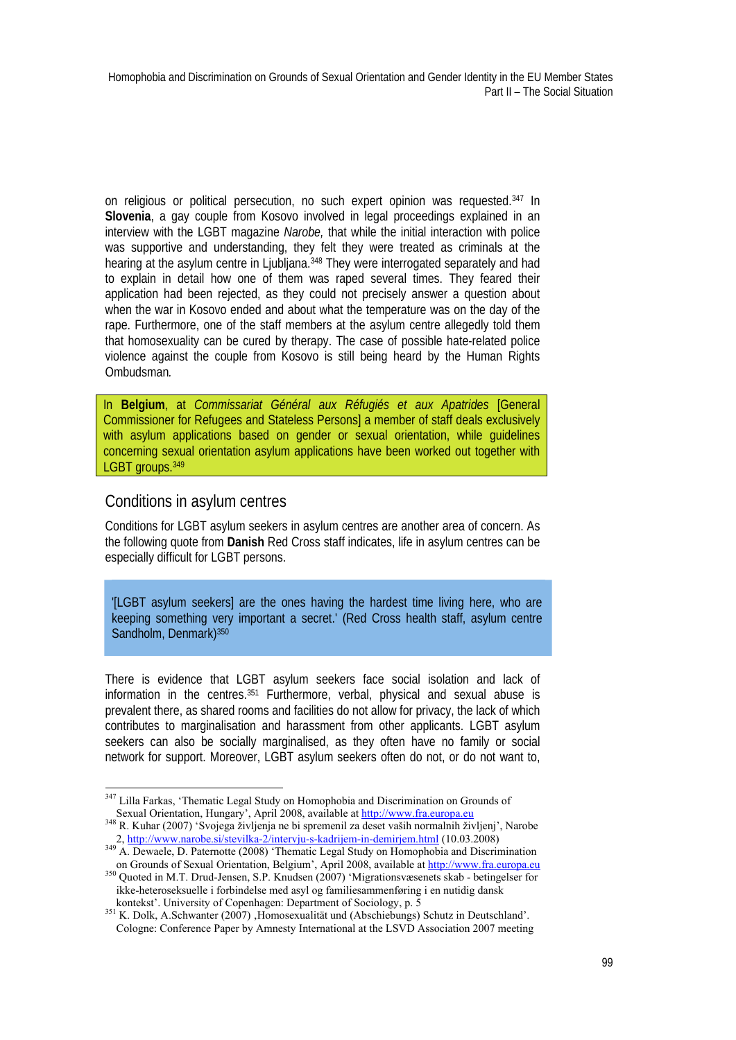on religious or political persecution, no such expert opinion was requested.347 In **Slovenia**, a gay couple from Kosovo involved in legal proceedings explained in an interview with the LGBT magazine *Narobe,* that while the initial interaction with police was supportive and understanding, they felt they were treated as criminals at the hearing at the asylum centre in Ljubljana.<sup>348</sup> They were interrogated separately and had to explain in detail how one of them was raped several times. They feared their application had been rejected, as they could not precisely answer a question about when the war in Kosovo ended and about what the temperature was on the day of the rape. Furthermore, one of the staff members at the asylum centre allegedly told them that homosexuality can be cured by therapy. The case of possible hate-related police violence against the couple from Kosovo is still being heard by the Human Rights Ombudsman*.*

In **Belgium**, at *Commissariat Général aux Réfugiés et aux Apatrides* [General Commissioner for Refugees and Stateless Persons] a member of staff deals exclusively with asylum applications based on gender or sexual orientation, while quidelines concerning sexual orientation asylum applications have been worked out together with LGBT groups.<sup>349</sup>

#### Conditions in asylum centres

Conditions for LGBT asylum seekers in asylum centres are another area of concern. As the following quote from **Danish** Red Cross staff indicates, life in asylum centres can be especially difficult for LGBT persons.

'[LGBT asylum seekers] are the ones having the hardest time living here, who are keeping something very important a secret.' (Red Cross health staff, asylum centre Sandholm, Denmark)<sup>350</sup>

There is evidence that LGBT asylum seekers face social isolation and lack of information in the centres.351 Furthermore, verbal, physical and sexual abuse is prevalent there, as shared rooms and facilities do not allow for privacy, the lack of which contributes to marginalisation and harassment from other applicants. LGBT asylum seekers can also be socially marginalised, as they often have no family or social network for support. Moreover, LGBT asylum seekers often do not, or do not want to,

<sup>-</sup><sup>347</sup> Lilla Farkas, 'Thematic Legal Study on Homophobia and Discrimination on Grounds of Sexual Orientation, Hungary', April 2008, available at http://www.fra.europa.eu 348 R. Kuhar (2007) 'Svojega življenja ne bi spremenil za deset vaših normalnih življenj', Narobe

<sup>2,</sup> http://www.narobe.si/stevilka-2/intervju-s-kadrijem-in-demirjem.html (10.03.2008)<br>349 A. Dewaele, D. Paternotte (2008) 'Thematic Legal Study on Homophobia and Discrimination<br>on Grounds of Sexual Orientation, Belgium',

<sup>&</sup>lt;sup>350</sup> Ouoted in M.T. Drud-Jensen, S.P. Knudsen (2007) 'Migrationsvæsenets skab - betingelser for ikke-heteroseksuelle i forbindelse med asyl og familiesammenføring i en nutidig dansk

 $k_{\text{SUSY}}$ . University of Copenhagen: Department of Sociology, p. 5  $k_{\text{SUSY}}$ . Eq. 5 351 K. Dolk, A.Schwanter (2007)  $\text{Homs}$ . Homosexualität und (Abschiebungs) Schutz in Deutschland'. Cologne: Conference Paper by Amnesty International at the LSVD Association 2007 meeting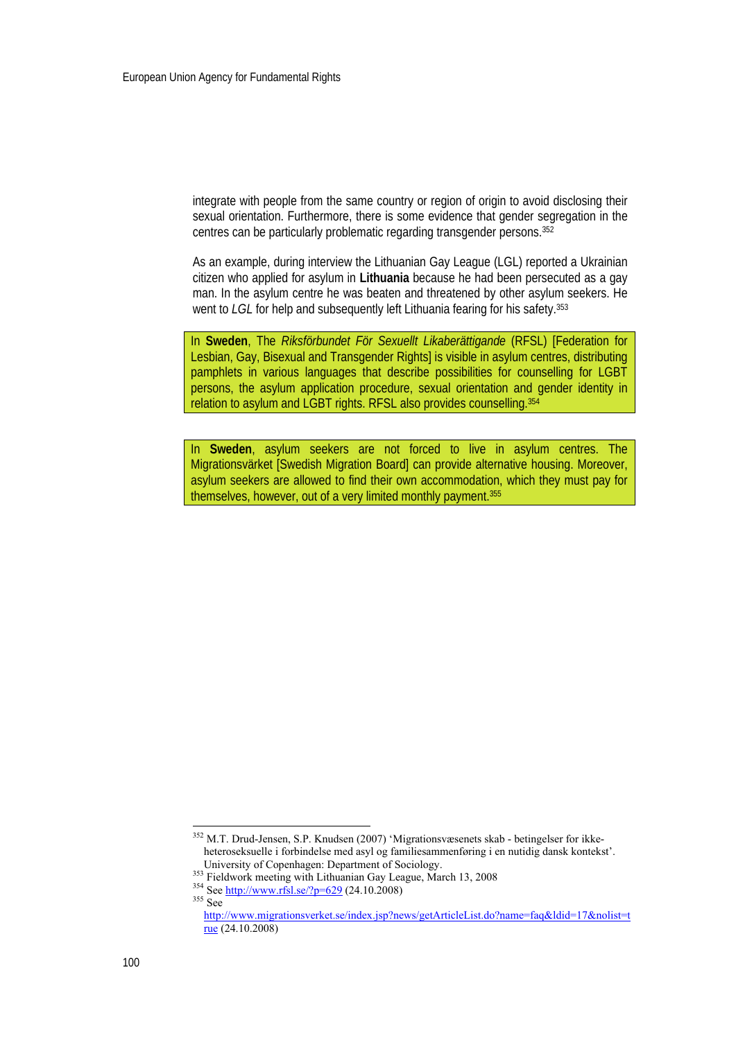integrate with people from the same country or region of origin to avoid disclosing their sexual orientation. Furthermore, there is some evidence that gender segregation in the centres can be particularly problematic regarding transgender persons.352

As an example, during interview the Lithuanian Gay League (LGL) reported a Ukrainian citizen who applied for asylum in **Lithuania** because he had been persecuted as a gay man. In the asylum centre he was beaten and threatened by other asylum seekers. He went to *LGL* for help and subsequently left Lithuania fearing for his safety.<sup>353</sup>

In **Sweden**, The *Riksförbundet För Sexuellt Likaberättigande* (RFSL) [Federation for Lesbian, Gay, Bisexual and Transgender Rights] is visible in asylum centres, distributing pamphlets in various languages that describe possibilities for counselling for LGBT persons, the asylum application procedure, sexual orientation and gender identity in relation to asylum and LGBT rights. RFSL also provides counselling.354

In **Sweden**, asylum seekers are not forced to live in asylum centres. The Migrationsvärket [Swedish Migration Board] can provide alternative housing. Moreover, asylum seekers are allowed to find their own accommodation, which they must pay for themselves, however, out of a very limited monthly payment.355

<sup>352</sup> M.T. Drud-Jensen, S.P. Knudsen (2007) 'Migrationsvæsenets skab - betingelser for ikkeheteroseksuelle i forbindelse med asyl og familiesammenføring i en nutidig dansk kontekst'.

University of Copenhagen: Department of Sociology. March 13, 2008<br>  $\frac{353 \text{} \text{Fieldwork meeting with Lithuanian Gay League, March 13, 2008}}{355 \text{ See } \text{http://www.rfsl.se/?p=629} (24.10.2008)}$ 

http://www.migrationsverket.se/index.jsp?news/getArticleList.do?name=faq&ldid=17&nolist=t rue (24.10.2008)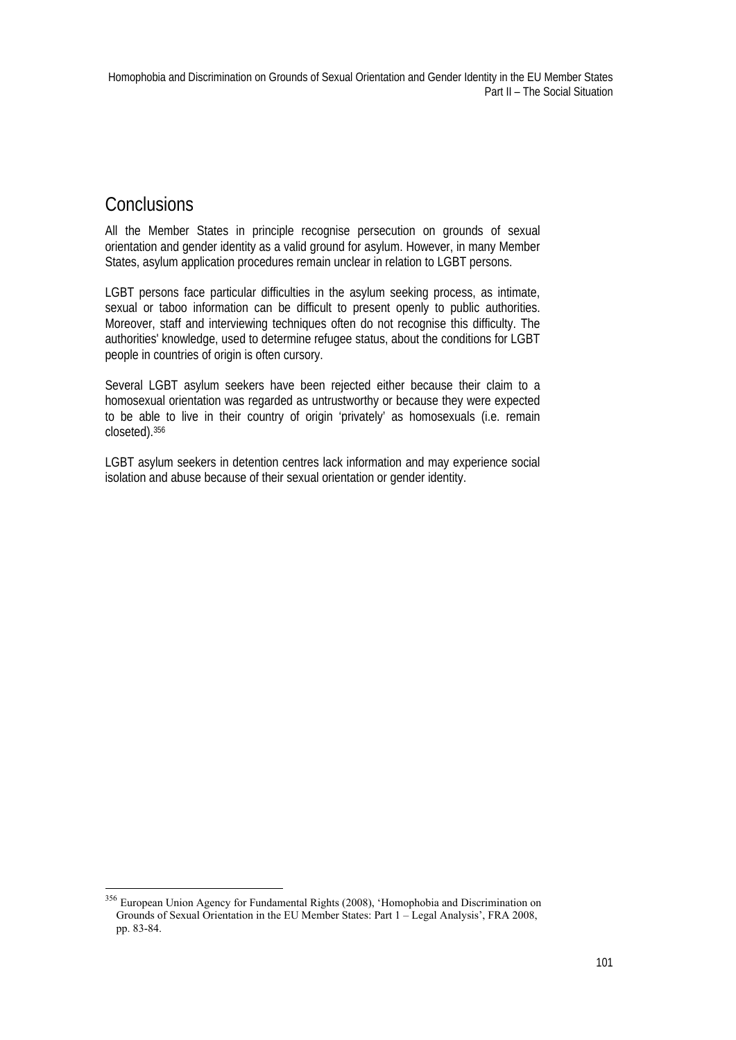# **Conclusions**

-

All the Member States in principle recognise persecution on grounds of sexual orientation and gender identity as a valid ground for asylum. However, in many Member States, asylum application procedures remain unclear in relation to LGBT persons.

LGBT persons face particular difficulties in the asylum seeking process, as intimate, sexual or taboo information can be difficult to present openly to public authorities. Moreover, staff and interviewing techniques often do not recognise this difficulty. The authorities' knowledge, used to determine refugee status, about the conditions for LGBT people in countries of origin is often cursory.

Several LGBT asylum seekers have been rejected either because their claim to a homosexual orientation was regarded as untrustworthy or because they were expected to be able to live in their country of origin 'privately' as homosexuals (i.e. remain closeted).356

LGBT asylum seekers in detention centres lack information and may experience social isolation and abuse because of their sexual orientation or gender identity.

<sup>&</sup>lt;sup>356</sup> European Union Agency for Fundamental Rights (2008), 'Homophobia and Discrimination on Grounds of Sexual Orientation in the EU Member States: Part 1 – Legal Analysis', FRA 2008, pp. 83-84.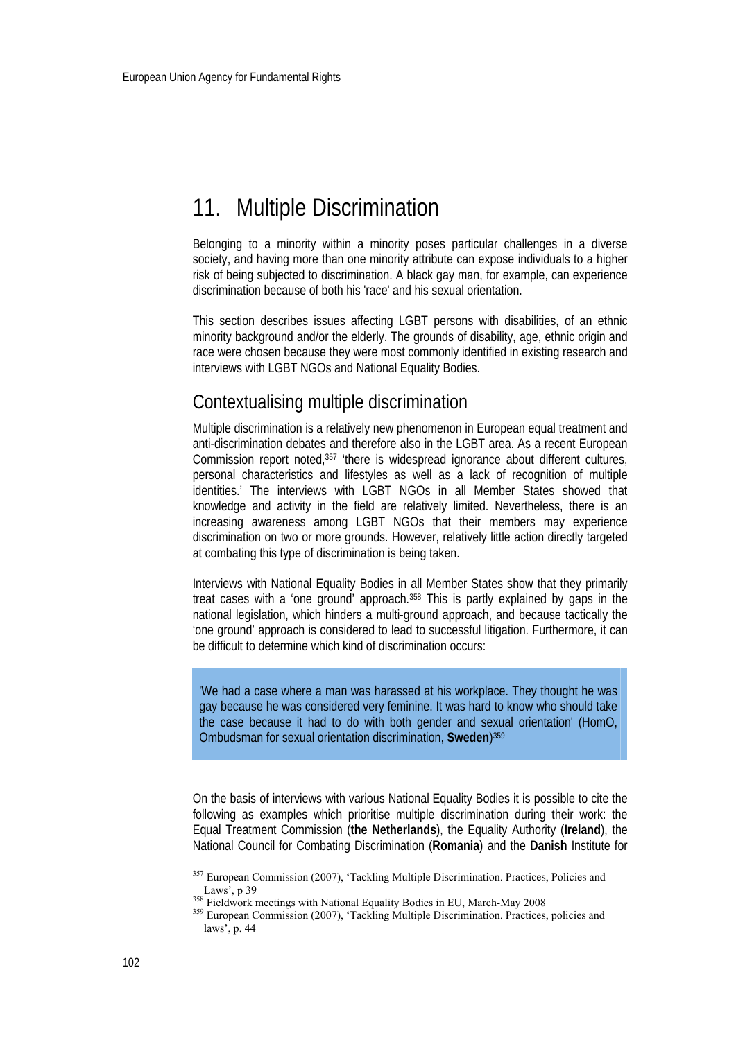# 11. Multiple Discrimination

Belonging to a minority within a minority poses particular challenges in a diverse society, and having more than one minority attribute can expose individuals to a higher risk of being subjected to discrimination. A black gay man, for example, can experience discrimination because of both his 'race' and his sexual orientation.

This section describes issues affecting LGBT persons with disabilities, of an ethnic minority background and/or the elderly. The grounds of disability, age, ethnic origin and race were chosen because they were most commonly identified in existing research and interviews with LGBT NGOs and National Equality Bodies.

#### Contextualising multiple discrimination

Multiple discrimination is a relatively new phenomenon in European equal treatment and anti-discrimination debates and therefore also in the LGBT area. As a recent European Commission report noted,357 'there is widespread ignorance about different cultures, personal characteristics and lifestyles as well as a lack of recognition of multiple identities.' The interviews with LGBT NGOs in all Member States showed that knowledge and activity in the field are relatively limited. Nevertheless, there is an increasing awareness among LGBT NGOs that their members may experience discrimination on two or more grounds. However, relatively little action directly targeted at combating this type of discrimination is being taken.

Interviews with National Equality Bodies in all Member States show that they primarily treat cases with a 'one ground' approach.358 This is partly explained by gaps in the national legislation, which hinders a multi-ground approach, and because tactically the 'one ground' approach is considered to lead to successful litigation. Furthermore, it can be difficult to determine which kind of discrimination occurs:

'We had a case where a man was harassed at his workplace. They thought he was gay because he was considered very feminine. It was hard to know who should take the case because it had to do with both gender and sexual orientation' (HomO, Ombudsman for sexual orientation discrimination, **Sweden**) 359

On the basis of interviews with various National Equality Bodies it is possible to cite the following as examples which prioritise multiple discrimination during their work: the Equal Treatment Commission (**the Netherlands**), the Equality Authority (**Ireland**), the National Council for Combating Discrimination (**Romania**) and the **Danish** Institute for

<sup>&</sup>lt;sup>357</sup> European Commission (2007), 'Tackling Multiple Discrimination. Practices, Policies and

Laws', p 39<br><sup>358</sup> Fieldwork meetings with National Equality Bodies in EU, March-May 2008<br><sup>359</sup> European Commission (2007), 'Tackling Multiple Discrimination. Practices, policies and laws', p. 44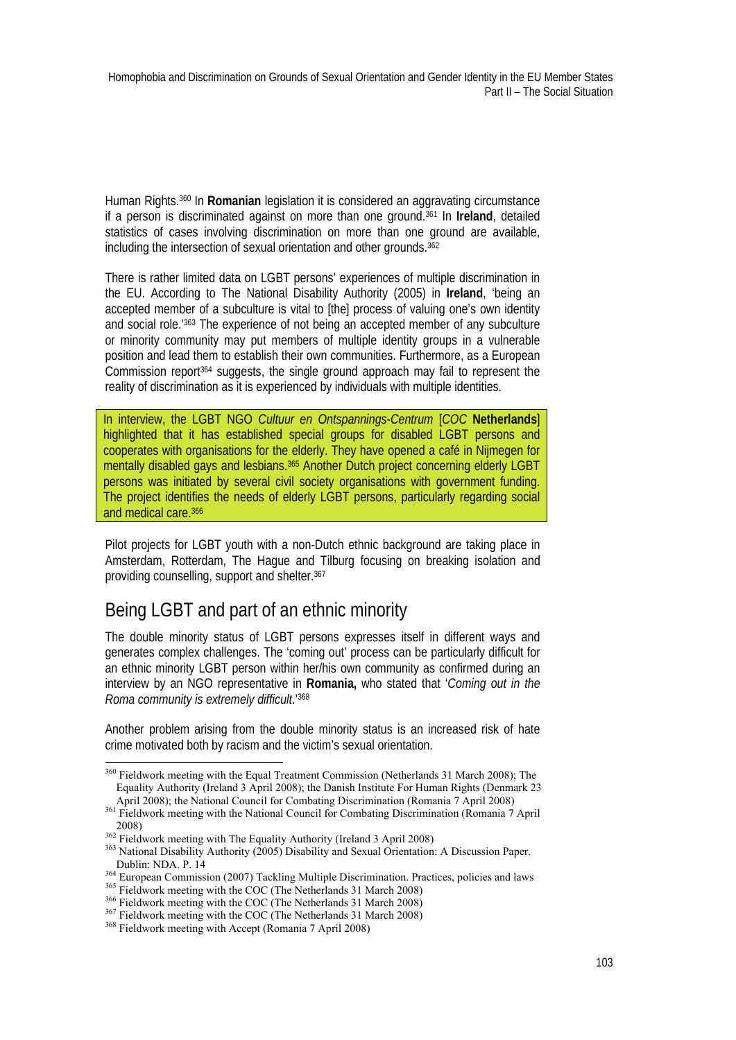Human Rights.360 In **Romanian** legislation it is considered an aggravating circumstance if a person is discriminated against on more than one ground.361 In **Ireland**, detailed statistics of cases involving discrimination on more than one ground are available, including the intersection of sexual orientation and other grounds.<sup>362</sup>

There is rather limited data on LGBT persons' experiences of multiple discrimination in the EU. According to The National Disability Authority (2005) in **Ireland**, 'being an accepted member of a subculture is vital to [the] process of valuing one's own identity and social role.'363 The experience of not being an accepted member of any subculture or minority community may put members of multiple identity groups in a vulnerable position and lead them to establish their own communities. Furthermore, as a European Commission report364 suggests, the single ground approach may fail to represent the reality of discrimination as it is experienced by individuals with multiple identities.

In interview, the LGBT NGO *Cultuur en Ontspannings-Centrum* [*COC* **Netherlands**] highlighted that it has established special groups for disabled LGBT persons and cooperates with organisations for the elderly. They have opened a café in Nijmegen for mentally disabled gays and lesbians.365 Another Dutch project concerning elderly LGBT persons was initiated by several civil society organisations with government funding. The project identifies the needs of elderly LGBT persons, particularly regarding social and medical care.<sup>366</sup>

Pilot projects for LGBT youth with a non-Dutch ethnic background are taking place in Amsterdam, Rotterdam, The Hague and Tilburg focusing on breaking isolation and providing counselling, support and shelter.367

# Being LGBT and part of an ethnic minority

The double minority status of LGBT persons expresses itself in different ways and generates complex challenges. The 'coming out' process can be particularly difficult for an ethnic minority LGBT person within her/his own community as confirmed during an interview by an NGO representative in **Romania,** who stated that '*Coming out in the Roma community is extremely difficult*.'368

Another problem arising from the double minority status is an increased risk of hate crime motivated both by racism and the victim's sexual orientation.

<sup>-</sup><sup>360</sup> Fieldwork meeting with the Equal Treatment Commission (Netherlands 31 March 2008); The Equality Authority (Ireland 3 April 2008); the Danish Institute For Human Rights (Denmark 23

April 2008); the National Council for Combating Discrimination (Romania 7 April 2008) 361 Fieldwork meeting with the National Council for Combating Discrimination (Romania 7 April

<sup>2008)&</sup>lt;br>
<sup>362</sup> Fieldwork meeting with The Equality Authority (Ireland 3 April 2008)<br>
<sup>363</sup> National Disability Authority (2005) Disability and Sexual Orientation: A Discussion Paper.<br>
Dublin: NDA. P. 14

<sup>&</sup>lt;sup>364</sup> European Commission (2007) Tackling Multiple Discrimination. Practices, policies and laws<br><sup>365</sup> Fieldwork meeting with the COC (The Netherlands 31 March 2008)<br><sup>366</sup> Fieldwork meeting with the COC (The Netherlands 31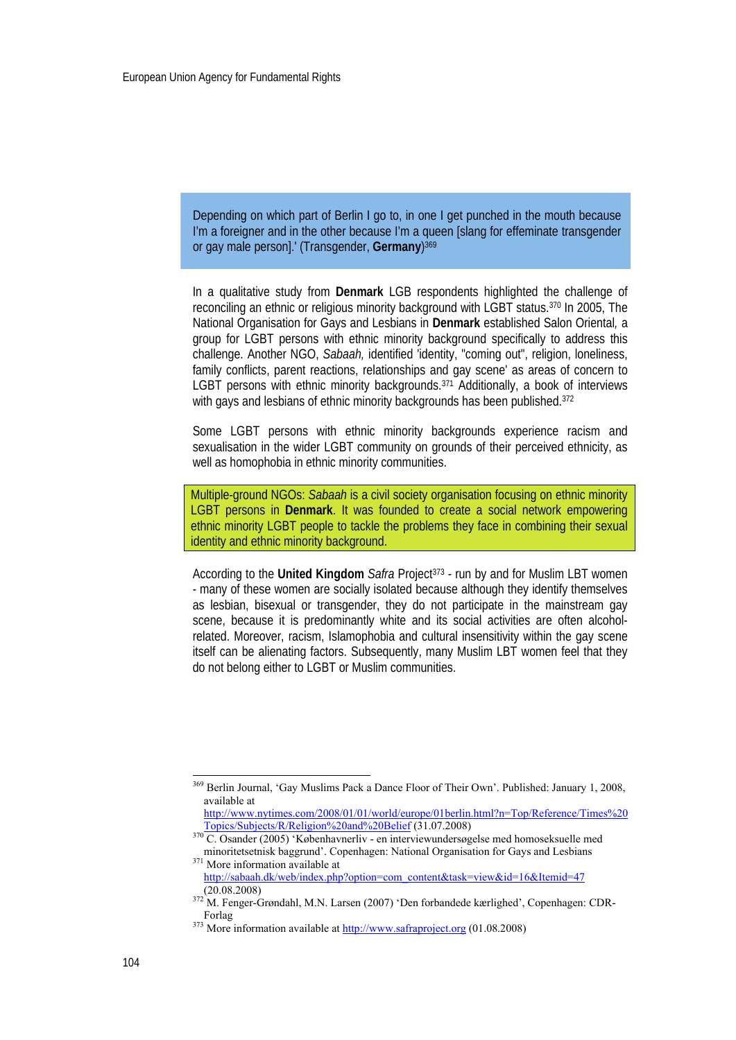Depending on which part of Berlin I go to, in one I get punched in the mouth because I'm a foreigner and in the other because I'm a queen [slang for effeminate transgender or gay male person].' (Transgender, **Germany**)369

In a qualitative study from **Denmark** LGB respondents highlighted the challenge of reconciling an ethnic or religious minority background with LGBT status.370 In 2005, The National Organisation for Gays and Lesbians in **Denmark** established Salon Oriental*,* a group for LGBT persons with ethnic minority background specifically to address this challenge. Another NGO, *Sabaah,* identified 'identity, "coming out", religion, loneliness, family conflicts, parent reactions, relationships and gay scene' as areas of concern to LGBT persons with ethnic minority backgrounds.<sup>371</sup> Additionally, a book of interviews with gays and lesbians of ethnic minority backgrounds has been published.<sup>372</sup>

Some LGBT persons with ethnic minority backgrounds experience racism and sexualisation in the wider LGBT community on grounds of their perceived ethnicity, as well as homophobia in ethnic minority communities.

Multiple-ground NGOs: *Sabaah* is a civil society organisation focusing on ethnic minority LGBT persons in **Denmark**. It was founded to create a social network empowering ethnic minority LGBT people to tackle the problems they face in combining their sexual identity and ethnic minority background.

According to the United Kingdom *Safra* Project<sup>373</sup> - run by and for Muslim LBT women - many of these women are socially isolated because although they identify themselves as lesbian, bisexual or transgender, they do not participate in the mainstream gay scene, because it is predominantly white and its social activities are often alcoholrelated. Moreover, racism, Islamophobia and cultural insensitivity within the gay scene itself can be alienating factors. Subsequently, many Muslim LBT women feel that they do not belong either to LGBT or Muslim communities.

<sup>369</sup> 369 Berlin Journal, 'Gay Muslims Pack a Dance Floor of Their Own'. Published: January 1, 2008, available at

http://www.nytimes.com/2008/01/01/world/europe/01berlin.html?n=Top/Reference/Times%20<br>Topics/Subjects/R/Religion%20and%20Belief (31.07.2008)

<sup>&</sup>lt;sup>370</sup> C. Osander (2005) 'Københavnerliv - en interviewundersøgelse med homoseksuelle med minoritetsetnisk baggrund'. Copenhagen: National Organisation for Gays and Lesbians 371 More information available at

http://sabaah.dk/web/index.php?option=com\_content&task=view&id=16&Itemid=47

<sup>(20.08.2008) 372</sup> M. Fenger-Grøndahl, M.N. Larsen (2007) 'Den forbandede kærlighed', Copenhagen: CDR-Forlag<br><sup>373</sup> More information available at <u>http://www.safraproject.org</u> (01.08.2008)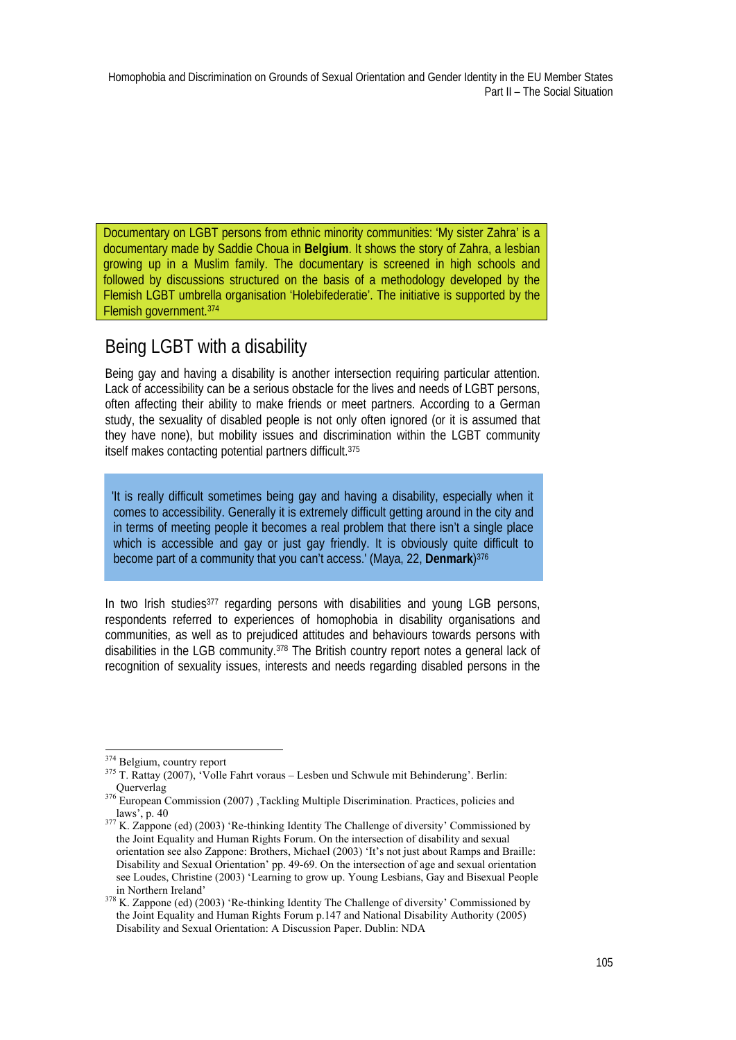Documentary on LGBT persons from ethnic minority communities: 'My sister Zahra' is a documentary made by Saddie Choua in **Belgium**. It shows the story of Zahra, a lesbian growing up in a Muslim family. The documentary is screened in high schools and followed by discussions structured on the basis of a methodology developed by the Flemish LGBT umbrella organisation 'Holebifederatie'. The initiative is supported by the Flemish government.374

## Being LGBT with a disability

Being gay and having a disability is another intersection requiring particular attention. Lack of accessibility can be a serious obstacle for the lives and needs of LGBT persons, often affecting their ability to make friends or meet partners. According to a German study, the sexuality of disabled people is not only often ignored (or it is assumed that they have none), but mobility issues and discrimination within the LGBT community itself makes contacting potential partners difficult.375

'It is really difficult sometimes being gay and having a disability, especially when it comes to accessibility. Generally it is extremely difficult getting around in the city and in terms of meeting people it becomes a real problem that there isn't a single place which is accessible and gay or just gay friendly. It is obviously quite difficult to become part of a community that you can't access.' (Maya, 22, **Denmark**)376

In two Irish studies<sup>377</sup> regarding persons with disabilities and young LGB persons, respondents referred to experiences of homophobia in disability organisations and communities, as well as to prejudiced attitudes and behaviours towards persons with disabilities in the LGB community.378 The British country report notes a general lack of recognition of sexuality issues, interests and needs regarding disabled persons in the

<sup>374</sup> Belgium, country report

 $375$  T. Rattay (2007), 'Volle Fahrt voraus – Lesben und Schwule mit Behinderung'. Berlin:

Querverlag<br> $376$  European Commission (2007) , Tackling Multiple Discrimination. Practices, policies and

laws', p. 40 377 K. Zappone (ed) (2003) 'Re-thinking Identity The Challenge of diversity' Commissioned by the Joint Equality and Human Rights Forum. On the intersection of disability and sexual orientation see also Zappone: Brothers, Michael (2003) 'It's not just about Ramps and Braille: Disability and Sexual Orientation' pp. 49-69. On the intersection of age and sexual orientation see Loudes, Christine (2003) 'Learning to grow up. Young Lesbians, Gay and Bisexual People

in Northern Ireland'  $378$  K. Zappone (ed) (2003) 'Re-thinking Identity The Challenge of diversity' Commissioned by the Joint Equality and Human Rights Forum p.147 and National Disability Authority (2005) Disability and Sexual Orientation: A Discussion Paper. Dublin: NDA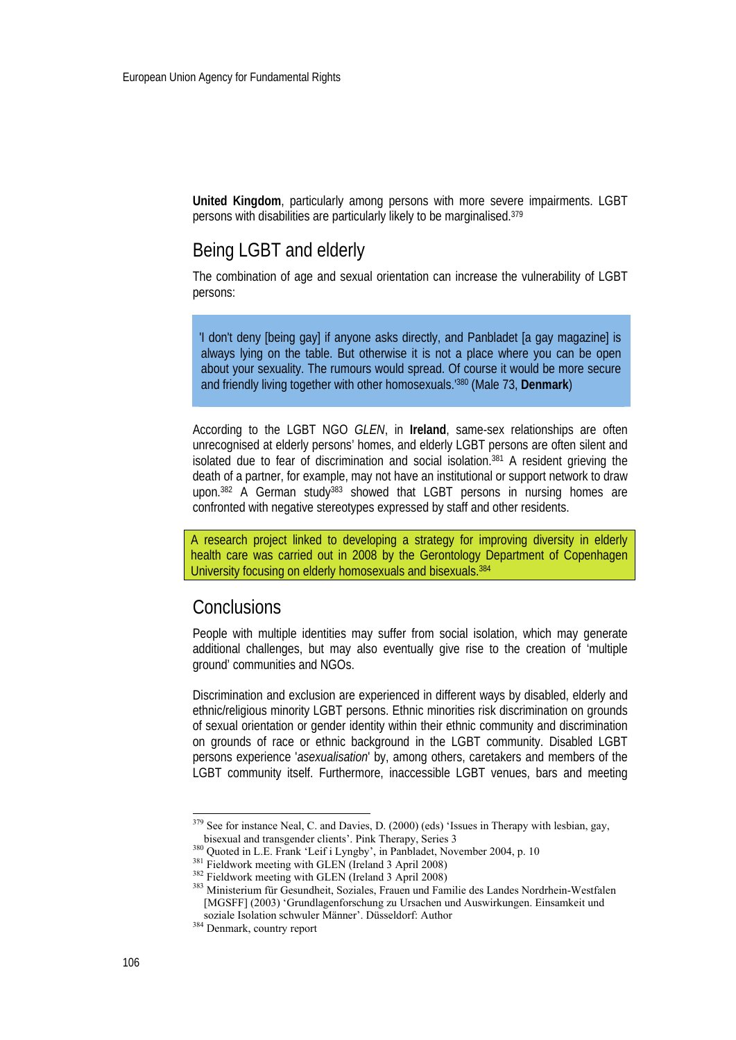**United Kingdom**, particularly among persons with more severe impairments. LGBT persons with disabilities are particularly likely to be marginalised.379

#### Being LGBT and elderly

The combination of age and sexual orientation can increase the vulnerability of LGBT persons:

'I don't deny [being gay] if anyone asks directly, and Panbladet [a gay magazine] is always lying on the table. But otherwise it is not a place where you can be open about your sexuality. The rumours would spread. Of course it would be more secure and friendly living together with other homosexuals.'380 (Male 73, **Denmark**)

According to the LGBT NGO *GLEN*, in **Ireland**, same-sex relationships are often unrecognised at elderly persons' homes, and elderly LGBT persons are often silent and isolated due to fear of discrimination and social isolation.381 A resident grieving the death of a partner, for example, may not have an institutional or support network to draw upon.382 A German study383 showed that LGBT persons in nursing homes are confronted with negative stereotypes expressed by staff and other residents.

A research project linked to developing a strategy for improving diversity in elderly health care was carried out in 2008 by the Gerontology Department of Copenhagen University focusing on elderly homosexuals and bisexuals.384

#### **Conclusions**

People with multiple identities may suffer from social isolation, which may generate additional challenges, but may also eventually give rise to the creation of 'multiple ground' communities and NGOs.

Discrimination and exclusion are experienced in different ways by disabled, elderly and ethnic/religious minority LGBT persons. Ethnic minorities risk discrimination on grounds of sexual orientation or gender identity within their ethnic community and discrimination on grounds of race or ethnic background in the LGBT community. Disabled LGBT persons experience '*asexualisation*' by, among others, caretakers and members of the LGBT community itself. Furthermore, inaccessible LGBT venues, bars and meeting

 $379$  See for instance Neal, C. and Davies, D. (2000) (eds) 'Issues in Therapy with lesbian, gay, bisexual and transgender clients'. Pink Therapy, Series 3<br>
<sup>380</sup> Quoted in L.E. Frank 'Leif i Lyngby', in Panbladet, November 2004, p. 10<br>
<sup>381</sup> Fieldwork meeting with GLEN (Ireland 3 April 2008)<br>
<sup>382</sup> Fieldwork meeting w

<sup>[</sup>MGSFF] (2003) 'Grundlagenforschung zu Ursachen und Auswirkungen. Einsamkeit und soziale Isolation schwuler Männer'. Düsseldorf: Author 384 Denmark, country report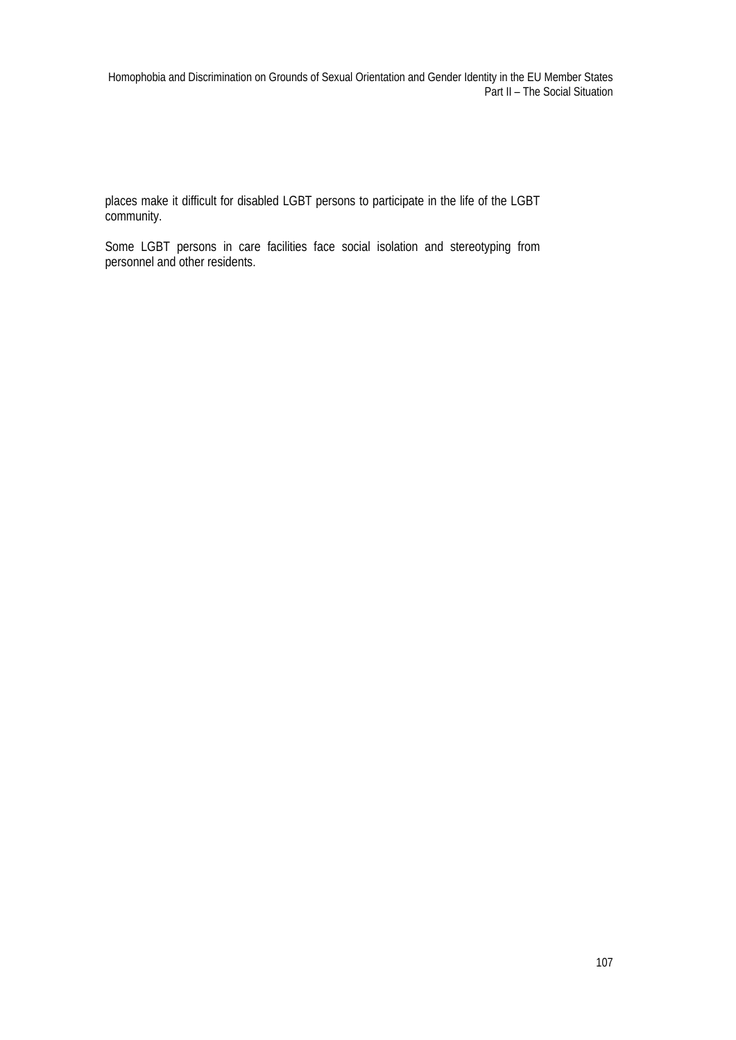places make it difficult for disabled LGBT persons to participate in the life of the LGBT community.

Some LGBT persons in care facilities face social isolation and stereotyping from personnel and other residents.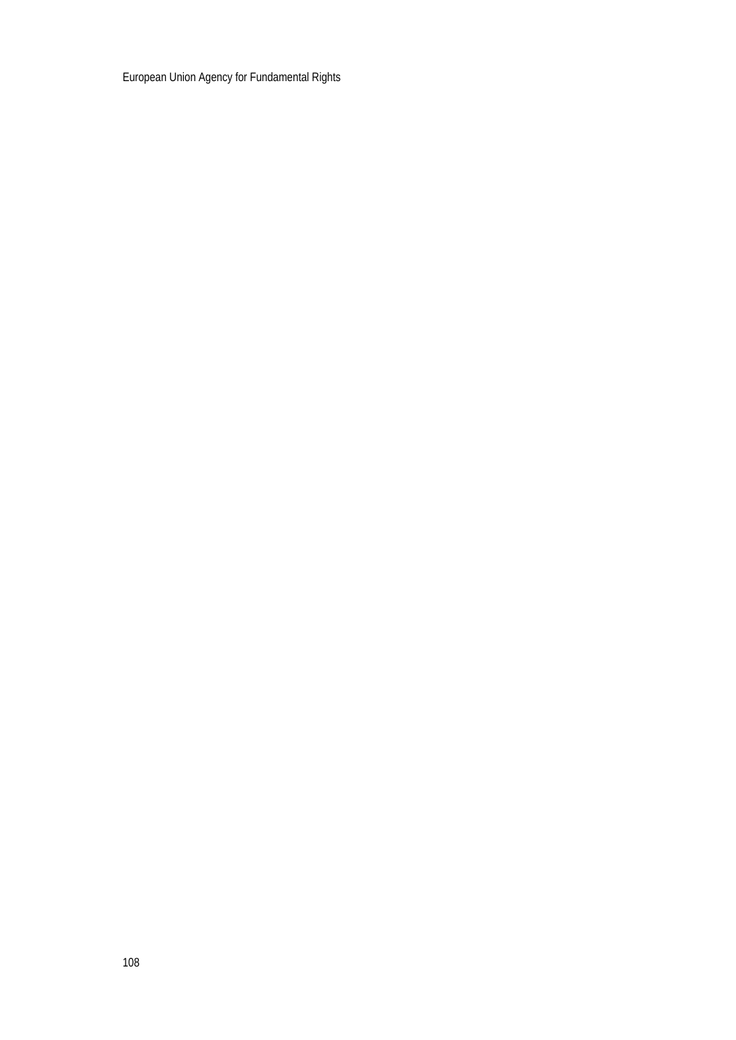European Union Agency for Fundamental Rights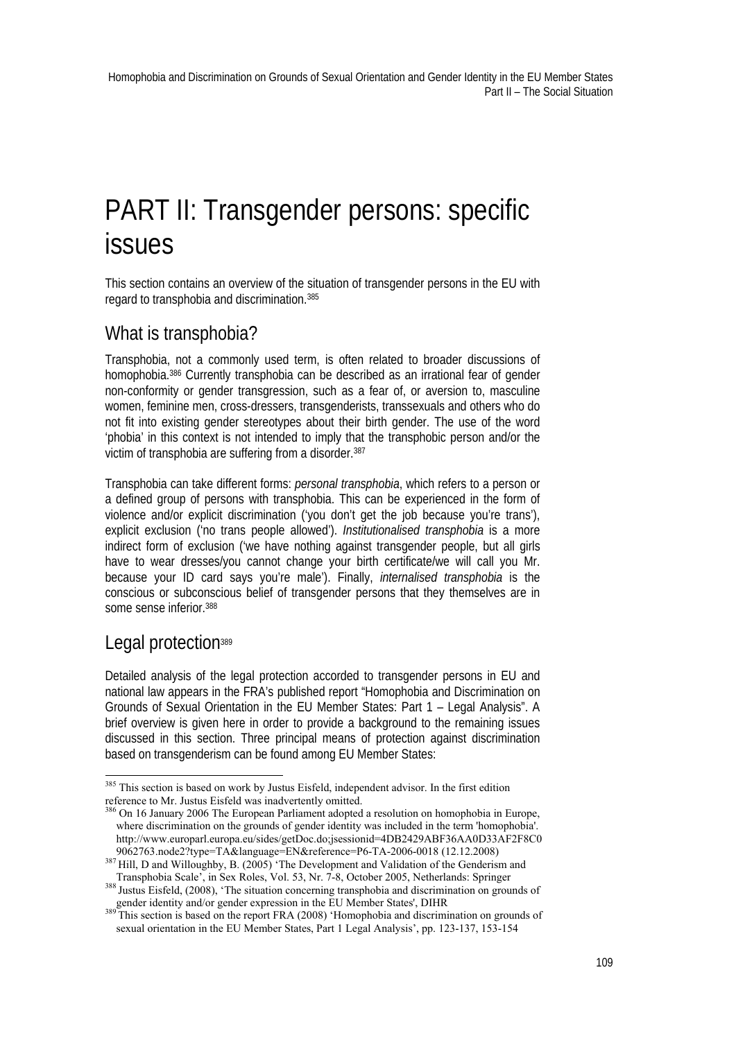# PART II: Transgender persons: specific issues

This section contains an overview of the situation of transgender persons in the EU with regard to transphobia and discrimination.385

# What is transphobia?

Transphobia, not a commonly used term, is often related to broader discussions of homophobia.386 Currently transphobia can be described as an irrational fear of gender non-conformity or gender transgression, such as a fear of, or aversion to, masculine women, feminine men, cross-dressers, transgenderists, transsexuals and others who do not fit into existing gender stereotypes about their birth gender. The use of the word 'phobia' in this context is not intended to imply that the transphobic person and/or the victim of transphobia are suffering from a disorder.387

Transphobia can take different forms: *personal transphobia*, which refers to a person or a defined group of persons with transphobia. This can be experienced in the form of violence and/or explicit discrimination ('you don't get the job because you're trans'), explicit exclusion ('no trans people allowed'). *Institutionalised transphobia* is a more indirect form of exclusion ('we have nothing against transgender people, but all girls have to wear dresses/you cannot change your birth certificate/we will call you Mr. because your ID card says you're male'). Finally, *internalised transphobia* is the conscious or subconscious belief of transgender persons that they themselves are in some sense inferior.388

# Legal protection<sup>389</sup>

1

Detailed analysis of the legal protection accorded to transgender persons in EU and national law appears in the FRA's published report "Homophobia and Discrimination on Grounds of Sexual Orientation in the EU Member States: Part 1 – Legal Analysis". A brief overview is given here in order to provide a background to the remaining issues discussed in this section. Three principal means of protection against discrimination based on transgenderism can be found among EU Member States:

<sup>&</sup>lt;sup>385</sup> This section is based on work by Justus Eisfeld, independent advisor. In the first edition reference to Mr. Justus Eisfeld was inadvertently omitted.

<sup>&</sup>lt;sup>386</sup> On 16 January 2006 The European Parliament adopted a resolution on homophobia in Europe, where discrimination on the grounds of gender identity was included in the term 'homophobia'. http://www.europarl.europa.eu/sides/getDoc.do;jsessionid=4DB2429ABF36AA0D33AF2F8C0

<sup>9062763.</sup>node2?type=TA&language=EN&reference=P6-TA-2006-0018 (12.12.2008) 387 Hill, D and Willoughby, B. (2005) 'The Development and Validation of the Genderism and Transphobia Scale', in Sex Roles, Vol. 53, Nr. 7-8, October 2005, Netherlands: Springer Justus Eisfeld, (2008), 'The situation concerning transphobia and discrimination on grounds of

gender identity and/or gender expression in the EU Member States', DIHR<br><sup>389</sup> This section is based on the report FRA (2008) 'Homophobia and discrimination on grounds of

sexual orientation in the EU Member States, Part 1 Legal Analysis', pp. 123-137, 153-154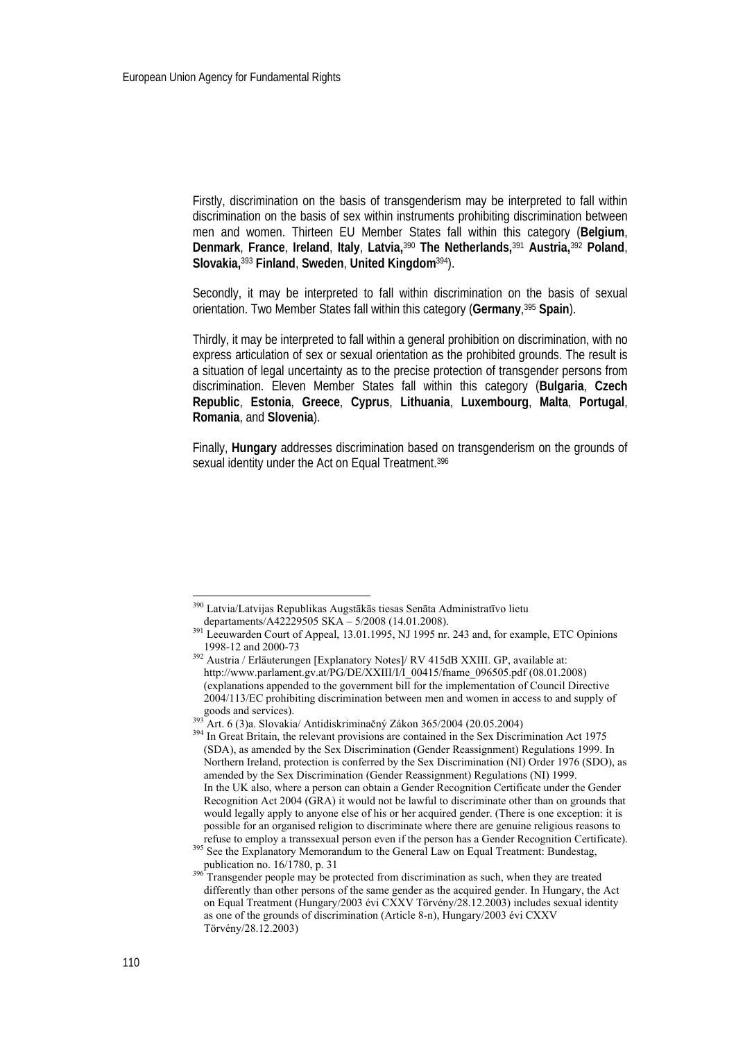Firstly, discrimination on the basis of transgenderism may be interpreted to fall within discrimination on the basis of sex within instruments prohibiting discrimination between men and women. Thirteen EU Member States fall within this category (**Belgium**, **Denmark**, **France**, **Ireland**, **Italy**, **Latvia,**<sup>390</sup> **The Netherlands,**<sup>391</sup> **Austria,**<sup>392</sup> **Poland**, **Slovakia,**<sup>393</sup> **Finland**, **Sweden**, **United Kingdom**394).

Secondly, it may be interpreted to fall within discrimination on the basis of sexual orientation. Two Member States fall within this category (**Germany**, <sup>395</sup> **Spain**).

Thirdly, it may be interpreted to fall within a general prohibition on discrimination, with no express articulation of sex or sexual orientation as the prohibited grounds. The result is a situation of legal uncertainty as to the precise protection of transgender persons from discrimination. Eleven Member States fall within this category (**Bulgaria**, **Czech Republic**, **Estonia**, **Greece**, **Cyprus**, **Lithuania**, **Luxembourg**, **Malta**, **Portugal**, **Romania**, and **Slovenia**).

Finally, **Hungary** addresses discrimination based on transgenderism on the grounds of sexual identity under the Act on Equal Treatment.<sup>396</sup>

-

<sup>&</sup>lt;sup>390</sup> Latvia/Latvijas Republikas Augstākās tiesas Senāta Administratīvo lietu

departaments/A42229505 SKA – 5/2008 (14.01.2008). 391 Leeuwarden Court of Appeal, 13.01.1995, NJ 1995 nr. 243 and, for example, ETC Opinions

<sup>1998-12</sup> and 2000-73 392 Austria / Erläuterungen [Explanatory Notes]/ RV 415dB XXIII. GP, available at: http://www.parlament.gv.at/PG/DE/XXIII/I/I\_00415/fname\_096505.pdf (08.01.2008) (explanations appended to the government bill for the implementation of Council Directive 2004/113/EC prohibiting discrimination between men and women in access to and supply of goods and services).<br> $393 \text{ A} + 6.026 \text{ S} \cdot \text{Si} = 13.64 \text{ A} + 6.026 \text{ S} \cdot \text{Si} = 13.64 \text{ A} + 6.026 \text{ S} \cdot \text{Si} = 13.64 \text{ A}$ 

<sup>&</sup>lt;sup>393</sup> Art. 6 (3)a. Slovakia/ Antidiskriminačný Zákon 365/2004 (20.05.2004) In Great Britain, the relevant provisions are contained in the Sex Discrimination Act 1975 (SDA), as amended by the Sex Discrimination (Gender Reassignment) Regulations 1999. In Northern Ireland, protection is conferred by the Sex Discrimination (NI) Order 1976 (SDO), as amended by the Sex Discrimination (Gender Reassignment) Regulations (NI) 1999. In the UK also, where a person can obtain a Gender Recognition Certificate under the Gender Recognition Act 2004 (GRA) it would not be lawful to discriminate other than on grounds that would legally apply to anyone else of his or her acquired gender. (There is one exception: it is possible for an organised religion to discriminate where there are genuine religious reasons to

refuse to employ a transsexual person even if the person has a Gender Recognition Certificate).<br><sup>395</sup> See the Explanatory Memorandum to the General Law on Equal Treatment: Bundestag, publication no. 16/1780, p. 31

<sup>&</sup>lt;sup>396</sup> Transgender people may be protected from discrimination as such, when they are treated differently than other persons of the same gender as the acquired gender. In Hungary, the Act on Equal Treatment (Hungary/2003 évi CXXV Törvény/28.12.2003) includes sexual identity as one of the grounds of discrimination (Article 8-n), Hungary/2003 évi CXXV Törvény/28.12.2003)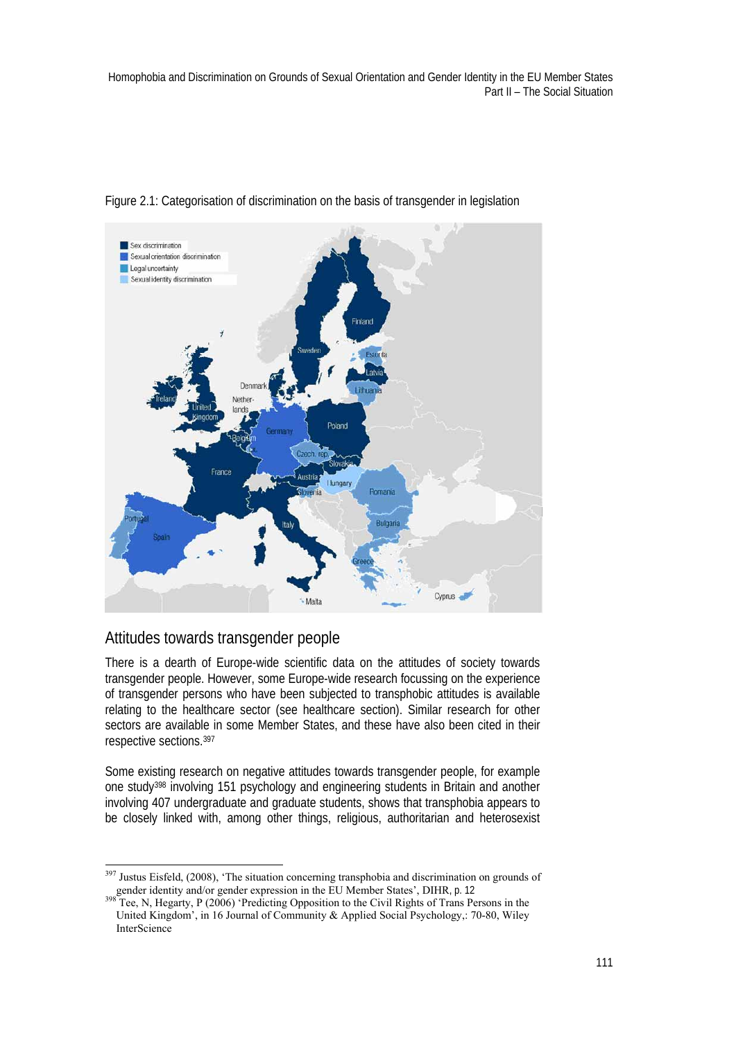

# Figure 2.1: Categorisation of discrimination on the basis of transgender in legislation

# Attitudes towards transgender people

There is a dearth of Europe-wide scientific data on the attitudes of society towards transgender people. However, some Europe-wide research focussing on the experience of transgender persons who have been subjected to transphobic attitudes is available relating to the healthcare sector (see healthcare section). Similar research for other sectors are available in some Member States, and these have also been cited in their respective sections.397

Some existing research on negative attitudes towards transgender people, for example one study398 involving 151 psychology and engineering students in Britain and another involving 407 undergraduate and graduate students, shows that transphobia appears to be closely linked with, among other things, religious, authoritarian and heterosexist

<sup>1</sup> <sup>397</sup> Justus Eisfeld, (2008), 'The situation concerning transphobia and discrimination on grounds of gender identity and/or gender expression in the EU Member States', DIHR, p. 12<br><sup>398</sup> Tee, N, Hegarty, P (2006) 'Predicting Opposition to the Civil Rights of Trans Persons in the

United Kingdom', in 16 Journal of Community & Applied Social Psychology,: 70-80, Wiley InterScience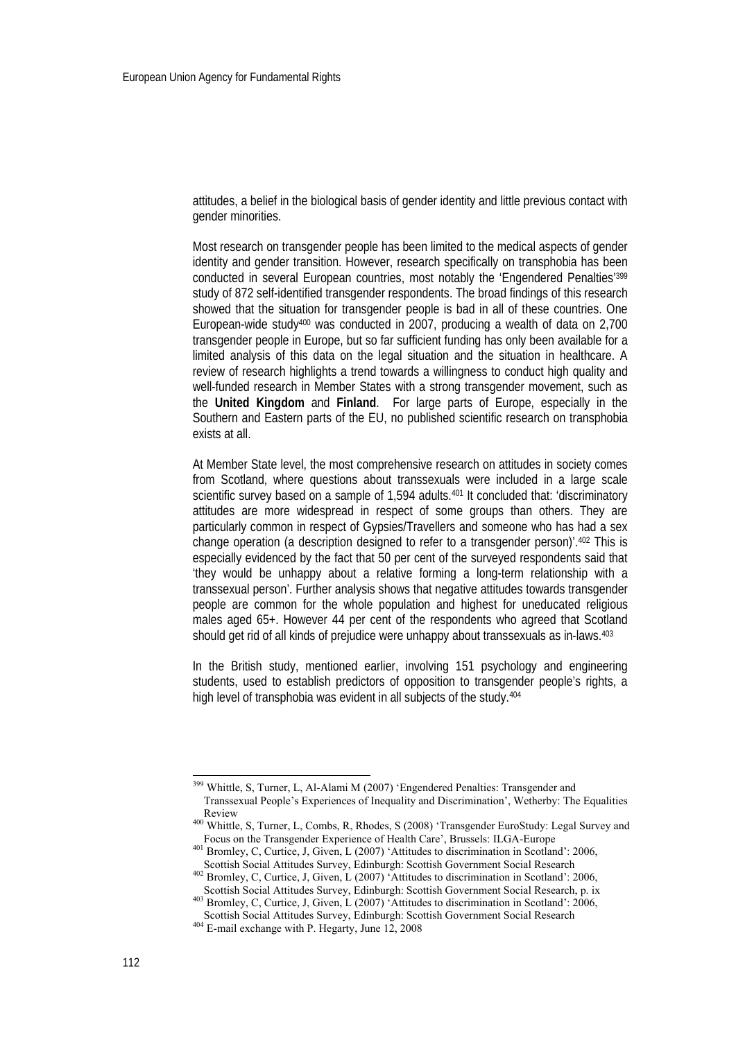attitudes, a belief in the biological basis of gender identity and little previous contact with gender minorities.

Most research on transgender people has been limited to the medical aspects of gender identity and gender transition. However, research specifically on transphobia has been conducted in several European countries, most notably the 'Engendered Penalties'<sup>399</sup> study of 872 self-identified transgender respondents. The broad findings of this research showed that the situation for transgender people is bad in all of these countries. One European-wide study400 was conducted in 2007, producing a wealth of data on 2,700 transgender people in Europe, but so far sufficient funding has only been available for a limited analysis of this data on the legal situation and the situation in healthcare. A review of research highlights a trend towards a willingness to conduct high quality and well-funded research in Member States with a strong transgender movement, such as the **United Kingdom** and **Finland**. For large parts of Europe, especially in the Southern and Eastern parts of the EU, no published scientific research on transphobia exists at all.

At Member State level, the most comprehensive research on attitudes in society comes from Scotland, where questions about transsexuals were included in a large scale scientific survey based on a sample of 1.594 adults.<sup>401</sup> It concluded that: 'discriminatory attitudes are more widespread in respect of some groups than others. They are particularly common in respect of Gypsies/Travellers and someone who has had a sex change operation (a description designed to refer to a transgender person)'.402 This is especially evidenced by the fact that 50 per cent of the surveyed respondents said that 'they would be unhappy about a relative forming a long-term relationship with a transsexual person'. Further analysis shows that negative attitudes towards transgender people are common for the whole population and highest for uneducated religious males aged 65+. However 44 per cent of the respondents who agreed that Scotland should get rid of all kinds of prejudice were unhappy about transsexuals as in-laws.<sup>403</sup>

In the British study, mentioned earlier, involving 151 psychology and engineering students, used to establish predictors of opposition to transgender people's rights, a high level of transphobia was evident in all subjects of the study.<sup>404</sup>

<u>.</u>

<sup>&</sup>lt;sup>399</sup> Whittle, S, Turner, L, Al-Alami M (2007) 'Engendered Penalties: Transgender and Transsexual People's Experiences of Inequality and Discrimination', Wetherby: The Equalities

Review<br><sup>400</sup> Whittle, S, Turner, L, Combs, R, Rhodes, S (2008) 'Transgender EuroStudy: Legal Survey and<br>Focus on the Transgender Experience of Health Care', Brussels: ILGA-Europe

Focus on the Transgender Experience of Health Care', Brussels: ILGA-Europe 401 Bromley, C, Curtice, J, Given, L (2007) 'Attitudes to discrimination in Scotland': 2006, Scottish Social Attitudes Survey, Edinburgh: Scottish

 $\frac{1}{402}$  Bromley, C, Curtice, J, Given, L (2007) 'Attitudes to discrimination in Scotland': 2006, Scottish Social Attitudes Survey, Edinburgh: Scottish Government Social Research, p. ix 403 Bromley, C, Curtice, J, Given, L (2007) 'Attitudes to discrimination in Scotland': 2006,

Scottish Social Attitudes Survey, Edinburgh: Scottish Government Social Research 404 E-mail exchange with P. Hegarty, June 12, 2008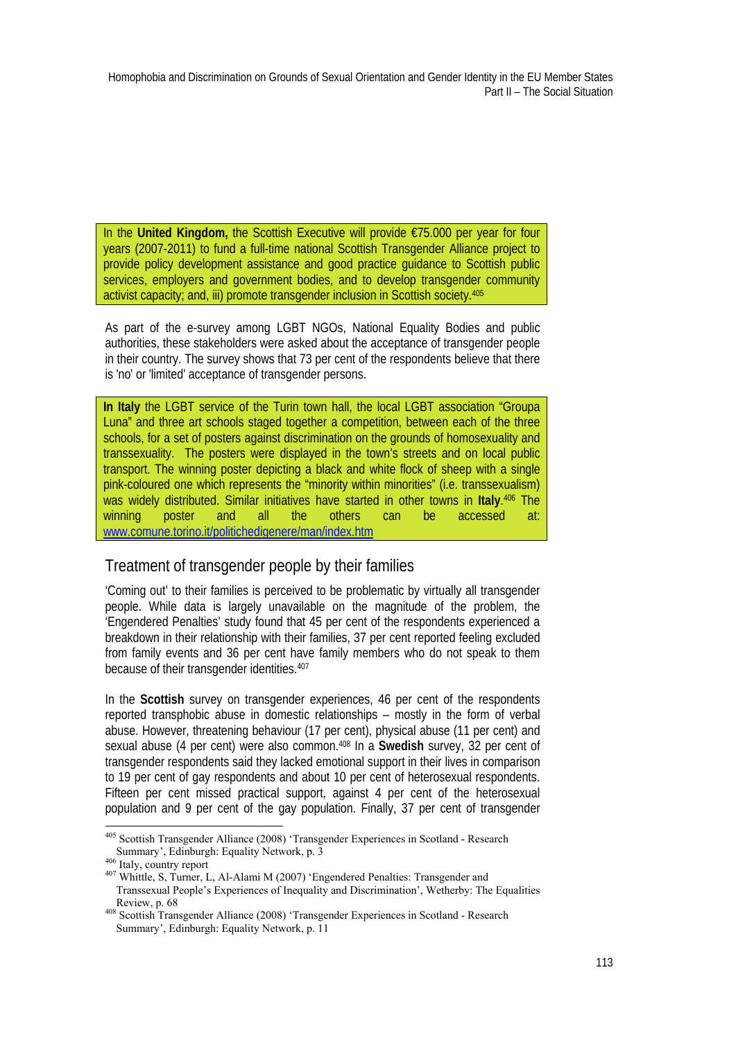In the **United Kingdom,** the Scottish Executive will provide €75.000 per year for four years (2007-2011) to fund a full-time national Scottish Transgender Alliance project to provide policy development assistance and good practice guidance to Scottish public services, employers and government bodies, and to develop transgender community activist capacity; and, iii) promote transgender inclusion in Scottish society.<sup>405</sup>

As part of the e-survey among LGBT NGOs, National Equality Bodies and public authorities, these stakeholders were asked about the acceptance of transgender people in their country. The survey shows that 73 per cent of the respondents believe that there is 'no' or 'limited' acceptance of transgender persons.

**In Italy** the LGBT service of the Turin town hall, the local LGBT association "Groupa Luna" and three art schools staged together a competition, between each of the three schools, for a set of posters against discrimination on the grounds of homosexuality and transsexuality. The posters were displayed in the town's streets and on local public transport. The winning poster depicting a black and white flock of sheep with a single pink-coloured one which represents the "minority within minorities" (i.e. transsexualism) was widely distributed. Similar initiatives have started in other towns in **Italy**. 406 The winning poster and all the others can be accessed at: www.comune.torino.it/politichedigenere/man/index.htm

# Treatment of transgender people by their families

'Coming out' to their families is perceived to be problematic by virtually all transgender people. While data is largely unavailable on the magnitude of the problem, the 'Engendered Penalties' study found that 45 per cent of the respondents experienced a breakdown in their relationship with their families, 37 per cent reported feeling excluded from family events and 36 per cent have family members who do not speak to them because of their transgender identities.407

In the **Scottish** survey on transgender experiences, 46 per cent of the respondents reported transphobic abuse in domestic relationships – mostly in the form of verbal abuse. However, threatening behaviour (17 per cent), physical abuse (11 per cent) and sexual abuse (4 per cent) were also common.408 In a **Swedish** survey, 32 per cent of transgender respondents said they lacked emotional support in their lives in comparison to 19 per cent of gay respondents and about 10 per cent of heterosexual respondents. Fifteen per cent missed practical support, against 4 per cent of the heterosexual population and 9 per cent of the gay population. Finally, 37 per cent of transgender

1

<sup>&</sup>lt;sup>405</sup> Scottish Transgender Alliance (2008) 'Transgender Experiences in Scotland - Research

Summary', Edinburgh: Equality Network, p. 3<br><sup>406</sup> Italy, country report<br><sup>407</sup> Whittle, S, Turner, L, Al-Alami M (2007) 'Engendered Penalties: Transgender and Transsexual People's Experiences of Inequality and Discrimination', Wetherby: The Equalities

Review, p. 68<br><sup>408</sup> Scottish Transgender Alliance (2008) 'Transgender Experiences in Scotland - Research Summary', Edinburgh: Equality Network, p. 11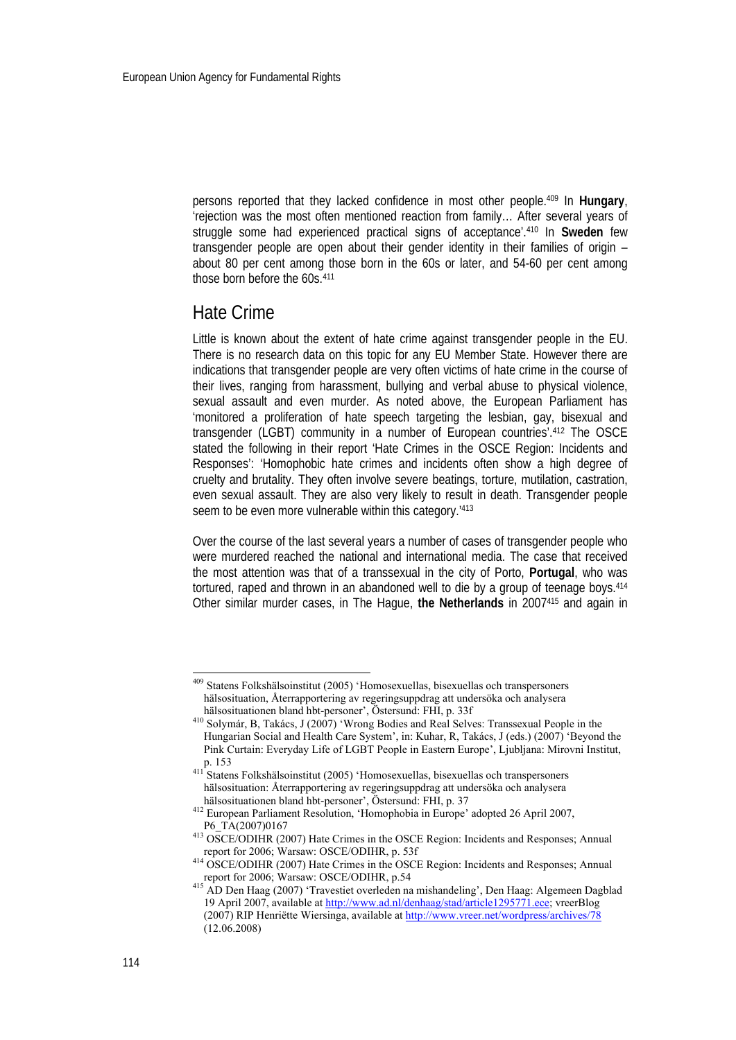persons reported that they lacked confidence in most other people.409 In **Hungary**, 'rejection was the most often mentioned reaction from family… After several years of struggle some had experienced practical signs of acceptance'.410 In **Sweden** few transgender people are open about their gender identity in their families of origin – about 80 per cent among those born in the 60s or later, and 54-60 per cent among those born before the 60s.411

# Hate Crime

<u>.</u>

Little is known about the extent of hate crime against transgender people in the EU. There is no research data on this topic for any EU Member State. However there are indications that transgender people are very often victims of hate crime in the course of their lives, ranging from harassment, bullying and verbal abuse to physical violence, sexual assault and even murder. As noted above, the European Parliament has 'monitored a proliferation of hate speech targeting the lesbian, gay, bisexual and transgender (LGBT) community in a number of European countries'.412 The OSCE stated the following in their report 'Hate Crimes in the OSCE Region: Incidents and Responses': 'Homophobic hate crimes and incidents often show a high degree of cruelty and brutality. They often involve severe beatings, torture, mutilation, castration, even sexual assault. They are also very likely to result in death. Transgender people seem to be even more vulnerable within this category.'413

Over the course of the last several years a number of cases of transgender people who were murdered reached the national and international media. The case that received the most attention was that of a transsexual in the city of Porto, **Portugal**, who was tortured, raped and thrown in an abandoned well to die by a group of teenage boys.<sup>414</sup> Other similar murder cases, in The Hague, **the Netherlands** in 2007415 and again in

<sup>409</sup> Statens Folkshälsoinstitut (2005) 'Homosexuellas, bisexuellas och transpersoners hälsosituation, Återrapportering av regeringsuppdrag att undersöka och analysera

hälsosituationen bland hbt-personer', Östersund: FHI, p. 33f<br><sup>410</sup> Solymár, B, Takács, J (2007) 'Wrong Bodies and Real Selves: Transsexual People in the Hungarian Social and Health Care System', in: Kuhar, R, Takács, J (eds.) (2007) 'Beyond the Pink Curtain: Everyday Life of LGBT People in Eastern Europe', Ljubljana: Mirovni Institut,

p. 153 411 Statens Folkshälsoinstitut (2005) 'Homosexuellas, bisexuellas och transpersoners hälsosituation: Återrapportering av regeringsuppdrag att undersöka och analysera

hälsosituationen bland hbt-personer', Östersund: FHI, p. 37 412 European Parliament Resolution, 'Homophobia in Europe' adopted 26 April 2007,

P6\_TA(2007)0167<br><sup>413</sup> OSCE/ODIHR (2007) Hate Crimes in the OSCE Region: Incidents and Responses; Annual<br>report for 2006; Warsaw: OSCE/ODIHR, p. 53f

<sup>144</sup> OSCE/ODIHR (2007) Hate Crimes in the OSCE Region: Incidents and Responses; Annual

report for 2006; Warsaw: OSCE/ODIHR, p.54 415 AD Den Haag (2007) 'Travestiet overleden na mishandeling', Den Haag: Algemeen Dagblad 19 April 2007, available at http://www.ad.nl/denhaag/stad/article1295771.ece; vreerBlog (2007) RIP Henriëtte Wiersinga, available at http://www.vreer.net/wordpress/archives/78 (12.06.2008)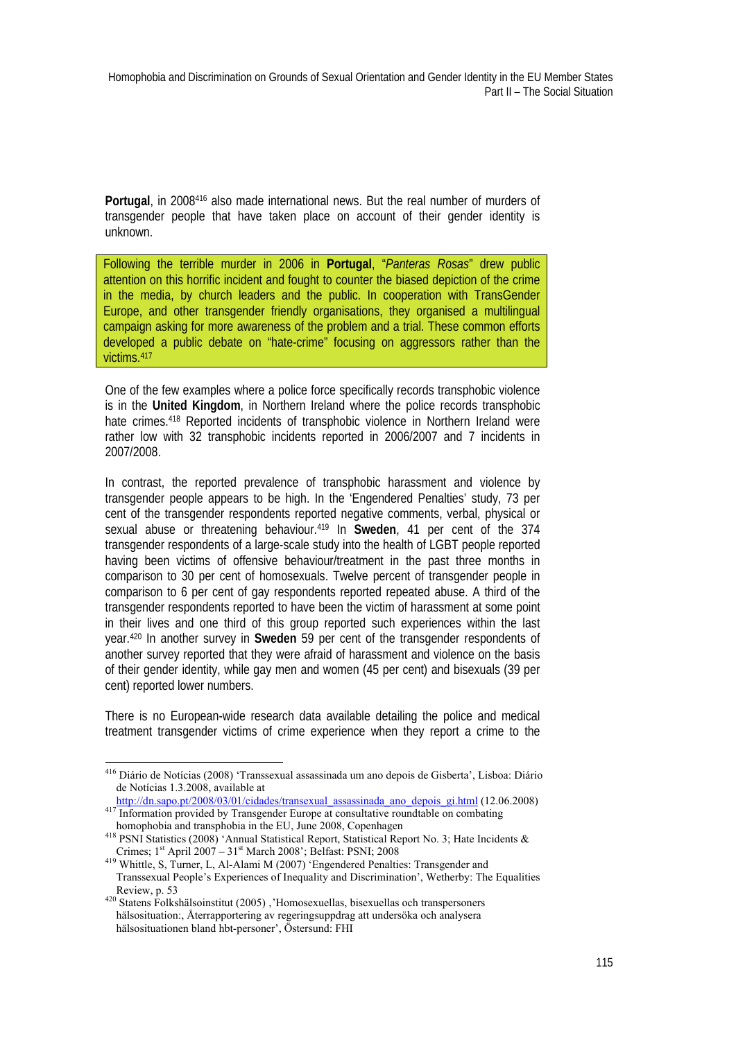Portugal, in 2008<sup>416</sup> also made international news. But the real number of murders of transgender people that have taken place on account of their gender identity is unknown.

Following the terrible murder in 2006 in **Portugal**, "*Panteras Rosas*" drew public attention on this horrific incident and fought to counter the biased depiction of the crime in the media, by church leaders and the public. In cooperation with TransGender Europe, and other transgender friendly organisations, they organised a multilingual campaign asking for more awareness of the problem and a trial. These common efforts developed a public debate on "hate-crime" focusing on aggressors rather than the victims.417

One of the few examples where a police force specifically records transphobic violence is in the **United Kingdom**, in Northern Ireland where the police records transphobic hate crimes.<sup>418</sup> Reported incidents of transphobic violence in Northern Ireland were rather low with 32 transphobic incidents reported in 2006/2007 and 7 incidents in 2007/2008.

In contrast, the reported prevalence of transphobic harassment and violence by transgender people appears to be high. In the 'Engendered Penalties' study, 73 per cent of the transgender respondents reported negative comments, verbal, physical or sexual abuse or threatening behaviour.419 In **Sweden**, 41 per cent of the 374 transgender respondents of a large-scale study into the health of LGBT people reported having been victims of offensive behaviour/treatment in the past three months in comparison to 30 per cent of homosexuals. Twelve percent of transgender people in comparison to 6 per cent of gay respondents reported repeated abuse. A third of the transgender respondents reported to have been the victim of harassment at some point in their lives and one third of this group reported such experiences within the last year.420 In another survey in **Sweden** 59 per cent of the transgender respondents of another survey reported that they were afraid of harassment and violence on the basis of their gender identity, while gay men and women (45 per cent) and bisexuals (39 per cent) reported lower numbers.

There is no European-wide research data available detailing the police and medical treatment transgender victims of crime experience when they report a crime to the

-

<sup>416</sup> Diário de Notícias (2008) 'Transsexual assassinada um ano depois de Gisberta', Lisboa: Diário de Notícias 1.3.2008, available at

http://dn.sapo.pt/2008/03/01/cidades/transexual\_assassinada\_ano\_depois\_gi.html (12.06.2008) 417 Information provided by Transgender Europe at consultative roundtable on combating

homophobia and transphobia in the EU, June 2008, Copenhagen<br>
<sup>418</sup> PSNI Statistics (2008) 'Annual Statistical Report, Statistical Report No. 3; Hate Incidents &<br>
Crimes; 1<sup>st</sup> April 2007 – 31<sup>st</sup> March 2008'; Belfast: PSNI

<sup>&</sup>lt;sup>419</sup> Whittle, S, Turner, L, Al-Alami M (2007) 'Engendered Penalties: Transgender and Transsexual People's Experiences of Inequality and Discrimination', Wetherby: The Equalities Review, p. 53<br><sup>420</sup> Statens Folkshälsoinstitut (2005) , 'Homosexuellas, bisexuellas och transpersoners

hälsosituation:, Återrapportering av regeringsuppdrag att undersöka och analysera hälsosituationen bland hbt-personer', Östersund: FHI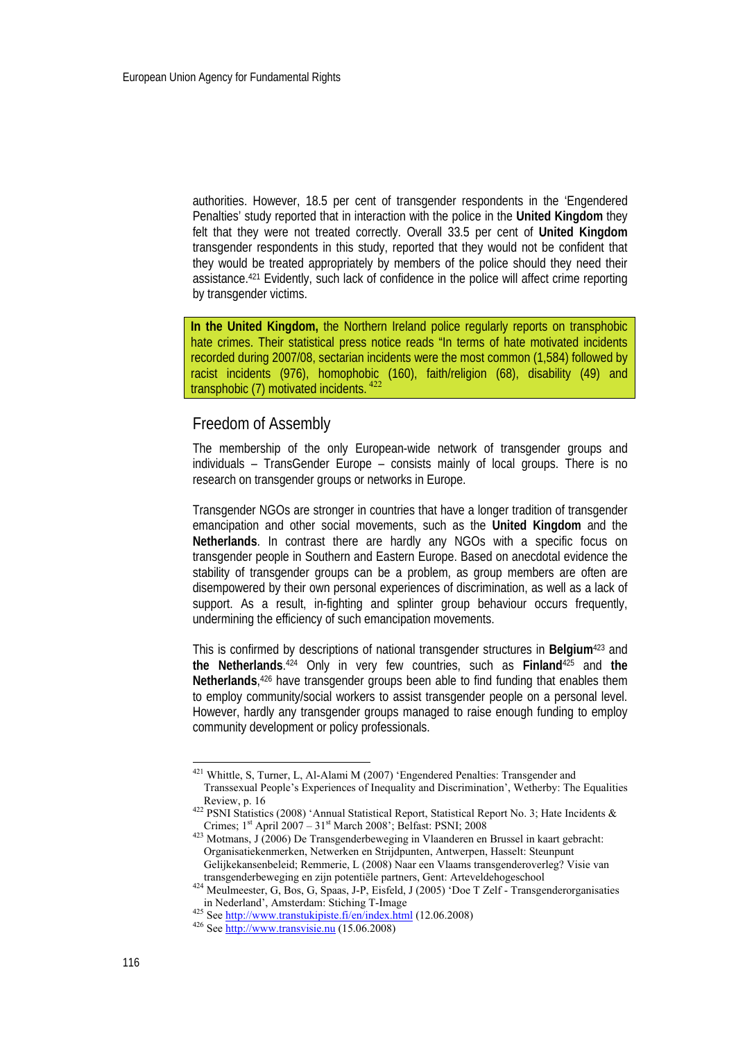authorities. However, 18.5 per cent of transgender respondents in the 'Engendered Penalties' study reported that in interaction with the police in the **United Kingdom** they felt that they were not treated correctly. Overall 33.5 per cent of **United Kingdom** transgender respondents in this study, reported that they would not be confident that they would be treated appropriately by members of the police should they need their assistance.421 Evidently, such lack of confidence in the police will affect crime reporting by transgender victims.

**In the United Kingdom,** the Northern Ireland police regularly reports on transphobic hate crimes. Their statistical press notice reads "In terms of hate motivated incidents recorded during 2007/08, sectarian incidents were the most common (1,584) followed by racist incidents (976), homophobic (160), faith/religion (68), disability (49) and transphobic (7) motivated incidents. <sup>422</sup>

# Freedom of Assembly

The membership of the only European-wide network of transgender groups and individuals – TransGender Europe – consists mainly of local groups. There is no research on transgender groups or networks in Europe.

Transgender NGOs are stronger in countries that have a longer tradition of transgender emancipation and other social movements, such as the **United Kingdom** and the **Netherlands**. In contrast there are hardly any NGOs with a specific focus on transgender people in Southern and Eastern Europe. Based on anecdotal evidence the stability of transgender groups can be a problem, as group members are often are disempowered by their own personal experiences of discrimination, as well as a lack of support. As a result, in-fighting and splinter group behaviour occurs frequently, undermining the efficiency of such emancipation movements.

This is confirmed by descriptions of national transgender structures in **Belgium**423 and **the Netherlands**. 424 Only in very few countries, such as **Finland**425 and **the Netherlands**, 426 have transgender groups been able to find funding that enables them to employ community/social workers to assist transgender people on a personal level. However, hardly any transgender groups managed to raise enough funding to employ community development or policy professionals.

 $\overline{a}$ 

<sup>&</sup>lt;sup>421</sup> Whittle, S, Turner, L, Al-Alami M (2007) 'Engendered Penalties: Transgender and Transsexual People's Experiences of Inequality and Discrimination', Wetherby: The Equalities

Review, p. 16<br><sup>422</sup> PSNI Statistics (2008) 'Annual Statistical Report, Statistical Report No. 3; Hate Incidents &

Crimes;  $1^{st}$  April 2007 – 31<sup>st</sup> March 2008'; Belfast: PSNI; 2008  $^{423}$  Motmans, J (2006) De Transgenderbeweging in Vlaanderen en Brussel in kaart gebracht: Organisatiekenmerken, Netwerken en Strijdpunten, Antwerpen, Hasselt: Steunpunt Gelijkekansenbeleid; Remmerie, L (2008) Naar een Vlaams transgenderoverleg? Visie van

transgenderbeweging en zijn potentiële partners, Gent: Arteveldehogeschool 424 Meulmeester, G, Bos, G, Spaas, J-P, Eisfeld, J (2005) 'Doe T Zelf - Transgenderorganisaties in Nederland', Amsterdam: Stiching T-Image<br>
<sup>425</sup> See http://www.transtukipiste.fi/en/index.html (12.06.2008)<br>
<sup>426</sup> See http://www.transvisie.nu (15.06.2008)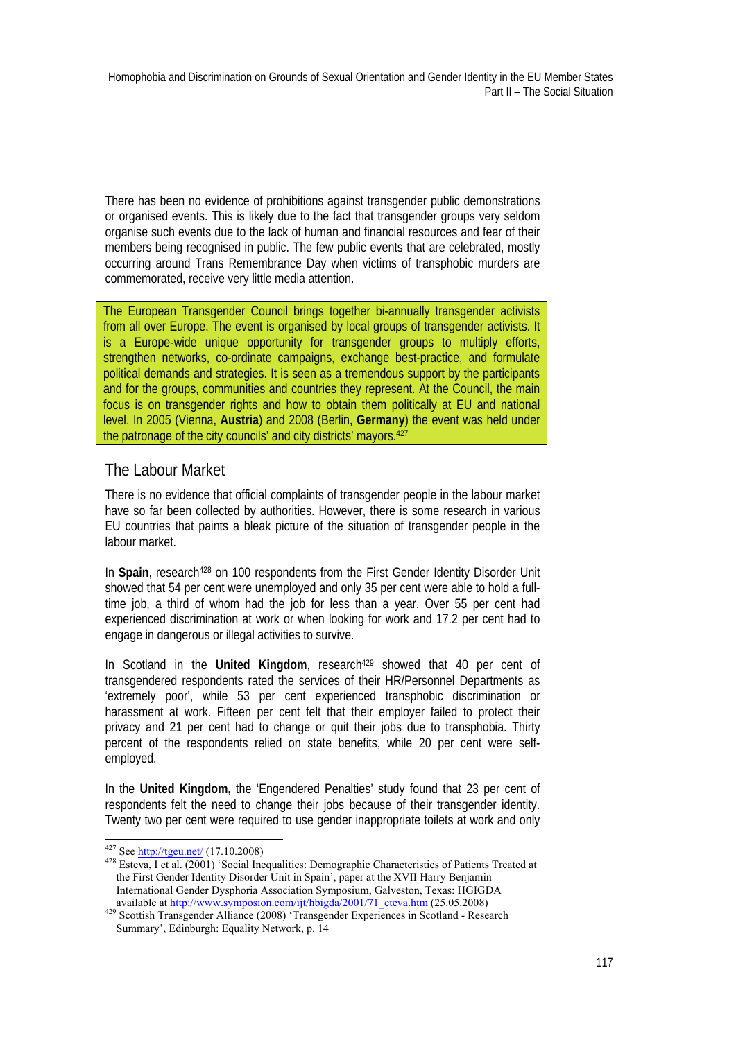There has been no evidence of prohibitions against transgender public demonstrations or organised events. This is likely due to the fact that transgender groups very seldom organise such events due to the lack of human and financial resources and fear of their members being recognised in public. The few public events that are celebrated, mostly occurring around Trans Remembrance Day when victims of transphobic murders are commemorated, receive very little media attention.

The European Transgender Council brings together bi-annually transgender activists from all over Europe. The event is organised by local groups of transgender activists. It is a Europe-wide unique opportunity for transgender groups to multiply efforts, strengthen networks, co-ordinate campaigns, exchange best-practice, and formulate political demands and strategies. It is seen as a tremendous support by the participants and for the groups, communities and countries they represent. At the Council, the main focus is on transgender rights and how to obtain them politically at EU and national level. In 2005 (Vienna, **Austria**) and 2008 (Berlin, **Germany**) the event was held under the patronage of the city councils' and city districts' mayors.427

# The Labour Market

There is no evidence that official complaints of transgender people in the labour market have so far been collected by authorities. However, there is some research in various EU countries that paints a bleak picture of the situation of transgender people in the labour market.

In Spain, research<sup>428</sup> on 100 respondents from the First Gender Identity Disorder Unit showed that 54 per cent were unemployed and only 35 per cent were able to hold a fulltime job, a third of whom had the job for less than a year. Over 55 per cent had experienced discrimination at work or when looking for work and 17.2 per cent had to engage in dangerous or illegal activities to survive.

In Scotland in the **United Kingdom**, research<sup>429</sup> showed that 40 per cent of transgendered respondents rated the services of their HR/Personnel Departments as 'extremely poor', while 53 per cent experienced transphobic discrimination or harassment at work. Fifteen per cent felt that their employer failed to protect their privacy and 21 per cent had to change or quit their jobs due to transphobia. Thirty percent of the respondents relied on state benefits, while 20 per cent were selfemployed.

In the **United Kingdom,** the 'Engendered Penalties' study found that 23 per cent of respondents felt the need to change their jobs because of their transgender identity. Twenty two per cent were required to use gender inappropriate toilets at work and only

 $427$  See http://tgeu.net/ (17.10.2008)

 $428$  Esteva, I et al. (2001) 'Social Inequalities: Demographic Characteristics of Patients Treated at the First Gender Identity Disorder Unit in Spain', paper at the XVII Harry Benjamin International Gender Dysphoria Association Symposium, Galveston, Texas: HGIGDA available at http://www.symposion.com/ijt/hbigda/2001/71\_eteva.htm (25.05.2008)<br><sup>429</sup> Scottish Transgender Alliance (2008) 'Transgender Experiences in Scotland - Research

Summary', Edinburgh: Equality Network, p. 14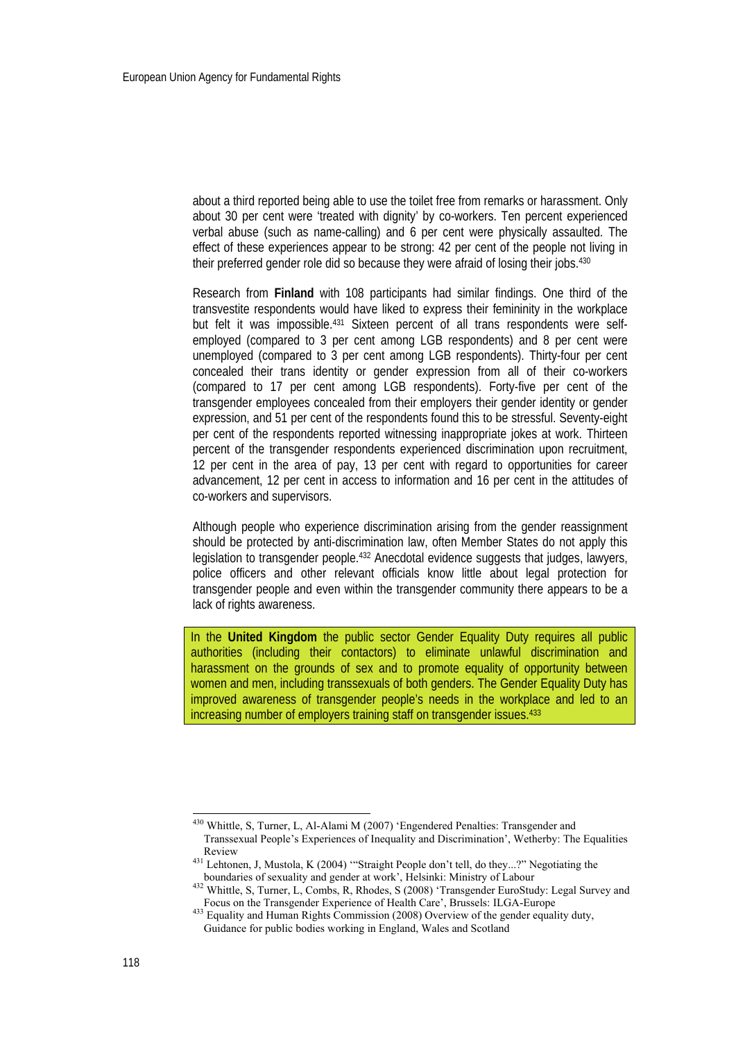about a third reported being able to use the toilet free from remarks or harassment. Only about 30 per cent were 'treated with dignity' by co-workers. Ten percent experienced verbal abuse (such as name-calling) and 6 per cent were physically assaulted. The effect of these experiences appear to be strong: 42 per cent of the people not living in their preferred gender role did so because they were afraid of losing their jobs.430

Research from **Finland** with 108 participants had similar findings. One third of the transvestite respondents would have liked to express their femininity in the workplace but felt it was impossible.<sup>431</sup> Sixteen percent of all trans respondents were selfemployed (compared to 3 per cent among LGB respondents) and 8 per cent were unemployed (compared to 3 per cent among LGB respondents). Thirty-four per cent concealed their trans identity or gender expression from all of their co-workers (compared to 17 per cent among LGB respondents). Forty-five per cent of the transgender employees concealed from their employers their gender identity or gender expression, and 51 per cent of the respondents found this to be stressful. Seventy-eight per cent of the respondents reported witnessing inappropriate jokes at work. Thirteen percent of the transgender respondents experienced discrimination upon recruitment, 12 per cent in the area of pay, 13 per cent with regard to opportunities for career advancement, 12 per cent in access to information and 16 per cent in the attitudes of co-workers and supervisors.

Although people who experience discrimination arising from the gender reassignment should be protected by anti-discrimination law, often Member States do not apply this legislation to transgender people.432 Anecdotal evidence suggests that judges, lawyers, police officers and other relevant officials know little about legal protection for transgender people and even within the transgender community there appears to be a lack of rights awareness.

In the **United Kingdom** the public sector Gender Equality Duty requires all public authorities (including their contactors) to eliminate unlawful discrimination and harassment on the grounds of sex and to promote equality of opportunity between women and men, including transsexuals of both genders. The Gender Equality Duty has improved awareness of transgender people's needs in the workplace and led to an increasing number of employers training staff on transgender issues.<sup>433</sup>

<u>.</u>

<sup>&</sup>lt;sup>430</sup> Whittle, S, Turner, L, Al-Alami M (2007) 'Engendered Penalties: Transgender and Transsexual People's Experiences of Inequality and Discrimination', Wetherby: The Equalities

Review<br><sup>431</sup> Lehtonen, J. Mustola, K (2004) "Straight People don't tell, do they...?" Negotiating the

boundaries of sexuality and gender at work', Helsinki: Ministry of Labour 432 Whittle, S, Turner, L, Combs, R, Rhodes, S (2008) 'Transgender EuroStudy: Legal Survey and Focus on the Transgender Experience of Health Care',

<sup>&</sup>lt;sup>433</sup> Equality and Human Rights Commission (2008) Overview of the gender equality duty, Guidance for public bodies working in England, Wales and Scotland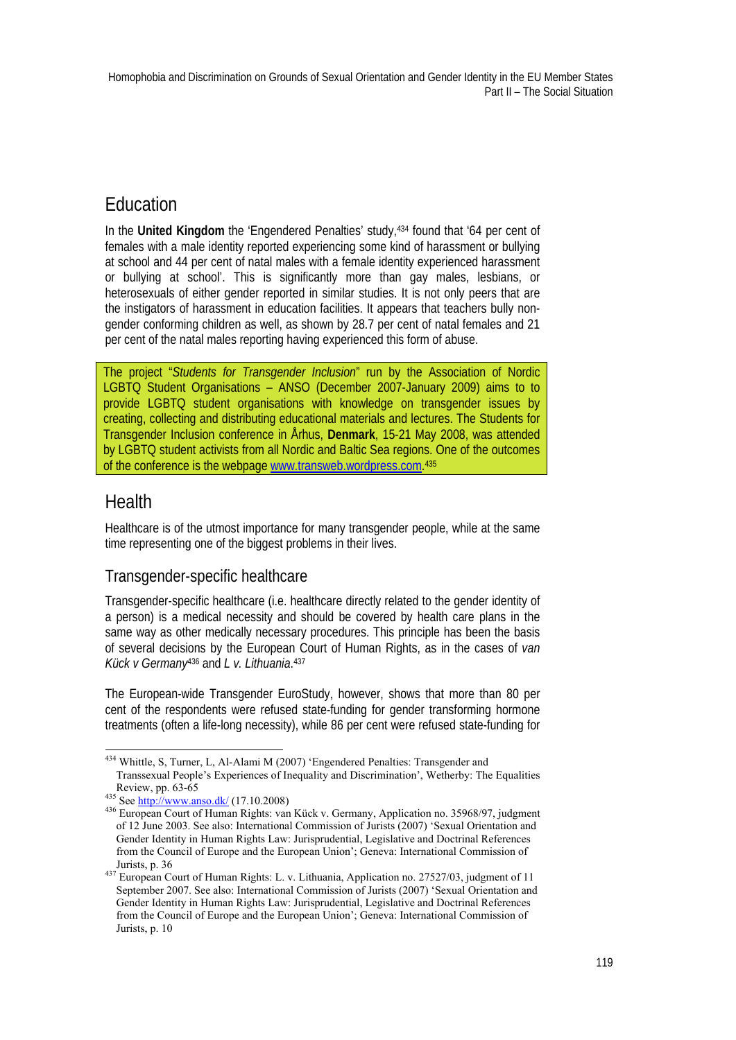# Education

In the **United Kingdom** the 'Engendered Penalties' study,<sup>434</sup> found that '64 per cent of females with a male identity reported experiencing some kind of harassment or bullying at school and 44 per cent of natal males with a female identity experienced harassment or bullying at school'. This is significantly more than gay males, lesbians, or heterosexuals of either gender reported in similar studies. It is not only peers that are the instigators of harassment in education facilities. It appears that teachers bully nongender conforming children as well, as shown by 28.7 per cent of natal females and 21 per cent of the natal males reporting having experienced this form of abuse.

The project "*Students for Transgender Inclusion*" run by the Association of Nordic LGBTQ Student Organisations – ANSO (December 2007-January 2009) aims to to provide LGBTQ student organisations with knowledge on transgender issues by creating, collecting and distributing educational materials and lectures. The Students for Transgender Inclusion conference in Århus, **Denmark**, 15-21 May 2008, was attended by LGBTQ student activists from all Nordic and Baltic Sea regions. One of the outcomes of the conference is the webpage www.transweb.wordpress.com.<sup>435</sup>

# Health

Healthcare is of the utmost importance for many transgender people, while at the same time representing one of the biggest problems in their lives.

# Transgender-specific healthcare

Transgender-specific healthcare (i.e. healthcare directly related to the gender identity of a person) is a medical necessity and should be covered by health care plans in the same way as other medically necessary procedures. This principle has been the basis of several decisions by the European Court of Human Rights, as in the cases of *van Kück v Germany*436 and *L v. Lithuania*. 437

The European-wide Transgender EuroStudy, however, shows that more than 80 per cent of the respondents were refused state-funding for gender transforming hormone treatments (often a life-long necessity), while 86 per cent were refused state-funding for

<sup>1</sup> <sup>434</sup> Whittle, S, Turner, L, Al-Alami M (2007) 'Engendered Penalties: Transgender and Transsexual People's Experiences of Inequality and Discrimination', Wetherby: The Equalities

Review, pp. 63-65<br>
<sup>435</sup> See http://www.anso.dk/ (17.10.2008)<br>
<sup>436</sup> European Court of Human Rights: van Kück v. Germany, Application no. 35968/97, judgment of 12 June 2003. See also: International Commission of Jurists (2007) 'Sexual Orientation and Gender Identity in Human Rights Law: Jurisprudential, Legislative and Doctrinal References from the Council of Europe and the European Union'; Geneva: International Commission of

Jurists, p. 36 437 European Court of Human Rights: L. v. Lithuania, Application no. 27527/03, judgment of 11 September 2007. See also: International Commission of Jurists (2007) 'Sexual Orientation and Gender Identity in Human Rights Law: Jurisprudential, Legislative and Doctrinal References from the Council of Europe and the European Union'; Geneva: International Commission of Jurists, p. 10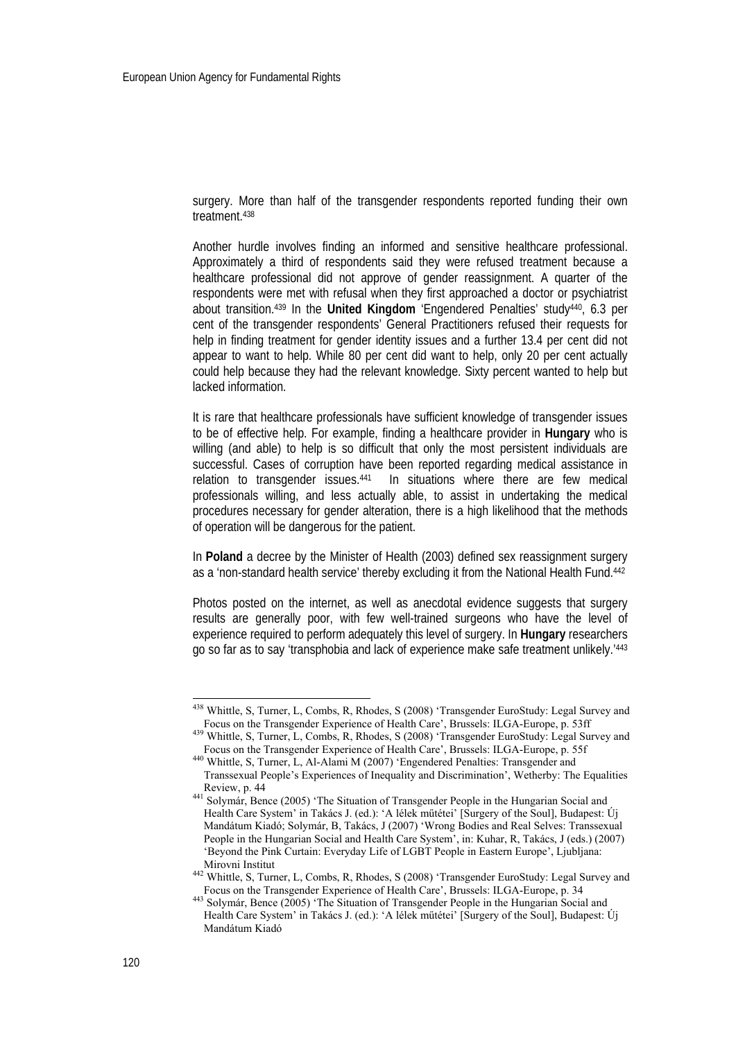surgery. More than half of the transgender respondents reported funding their own treatment.438

Another hurdle involves finding an informed and sensitive healthcare professional. Approximately a third of respondents said they were refused treatment because a healthcare professional did not approve of gender reassignment. A quarter of the respondents were met with refusal when they first approached a doctor or psychiatrist about transition.439 In the **United Kingdom** 'Engendered Penalties' study440, 6.3 per cent of the transgender respondents' General Practitioners refused their requests for help in finding treatment for gender identity issues and a further 13.4 per cent did not appear to want to help. While 80 per cent did want to help, only 20 per cent actually could help because they had the relevant knowledge. Sixty percent wanted to help but lacked information.

It is rare that healthcare professionals have sufficient knowledge of transgender issues to be of effective help. For example, finding a healthcare provider in **Hungary** who is willing (and able) to help is so difficult that only the most persistent individuals are successful. Cases of corruption have been reported regarding medical assistance in relation to transgender issues.<sup>441</sup> In situations where there are few medical professionals willing, and less actually able, to assist in undertaking the medical procedures necessary for gender alteration, there is a high likelihood that the methods of operation will be dangerous for the patient.

In **Poland** a decree by the Minister of Health (2003) defined sex reassignment surgery as a 'non-standard health service' thereby excluding it from the National Health Fund.442

Photos posted on the internet, as well as anecdotal evidence suggests that surgery results are generally poor, with few well-trained surgeons who have the level of experience required to perform adequately this level of surgery. In **Hungary** researchers go so far as to say 'transphobia and lack of experience make safe treatment unlikely.'443

-

<sup>&</sup>lt;sup>438</sup> Whittle, S, Turner, L, Combs, R, Rhodes, S (2008) 'Transgender EuroStudy: Legal Survey and Focus on the Transgender Experience of Health Care', Brussels: ILGA-Europe, p. 53ff 439 Whittle, S, Turner, L, Combs, R, Rhodes, S (2008) 'Transgender EuroStudy: Legal Survey and

Focus on the Transgender Experience of Health Care', Brussels: ILGA-Europe, p. 55f 440 Whittle, S, Turner, L, Al-Alami M (2007) 'Engendered Penalties: Transgender and

Transsexual People's Experiences of Inequality and Discrimination', Wetherby: The Equalities

Review, p. 44<br><sup>441</sup> Solymár, Bence (2005) 'The Situation of Transgender People in the Hungarian Social and Health Care System' in Takács J. (ed.): 'A lélek műtétei' [Surgery of the Soul], Budapest: Új Mandátum Kiadó; Solymár, B, Takács, J (2007) 'Wrong Bodies and Real Selves: Transsexual People in the Hungarian Social and Health Care System', in: Kuhar, R, Takács, J (eds.) (2007) 'Beyond the Pink Curtain: Everyday Life of LGBT People in Eastern Europe', Ljubljana:

Mirovni Institut 442 Whittle, S, Turner, L, Combs, R, Rhodes, S (2008) 'Transgender EuroStudy: Legal Survey and

Focus on the Transgender Experience of Health Care', Brussels: ILGA-Europe, p. 34 443 Solymár, Bence (2005) 'The Situation of Transgender People in the Hungarian Social and Health Care System' in Takács J. (ed.): 'A lélek műtétei' [Surgery of the Soul], Budapest: Új Mandátum Kiadó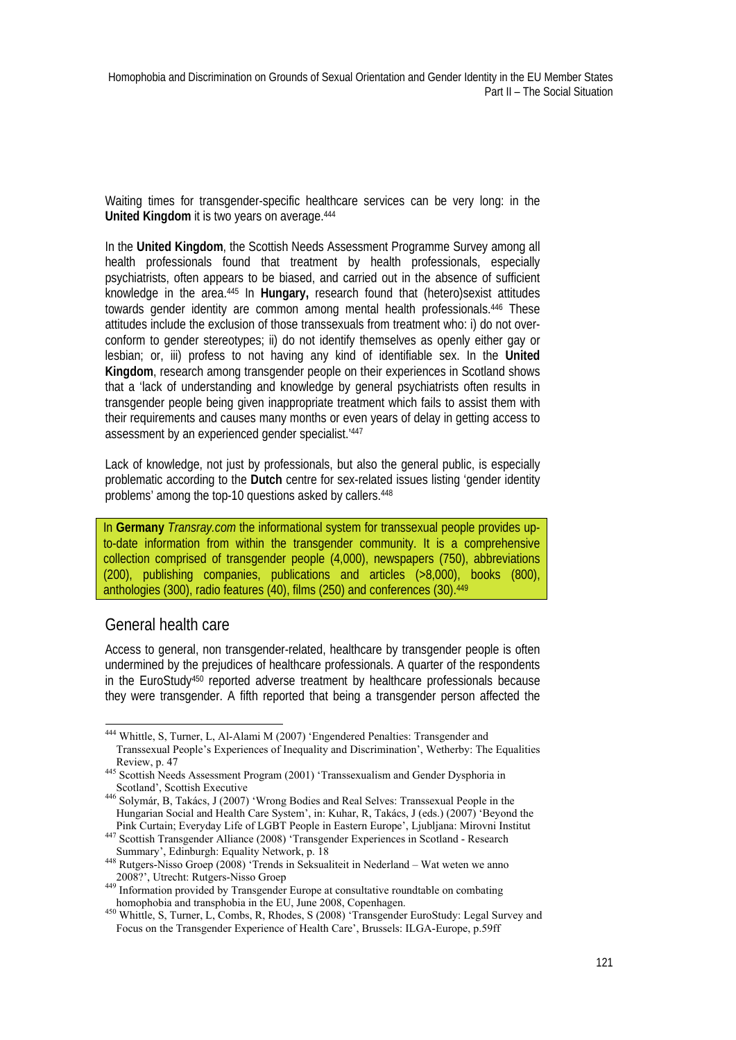Waiting times for transgender-specific healthcare services can be very long: in the **United Kingdom** it is two years on average.444

In the **United Kingdom**, the Scottish Needs Assessment Programme Survey among all health professionals found that treatment by health professionals, especially psychiatrists, often appears to be biased, and carried out in the absence of sufficient knowledge in the area.445 In **Hungary,** research found that (hetero)sexist attitudes towards gender identity are common among mental health professionals.446 These attitudes include the exclusion of those transsexuals from treatment who: i) do not overconform to gender stereotypes; ii) do not identify themselves as openly either gay or lesbian; or, iii) profess to not having any kind of identifiable sex. In the **United Kingdom**, research among transgender people on their experiences in Scotland shows that a 'lack of understanding and knowledge by general psychiatrists often results in transgender people being given inappropriate treatment which fails to assist them with their requirements and causes many months or even years of delay in getting access to assessment by an experienced gender specialist.'447

Lack of knowledge, not just by professionals, but also the general public, is especially problematic according to the **Dutch** centre for sex-related issues listing 'gender identity problems' among the top-10 questions asked by callers.448

In **Germany** *Transray.com* the informational system for transsexual people provides upto-date information from within the transgender community. It is a comprehensive collection comprised of transgender people (4,000), newspapers (750), abbreviations (200), publishing companies, publications and articles (>8,000), books (800), anthologies (300), radio features (40), films (250) and conferences (30).<sup>449</sup>

# General health care

-

Access to general, non transgender-related, healthcare by transgender people is often undermined by the prejudices of healthcare professionals. A quarter of the respondents in the EuroStudy450 reported adverse treatment by healthcare professionals because they were transgender. A fifth reported that being a transgender person affected the

<sup>444</sup> Whittle, S, Turner, L, Al-Alami M (2007) 'Engendered Penalties: Transgender and Transsexual People's Experiences of Inequality and Discrimination', Wetherby: The Equalities

Review, p. 47<br><sup>445</sup> Scottish Needs Assessment Program (2001) 'Transsexualism and Gender Dysphoria in

Scotland', Scottish Executive 446 Solymár, B, Takács, J (2007) 'Wrong Bodies and Real Selves: Transsexual People in the Hungarian Social and Health Care System', in: Kuhar, R, Takács, J (eds.) (2007) 'Beyond the

Pink Curtain; Everyday Life of LGBT People in Eastern Europe', Ljubljana: Mirovni Institut 447 Scottish Transgender Alliance (2008) 'Transgender Experiences in Scotland - Research

Summary', Edinburgh: Equality Network, p. 18 448 Rutgers-Nisso Groep (2008) 'Trends in Seksualiteit in Nederland – Wat weten we anno

<sup>2008?&#</sup>x27;, Utrecht: Rutgers-Nisso Groep<br><sup>449</sup> Information provided by Transgender Europe at consultative roundtable on combating<br>homophobia and transphobia in the EU, June 2008, Copenhagen.

homophobia and transphobia in the EU, June 2008, Copenhagen.<br>
<sup>450</sup> Whittle, S, Turner, L, Combs, R, Rhodes, S (2008) 'Transgender EuroStudy: Legal Survey and Focus on the Transgender Experience of Health Care', Brussels: ILGA-Europe, p.59ff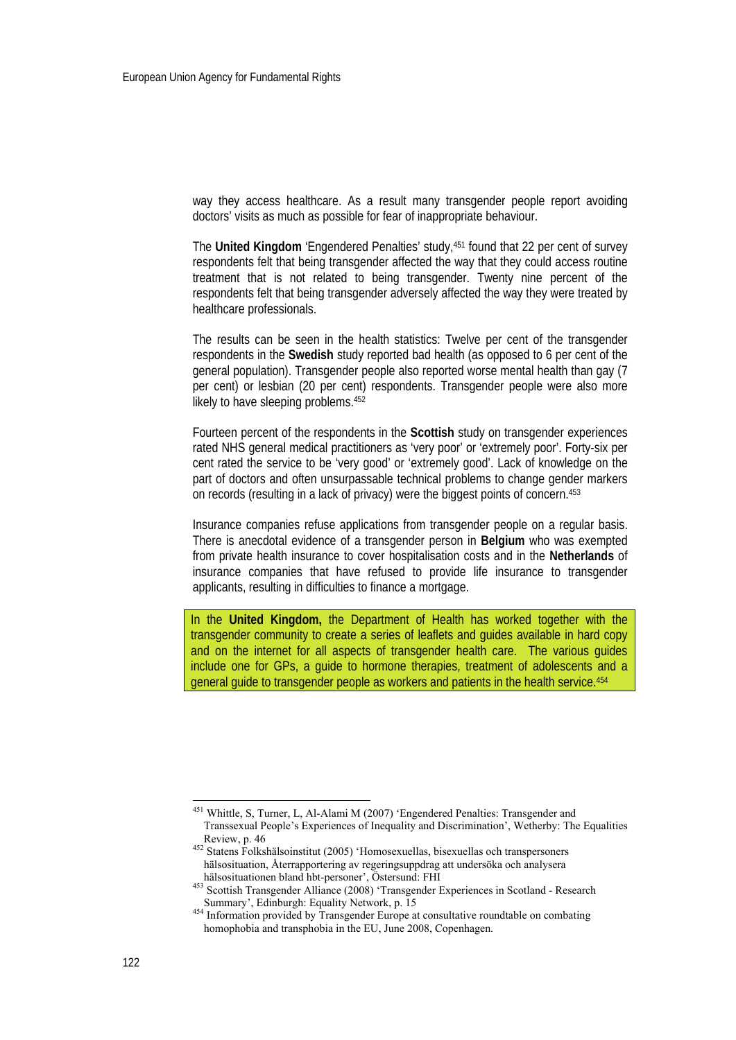way they access healthcare. As a result many transgender people report avoiding doctors' visits as much as possible for fear of inappropriate behaviour.

The **United Kingdom** 'Engendered Penalties' study,451 found that 22 per cent of survey respondents felt that being transgender affected the way that they could access routine treatment that is not related to being transgender. Twenty nine percent of the respondents felt that being transgender adversely affected the way they were treated by healthcare professionals.

The results can be seen in the health statistics: Twelve per cent of the transgender respondents in the **Swedish** study reported bad health (as opposed to 6 per cent of the general population). Transgender people also reported worse mental health than gay (7 per cent) or lesbian (20 per cent) respondents. Transgender people were also more likely to have sleeping problems.<sup>452</sup>

Fourteen percent of the respondents in the **Scottish** study on transgender experiences rated NHS general medical practitioners as 'very poor' or 'extremely poor'. Forty-six per cent rated the service to be 'very good' or 'extremely good'. Lack of knowledge on the part of doctors and often unsurpassable technical problems to change gender markers on records (resulting in a lack of privacy) were the biggest points of concern.453

Insurance companies refuse applications from transgender people on a regular basis. There is anecdotal evidence of a transgender person in **Belgium** who was exempted from private health insurance to cover hospitalisation costs and in the **Netherlands** of insurance companies that have refused to provide life insurance to transgender applicants, resulting in difficulties to finance a mortgage.

In the **United Kingdom,** the Department of Health has worked together with the transgender community to create a series of leaflets and guides available in hard copy and on the internet for all aspects of transgender health care. The various guides include one for GPs, a guide to hormone therapies, treatment of adolescents and a general guide to transgender people as workers and patients in the health service.<sup>454</sup>

<u>.</u>

<sup>451</sup> Whittle, S, Turner, L, Al-Alami M (2007) 'Engendered Penalties: Transgender and Transsexual People's Experiences of Inequality and Discrimination', Wetherby: The Equalities

Review, p. 46 452 Statens Folkshälsoinstitut (2005) 'Homosexuellas, bisexuellas och transpersoners hälsosituation, Återrapportering av regeringsuppdrag att undersöka och analysera

hälsosituationen bland hbt-personer', Östersund: FHI<br>
<sup>453</sup> Scottish Transgender Alliance (2008) 'Transgender Experiences in Scotland - Research<br>
Summary', Edinburgh: Equality Network, p. 15

<sup>&</sup>lt;sup>454</sup> Information provided by Transgender Europe at consultative roundtable on combating homophobia and transphobia in the EU, June 2008, Copenhagen.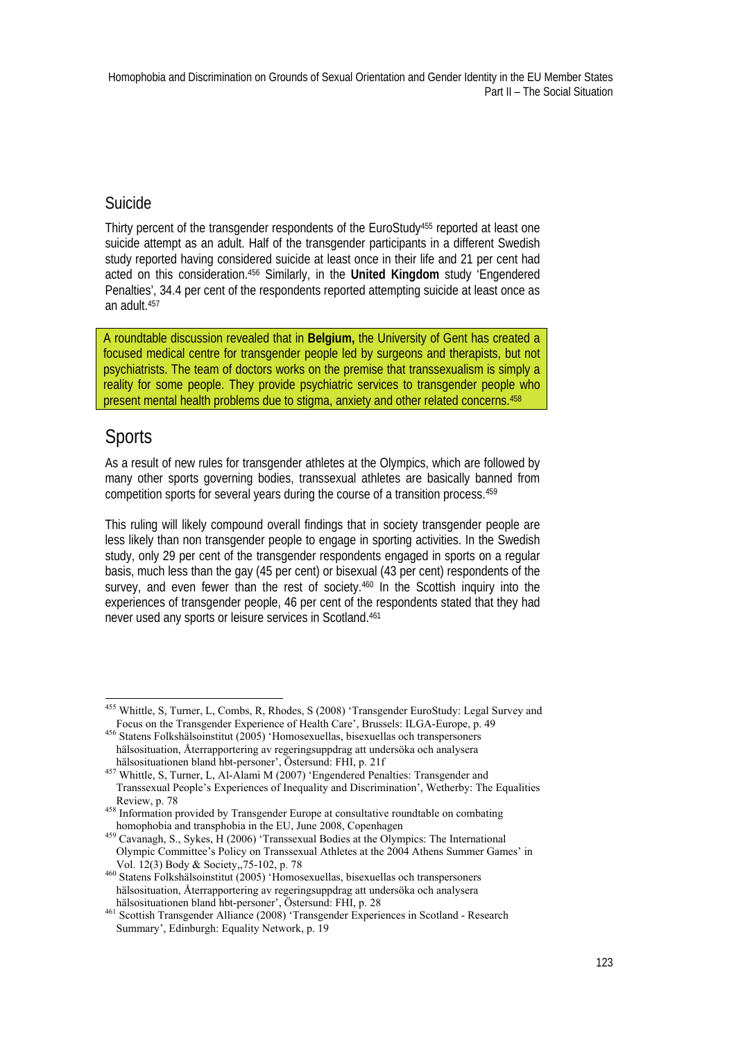# Suicide

Thirty percent of the transgender respondents of the EuroStudy455 reported at least one suicide attempt as an adult. Half of the transgender participants in a different Swedish study reported having considered suicide at least once in their life and 21 per cent had acted on this consideration.456 Similarly, in the **United Kingdom** study 'Engendered Penalties', 34.4 per cent of the respondents reported attempting suicide at least once as an adult.457

A roundtable discussion revealed that in **Belgium,** the University of Gent has created a focused medical centre for transgender people led by surgeons and therapists, but not psychiatrists. The team of doctors works on the premise that transsexualism is simply a reality for some people. They provide psychiatric services to transgender people who present mental health problems due to stigma, anxiety and other related concerns.458

# **Sports**

-

As a result of new rules for transgender athletes at the Olympics, which are followed by many other sports governing bodies, transsexual athletes are basically banned from competition sports for several years during the course of a transition process.459

This ruling will likely compound overall findings that in society transgender people are less likely than non transgender people to engage in sporting activities. In the Swedish study, only 29 per cent of the transgender respondents engaged in sports on a regular basis, much less than the gay (45 per cent) or bisexual (43 per cent) respondents of the survey, and even fewer than the rest of society.<sup>460</sup> In the Scottish inquiry into the experiences of transgender people, 46 per cent of the respondents stated that they had never used any sports or leisure services in Scotland.461

<sup>455</sup> Whittle, S, Turner, L, Combs, R, Rhodes, S (2008) 'Transgender EuroStudy: Legal Survey and

Focus on the Transgender Experience of Health Care', Brussels: ILGA-Europe, p. 49 456 Statens Folkshälsoinstitut (2005) 'Homosexuellas, bisexuellas och transpersoners hälsosituation, Återrapportering av regeringsuppdrag att undersöka och analysera

<sup>&</sup>lt;sup>457</sup> Whittle, S, Turner, L, Al-Alami M (2007) 'Engendered Penalties: Transgender and Transsexual People's Experiences of Inequality and Discrimination', Wetherby: The Equalities

Review, p. 78<br><sup>458</sup> Information provided by Transgender Europe at consultative roundtable on combating

homophobia and transphobia in the EU, June 2008, Copenhagen 459 Cavanagh, S., Sykes, H (2006) 'Transsexual Bodies at the Olympics: The International Olympic Committee's Policy on Transsexual Athletes at the 2004 Athens Summer Games' in Vol. 12(3) Body & Society, 75-102, p. 78

 $^{460}$  Statens Folkshälsoinstitut (2005) 'Homosexuellas, bisexuellas och transpersoners hälsosituation, Återrapportering av regeringsuppdrag att undersöka och analysera

halsosituationen bland hot-personer', Östersund: FHI, p. 28<br>461 Scottish Transgender Alliance (2008) 'Transgender Experiences in Scotland - Research Summary', Edinburgh: Equality Network, p. 19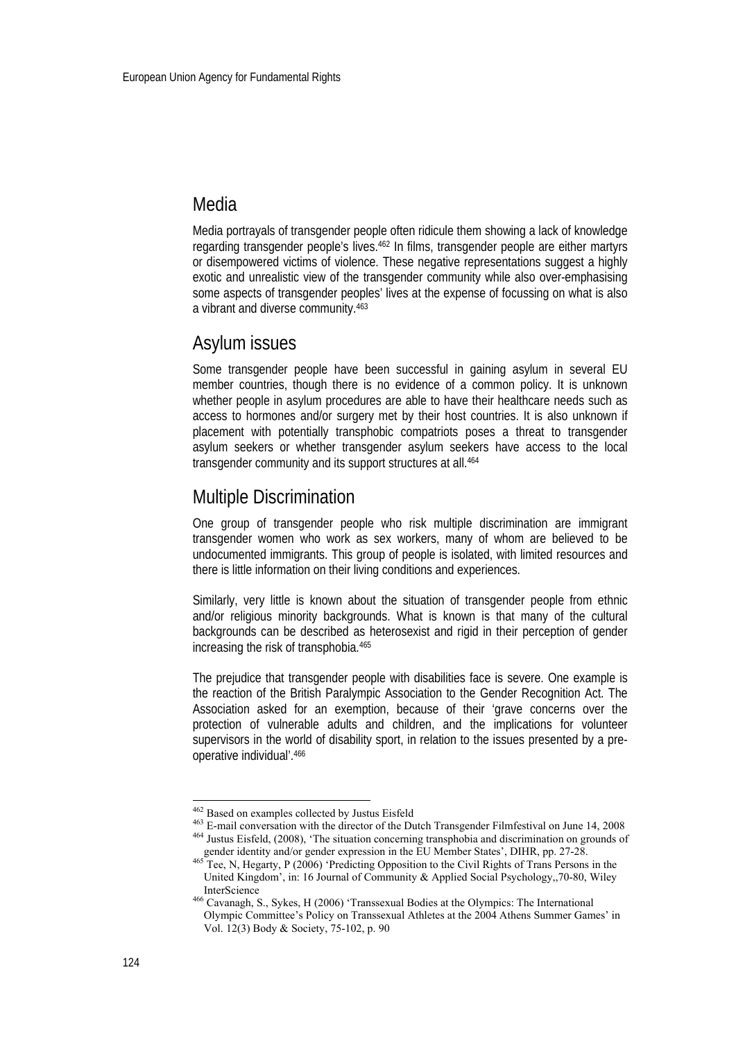# Media

Media portrayals of transgender people often ridicule them showing a lack of knowledge regarding transgender people's lives.462 In films, transgender people are either martyrs or disempowered victims of violence. These negative representations suggest a highly exotic and unrealistic view of the transgender community while also over-emphasising some aspects of transgender peoples' lives at the expense of focussing on what is also a vibrant and diverse community.463

# Asylum issues

Some transgender people have been successful in gaining asylum in several EU member countries, though there is no evidence of a common policy. It is unknown whether people in asylum procedures are able to have their healthcare needs such as access to hormones and/or surgery met by their host countries. It is also unknown if placement with potentially transphobic compatriots poses a threat to transgender asylum seekers or whether transgender asylum seekers have access to the local transgender community and its support structures at all.464

# Multiple Discrimination

One group of transgender people who risk multiple discrimination are immigrant transgender women who work as sex workers, many of whom are believed to be undocumented immigrants. This group of people is isolated, with limited resources and there is little information on their living conditions and experiences.

Similarly, very little is known about the situation of transgender people from ethnic and/or religious minority backgrounds. What is known is that many of the cultural backgrounds can be described as heterosexist and rigid in their perception of gender increasing the risk of transphobia.465

The prejudice that transgender people with disabilities face is severe. One example is the reaction of the British Paralympic Association to the Gender Recognition Act. The Association asked for an exemption, because of their 'grave concerns over the protection of vulnerable adults and children, and the implications for volunteer supervisors in the world of disability sport, in relation to the issues presented by a preoperative individual'.466

<sup>462</sup> Based on examples collected by Justus Eisfeld

 $^{463}$  E-mail conversation with the director of the Dutch Transgender Filmfestival on June 14, 2008<br> $^{464}$  Justus Eisfeld, (2008), 'The situation concerning transphobia and discrimination on grounds of

gender identity and/or gender expression in the EU Member States', DIHR, pp. 27-28. 465 Tee, N, Hegarty, P (2006) 'Predicting Opposition to the Civil Rights of Trans Persons in the United Kingdom', in: 16 Journal of Community & Applied Social Psychology,,70-80, Wiley

InterScience 466 Cavanagh, S., Sykes, H (2006) 'Transsexual Bodies at the Olympics: The International Olympic Committee's Policy on Transsexual Athletes at the 2004 Athens Summer Games' in Vol. 12(3) Body & Society, 75-102, p. 90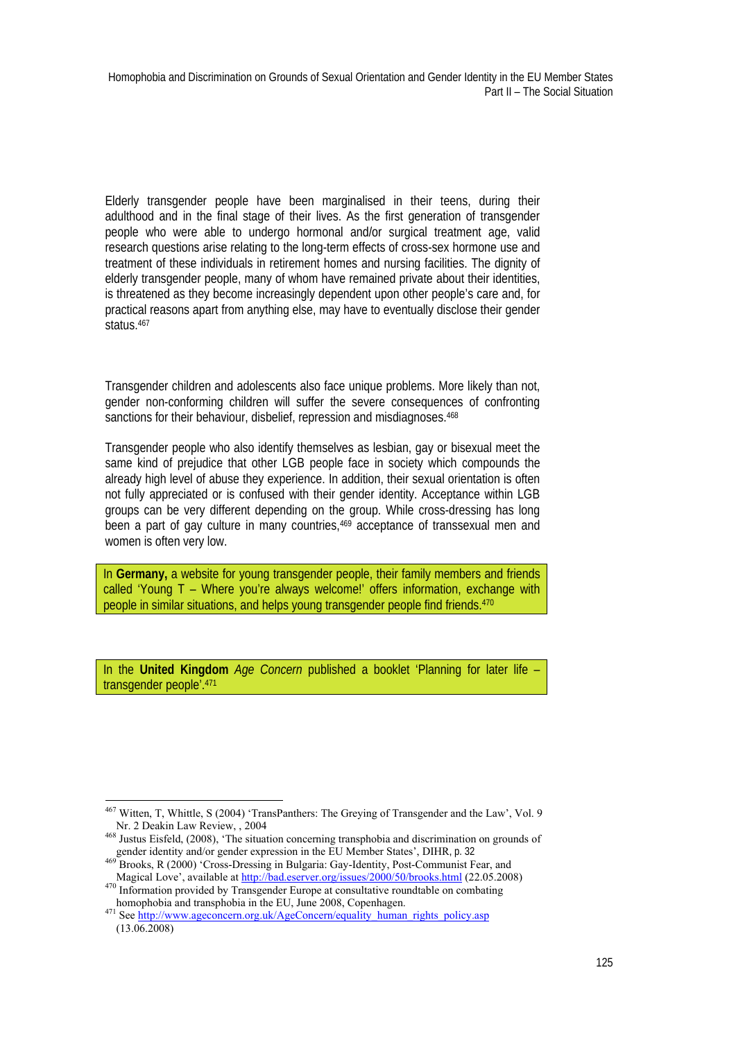Elderly transgender people have been marginalised in their teens, during their adulthood and in the final stage of their lives. As the first generation of transgender people who were able to undergo hormonal and/or surgical treatment age, valid research questions arise relating to the long-term effects of cross-sex hormone use and treatment of these individuals in retirement homes and nursing facilities. The dignity of elderly transgender people, many of whom have remained private about their identities, is threatened as they become increasingly dependent upon other people's care and, for practical reasons apart from anything else, may have to eventually disclose their gender status.<sup>467</sup>

Transgender children and adolescents also face unique problems. More likely than not, gender non-conforming children will suffer the severe consequences of confronting sanctions for their behaviour, disbelief, repression and misdiagnoses.<sup>468</sup>

Transgender people who also identify themselves as lesbian, gay or bisexual meet the same kind of prejudice that other LGB people face in society which compounds the already high level of abuse they experience. In addition, their sexual orientation is often not fully appreciated or is confused with their gender identity. Acceptance within LGB groups can be very different depending on the group. While cross-dressing has long been a part of gay culture in many countries,<sup>469</sup> acceptance of transsexual men and women is often very low.

In **Germany,** a website for young transgender people, their family members and friends called 'Young T – Where you're always welcome!' offers information, exchange with people in similar situations, and helps young transgender people find friends.470

In the **United Kingdom** *Age Concern* published a booklet 'Planning for later life – transgender people'.471

1

<sup>&</sup>lt;sup>467</sup> Witten, T, Whittle, S (2004) 'TransPanthers: The Greying of Transgender and the Law', Vol. 9

Nr. 2 Deakin Law Review, , 2004<br><sup>468</sup> Justus Eisfeld, (2008), 'The situation concerning transphobia and discrimination on grounds of gender identity and/or gender expression in the EU Member States', DIHR, p. 32 469 Brooks, R (2000) 'Cross-Dressing in Bulgaria: Gay-Identity, Post-Communist Fear, and

Magical Love', available at http://bad.eserver.org/issues/2000/50/brooks.html (22.05.2008)<br><sup>470</sup> Information provided by Transgender Europe at consultative roundtable on combating<br>homophobia and transphobia in the EU, June

homophobia and transphobia in the EU,  $\frac{1}{2}$ ,  $\frac{1}{2}$  and  $\frac{1}{2}$  See http://www.ageconcern.org.uk/AgeConcern/equality\_human\_rights\_policy.asp (13.06.2008)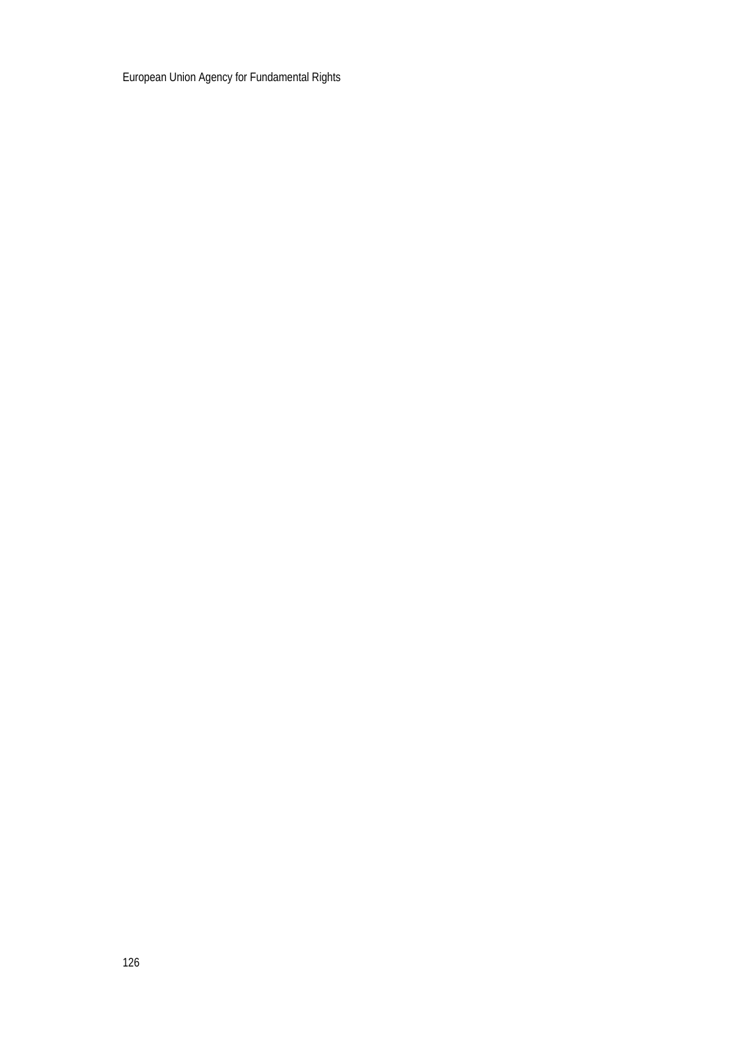European Union Agency for Fundamental Rights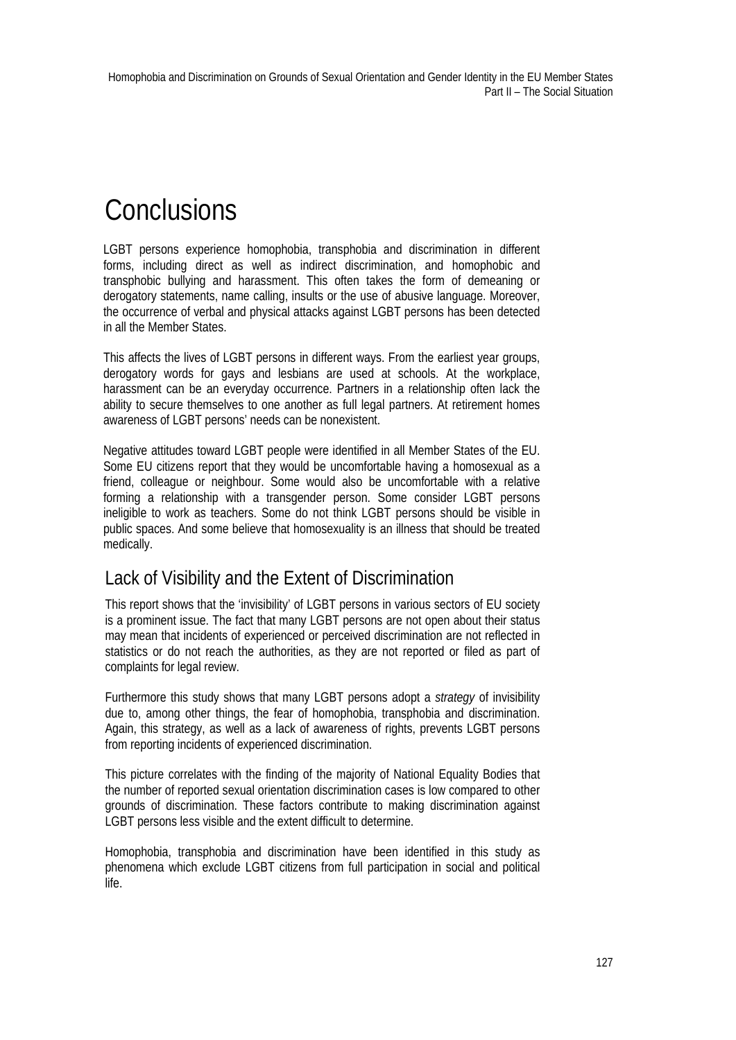# **Conclusions**

LGBT persons experience homophobia, transphobia and discrimination in different forms, including direct as well as indirect discrimination, and homophobic and transphobic bullying and harassment. This often takes the form of demeaning or derogatory statements, name calling, insults or the use of abusive language. Moreover, the occurrence of verbal and physical attacks against LGBT persons has been detected in all the Member States.

This affects the lives of LGBT persons in different ways. From the earliest year groups, derogatory words for gays and lesbians are used at schools. At the workplace, harassment can be an everyday occurrence. Partners in a relationship often lack the ability to secure themselves to one another as full legal partners. At retirement homes awareness of LGBT persons' needs can be nonexistent.

Negative attitudes toward LGBT people were identified in all Member States of the EU. Some EU citizens report that they would be uncomfortable having a homosexual as a friend, colleague or neighbour. Some would also be uncomfortable with a relative forming a relationship with a transgender person. Some consider LGBT persons ineligible to work as teachers. Some do not think LGBT persons should be visible in public spaces. And some believe that homosexuality is an illness that should be treated medically.

# Lack of Visibility and the Extent of Discrimination

This report shows that the 'invisibility' of LGBT persons in various sectors of EU society is a prominent issue. The fact that many LGBT persons are not open about their status may mean that incidents of experienced or perceived discrimination are not reflected in statistics or do not reach the authorities, as they are not reported or filed as part of complaints for legal review.

Furthermore this study shows that many LGBT persons adopt a *strategy* of invisibility due to, among other things, the fear of homophobia, transphobia and discrimination. Again, this strategy, as well as a lack of awareness of rights, prevents LGBT persons from reporting incidents of experienced discrimination.

This picture correlates with the finding of the majority of National Equality Bodies that the number of reported sexual orientation discrimination cases is low compared to other grounds of discrimination. These factors contribute to making discrimination against LGBT persons less visible and the extent difficult to determine.

Homophobia, transphobia and discrimination have been identified in this study as phenomena which exclude LGBT citizens from full participation in social and political life.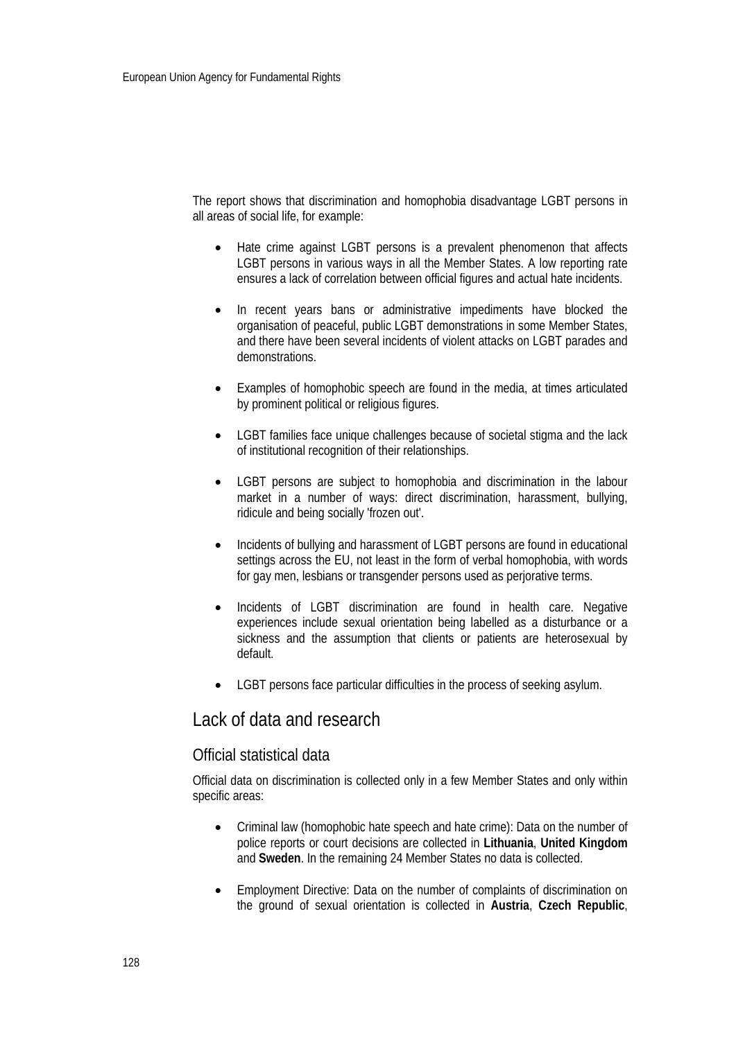The report shows that discrimination and homophobia disadvantage LGBT persons in all areas of social life, for example:

- Hate crime against LGBT persons is a prevalent phenomenon that affects LGBT persons in various ways in all the Member States. A low reporting rate ensures a lack of correlation between official figures and actual hate incidents.
- In recent years bans or administrative impediments have blocked the organisation of peaceful, public LGBT demonstrations in some Member States, and there have been several incidents of violent attacks on LGBT parades and demonstrations.
- Examples of homophobic speech are found in the media, at times articulated by prominent political or religious figures.
- LGBT families face unique challenges because of societal stigma and the lack of institutional recognition of their relationships.
- LGBT persons are subject to homophobia and discrimination in the labour market in a number of ways: direct discrimination, harassment, bullying, ridicule and being socially 'frozen out'.
- Incidents of bullying and harassment of LGBT persons are found in educational settings across the EU, not least in the form of verbal homophobia, with words for gay men, lesbians or transgender persons used as perjorative terms.
- Incidents of LGBT discrimination are found in health care. Negative experiences include sexual orientation being labelled as a disturbance or a sickness and the assumption that clients or patients are heterosexual by default.
- LGBT persons face particular difficulties in the process of seeking asylum.

# Lack of data and research

# Official statistical data

Official data on discrimination is collected only in a few Member States and only within specific areas:

- Criminal law (homophobic hate speech and hate crime): Data on the number of police reports or court decisions are collected in **Lithuania**, **United Kingdom** and **Sweden**. In the remaining 24 Member States no data is collected.
- Employment Directive: Data on the number of complaints of discrimination on the ground of sexual orientation is collected in **Austria**, **Czech Republic**,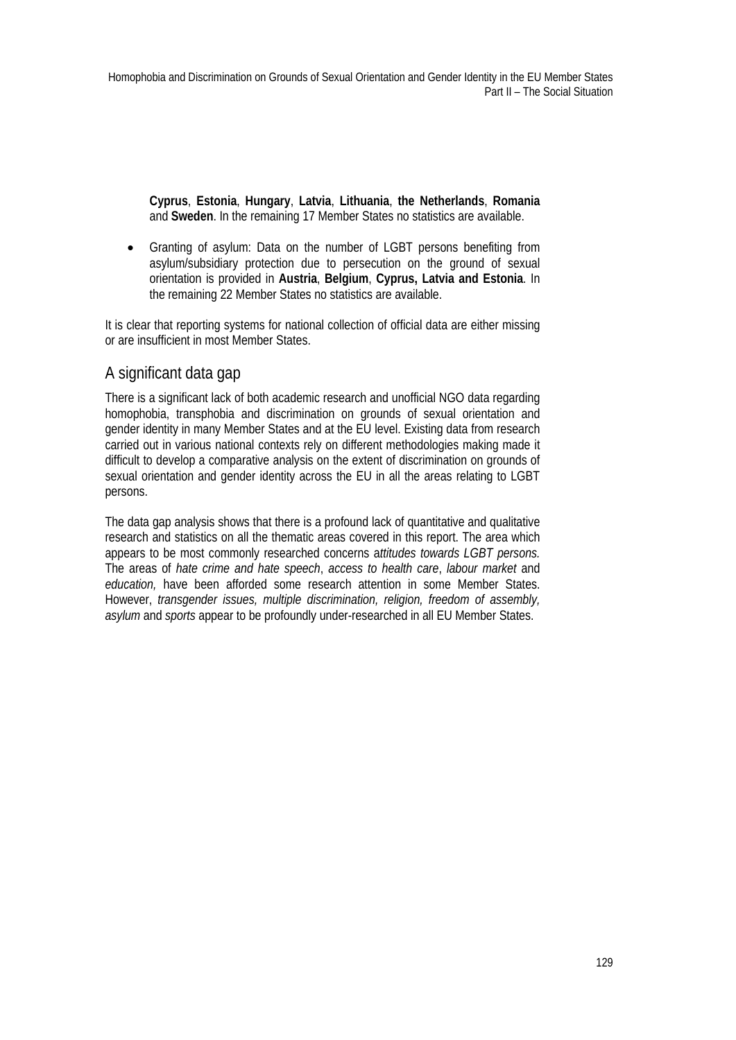**Cyprus**, **Estonia**, **Hungary**, **Latvia**, **Lithuania**, **the Netherlands**, **Romania** and **Sweden**. In the remaining 17 Member States no statistics are available.

• Granting of asylum: Data on the number of LGBT persons benefiting from asylum/subsidiary protection due to persecution on the ground of sexual orientation is provided in **Austria**, **Belgium**, **Cyprus, Latvia and Estonia**. In the remaining 22 Member States no statistics are available.

It is clear that reporting systems for national collection of official data are either missing or are insufficient in most Member States.

# A significant data gap

There is a significant lack of both academic research and unofficial NGO data regarding homophobia, transphobia and discrimination on grounds of sexual orientation and gender identity in many Member States and at the EU level. Existing data from research carried out in various national contexts rely on different methodologies making made it difficult to develop a comparative analysis on the extent of discrimination on grounds of sexual orientation and gender identity across the EU in all the areas relating to LGBT persons.

The data gap analysis shows that there is a profound lack of quantitative and qualitative research and statistics on all the thematic areas covered in this report. The area which appears to be most commonly researched concerns a*ttitudes towards LGBT persons.*  The areas of *hate crime and hate speech*, *access to health care*, *labour market* and *education,* have been afforded some research attention in some Member States. However, *transgender issues, multiple discrimination, religion, freedom of assembly, asylum* and *sports* appear to be profoundly under-researched in all EU Member States.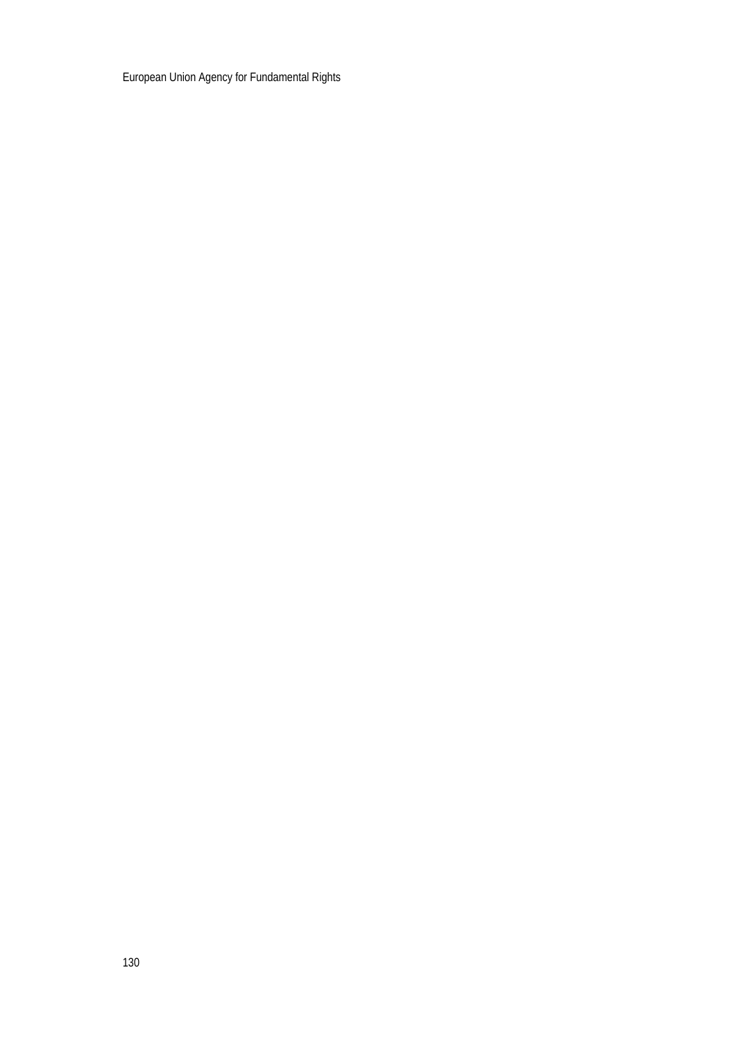European Union Agency for Fundamental Rights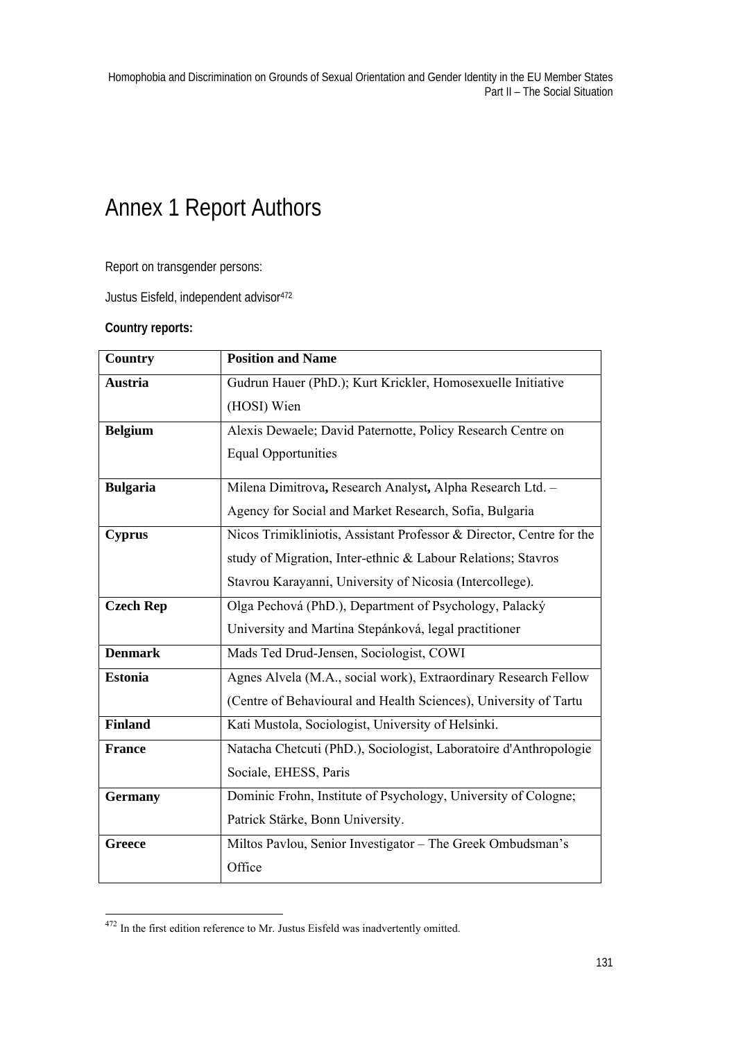# Annex 1 Report Authors

Report on transgender persons:

Justus Eisfeld, independent advisor<sup>472</sup>

# **Country reports:**

| <b>Country</b>   | <b>Position and Name</b>                                             |
|------------------|----------------------------------------------------------------------|
| Austria          | Gudrun Hauer (PhD.); Kurt Krickler, Homosexuelle Initiative          |
|                  | (HOSI) Wien                                                          |
| <b>Belgium</b>   | Alexis Dewaele; David Paternotte, Policy Research Centre on          |
|                  | <b>Equal Opportunities</b>                                           |
| <b>Bulgaria</b>  | Milena Dimitrova, Research Analyst, Alpha Research Ltd. -            |
|                  | Agency for Social and Market Research, Sofia, Bulgaria               |
| <b>Cyprus</b>    | Nicos Trimikliniotis, Assistant Professor & Director, Centre for the |
|                  | study of Migration, Inter-ethnic & Labour Relations; Stavros         |
|                  | Stavrou Karayanni, University of Nicosia (Intercollege).             |
| <b>Czech Rep</b> | Olga Pechová (PhD.), Department of Psychology, Palacký               |
|                  | University and Martina Stepánková, legal practitioner                |
| <b>Denmark</b>   | Mads Ted Drud-Jensen, Sociologist, COWI                              |
| <b>Estonia</b>   | Agnes Alvela (M.A., social work), Extraordinary Research Fellow      |
|                  | (Centre of Behavioural and Health Sciences), University of Tartu     |
| <b>Finland</b>   | Kati Mustola, Sociologist, University of Helsinki.                   |
| <b>France</b>    | Natacha Chetcuti (PhD.), Sociologist, Laboratoire d'Anthropologie    |
|                  | Sociale, EHESS, Paris                                                |
| <b>Germany</b>   | Dominic Frohn, Institute of Psychology, University of Cologne;       |
|                  | Patrick Stärke, Bonn University.                                     |
| Greece           | Miltos Pavlou, Senior Investigator - The Greek Ombudsman's           |
|                  | Office                                                               |

<sup>-</sup> $472$  In the first edition reference to Mr. Justus Eisfeld was inadvertently omitted.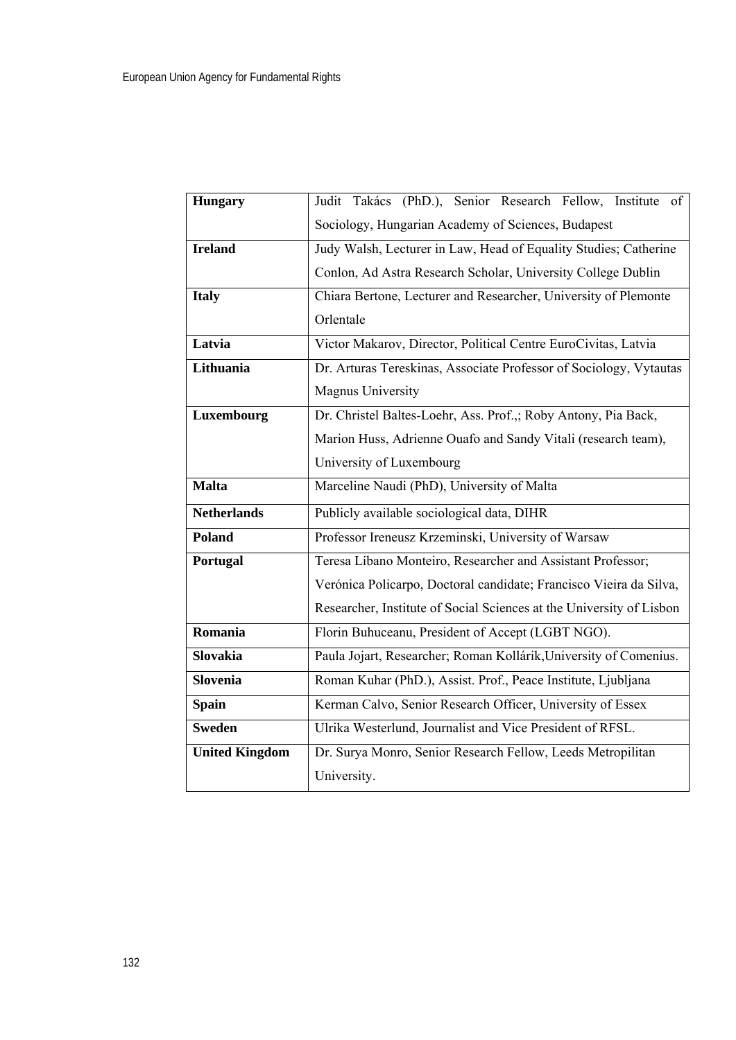| <b>Hungary</b>        | Judit Takács (PhD.), Senior Research Fellow, Institute<br>of         |
|-----------------------|----------------------------------------------------------------------|
|                       | Sociology, Hungarian Academy of Sciences, Budapest                   |
| <b>Ireland</b>        | Judy Walsh, Lecturer in Law, Head of Equality Studies; Catherine     |
|                       | Conlon, Ad Astra Research Scholar, University College Dublin         |
| <b>Italy</b>          | Chiara Bertone, Lecturer and Researcher, University of Plemonte      |
|                       | Orlentale                                                            |
| Latvia                | Victor Makarov, Director, Political Centre EuroCivitas, Latvia       |
| Lithuania             | Dr. Arturas Tereskinas, Associate Professor of Sociology, Vytautas   |
|                       | Magnus University                                                    |
| Luxembourg            | Dr. Christel Baltes-Loehr, Ass. Prof.,; Roby Antony, Pia Back,       |
|                       | Marion Huss, Adrienne Ouafo and Sandy Vitali (research team),        |
|                       | University of Luxembourg                                             |
| <b>Malta</b>          | Marceline Naudi (PhD), University of Malta                           |
| <b>Netherlands</b>    | Publicly available sociological data, DIHR                           |
| <b>Poland</b>         | Professor Ireneusz Krzeminski, University of Warsaw                  |
| Portugal              | Teresa Líbano Monteiro, Researcher and Assistant Professor;          |
|                       | Verónica Policarpo, Doctoral candidate; Francisco Vieira da Silva,   |
|                       | Researcher, Institute of Social Sciences at the University of Lisbon |
| Romania               | Florin Buhuceanu, President of Accept (LGBT NGO).                    |
| <b>Slovakia</b>       | Paula Jojart, Researcher; Roman Kollárik, University of Comenius.    |
| <b>Slovenia</b>       | Roman Kuhar (PhD.), Assist. Prof., Peace Institute, Ljubljana        |
| <b>Spain</b>          | Kerman Calvo, Senior Research Officer, University of Essex           |
| <b>Sweden</b>         | Ulrika Westerlund, Journalist and Vice President of RFSL.            |
| <b>United Kingdom</b> | Dr. Surya Monro, Senior Research Fellow, Leeds Metropilitan          |
|                       | University.                                                          |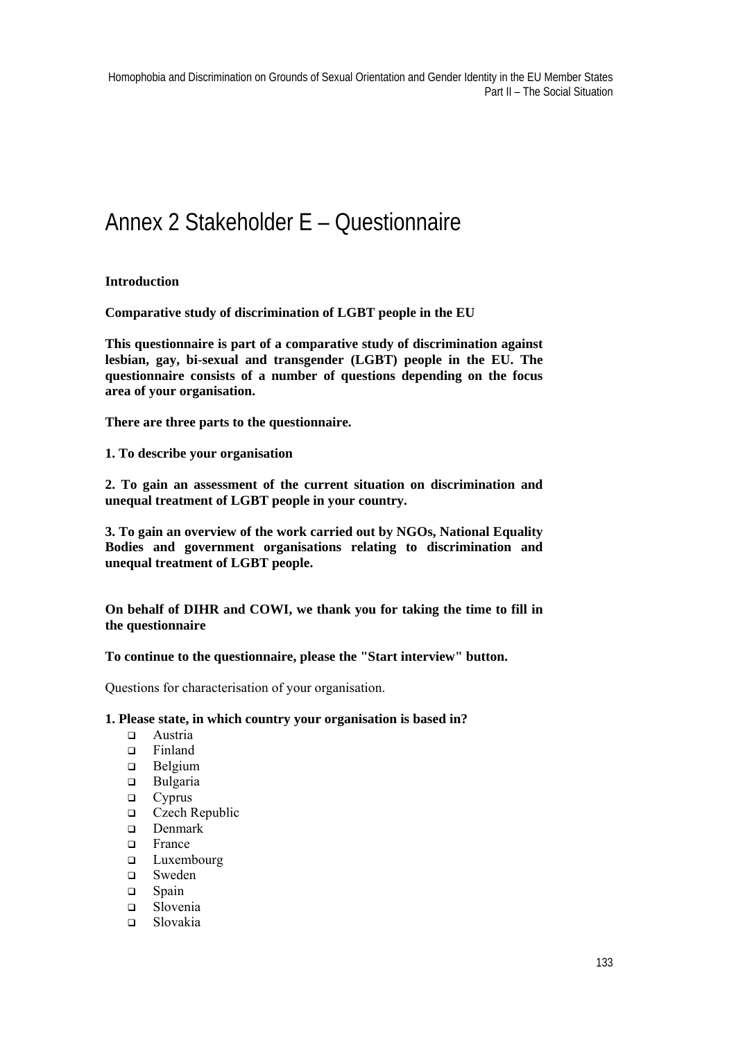# Annex 2 Stakeholder E – Questionnaire

## **Introduction**

**Comparative study of discrimination of LGBT people in the EU** 

**This questionnaire is part of a comparative study of discrimination against lesbian, gay, bi-sexual and transgender (LGBT) people in the EU. The questionnaire consists of a number of questions depending on the focus area of your organisation.** 

**There are three parts to the questionnaire.** 

**1. To describe your organisation** 

**2. To gain an assessment of the current situation on discrimination and unequal treatment of LGBT people in your country.** 

**3. To gain an overview of the work carried out by NGOs, National Equality Bodies and government organisations relating to discrimination and unequal treatment of LGBT people.** 

**On behalf of DIHR and COWI, we thank you for taking the time to fill in the questionnaire** 

**To continue to the questionnaire, please the "Start interview" button.** 

Questions for characterisation of your organisation.

#### **1. Please state, in which country your organisation is based in?**

- a Austria
- Finland
- **Belgium**
- a Bulgaria
- $\Box$  Cyprus
- □ Czech Republic
- Denmark
- □ France
- **Luxembourg**
- □ Sweden
- □ Spain
- Slovenia
- Slovakia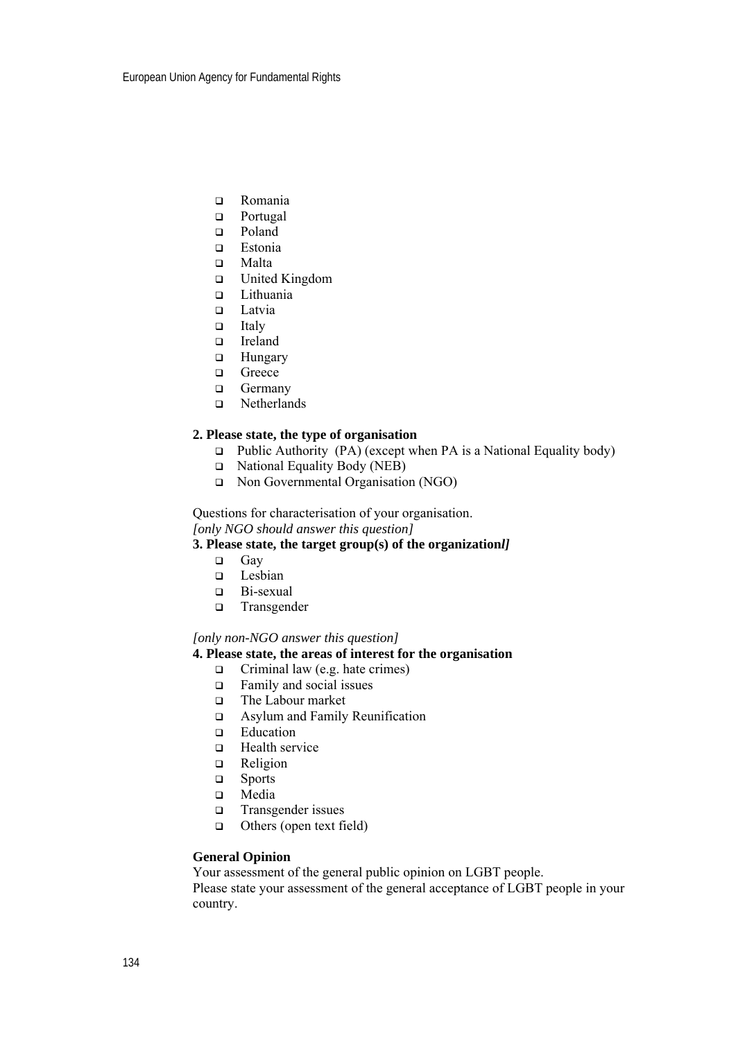- Romania
- **D** Portugal
- poland D
- $\Box$  Estonia
- □ Malta
- □ United Kingdom
- $\Box$  Lithuania
- Latvia
- Italy
- Ireland
- □ Hungary
- **Q** Greece
- $\Box$  Germany
- □ Netherlands

## **2. Please state, the type of organisation**

- $\Box$  Public Authority (PA) (except when PA is a National Equality body)
- □ National Equality Body (NEB)
- □ Non Governmental Organisation (NGO)

Questions for characterisation of your organisation. *[only NGO should answer this question]*

#### **3. Please state, the target group(s) of the organization***l]*

- $\Box$  Gay
- $\Box$  Lesbian
- Bi-sexual
- □ Transgender

#### *[only non-NGO answer this question]*

## **4. Please state, the areas of interest for the organisation**

- $\Box$  Criminal law (e.g. hate crimes)
- Family and social issues
- The Labour market
- Asylum and Family Reunification
- □ Education
- □ Health service
- $\Box$  Religion
- □ Sports
- D Media
- □ Transgender issues
- $\Box$  Others (open text field)

#### **General Opinion**

Your assessment of the general public opinion on LGBT people. Please state your assessment of the general acceptance of LGBT people in your country.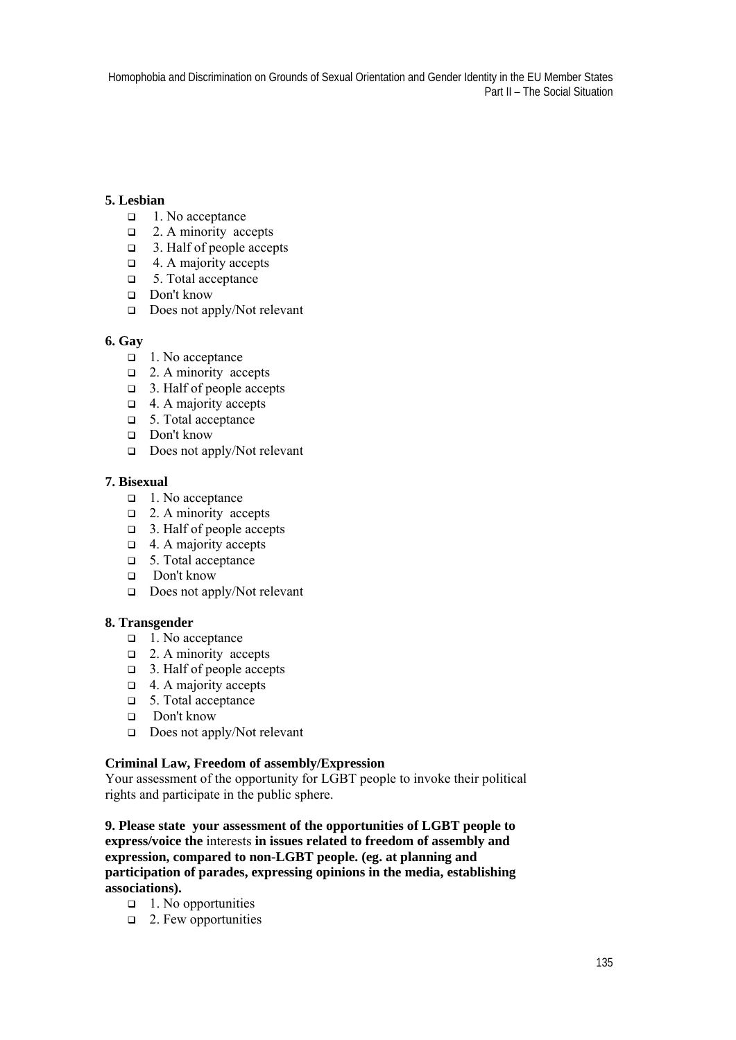# **5. Lesbian**

- $\Box$  1. No acceptance
- $\Box$  2. A minority accepts
- 3. Half of people accepts
- □ 4. A majority accepts
- 5. Total acceptance
- □ Don't know
- Does not apply/Not relevant

## **6. Gay**

- $\Box$  1. No acceptance
- $\Box$  2. A minority accepts
- 3. Half of people accepts
- $\Box$  4. A majority accepts
- $\Box$  5. Total acceptance
- □ Don't know
- Does not apply/Not relevant

## **7. Bisexual**

- $\Box$  1. No acceptance
- $\Box$  2. A minority accepts
- 3. Half of people accepts
- 4. A majority accepts
- $\Box$  5. Total acceptance
- Don't know
- Does not apply/Not relevant

# **8. Transgender**

- $\Box$  1. No acceptance
- $\Box$  2. A minority accepts
- $\Box$  3. Half of people accepts
- $\Box$  4. A majority accepts
- $\Box$  5. Total acceptance
- □ Don't know
- Does not apply/Not relevant

# **Criminal Law, Freedom of assembly/Expression**

Your assessment of the opportunity for LGBT people to invoke their political rights and participate in the public sphere.

**9. Please state your assessment of the opportunities of LGBT people to express/voice the** interests **in issues related to freedom of assembly and expression, compared to non-LGBT people. (eg. at planning and participation of parades, expressing opinions in the media, establishing associations).** 

- $\Box$  1. No opportunities
- $\Box$  2. Few opportunities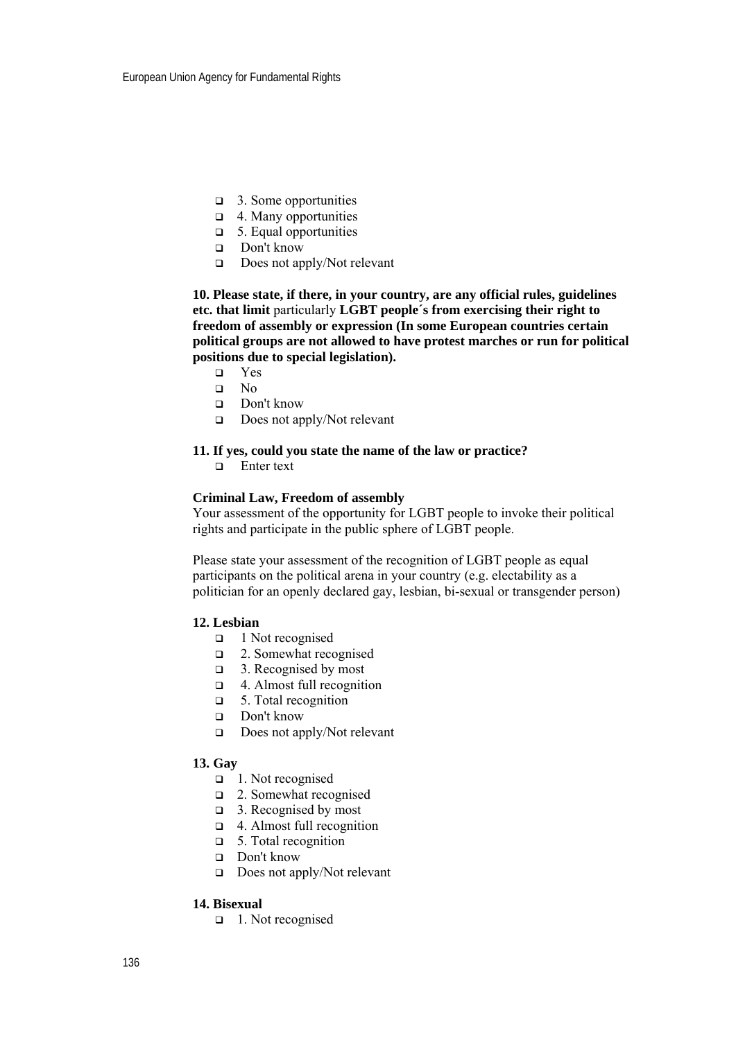- $\Box$  3. Some opportunities
- $\Box$  4. Many opportunities
- $\Box$  5. Equal opportunities
- □ Don't know
- Does not apply/Not relevant

**10. Please state, if there, in your country, are any official rules, guidelines etc. that limit** particularly **LGBT people´s from exercising their right to freedom of assembly or expression (In some European countries certain political groups are not allowed to have protest marches or run for political positions due to special legislation).** 

- Yes
- $\Box$  No
- □ Don't know
- $\Box$  Does not apply/Not relevant

#### **11. If yes, could you state the name of the law or practice?**

 $\Box$  Enter text

#### **Criminal Law, Freedom of assembly**

Your assessment of the opportunity for LGBT people to invoke their political rights and participate in the public sphere of LGBT people.

Please state your assessment of the recognition of LGBT people as equal participants on the political arena in your country (e.g. electability as a politician for an openly declared gay, lesbian, bi-sexual or transgender person)

#### **12. Lesbian**

- $\Box$  1 Not recognised
- 2. Somewhat recognised
- $\Box$  3. Recognised by most
- 4. Almost full recognition
- $\Box$  5. Total recognition
- □ Don't know
- Does not apply/Not relevant

#### **13. Gay**

- $\Box$  1. Not recognised
- 2. Somewhat recognised
- $\Box$  3. Recognised by most
- 4. Almost full recognition
- $\Box$  5. Total recognition
- □ Don't know
- $\Box$  Does not apply/Not relevant

#### **14. Bisexual**

 $\Box$  1. Not recognised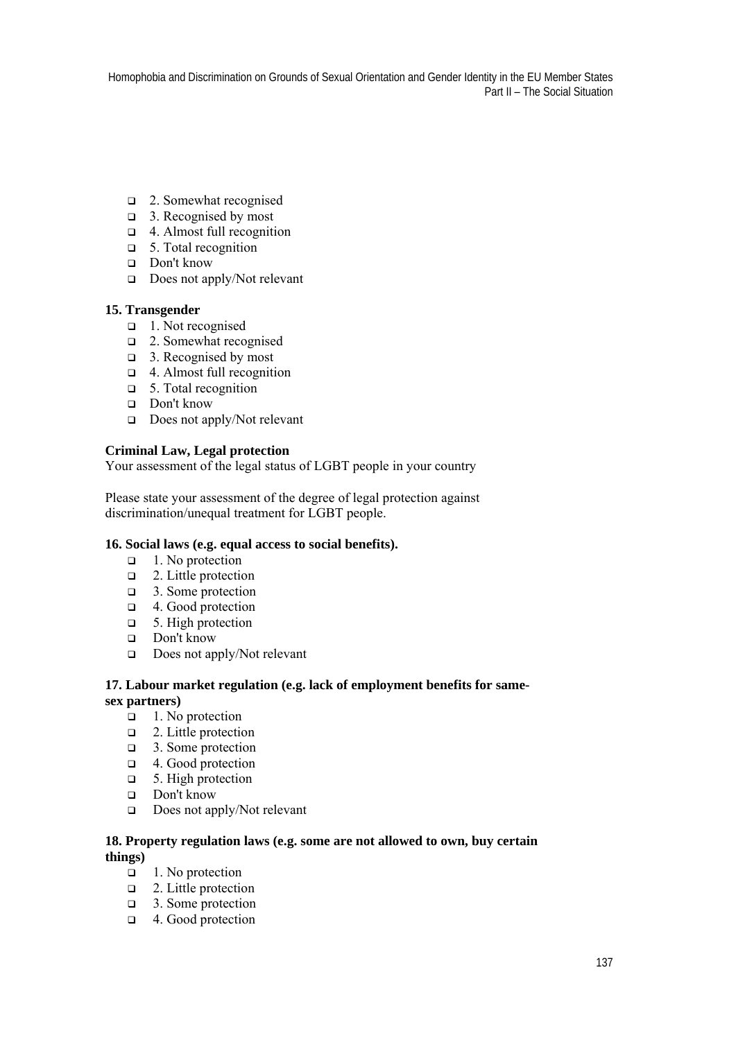- 2. Somewhat recognised
- $\Box$  3. Recognised by most
- 4. Almost full recognition
- 5. Total recognition
- □ Don't know
- Does not apply/Not relevant

## **15. Transgender**

- $\Box$  1. Not recognised
- 2. Somewhat recognised
- $\Box$  3. Recognised by most
- $\Box$  4. Almost full recognition
- $\Box$  5. Total recognition
- □ Don't know
- Does not apply/Not relevant

# **Criminal Law, Legal protection**

Your assessment of the legal status of LGBT people in your country

Please state your assessment of the degree of legal protection against discrimination/unequal treatment for LGBT people.

## **16. Social laws (e.g. equal access to social benefits).**

- $\Box$  1. No protection
- □ 2. Little protection
- 3. Some protection
- 4. Good protection
- $\Box$  5. High protection
- Don't know
- Does not apply/Not relevant

## **17. Labour market regulation (e.g. lack of employment benefits for samesex partners)**

- $\Box$  1. No protection
- $\Box$  2. Little protection
- **3**. Some protection
- □ 4. Good protection
- $\Box$  5. High protection
- □ Don't know
- $\Box$  Does not apply/Not relevant

# **18. Property regulation laws (e.g. some are not allowed to own, buy certain things)**

- $\Box$  1. No protection
- $\Box$  2. Little protection
- 3. Some protection
- 4. Good protection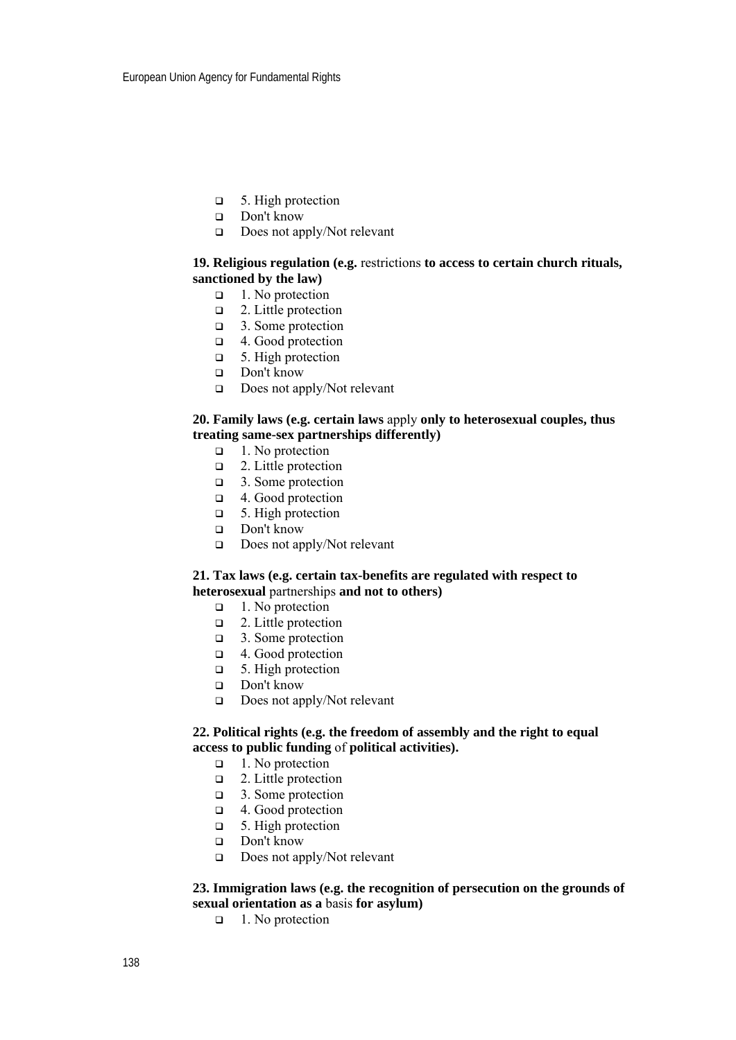- $\Box$  5. High protection
- □ Don't know
- $\Box$  Does not apply/Not relevant

#### **19. Religious regulation (e.g.** restrictions **to access to certain church rituals, sanctioned by the law)**

- $\Box$  1. No protection
- □ 2. Little protection
- 3. Some protection
- 4. Good protection
- $\Box$  5. High protection
- □ Don't know
- $\Box$  Does not apply/Not relevant

## **20. Family laws (e.g. certain laws** apply **only to heterosexual couples, thus treating same-sex partnerships differently)**

- $\Box$  1. No protection
- $\Box$  2. Little protection
- □ 3. Some protection
- 4. Good protection
- $\Box$  5. High protection
- □ Don't know
- Does not apply/Not relevant

## **21. Tax laws (e.g. certain tax-benefits are regulated with respect to heterosexual** partnerships **and not to others)**

- $\Box$  1. No protection
- $\Box$  2. Little protection
- 3. Some protection
- 4. Good protection
- $\Box$  5. High protection
- □ Don't know
- Does not apply/Not relevant

## **22. Political rights (e.g. the freedom of assembly and the right to equal access to public funding** of **political activities).**

- $\Box$  1. No protection
- $\Box$  2. Little protection
- 3. Some protection
- 4. Good protection
- $\Box$  5. High protection
- □ Don't know
- Does not apply/Not relevant

#### **23. Immigration laws (e.g. the recognition of persecution on the grounds of sexual orientation as a** basis **for asylum)**

 $\Box$  1. No protection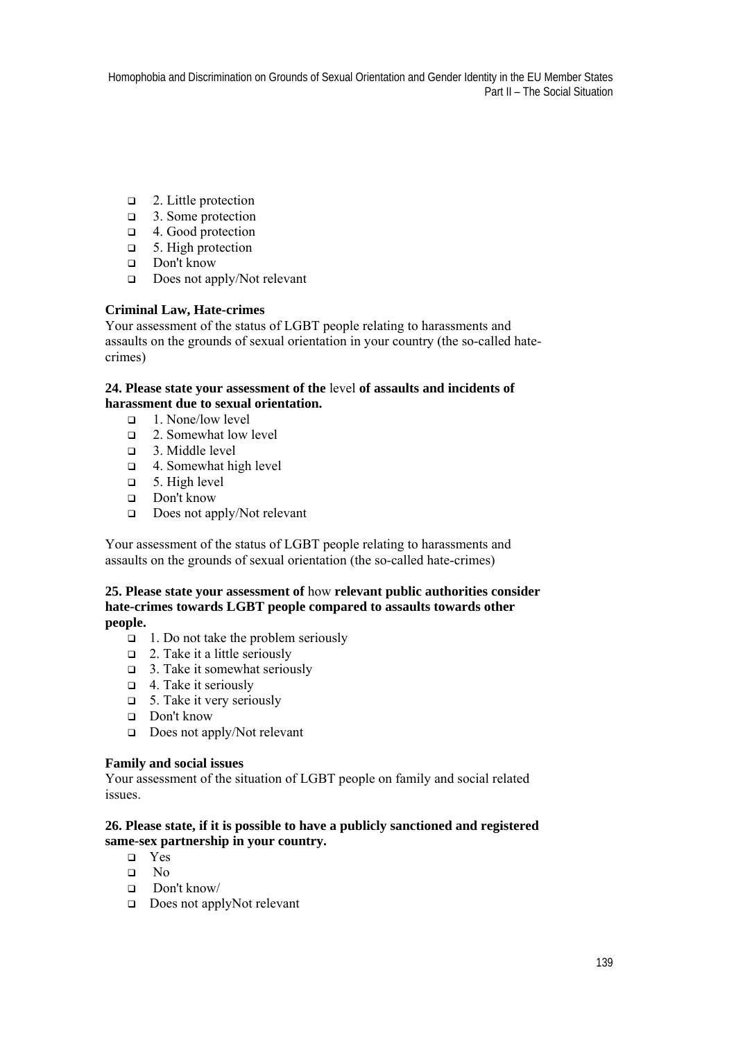- $\Box$  2. Little protection
- 3. Some protection
- 4. Good protection
- $\Box$  5. High protection
- □ Don't know
- $\Box$  Does not apply/Not relevant

# **Criminal Law, Hate-crimes**

Your assessment of the status of LGBT people relating to harassments and assaults on the grounds of sexual orientation in your country (the so-called hatecrimes)

# **24. Please state your assessment of the** level **of assaults and incidents of harassment due to sexual orientation.**

- $\Box$  1. None/low level
- □ 2. Somewhat low level
- $\Box$  3. Middle level
- 4. Somewhat high level
- $\Box$  5. High level
- Don't know
- $\Box$  Does not apply/Not relevant

Your assessment of the status of LGBT people relating to harassments and assaults on the grounds of sexual orientation (the so-called hate-crimes)

# **25. Please state your assessment of** how **relevant public authorities consider hate-crimes towards LGBT people compared to assaults towards other people.**

- $\Box$  1. Do not take the problem seriously
- $\Box$  2. Take it a little seriously
- $\Box$  3. Take it somewhat seriously
- $\Box$  4. Take it seriously
- $\Box$  5. Take it very seriously
- □ Don't know
- Does not apply/Not relevant

# **Family and social issues**

Your assessment of the situation of LGBT people on family and social related issues.

# **26. Please state, if it is possible to have a publicly sanctioned and registered same-sex partnership in your country.**

- Yes
- No
- $\Box$  Don't know
- Does not applyNot relevant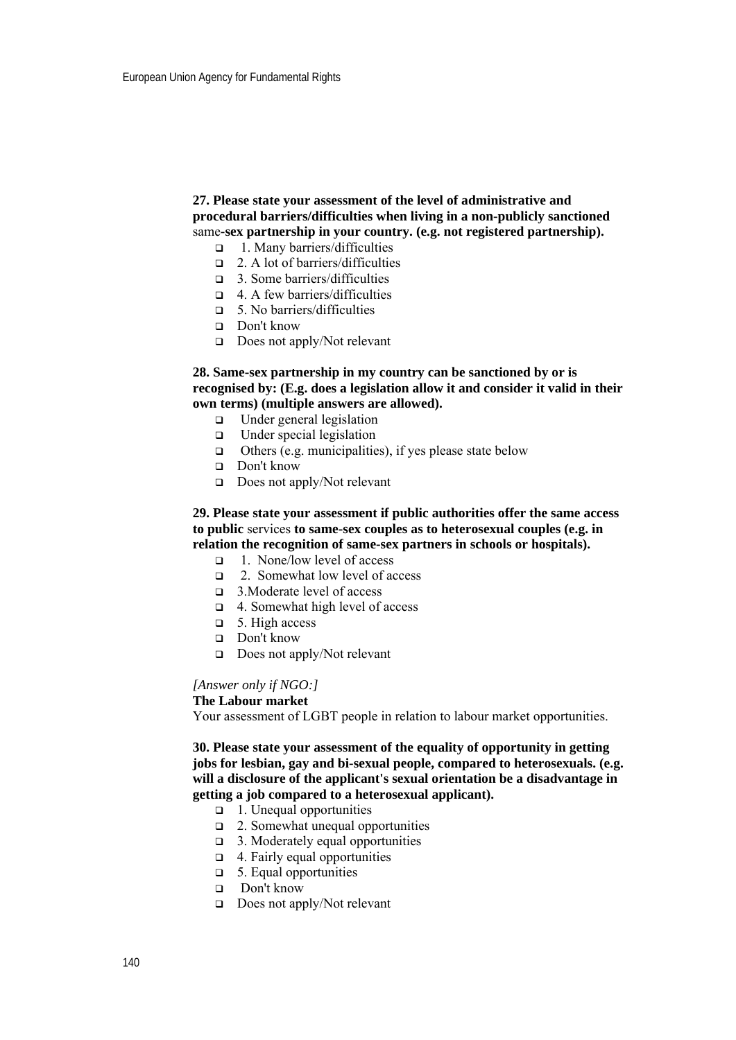## **27. Please state your assessment of the level of administrative and procedural barriers/difficulties when living in a non-publicly sanctioned**  same**-sex partnership in your country. (e.g. not registered partnership).**

- $\Box$  1. Many barriers/difficulties
- $\Box$  2. A lot of barriers/difficulties
- $\Box$  3. Some barriers/difficulties
- $\Box$  4. A few barriers/difficulties
- $\Box$  5. No barriers/difficulties
- □ Don't know
- Does not apply/Not relevant

**28. Same-sex partnership in my country can be sanctioned by or is recognised by: (E.g. does a legislation allow it and consider it valid in their own terms) (multiple answers are allowed).** 

- □ Under general legislation
- $\Box$  Under special legislation
- $\Box$  Others (e.g. municipalities), if yes please state below
- □ Don't know
- Does not apply/Not relevant

**29. Please state your assessment if public authorities offer the same access to public** services **to same-sex couples as to heterosexual couples (e.g. in relation the recognition of same-sex partners in schools or hospitals).** 

- 1. None/low level of access
- $\Box$  2. Somewhat low level of access
- 3.Moderate level of access
- 4. Somewhat high level of access
- $\Box$  5. High access
- □ Don't know
- Does not apply/Not relevant

#### *[Answer only if NGO:]*

#### **The Labour market**

Your assessment of LGBT people in relation to labour market opportunities.

**30. Please state your assessment of the equality of opportunity in getting jobs for lesbian, gay and bi-sexual people, compared to heterosexuals. (e.g. will a disclosure of the applicant's sexual orientation be a disadvantage in getting a job compared to a heterosexual applicant).** 

- $\Box$  1. Unequal opportunities
- $\Box$  2. Somewhat unequal opportunities
- $\Box$  3. Moderately equal opportunities
- $\Box$  4. Fairly equal opportunities
- $\Box$  5. Equal opportunities
- $\Box$  Don't know
- Does not apply/Not relevant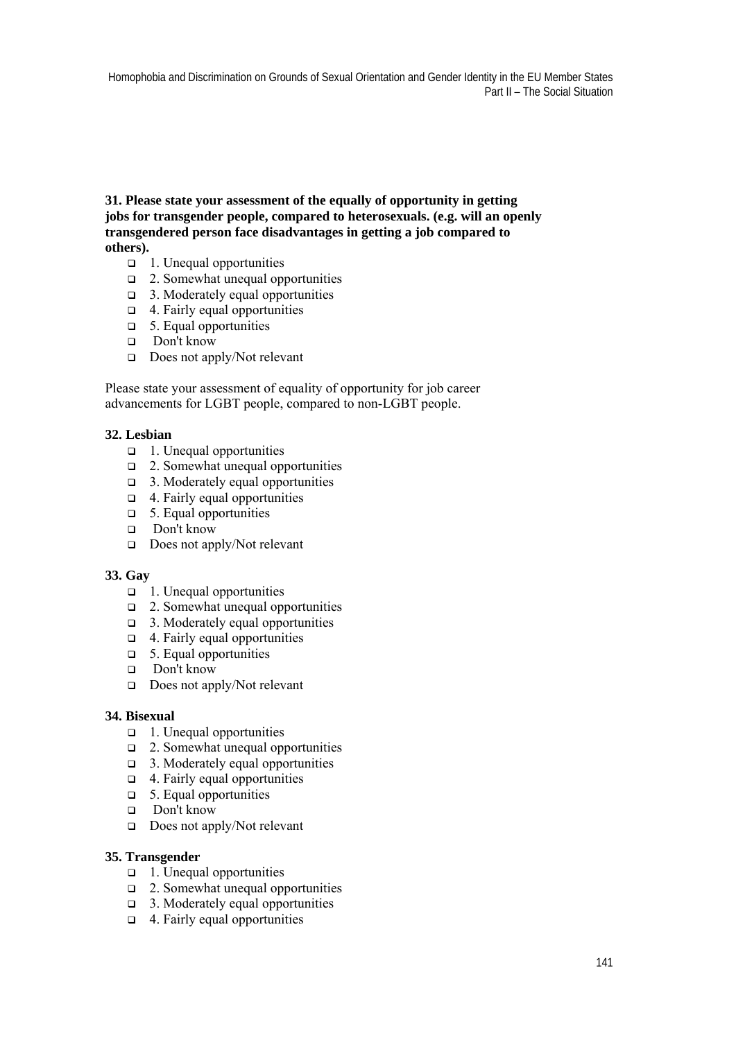# **31. Please state your assessment of the equally of opportunity in getting jobs for transgender people, compared to heterosexuals. (e.g. will an openly transgendered person face disadvantages in getting a job compared to others).**

- $\Box$  1. Unequal opportunities
- $\Box$  2. Somewhat unequal opportunities
- $\Box$  3. Moderately equal opportunities
- $\Box$  4. Fairly equal opportunities
- $\Box$  5. Equal opportunities
- □ Don't know
- Does not apply/Not relevant

Please state your assessment of equality of opportunity for job career advancements for LGBT people, compared to non-LGBT people.

# **32. Lesbian**

- $\Box$  1. Unequal opportunities
- $\Box$  2. Somewhat unequal opportunities
- $\Box$  3. Moderately equal opportunities
- $\Box$  4. Fairly equal opportunities
- $\Box$  5. Equal opportunities
- □ Don't know
- Does not apply/Not relevant

## **33. Gay**

- $\Box$  1. Unequal opportunities
- $\Box$  2. Somewhat unequal opportunities
- $\Box$  3. Moderately equal opportunities
- $\Box$  4. Fairly equal opportunities
- $\Box$  5. Equal opportunities
- □ Don't know
- $\Box$  Does not apply/Not relevant

## **34. Bisexual**

- $\Box$  1. Unequal opportunities
- $\Box$  2. Somewhat unequal opportunities
- $\Box$  3. Moderately equal opportunities
- $\Box$  4. Fairly equal opportunities
- $\Box$  5. Equal opportunities
- Don't know
- Does not apply/Not relevant

# **35. Transgender**

- $\Box$  1. Unequal opportunities
- $\Box$  2. Somewhat unequal opportunities
- $\Box$  3. Moderately equal opportunities
- $\Box$  4. Fairly equal opportunities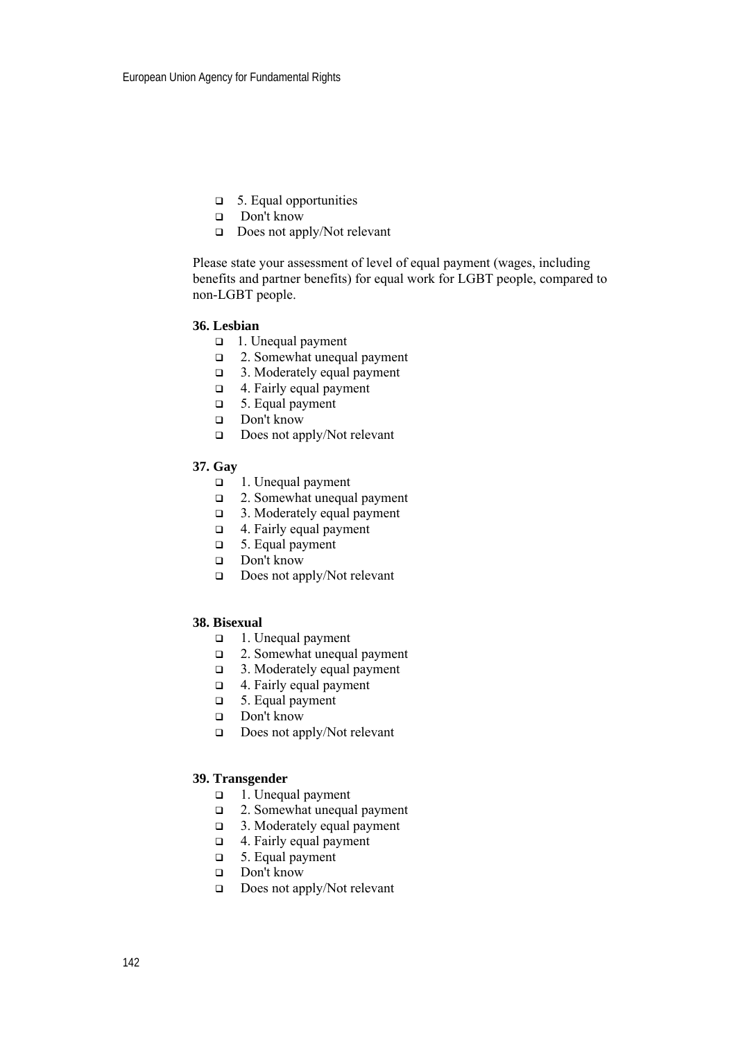- $\Box$  5. Equal opportunities
- □ Don't know
- Does not apply/Not relevant

Please state your assessment of level of equal payment (wages, including benefits and partner benefits) for equal work for LGBT people, compared to non-LGBT people.

## **36. Lesbian**

- $\Box$  1. Unequal payment
- 2. Somewhat unequal payment
- 3. Moderately equal payment
- 4. Fairly equal payment
- $\Box$  5. Equal payment
- □ Don't know
- $\Box$  Does not apply/Not relevant
- **37. Gay** 
	- $\Box$  1. Unequal payment
	- 2. Somewhat unequal payment
	- 3. Moderately equal payment
	- 4. Fairly equal payment
	- 5. Equal payment
	- □ Don't know
	- Does not apply/Not relevant

## **38. Bisexual**

- 1. Unequal payment
- 2. Somewhat unequal payment
- 3. Moderately equal payment
- 4. Fairly equal payment
- $\Box$  5. Equal payment
- Don't know
- Does not apply/Not relevant

## **39. Transgender**

- $\Box$  1. Unequal payment
- 2. Somewhat unequal payment
- 3. Moderately equal payment
- 4. Fairly equal payment
- $\Box$  5. Equal payment
- □ Don't know
- Does not apply/Not relevant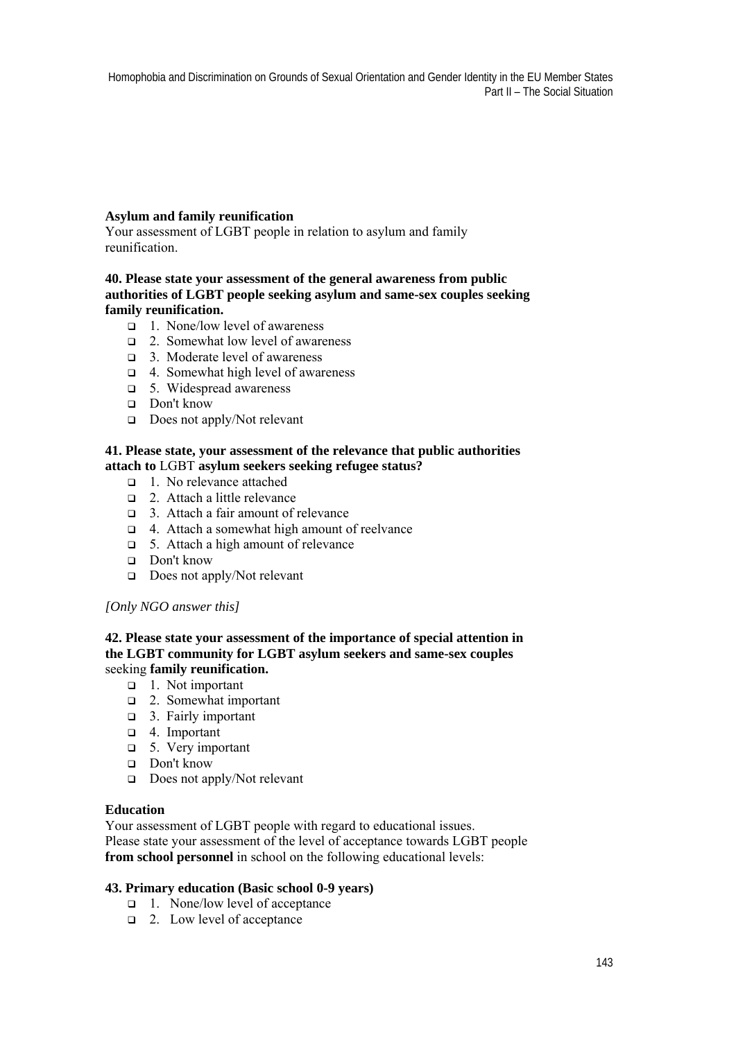# **Asylum and family reunification**

Your assessment of LGBT people in relation to asylum and family reunification.

# **40. Please state your assessment of the general awareness from public authorities of LGBT people seeking asylum and same-sex couples seeking family reunification.**

- $\Box$  1. None/low level of awareness
- □ 2. Somewhat low level of awareness
- 3. Moderate level of awareness
- $\Box$  4. Somewhat high level of awareness
- $\Box$  5. Widespread awareness
- □ Don't know
- $\Box$  Does not apply/Not relevant

## **41. Please state, your assessment of the relevance that public authorities attach to** LGBT **asylum seekers seeking refugee status?**

- 1. No relevance attached
- □ 2. Attach a little relevance
- $\Box$  3. Attach a fair amount of relevance
- 4. Attach a somewhat high amount of reelvance
- 5. Attach a high amount of relevance
- □ Don't know
- Does not apply/Not relevant

*[Only NGO answer this]*

# **42. Please state your assessment of the importance of special attention in the LGBT community for LGBT asylum seekers and same-sex couples**  seeking **family reunification.**

- $\Box$  1. Not important
- 2. Somewhat important
- 3. Fairly important
- 4. Important
- $\Box$  5. Very important
- □ Don't know
- $\Box$  Does not apply/Not relevant

## **Education**

Your assessment of LGBT people with regard to educational issues. Please state your assessment of the level of acceptance towards LGBT people **from school personnel** in school on the following educational levels:

## **43. Primary education (Basic school 0-9 years)**

- $\Box$  1. None/low level of acceptance
- 2. Low level of acceptance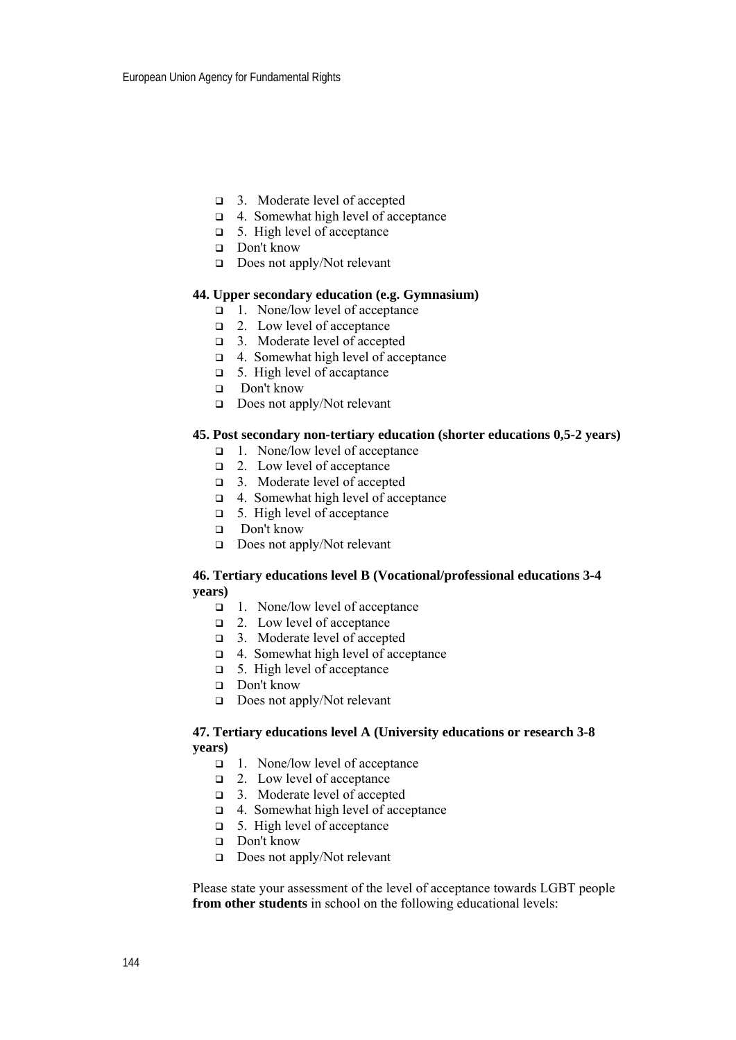- 3. Moderate level of accepted
- $\Box$  4. Somewhat high level of acceptance
- $\Box$  5. High level of acceptance
- □ Don't know
- Does not apply/Not relevant

#### **44. Upper secondary education (e.g. Gymnasium)**

- $\Box$  1. None/low level of acceptance
- 2. Low level of acceptance
- 3. Moderate level of accepted
- 4. Somewhat high level of acceptance
- $\Box$  5. High level of accaptance
- □ Don't know
- Does not apply/Not relevant

#### **45. Post secondary non-tertiary education (shorter educations 0,5-2 years)**

- $\Box$  1. None/low level of acceptance
- $\Box$  2. Low level of acceptance
- 3. Moderate level of accepted
- 4. Somewhat high level of acceptance
- $\Box$  5. High level of acceptance
- □ Don't know
- Does not apply/Not relevant

# **46. Tertiary educations level B (Vocational/professional educations 3-4 years)**

- $\Box$  1. None/low level of acceptance
- $\Box$  2. Low level of acceptance
- 3. Moderate level of accepted
- 4. Somewhat high level of acceptance
- $\Box$  5. High level of acceptance
- □ Don't know
- $\Box$  Does not apply/Not relevant

#### **47. Tertiary educations level A (University educations or research 3-8 years)**

- 1. None/low level of acceptance
- $\Box$  2. Low level of acceptance
- 3. Moderate level of accepted
- 4. Somewhat high level of acceptance
- $\Box$  5. High level of acceptance
- □ Don't know
- Does not apply/Not relevant

Please state your assessment of the level of acceptance towards LGBT people **from other students** in school on the following educational levels: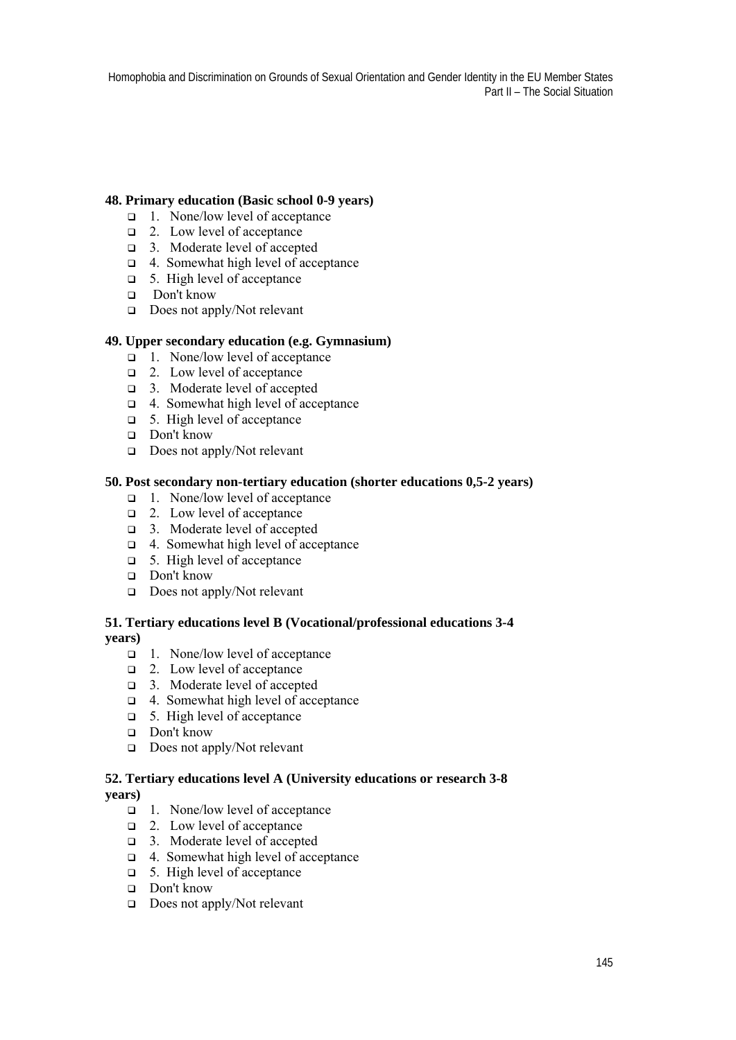# **48. Primary education (Basic school 0-9 years)**

- 1. None/low level of acceptance
- 2. Low level of acceptance
- 3. Moderate level of accepted
- $\Box$  4. Somewhat high level of acceptance
- $\Box$  5. High level of acceptance
- □ Don't know
- Does not apply/Not relevant

# **49. Upper secondary education (e.g. Gymnasium)**

- $\Box$  1. None/low level of acceptance
- $\Box$  2. Low level of acceptance
- 3. Moderate level of accepted
- $\Box$  4. Somewhat high level of acceptance
- $\Box$  5. High level of acceptance
- Don't know
- Does not apply/Not relevant

## **50. Post secondary non-tertiary education (shorter educations 0,5-2 years)**

- 1. None/low level of acceptance
- $\Box$  2. Low level of acceptance
- 3. Moderate level of accepted
- 4. Somewhat high level of acceptance
- 5. High level of acceptance
- Don't know
- Does not apply/Not relevant

#### **51. Tertiary educations level B (Vocational/professional educations 3-4 years)**

- 1. None/low level of acceptance
- $\Box$  2. Low level of acceptance
- 3. Moderate level of accepted
- $\Box$  4. Somewhat high level of acceptance
- 5. High level of acceptance
- □ Don't know
- Does not apply/Not relevant

# **52. Tertiary educations level A (University educations or research 3-8**

**years)** 

- 1. None/low level of acceptance
- $\Box$  2. Low level of acceptance
- 3. Moderate level of accepted
- $\Box$  4. Somewhat high level of acceptance
- $\Box$  5. High level of acceptance
- □ Don't know
- $\Box$  Does not apply/Not relevant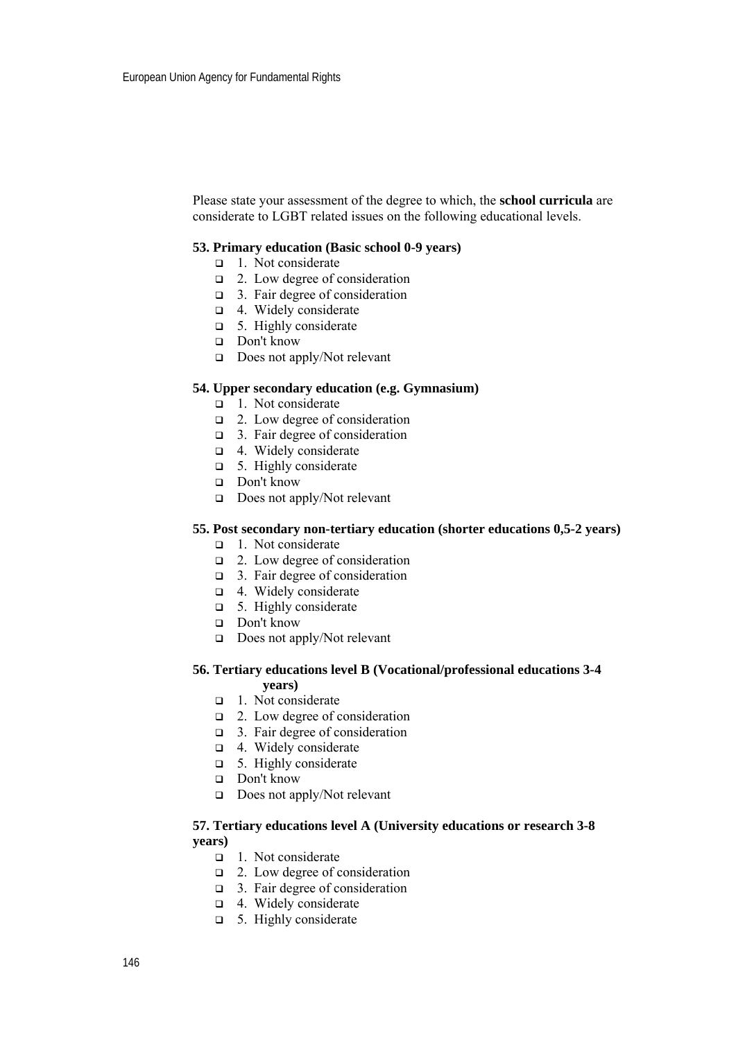Please state your assessment of the degree to which, the **school curricula** are considerate to LGBT related issues on the following educational levels.

#### **53. Primary education (Basic school 0-9 years)**

- $\Box$  1. Not considerate
- $\Box$  2. Low degree of consideration
- 3. Fair degree of consideration
- 4. Widely considerate
- $\Box$  5. Highly considerate
- □ Don't know
- Does not apply/Not relevant

#### **54. Upper secondary education (e.g. Gymnasium)**

- $\Box$  1. Not considerate
- $\Box$  2. Low degree of consideration
- 3. Fair degree of consideration
- 4. Widely considerate
- $\Box$  5. Highly considerate
- □ Don't know
- Does not apply/Not relevant

#### **55. Post secondary non-tertiary education (shorter educations 0,5-2 years)**

- $\Box$  1. Not considerate
- $\Box$  2. Low degree of consideration
- $\Box$  3. Fair degree of consideration
- 4. Widely considerate
- $\Box$  5. Highly considerate
- □ Don't know
- Does not apply/Not relevant

# **56. Tertiary educations level B (Vocational/professional educations 3-4**

- **years)**
- □ 1. Not considerate
- $\Box$  2. Low degree of consideration
- 3. Fair degree of consideration
- 4. Widely considerate
- $\Box$  5. Highly considerate
- □ Don't know
- $\Box$  Does not apply/Not relevant

#### **57. Tertiary educations level A (University educations or research 3-8 years)**

- $\Box$  1. Not considerate
- $\Box$  2. Low degree of consideration
- □ 3. Fair degree of consideration
- 4. Widely considerate
- $\Box$  5. Highly considerate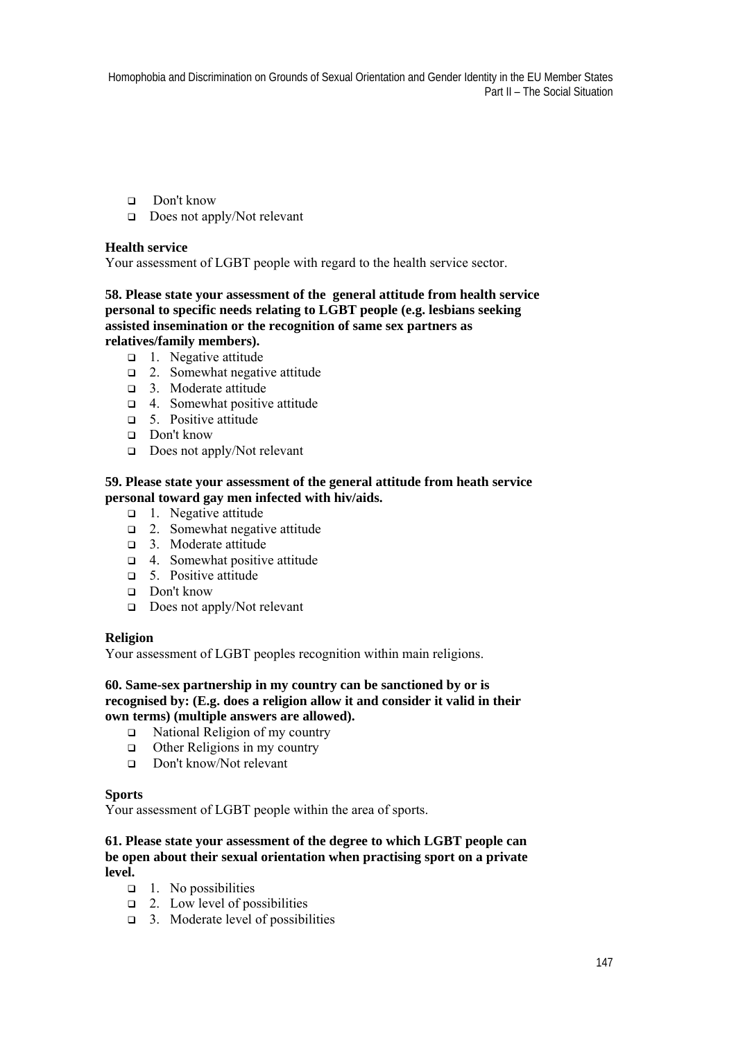- □ Don't know
- $\Box$  Does not apply/Not relevant

## **Health service**

Your assessment of LGBT people with regard to the health service sector.

### **58. Please state your assessment of the general attitude from health service personal to specific needs relating to LGBT people (e.g. lesbians seeking assisted insemination or the recognition of same sex partners as relatives/family members).**

- 1. Negative attitude
- $\Box$  2. Somewhat negative attitude
- 3. Moderate attitude
- $\Box$  4. Somewhat positive attitude
- $\Box$  5. Positive attitude
- □ Don't know
- Does not apply/Not relevant

### **59. Please state your assessment of the general attitude from heath service personal toward gay men infected with hiv/aids.**

- $\Box$  1. Negative attitude
- $\Box$  2. Somewhat negative attitude
- 3. Moderate attitude
- $\Box$  4. Somewhat positive attitude
- $\Box$  5. Positive attitude
- □ Don't know
- Does not apply/Not relevant

#### **Religion**

Your assessment of LGBT peoples recognition within main religions.

## **60. Same-sex partnership in my country can be sanctioned by or is recognised by: (E.g. does a religion allow it and consider it valid in their own terms) (multiple answers are allowed).**

- □ National Religion of my country
- $\Box$  Other Religions in my country
- □ Don't know/Not relevant

## **Sports**

Your assessment of LGBT people within the area of sports.

# **61. Please state your assessment of the degree to which LGBT people can be open about their sexual orientation when practising sport on a private level.**

- $\Box$  1. No possibilities
- $\Box$  2. Low level of possibilities
- $\Box$  3. Moderate level of possibilities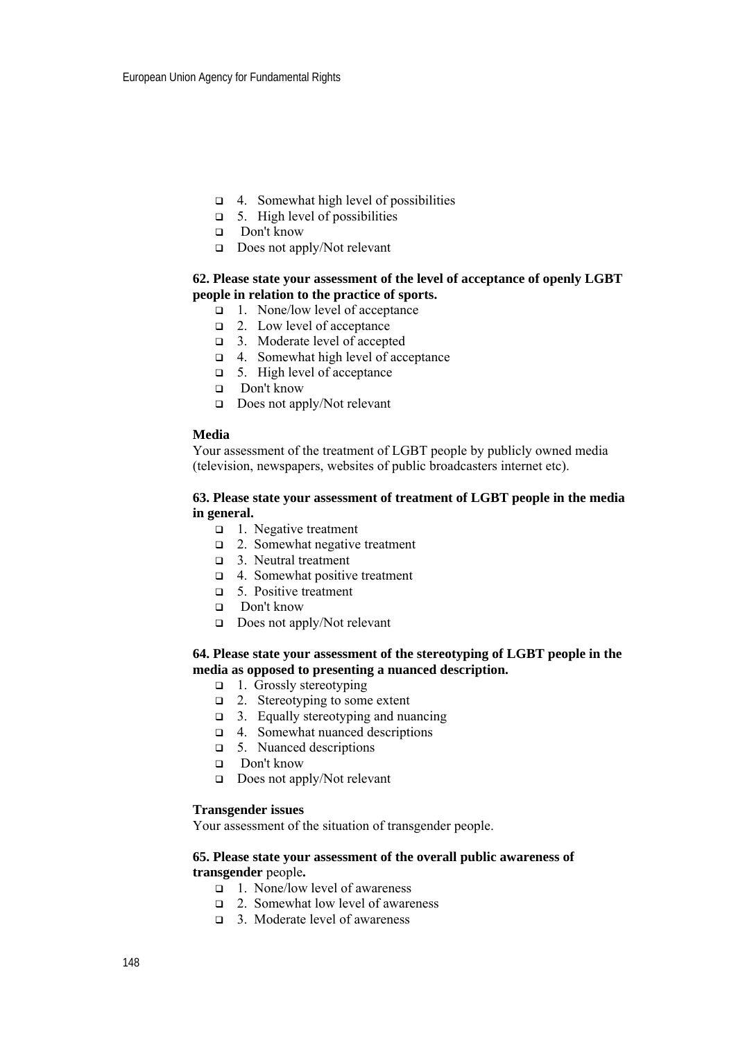- $\Box$  4. Somewhat high level of possibilities
- $\Box$  5. High level of possibilities
- □ Don't know
- Does not apply/Not relevant

# **62. Please state your assessment of the level of acceptance of openly LGBT people in relation to the practice of sports.**

- $\Box$  1. None/low level of acceptance
- 2. Low level of acceptance
- 3. Moderate level of accepted
- 4. Somewhat high level of acceptance
- $\Box$  5. High level of acceptance
- □ Don't know
- Does not apply/Not relevant

### **Media**

Your assessment of the treatment of LGBT people by publicly owned media (television, newspapers, websites of public broadcasters internet etc).

### **63. Please state your assessment of treatment of LGBT people in the media in general.**

- $\Box$  1. Negative treatment
- $\Box$  2. Somewhat negative treatment
- 3. Neutral treatment
- $\Box$  4. Somewhat positive treatment
- 5. Positive treatment
- □ Don't know
- Does not apply/Not relevant

### **64. Please state your assessment of the stereotyping of LGBT people in the media as opposed to presenting a nuanced description.**

- $\Box$  1. Grossly stereotyping
- $\Box$  2. Stereotyping to some extent
- $\Box$  3. Equally stereotyping and nuancing
- 4. Somewhat nuanced descriptions
- $\Box$  5. Nuanced descriptions
- □ Don't know
- Does not apply/Not relevant

#### **Transgender issues**

Your assessment of the situation of transgender people.

## **65. Please state your assessment of the overall public awareness of transgender** people**.**

- $\Box$  1. None/low level of awareness
- $\Box$  2. Somewhat low level of awareness
- $\Box$  3. Moderate level of awareness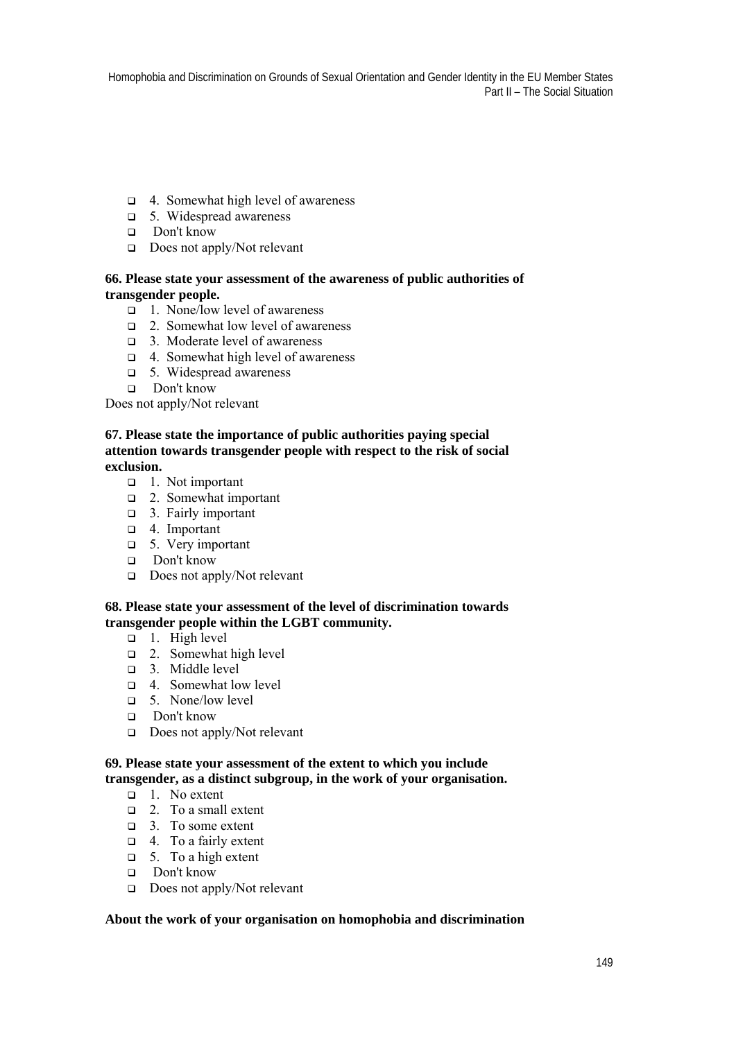- $\Box$  4. Somewhat high level of awareness
- $\Box$  5. Widespread awareness
- □ Don't know
- Does not apply/Not relevant

# **66. Please state your assessment of the awareness of public authorities of transgender people.**

- $\Box$  1. None/low level of awareness
- $\Box$  2. Somewhat low level of awareness
- 3. Moderate level of awareness
- $\Box$  4. Somewhat high level of awareness
- $\Box$  5. Widespread awareness
- □ Don't know

Does not apply/Not relevant

# **67. Please state the importance of public authorities paying special attention towards transgender people with respect to the risk of social exclusion.**

- $\Box$  1. Not important
- 2. Somewhat important
- 3. Fairly important
- 4. Important
- $\Box$  5. Very important
- Don't know
- Does not apply/Not relevant

# **68. Please state your assessment of the level of discrimination towards transgender people within the LGBT community.**

- $\Box$  1. High level
- 2. Somewhat high level
- 3. Middle level
- □ 4. Somewhat low level
- 5. None/low level
- □ Don't know
- Does not apply/Not relevant

# **69. Please state your assessment of the extent to which you include**

# **transgender, as a distinct subgroup, in the work of your organisation.**

- 1. No extent
- □ 2 To a small extent
- $\Box$  3. To some extent
- 4. To a fairly extent
- $\Box$  5. To a high extent
- □ Don't know
- Does not apply/Not relevant

## **About the work of your organisation on homophobia and discrimination**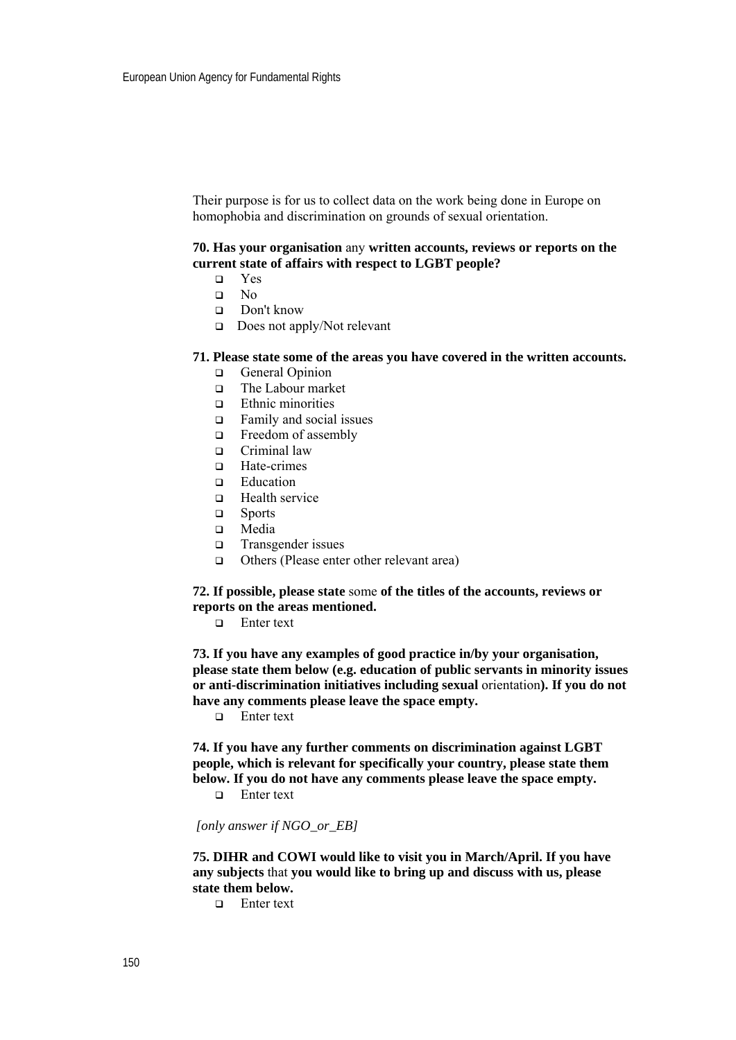Their purpose is for us to collect data on the work being done in Europe on homophobia and discrimination on grounds of sexual orientation.

#### **70. Has your organisation** any **written accounts, reviews or reports on the current state of affairs with respect to LGBT people?**

- Yes
- $\Box$  No
- □ Don't know
- Does not apply/Not relevant

#### **71. Please state some of the areas you have covered in the written accounts.**

- General Opinion
- The Labour market
- $\Box$  Ethnic minorities
- Family and social issues
- □ Freedom of assembly
- Criminal law
- □ Hate-crimes
- □ Education
- $\Box$  Health service
- □ Sports
- □ Media
- □ Transgender issues
- Others (Please enter other relevant area)

**72. If possible, please state** some **of the titles of the accounts, reviews or reports on the areas mentioned.** 

 $\Box$  Enter text

**73. If you have any examples of good practice in/by your organisation, please state them below (e.g. education of public servants in minority issues or anti-discrimination initiatives including sexual** orientation**). If you do not have any comments please leave the space empty.** 

 $\Box$  Enter text

**74. If you have any further comments on discrimination against LGBT people, which is relevant for specifically your country, please state them below. If you do not have any comments please leave the space empty.** 

 $\Box$  Enter text

 *[only answer if NGO\_or\_EB]* 

**75. DIHR and COWI would like to visit you in March/April. If you have any subjects** that **you would like to bring up and discuss with us, please state them below.** 

 $\Box$  Enter text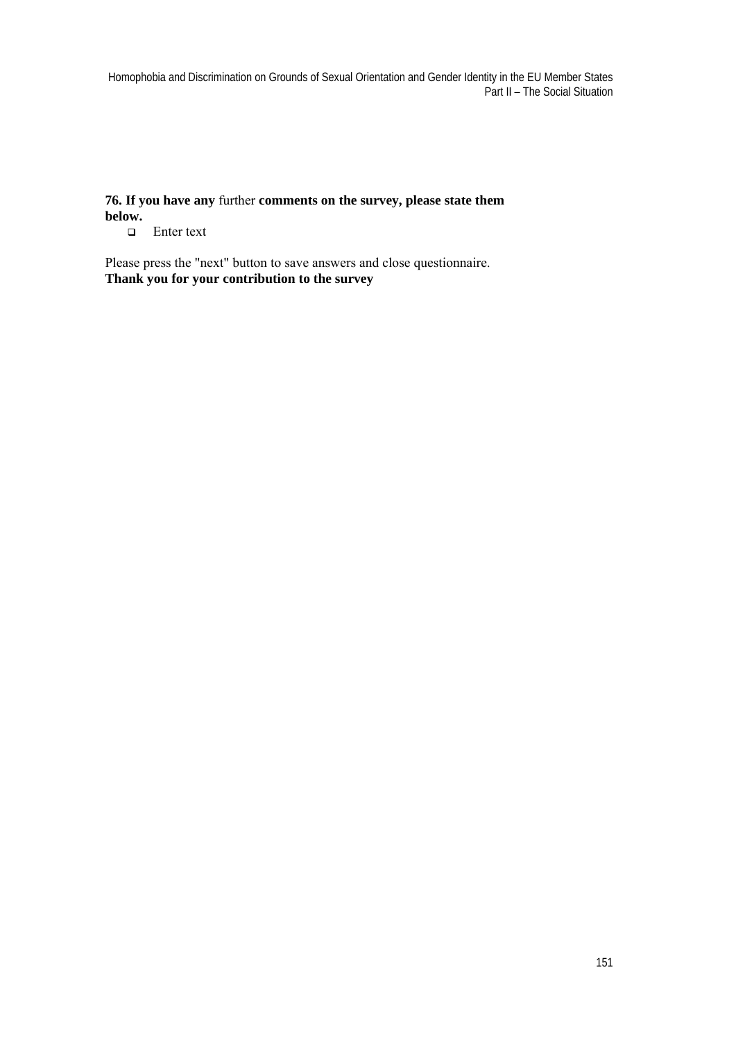# **76. If you have any** further **comments on the survey, please state them below.**

 $\Box$  Enter text

Please press the "next" button to save answers and close questionnaire. **Thank you for your contribution to the survey**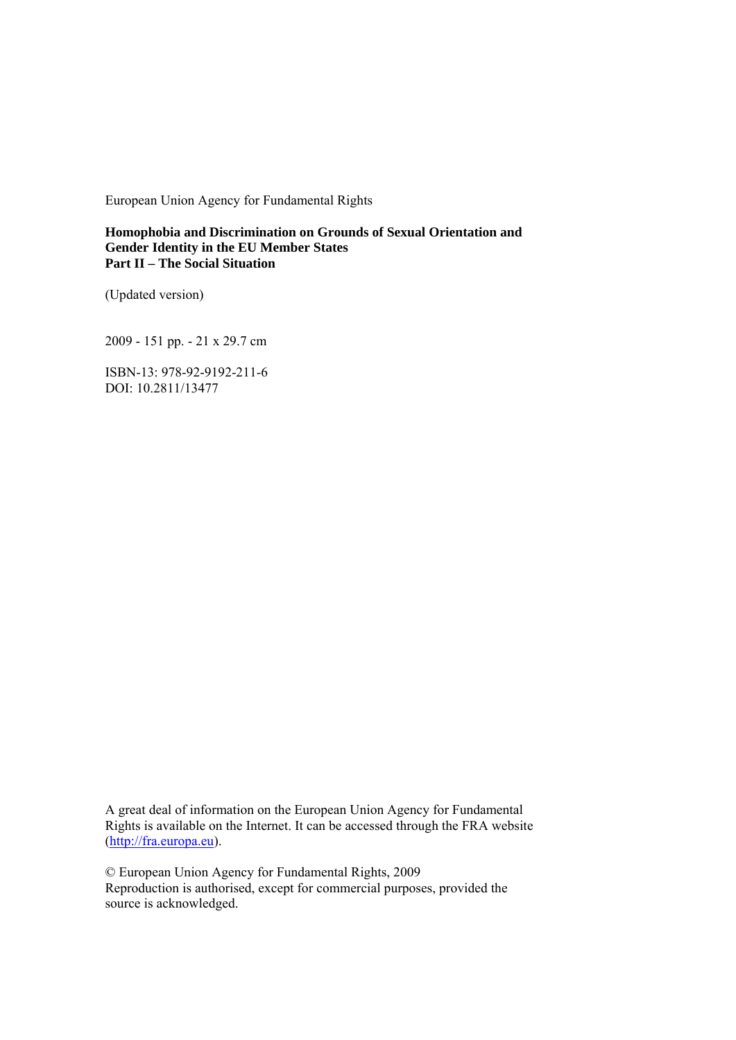European Union Agency for Fundamental Rights

**Homophobia and Discrimination on Grounds of Sexual Orientation and Gender Identity in the EU Member States Part II – The Social Situation** 

(Updated version)

2009 - 151 pp. - 21 x 29.7 cm

ISBN-13: 978-92-9192-211-6 DOI: 10.2811/13477

A great deal of information on the European Union Agency for Fundamental Rights is available on the Internet. It can be accessed through the FRA website (http://fra.europa.eu).

© European Union Agency for Fundamental Rights, 2009 Reproduction is authorised, except for commercial purposes, provided the source is acknowledged.